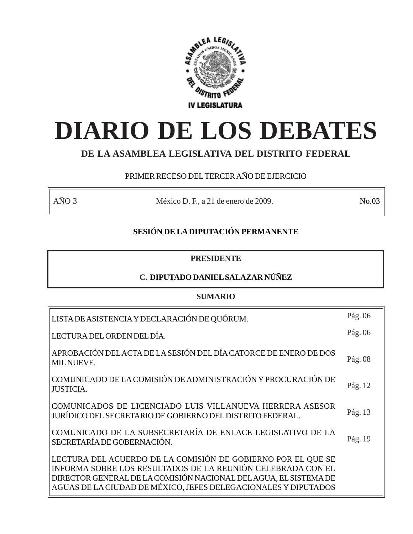

# **DIARIO DE LOS DEBATES**

# **DE LA ASAMBLEA LEGISLATIVA DEL DISTRITO FEDERAL**

# PRIMER RECESO DEL TERCER AÑO DE EJERCICIO

AÑO 3 México D. F., a 21 de enero de 2009. No.03

# **SESIÓN DE LA DIPUTACIÓN PERMANENTE**

# **PRESIDENTE**

# **C. DIPUTADO DANIEL SALAZAR NÚÑEZ**

# **SUMARIO**

| LISTA DE ASISTENCIA Y DECLARACIÓN DE QUÓRUM.                                                                                                                                                                                                                      | Pág. 06 |
|-------------------------------------------------------------------------------------------------------------------------------------------------------------------------------------------------------------------------------------------------------------------|---------|
| LECTURA DEL ORDEN DEL DÍA.                                                                                                                                                                                                                                        | Pág. 06 |
| APROBACIÓN DEL ACTA DE LA SESIÓN DEL DÍA CATORCE DE ENERO DE DOS<br><b>MIL NUEVE.</b>                                                                                                                                                                             | Pág. 08 |
| COMUNICADO DE LA COMISIÓN DE ADMINISTRACIÓN Y PROCURACIÓN DE<br><b>JUSTICIA.</b>                                                                                                                                                                                  | Pág. 12 |
| COMUNICADOS DE LICENCIADO LUIS VILLANUEVA HERRERA ASESOR<br>JURÍDICO DEL SECRETARIO DE GOBIERNO DEL DISTRITO FEDERAL.                                                                                                                                             | Pág. 13 |
| COMUNICADO DE LA SUBSECRETARÍA DE ENLACE LEGISLATIVO DE LA<br>SECRETARÍA DE GOBERNACIÓN.                                                                                                                                                                          | Pág. 19 |
| LECTURA DEL ACUERDO DE LA COMISIÓN DE GOBIERNO POR EL QUE SE<br>INFORMA SOBRE LOS RESULTADOS DE LA REUNIÓN CELEBRADA CON EL<br>DIRECTOR GENERAL DE LA COMISIÓN NACIONAL DEL AGUA, EL SISTEMA DE<br>AGUAS DE LA CIUDAD DE MÉXICO, JEFES DELEGACIONALES Y DIPUTADOS |         |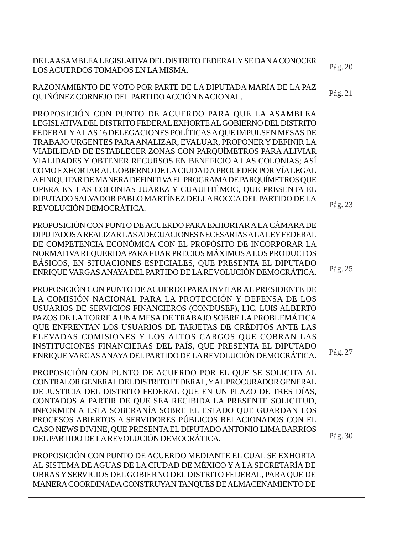| DE LAASAMBLEA LEGISLATIVA DEL DISTRITO FEDERAL Y SE DAN A CONOCER<br>LOS ACUERDOS TOMADOS EN LA MISMA.                                                                                                                                                                                                                                                                                                                                                                                                                                                                                                                                                                                                 | Pág. 20 |
|--------------------------------------------------------------------------------------------------------------------------------------------------------------------------------------------------------------------------------------------------------------------------------------------------------------------------------------------------------------------------------------------------------------------------------------------------------------------------------------------------------------------------------------------------------------------------------------------------------------------------------------------------------------------------------------------------------|---------|
| RAZONAMIENTO DE VOTO POR PARTE DE LA DIPUTADA MARÍA DE LA PAZ<br>QUIÑÓNEZ CORNEJO DEL PARTIDO ACCIÓN NACIONAL.                                                                                                                                                                                                                                                                                                                                                                                                                                                                                                                                                                                         | Pág. 21 |
| PROPOSICIÓN CON PUNTO DE ACUERDO PARA QUE LA ASAMBLEA<br>LEGISLATIVA DEL DISTRITO FEDERAL EXHORTE AL GOBIERNO DEL DISTRITO<br>FEDERAL Y A LAS 16 DELEGACIONES POLÍTICAS A QUE IMPULSEN MESAS DE<br>TRABAJO URGENTES PARA ANALIZAR, EVALUAR, PROPONER Y DEFINIR LA<br>VIABILIDAD DE ESTABLECER ZONAS CON PARQUÍMETROS PARA ALIVIAR<br>VIALIDADES Y OBTENER RECURSOS EN BENEFICIO A LAS COLONIAS; ASÍ<br>COMO EXHORTAR AL GOBIERNO DE LA CIUDAD A PROCEDER POR VÍA LEGAL<br>A FINIQUITAR DE MANERA DEFINITIVA EL PROGRAMA DE PARQUÍMETROS QUE<br>OPERA EN LAS COLONIAS JUÁREZ Y CUAUHTÉMOC, QUE PRESENTA EL<br>DIPUTADO SALVADOR PABLO MARTÍNEZ DELLA ROCCA DEL PARTIDO DE LA<br>REVOLUCIÓN DEMOCRÁTICA. | Pág. 23 |
| PROPOSICIÓN CON PUNTO DE ACUERDO PARA EXHORTAR A LA CÁMARA DE<br>DIPUTADOS AREALIZAR LAS ADECUACIONES NECESARIAS A LA LEY FEDERAL<br>DE COMPETENCIA ECONÓMICA CON EL PROPÓSITO DE INCORPORAR LA<br>NORMATIVA REQUERIDA PARA FIJAR PRECIOS MÁXIMOS A LOS PRODUCTOS<br>BÁSICOS, EN SITUACIONES ESPECIALES, QUE PRESENTA EL DIPUTADO<br>ENRIQUE VARGAS ANAYA DEL PARTIDO DE LA REVOLUCIÓN DEMOCRÁTICA.                                                                                                                                                                                                                                                                                                    | Pág. 25 |
| PROPOSICIÓN CON PUNTO DE ACUERDO PARA INVITAR AL PRESIDENTE DE<br>LA COMISIÓN NACIONAL PARA LA PROTECCIÓN Y DEFENSA DE LOS<br>USUARIOS DE SERVICIOS FINANCIEROS (CONDUSEF), LIC. LUIS ALBERTO<br>PAZOS DE LA TORRE A UNA MESA DE TRABAJO SOBRE LA PROBLEMÁTICA<br>QUE ENFRENTAN LOS USUARIOS DE TARJETAS DE CRÉDITOS ANTE LAS<br>ELEVADAS COMISIONES Y LOS ALTOS CARGOS QUE COBRAN LAS<br>INSTITUCIONES FINANCIERAS DEL PAÍS, QUE PRESENTA EL DIPUTADO                                                                                                                                                                                                                                                 | Pág. 27 |
| ENRIQUE VARGAS ANAYA DEL PARTIDO DE LA REVOLUCIÓN DEMOCRÁTICA.<br>PROPOSICIÓN CON PUNTO DE ACUERDO POR EL QUE SE SOLICITA AL<br>CONTRALOR GENERAL DEL DISTRITO FEDERAL, Y AL PROCURADOR GENERAL<br>DE JUSTICIA DEL DISTRITO FEDERAL QUE EN UN PLAZO DE TRES DÍAS,<br>CONTADOS A PARTIR DE QUE SEA RECIBIDA LA PRESENTE SOLICITUD,<br>INFORMEN A ESTA SOBERANÍA SOBRE EL ESTADO QUE GUARDAN LOS<br>PROCESOS ABIERTOS A SERVIDORES PÚBLICOS RELACIONADOS CON EL<br>CASO NEWS DIVINE, QUE PRESENTA EL DIPUTADO ANTONIO LIMA BARRIOS<br>DEL PARTIDO DE LA REVOLUCIÓN DEMOCRÁTICA.                                                                                                                          | Pág. 30 |
| PROPOSICIÓN CON PUNTO DE ACUERDO MEDIANTE EL CUAL SE EXHORTA<br>AL SISTEMA DE AGUAS DE LA CIUDAD DE MÉXICO Y A LA SECRETARÍA DE<br>OBRAS Y SERVICIOS DEL GOBIERNO DEL DISTRITO FEDERAL, PARA QUE DE<br>MANERA COORDINADA CONSTRUYAN TANQUES DE ALMACENAMIENTO DE                                                                                                                                                                                                                                                                                                                                                                                                                                       |         |

 $\overline{a}$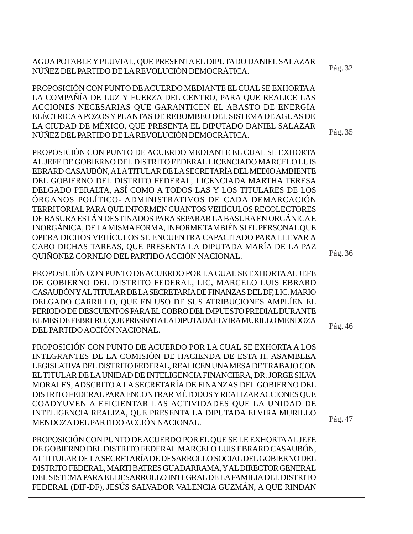| AGUA POTABLE Y PLUVIAL, QUE PRESENTA EL DIPUTADO DANIEL SALAZAR<br>NÚÑEZ DEL PARTIDO DE LA REVOLUCIÓN DEMOCRÁTICA.                                                                                                                                                                                                                                                                                                                                                                                                                                                                                                                                                                                                                    | Pág. 32 |
|---------------------------------------------------------------------------------------------------------------------------------------------------------------------------------------------------------------------------------------------------------------------------------------------------------------------------------------------------------------------------------------------------------------------------------------------------------------------------------------------------------------------------------------------------------------------------------------------------------------------------------------------------------------------------------------------------------------------------------------|---------|
| PROPOSICIÓN CON PUNTO DE ACUERDO MEDIANTE EL CUAL SE EXHORTA A<br>LA COMPAÑÍA DE LUZ Y FUERZA DEL CENTRO, PARA QUE REALICE LAS<br>ACCIONES NECESARIAS QUE GARANTICEN EL ABASTO DE ENERGÍA<br>ELÉCTRICA A POZOS Y PLANTAS DE REBOMBEO DEL SISTEMA DE AGUAS DE<br>LA CIUDAD DE MÉXICO, QUE PRESENTA EL DIPUTADO DANIEL SALAZAR<br>NÚÑEZ DEL PARTIDO DE LA REVOLUCIÓN DEMOCRÁTICA.                                                                                                                                                                                                                                                                                                                                                       | Pág. 35 |
| PROPOSICIÓN CON PUNTO DE ACUERDO MEDIANTE EL CUAL SE EXHORTA<br>AL JEFE DE GOBIERNO DEL DISTRITO FEDERAL LICENCIADO MARCELO LUIS<br>EBRARD CASAUBÓN, A LA TITULAR DE LA SECRETARÍA DEL MEDIO AMBIENTE<br>DEL GOBIERNO DEL DISTRITO FEDERAL, LICENCIADA MARTHA TERESA<br>DELGADO PERALTA, ASÍ COMO A TODOS LAS Y LOS TITULARES DE LOS<br>ÓRGANOS POLÍTICO- ADMINISTRATIVOS DE CADA DEMARCACIÓN<br>TERRITORIAL PARA QUE INFORMEN CUANTOS VEHÍCULOS RECOLECTORES<br>DE BASURA ESTÁN DESTINADOS PARA SEPARAR LA BASURA EN ORGÁNICA E<br>INORGÁNICA, DE LA MISMA FORMA, INFORME TAMBIÉN SI EL PERSONAL QUE<br>OPERA DICHOS VEHÍCULOS SE ENCUENTRA CAPACITADO PARA LLEVAR A<br>CABO DICHAS TAREAS, QUE PRESENTA LA DIPUTADA MARÍA DE LA PAZ |         |
| QUIÑONEZ CORNEJO DEL PARTIDO ACCIÓN NACIONAL.                                                                                                                                                                                                                                                                                                                                                                                                                                                                                                                                                                                                                                                                                         | Pág. 36 |
| PROPOSICIÓN CON PUNTO DE ACUERDO POR LA CUAL SE EXHORTA AL JEFE<br>DE GOBIERNO DEL DISTRITO FEDERAL, LIC, MARCELO LUIS EBRARD<br>CASAUBÓN Y AL TITULAR DE LA SECRETARÍA DE FINANZAS DEL DF, LIC. MARIO<br>DELGADO CARRILLO, QUE EN USO DE SUS ATRIBUCIONES AMPLÍEN EL<br>PERIODO DE DESCUENTOS PARA EL COBRO DEL IMPUESTO PREDIAL DURANTE<br>ELMES DE FEBRERO, QUE PRESENTA LA DIPUTADA ELVIRA MURILLO MENDOZA<br>DEL PARTIDO ACCIÓN NACIONAL.                                                                                                                                                                                                                                                                                        | Pág. 46 |
| PROPOSICIÓN CON PUNTO DE ACUERDO POR LA CUAL SE EXHORTA A LOS<br>INTEGRANTES DE LA COMISIÓN DE HACIENDA DE ESTA H. ASAMBLEA<br>LEGISLATIVA DEL DISTRITO FEDERAL, REALICEN UNA MESA DE TRABAJO CON<br>EL TITULAR DE LA UNIDAD DE INTELIGENCIA FINANCIERA, DR. JORGE SILVA<br>MORALES, ADSCRITO A LA SECRETARÍA DE FINANZAS DEL GOBIERNO DEL<br>DISTRITO FEDERAL PARA ENCONTRAR MÉTODOS Y REALIZAR ACCIONES QUE<br>COADYUVEN A EFICIENTAR LAS ACTIVIDADES QUE LA UNIDAD DE<br>INTELIGENCIA REALIZA, QUE PRESENTA LA DIPUTADA ELVIRA MURILLO<br>MENDOZA DEL PARTIDO ACCIÓN NACIONAL.                                                                                                                                                     | Pág. 47 |
| PROPOSICIÓN CON PUNTO DE ACUERDO POR EL QUE SE LE EXHORTA AL JEFE<br>DE GOBIERNO DEL DISTRITO FEDERAL MARCELO LUIS EBRARD CASAUBÓN,<br>AL TITULAR DE LA SECRETARÍA DE DESARROLLO SOCIAL DEL GOBIERNO DEL<br>DISTRITO FEDERAL, MARTI BATRES GUADARRAMA, Y AL DIRECTOR GENERAL<br>DEL SISTEMA PARA EL DESARROLLO INTEGRAL DE LA FAMILIA DEL DISTRITO                                                                                                                                                                                                                                                                                                                                                                                    |         |

FEDERAL (DIF-DF), JESÚS SALVADOR VALENCIA GUZMÁN, A QUE RINDAN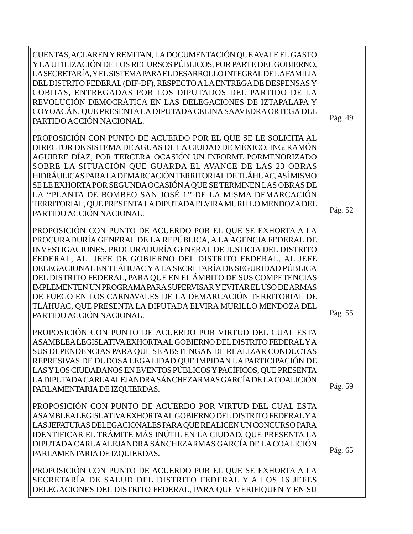CUENTAS, ACLAREN Y REMITAN, LA DOCUMENTACIÓN QUE AVALE EL GASTO Y LA UTILIZACIÓN DE LOS RECURSOS PÚBLICOS, POR PARTE DEL GOBIERNO, LA SECRETARÍA, Y EL SISTEMA PARA EL DESARROLLO INTEGRAL DE LA FAMILIA DEL DISTRITO FEDERAL (DIF-DF), RESPECTO A LA ENTREGA DE DESPENSAS Y COBIJAS, ENTREGADAS POR LOS DIPUTADOS DEL PARTIDO DE LA REVOLUCIÓN DEMOCRÁTICA EN LAS DELEGACIONES DE IZTAPALAPA Y COYOACÁN, QUE PRESENTA LA DIPUTADA CELINA SAAVEDRA ORTEGA DEL PARTIDO ACCIÓN NACIONAL.

PROPOSICIÓN CON PUNTO DE ACUERDO POR EL QUE SE LE SOLICITA AL DIRECTOR DE SISTEMA DE AGUAS DE LA CIUDAD DE MÉXICO, ING. RAMÓN AGUIRRE DÍAZ, POR TERCERA OCASIÓN UN INFORME PORMENORIZADO SOBRE LA SITUACIÓN QUE GUARDA EL AVANCE DE LAS 23 OBRAS HIDRÁULICAS PARA LA DEMARCACIÓN TERRITORIAL DE TLÁHUAC, ASÍ MISMO SE LE EXHORTA POR SEGUNDA OCASIÓN A QUE SE TERMINEN LAS OBRAS DE LA ''PLANTA DE BOMBEO SAN JOSÉ 1'' DE LA MISMA DEMARCACIÓN TERRITORIAL, QUE PRESENTA LA DIPUTADA ELVIRA MURILLO MENDOZA DEL PARTIDO ACCIÓN NACIONAL.

PROPOSICIÓN CON PUNTO DE ACUERDO POR EL QUE SE EXHORTA A LA PROCURADURÍA GENERAL DE LA REPÚBLICA, A LA AGENCIA FEDERAL DE INVESTIGACIONES, PROCURADURÍA GENERAL DE JUSTICIA DEL DISTRITO FEDERAL, AL JEFE DE GOBIERNO DEL DISTRITO FEDERAL, AL JEFE DELEGACIONAL EN TLÁHUAC Y A LA SECRETARÍA DE SEGURIDAD PÚBLICA DEL DISTRITO FEDERAL, PARA QUE EN EL ÁMBITO DE SUS COMPETENCIAS IMPLEMENTEN UN PROGRAMA PARA SUPERVISAR Y EVITAR EL USO DE ARMAS DE FUEGO EN LOS CARNAVALES DE LA DEMARCACIÓN TERRITORIAL DE TLÁHUAC, QUE PRESENTA LA DIPUTADA ELVIRA MURILLO MENDOZA DEL PARTIDO ACCIÓN NACIONAL.

PROPOSICIÓN CON PUNTO DE ACUERDO POR VIRTUD DEL CUAL ESTA ASAMBLEA LEGISLATIVA EXHORTA AL GOBIERNO DEL DISTRITO FEDERAL Y A SUS DEPENDENCIAS PARA QUE SE ABSTENGAN DE REALIZAR CONDUCTAS REPRESIVAS DE DUDOSA LEGALIDAD QUE IMPIDAN LA PARTICIPACIÓN DE LAS Y LOS CIUDADANOS EN EVENTOS PÚBLICOS Y PACÍFICOS, QUE PRESENTA LA DIPUTADA CARLA ALEJANDRA SÁNCHEZARMAS GARCÍA DE LA COALICIÓN PARLAMENTARIA DE IZQUIERDAS.

PROPOSICIÓN CON PUNTO DE ACUERDO POR VIRTUD DEL CUAL ESTA ASAMBLEA LEGISLATIVA EXHORTA AL GOBIERNO DEL DISTRITO FEDERAL Y A LAS JEFATURAS DELEGACIONALES PARA QUE REALICEN UN CONCURSO PARA IDENTIFICAR EL TRÁMITE MÁS INÚTIL EN LA CIUDAD, QUE PRESENTA LA DIPUTADA CARLA ALEJANDRA SÁNCHEZARMAS GARCÍA DE LA COALICIÓN PARLAMENTARIA DE IZQUIERDAS.

PROPOSICIÓN CON PUNTO DE ACUERDO POR EL QUE SE EXHORTA A LA SECRETARÍA DE SALUD DEL DISTRITO FEDERAL Y A LOS 16 JEFES DELEGACIONES DEL DISTRITO FEDERAL, PARA QUE VERIFIQUEN Y EN SU

Pág. 49

Pág. 52

Pág. 55

Pág. 65

Pág. 59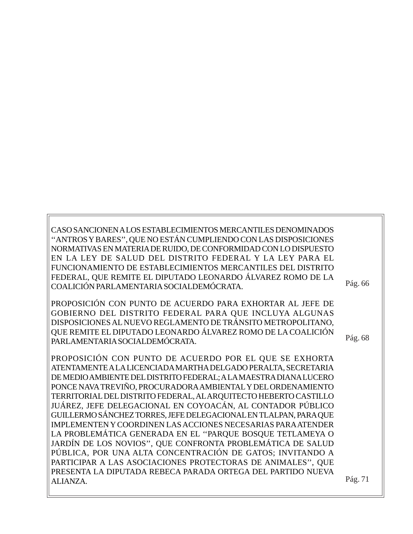CASO SANCIONEN A LOS ESTABLECIMIENTOS MERCANTILES DENOMINADOS ''ANTROS Y BARES'', QUE NO ESTÁN CUMPLIENDO CON LAS DISPOSICIONES NORMATIVAS EN MATERIA DE RUIDO, DE CONFORMIDAD CON LO DISPUESTO EN LA LEY DE SALUD DEL DISTRITO FEDERAL Y LA LEY PARA EL FUNCIONAMIENTO DE ESTABLECIMIENTOS MERCANTILES DEL DISTRITO FEDERAL, QUE REMITE EL DIPUTADO LEONARDO ÁLVAREZ ROMO DE LA COALICIÓN PARLAMENTARIA SOCIALDEMÓCRATA.

PROPOSICIÓN CON PUNTO DE ACUERDO PARA EXHORTAR AL JEFE DE GOBIERNO DEL DISTRITO FEDERAL PARA QUE INCLUYA ALGUNAS DISPOSICIONES AL NUEVO REGLAMENTO DE TRÁNSITO METROPOLITANO, QUE REMITE EL DIPUTADO LEONARDO ÁLVAREZ ROMO DE LA COALICIÓN PARLAMENTARIA SOCIALDEMÓCRATA.

PROPOSICIÓN CON PUNTO DE ACUERDO POR EL QUE SE EXHORTA ATENTAMENTE A LA LICENCIADA MARTHA DELGADO PERALTA, SECRETARIA DE MEDIO AMBIENTE DEL DISTRITO FEDERAL; A LA MAESTRA DIANA LUCERO PONCE NAVA TREVIÑO, PROCURADORA AMBIENTAL Y DEL ORDENAMIENTO TERRITORIAL DEL DISTRITO FEDERAL, AL ARQUITECTO HEBERTO CASTILLO JUÁREZ, JEFE DELEGACIONAL EN COYOACÁN, AL CONTADOR PÚBLICO GUILLERMO SÁNCHEZ TORRES, JEFE DELEGACIONAL EN TLALPAN, PARA QUE IMPLEMENTEN Y COORDINEN LAS ACCIONES NECESARIAS PARA ATENDER LA PROBLEMÁTICA GENERADA EN EL ''PARQUE BOSQUE TETLAMEYA O JARDÍN DE LOS NOVIOS'', QUE CONFRONTA PROBLEMÁTICA DE SALUD PÚBLICA, POR UNA ALTA CONCENTRACIÓN DE GATOS; INVITANDO A PARTICIPAR A LAS ASOCIACIONES PROTECTORAS DE ANIMALES'', QUE PRESENTA LA DIPUTADA REBECA PARADA ORTEGA DEL PARTIDO NUEVA ALIANZA.

Pág. 66

Pág. 68

Pág. 71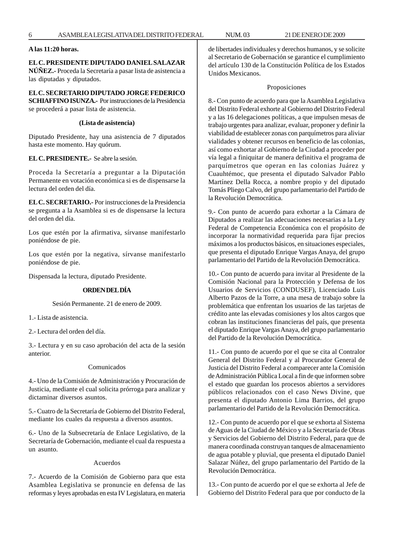# **A las 11:20 horas.**

# **EL C. PRESIDENTE DIPUTADO DANIEL SALAZAR**

**NÚÑEZ.-** Proceda la Secretaría a pasar lista de asistencia a las diputadas y diputados.

# **EL C. SECRETARIO DIPUTADO JORGE FEDERICO**

**SCHIAFFINO ISUNZA.-** Por instrucciones de la Presidencia se procederá a pasar lista de asistencia.

# **(Lista de asistencia)**

Diputado Presidente, hay una asistencia de 7 diputados hasta este momento. Hay quórum.

#### **EL C. PRESIDENTE.-** Se abre la sesión.

Proceda la Secretaría a preguntar a la Diputación Permanente en votación económica si es de dispensarse la lectura del orden del día.

**EL C. SECRETARIO.-** Por instrucciones de la Presidencia se pregunta a la Asamblea si es de dispensarse la lectura del orden del día.

Los que estén por la afirmativa, sírvanse manifestarlo poniéndose de pie.

Los que estén por la negativa, sírvanse manifestarlo poniéndose de pie.

Dispensada la lectura, diputado Presidente.

# **ORDEN DEL DÍA**

Sesión Permanente. 21 de enero de 2009.

1.- Lista de asistencia.

2.- Lectura del orden del día.

3.- Lectura y en su caso aprobación del acta de la sesión anterior.

# Comunicados

4.- Uno de la Comisión de Administración y Procuración de Justicia, mediante el cual solicita prórroga para analizar y dictaminar diversos asuntos.

5.- Cuatro de la Secretaría de Gobierno del Distrito Federal, mediante los cuales da respuesta a diversos asuntos.

6.- Uno de la Subsecretaría de Enlace Legislativo, de la Secretaría de Gobernación, mediante el cual da respuesta a un asunto.

# Acuerdos

7.- Acuerdo de la Comisión de Gobierno para que esta Asamblea Legislativa se pronuncie en defensa de las reformas y leyes aprobadas en esta IV Legislatura, en materia de libertades individuales y derechos humanos, y se solicite al Secretario de Gobernación se garantice el cumplimiento del artículo 130 de la Constitución Política de los Estados Unidos Mexicanos.

#### Proposiciones

8.- Con punto de acuerdo para que la Asamblea Legislativa del Distrito Federal exhorte al Gobierno del Distrito Federal y a las 16 delegaciones políticas, a que impulsen mesas de trabajo urgentes para analizar, evaluar, proponer y definir la viabilidad de establecer zonas con parquímetros para aliviar vialidades y obtener recursos en beneficio de las colonias, así como exhortar al Gobierno de la Ciudad a proceder por vía legal a finiquitar de manera definitiva el programa de parquímetros que operan en las colonias Juárez y Cuauhtémoc, que presenta el diputado Salvador Pablo Martínez Della Rocca, a nombre propio y del diputado Tomás Pliego Calvo, del grupo parlamentario del Partido de la Revolución Democrática.

9.- Con punto de acuerdo para exhortar a la Cámara de Diputados a realizar las adecuaciones necesarias a la Ley Federal de Competencia Económica con el propósito de incorporar la normatividad requerida para fijar precios máximos a los productos básicos, en situaciones especiales, que presenta el diputado Enrique Vargas Anaya, del grupo parlamentario del Partido de la Revolución Democrática.

10.- Con punto de acuerdo para invitar al Presidente de la Comisión Nacional para la Protección y Defensa de los Usuarios de Servicios (CONDUSEF), Licenciado Luis Alberto Pazos de la Torre, a una mesa de trabajo sobre la problemática que enfrentan los usuarios de las tarjetas de crédito ante las elevadas comisiones y los altos cargos que cobran las instituciones financieras del país, que presenta el diputado Enrique Vargas Anaya, del grupo parlamentario del Partido de la Revolución Democrática.

11.- Con punto de acuerdo por el que se cita al Contralor General del Distrito Federal y al Procurador General de Justicia del Distrito Federal a comparecer ante la Comisión de Administración Pública Local a fin de que informen sobre el estado que guardan los procesos abiertos a servidores públicos relacionados con el caso News Divine, que presenta el diputado Antonio Lima Barrios, del grupo parlamentario del Partido de la Revolución Democrática.

12.- Con punto de acuerdo por el que se exhorta al Sistema de Aguas de la Ciudad de México y a la Secretaría de Obras y Servicios del Gobierno del Distrito Federal, para que de manera coordinada construyan tanques de almacenamiento de agua potable y pluvial, que presenta el diputado Daniel Salazar Núñez, del grupo parlamentario del Partido de la Revolución Democrática.

13.- Con punto de acuerdo por el que se exhorta al Jefe de Gobierno del Distrito Federal para que por conducto de la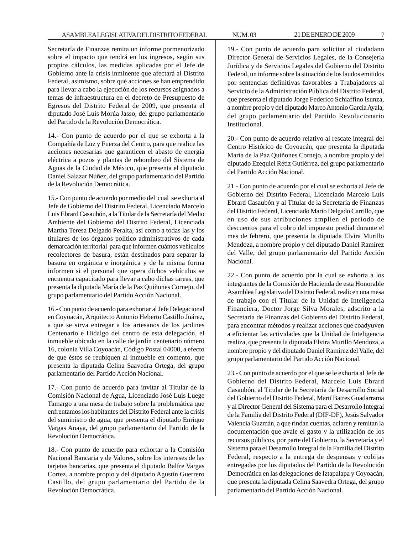Secretaría de Finanzas remita un informe pormenorizado sobre el impacto que tendrá en los ingresos, según sus propios cálculos, las medidas aplicadas por el Jefe de Gobierno ante la crisis inminente que afectará al Distrito Federal, asimismo, sobre qué acciones se han emprendido para llevar a cabo la ejecución de los recursos asignados a temas de infraestructura en el decreto de Presupuesto de Egresos del Distrito Federal de 2009, que presenta el diputado José Luis Morúa Jasso, del grupo parlamentario del Partido de la Revolución Democrática.

14.- Con punto de acuerdo por el que se exhorta a la Compañía de Luz y Fuerza del Centro, para que realice las acciones necesarias que garanticen el abasto de energía eléctrica a pozos y plantas de rebombeo del Sistema de Aguas de la Ciudad de México, que presenta el diputado Daniel Salazar Núñez, del grupo parlamentario del Partido de la Revolución Democrática.

15.- Con punto de acuerdo por medio del cual se exhorta al Jefe de Gobierno del Distrito Federal, Licenciado Marcelo Luis Ebrard Casaubón, a la Titular de la Secretaría del Medio Ambiente del Gobierno del Distrito Federal, Licenciada Martha Teresa Delgado Peralta, así como a todas las y los titulares de los órganos político administrativos de cada demarcación territorial para que informen cuántos vehículos recolectores de basura, están destinados para separar la basura en orgánica e inorgánica y de la misma forma informen si el personal que opera dichos vehículos se encuentra capacitado para llevar a cabo dichas tareas, que presenta la diputada María de la Paz Quiñones Cornejo, del grupo parlamentario del Partido Acción Nacional.

16.- Con punto de acuerdo para exhortar al Jefe Delegacional en Coyoacán, Arquitecto Antonio Heberto Castillo Juárez, a que se sirva entregar a los artesanos de los jardines Centenario e Hidalgo del centro de esta delegación, el inmueble ubicado en la calle de jardín centenario número 16, colonia Villa Coyoacán, Código Postal 04000, a efecto de que éstos se reubiquen al inmueble en comento, que presenta la diputada Celina Saavedra Ortega, del grupo parlamentario del Partido Acción Nacional.

17.- Con punto de acuerdo para invitar al Titular de la Comisión Nacional de Agua, Licenciado José Luis Luege Tamargo a una mesa de trabajo sobre la problemática que enfrentamos los habitantes del Distrito Federal ante la crisis del suministro de agua, que presenta el diputado Enrique Vargas Anaya, del grupo parlamentario del Partido de la Revolución Democrática.

18.- Con punto de acuerdo para exhortar a la Comisión Nacional Bancaria y de Valores, sobre los intereses de las tarjetas bancarias, que presenta el diputado Balfre Vargas Cortez, a nombre propio y del diputado Agustín Guerrero Castillo, del grupo parlamentario del Partido de la Revolución Democrática.

19.- Con punto de acuerdo para solicitar al ciudadano Director General de Servicios Legales, de la Consejería Jurídica y de Servicios Legales del Gobierno del Distrito Federal, un informe sobre la situación de los laudos emitidos por sentencias definitivas favorables a Trabajadores al Servicio de la Administración Pública del Distrito Federal, que presenta el diputado Jorge Federico Schiaffino Isunza, a nombre propio y del diputado Marco Antonio García Ayala, del grupo parlamentario del Partido Revolucionario Institucional.

20.- Con punto de acuerdo relativo al rescate integral del Centro Histórico de Coyoacán, que presenta la diputada María de la Paz Quiñones Cornejo, a nombre propio y del diputado Ezequiel Rétiz Gutiérrez, del grupo parlamentario del Partido Acción Nacional.

21.- Con punto de acuerdo por el cual se exhorta al Jefe de Gobierno del Distrito Federal, Licenciado Marcelo Luis Ebrard Casaubón y al Titular de la Secretaría de Finanzas del Distrito Federal, Licenciado Mario Delgado Carrillo, que en uso de sus atribuciones amplíen el período de descuentos para el cobro del impuesto predial durante el mes de febrero, que presenta la diputada Elvira Murillo Mendoza, a nombre propio y del diputado Daniel Ramírez del Valle, del grupo parlamentario del Partido Acción Nacional.

22.- Con punto de acuerdo por la cual se exhorta a los integrantes de la Comisión de Hacienda de esta Honorable Asamblea Legislativa del Distrito Federal, realicen una mesa de trabajo con el Titular de la Unidad de Inteligencia Financiera, Doctor Jorge Silva Morales, adscrito a la Secretaría de Finanzas del Gobierno del Distrito Federal, para encontrar métodos y realizar acciones que coadyuven a eficientar las actividades que la Unidad de Inteligencia realiza, que presenta la diputada Elvira Murillo Mendoza, a nombre propio y del diputado Daniel Ramírez del Valle, del grupo parlamentario del Partido Acción Nacional.

23.- Con punto de acuerdo por el que se le exhorta al Jefe de Gobierno del Distrito Federal, Marcelo Luis Ebrard Casaubón, al Titular de la Secretaría de Desarrollo Social del Gobierno del Distrito Federal, Martí Batres Guadarrama y al Director General del Sistema para el Desarrollo Integral de la Familia del Distrito Federal (DIF-DF), Jesús Salvador Valencia Guzmán, a que rindan cuentas, aclaren y remitan la documentación que avale el gasto y la utilización de los recursos públicos, por parte del Gobierno, la Secretaría y el Sistema para el Desarrollo Integral de la Familia del Distrito Federal, respecto a la entrega de despensas y cobijas entregadas por los diputados del Partido de la Revolución Democrática en las delegaciones de Iztapalapa y Coyoacán, que presenta la diputada Celina Saavedra Ortega, del grupo parlamentario del Partido Acción Nacional.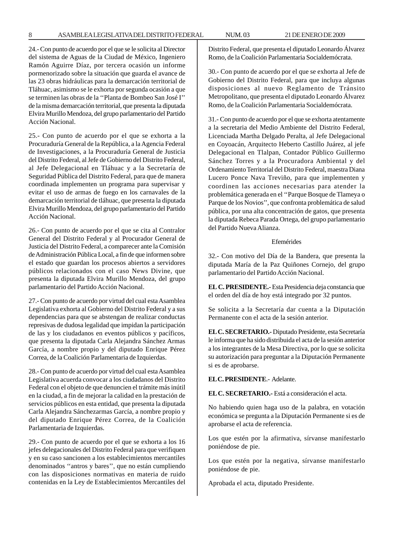24.- Con punto de acuerdo por el que se le solicita al Director del sistema de Aguas de la Ciudad de México, Ingeniero Ramón Aguirre Díaz, por tercera ocasión un informe pormenorizado sobre la situación que guarda el avance de las 23 obras hidráulicas para la demarcación territorial de Tláhuac, asimismo se le exhorta por segunda ocasión a que se terminen las obras de la ''Planta de Bombeo San José I'' de la misma demarcación territorial, que presenta la diputada Elvira Murillo Mendoza, del grupo parlamentario del Partido Acción Nacional.

25.- Con punto de acuerdo por el que se exhorta a la Procuraduría General de la República, a la Agencia Federal de Investigaciones, a la Procuraduría General de Justicia del Distrito Federal, al Jefe de Gobierno del Distrito Federal, al Jefe Delegacional en Tláhuac y a la Secretaría de Seguridad Pública del Distrito Federal, para que de manera coordinada implementen un programa para supervisar y evitar el uso de armas de fuego en los carnavales de la demarcación territorial de tláhuac, que presenta la diputada Elvira Murillo Mendoza, del grupo parlamentario del Partido Acción Nacional.

26.- Con punto de acuerdo por el que se cita al Contralor General del Distrito Federal y al Procurador General de Justicia del Distrito Federal, a comparecer ante la Comisión de Administración Pública Local, a fin de que informen sobre el estado que guardan los procesos abiertos a servidores públicos relacionados con el caso News Divine, que presenta la diputada Elvira Murillo Mendoza, del grupo parlamentario del Partido Acción Nacional.

27.- Con punto de acuerdo por virtud del cual esta Asamblea Legislativa exhorta al Gobierno del Distrito Federal y a sus dependencias para que se abstengan de realizar conductas represivas de dudosa legalidad que impidan la participación de las y los ciudadanos en eventos públicos y pacíficos, que presenta la diputada Carla Alejandra Sánchez Armas García, a nombre propio y del diputado Enrique Pérez Correa, de la Coalición Parlamentaria de Izquierdas.

28.- Con punto de acuerdo por virtud del cual esta Asamblea Legislativa acuerda convocar a los ciudadanos del Distrito Federal con el objeto de que denuncien el trámite más inútil en la ciudad, a fin de mejorar la calidad en la prestación de servicios públicos en esta entidad, que presenta la diputada Carla Alejandra Sánchezarmas García, a nombre propio y del diputado Enrique Pérez Correa, de la Coalición Parlamentaria de Izquierdas.

29.- Con punto de acuerdo por el que se exhorta a los 16 jefes delegacionales del Distrito Federal para que verifiquen y en su caso sancionen a los establecimientos mercantiles denominados ''antros y bares'', que no están cumpliendo con las disposiciones normativas en materia de ruido contenidas en la Ley de Establecimientos Mercantiles del Distrito Federal, que presenta el diputado Leonardo Álvarez Romo, de la Coalición Parlamentaria Socialdemócrata.

30.- Con punto de acuerdo por el que se exhorta al Jefe de Gobierno del Distrito Federal, para que incluya algunas disposiciones al nuevo Reglamento de Tránsito Metropolitano, que presenta el diputado Leonardo Álvarez Romo, de la Coalición Parlamentaria Socialdemócrata.

31.- Con punto de acuerdo por el que se exhorta atentamente a la secretaria del Medio Ambiente del Distrito Federal, Licenciada Martha Delgado Peralta, al Jefe Delegacional en Coyoacán, Arquitecto Heberto Castillo Juárez, al jefe Delegacional en Tlalpan, Contador Público Guillermo Sánchez Torres y a la Procuradora Ambiental y del Ordenamiento Territorial del Distrito Federal, maestra Diana Lucero Ponce Nava Treviño, para que implementen y coordinen las acciones necesarias para atender la problemática generada en el ''Parque Bosque de Tlameya o Parque de los Novios'', que confronta problemática de salud pública, por una alta concentración de gatos, que presenta la diputada Rebeca Parada Ortega, del grupo parlamentario del Partido Nueva Alianza.

# Efemérides

32.- Con motivo del Día de la Bandera, que presenta la diputada María de la Paz Quiñones Cornejo, del grupo parlamentario del Partido Acción Nacional.

**EL C. PRESIDENTE.-** Esta Presidencia deja constancia que el orden del día de hoy está integrado por 32 puntos.

Se solicita a la Secretaría dar cuenta a la Diputación Permanente con el acta de la sesión anterior.

**EL C. SECRETARIO.-** Diputado Presidente, esta Secretaría le informa que ha sido distribuida el acta de la sesión anterior a los integrantes de la Mesa Directiva, por lo que se solicita su autorización para preguntar a la Diputación Permanente si es de aprobarse.

**EL C. PRESIDENTE**.- Adelante.

**EL C. SECRETARIO.-** Está a consideración el acta.

No habiendo quien haga uso de la palabra, en votación económica se pregunta a la Diputación Permanente si es de aprobarse el acta de referencia.

Los que estén por la afirmativa, sírvanse manifestarlo poniéndose de pie.

Los que estén por la negativa, sírvanse manifestarlo poniéndose de pie.

Aprobada el acta, diputado Presidente.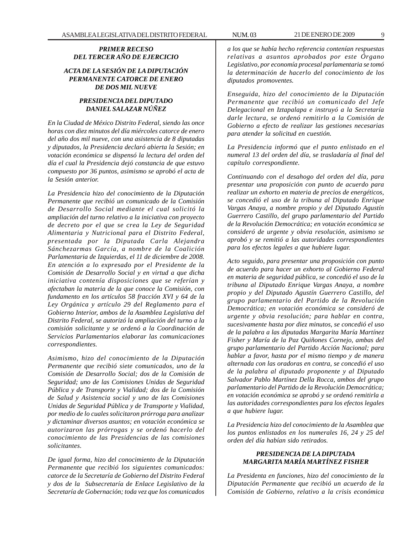# *PRIMER RECESO DEL TERCER AÑO DE EJERCICIO*

# *ACTA DE LA SESIÓN DE LA DIPUTACIÓN PERMANENTE CATORCE DE ENERO DE DOS MIL NUEVE*

# *PRESIDENCIA DEL DIPUTADO DANIEL SALAZAR NÚÑEZ*

*En la Ciudad de México Distrito Federal, siendo las once horas con diez minutos del día miércoles catorce de enero del año dos mil nueve, con una asistencia de 8 diputadas y diputados, la Presidencia declaró abierta la Sesión; en votación económica se dispensó la lectura del orden del día el cual la Presidencia dejó constancia de que estuvo compuesto por 36 puntos, asimismo se aprobó el acta de la Sesión anterior.*

*La Presidencia hizo del conocimiento de la Diputación Permanente que recibió un comunicado de la Comisión de Desarrollo Social mediante el cual solicitó la ampliación del turno relativo a la iniciativa con proyecto de decreto por el que se crea la Ley de Seguridad Alimentaria y Nutricional para el Distrito Federal, presentada por la Diputada Carla Alejandra Sánchezarmas García, a nombre de la Coalición Parlamentaria de Izquierdas, el 11 de diciembre de 2008. En atención a lo expresado por el Presidente de la Comisión de Desarrollo Social y en virtud a que dicha iniciativa contenía disposiciones que se referían y afectaban la materia de la que conoce la Comisión, con fundamento en los artículos 58 fracción XVI y 64 de la Ley Orgánica y artículo 29 del Reglamento para el Gobierno Interior, ambos de la Asamblea Legislativa del Distrito Federal, se autorizó la ampliación del turno a la comisión solicitante y se ordenó a la Coordinación de Servicios Parlamentarios elaborar las comunicaciones correspondientes.*

*Asimismo, hizo del conocimiento de la Diputación Permanente que recibió siete comunicados, uno de la Comisión de Desarrollo Social; dos de la Comisión de Seguridad; uno de las Comisiones Unidas de Seguridad Pública y de Transporte y Vialidad; dos de la Comisión de Salud y Asistencia social y uno de las Comisiones Unidas de Seguridad Pública y de Transporte y Vialidad, por medio de lo cuales solicitaron prórroga para analizar y dictaminar diversos asuntos; en votación económica se autorizaron las prórrogas y se ordenó hacerlo del conocimiento de las Presidencias de las comisiones solicitantes.*

*De igual forma, hizo del conocimiento de la Diputación Permanente que recibió los siguientes comunicados: catorce de la Secretaría de Gobierno del Distrito Federal y dos de la Subsecretaría de Enlace Legislativo de la Secretaría de Gobernación; toda vez que los comunicados*

*a los que se había hecho referencia contenían respuestas relativas a asuntos aprobados por este Órgano Legislativo, por economía procesal parlamentaria se tomó la determinación de hacerlo del conocimiento de los diputados promoventes.*

*Enseguida, hizo del conocimiento de la Diputación Permanente que recibió un comunicado del Jefe Delegacional en Iztapalapa e instruyó a la Secretaría darle lectura, se ordenó remitirlo a la Comisión de Gobierno a efecto de realizar las gestiones necesarias para atender la solicitud en cuestión.*

*La Presidencia informó que el punto enlistado en el numeral 13 del orden del día, se trasladaría al final del capítulo correspondiente.*

*Continuando con el desahogo del orden del día, para presentar una proposición con punto de acuerdo para realizar un exhorto en materia de precios de energéticos, se concedió el uso de la tribuna al Diputado Enrique Vargas Anaya, a nombre propio y del Diputado Agustín Guerrero Castillo, del grupo parlamentario del Partido de la Revolución Democrática; en votación económica se consideró de urgente y obvia resolución, asimismo se aprobó y se remitió a las autoridades correspondientes para los efectos legales a que hubiere lugar.*

*Acto seguido, para presentar una proposición con punto de acuerdo para hacer un exhorto al Gobierno Federal en materia de seguridad pública, se concedió el uso de la tribuna al Diputado Enrique Vargas Anaya, a nombre propio y del Diputado Agustín Guerrero Castillo, del grupo parlamentario del Partido de la Revolución Democrática; en votación económica se consideró de urgente y obvia resolución; para hablar en contra, sucesivamente hasta por diez minutos, se concedió el uso de la palabra a las diputadas Margarita María Martínez Fisher y María de la Paz Quiñones Cornejo, ambas del grupo parlamentario del Partido Acción Nacional; para hablar a favor, hasta por el mismo tiempo y de manera alternada con las oradoras en contra, se concedió el uso de la palabra al diputado proponente y al Diputado Salvador Pablo Martínez Della Rocca, ambos del grupo parlamentario del Partido de la Revolución Democrática; en votación económica se aprobó y se ordenó remitirla a las autoridades correspondientes para los efectos legales a que hubiere lugar.*

*La Presidencia hizo del conocimiento de la Asamblea que los puntos enlistados en los numerales 16, 24 y 25 del orden del día habían sido retirados.*

# *PRESIDENCIA DE LA DIPUTADA MARGARITA MARÍA MARTÍNEZ FISHER*

*La Presidenta en funciones, hizo del conocimiento de la Diputación Permanente que recibió un acuerdo de la Comisión de Gobierno, relativo a la crisis económica*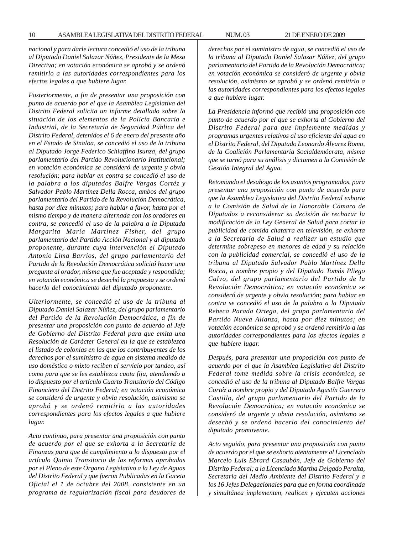*nacional y para darle lectura concedió el uso de la tribuna al Diputado Daniel Salazar Núñez, Presidente de la Mesa Directiva; en votación económica se aprobó y se ordenó remitirlo a las autoridades correspondientes para los efectos legales a que hubiere lugar.*

*Posteriormente, a fin de presentar una proposición con punto de acuerdo por el que la Asamblea Legislativa del Distrito Federal solicita un informe detallado sobre la situación de los elementos de la Policía Bancaria e Industrial, de la Secretaría de Seguridad Pública del Distrito Federal, detenidos el 6 de enero del presente año en el Estado de Sinaloa, se concedió el uso de la tribuna al Diputado Jorge Federico Schiaffino Isunza, del grupo parlamentario del Partido Revolucionario Institucional; en votación económica se consideró de urgente y obvia resolución; para hablar en contra se concedió el uso de la palabra a los diputados Balfre Vargas Cortéz y Salvador Pablo Martínez Della Rocca, ambos del grupo parlamentario del Partido de la Revolución Democrática, hasta por diez minutos; para hablar a favor, hasta por el mismo tiempo y de manera alternada con los oradores en contra, se concedió el uso de la palabra a la Diputada Margarita María Martínez Fisher, del grupo parlamentario del Partido Acción Nacional y al diputado proponente, durante cuya intervención el Diputado Antonio Lima Barrios, del grupo parlamentario del Partido de la Revolución Democrática solicitó hacer una pregunta al orador, misma que fue aceptada y respondida; en votación económica se desechó la propuesta y se ordenó hacerlo del conocimiento del diputado proponente.*

*Ulteriormente, se concedió el uso de la tribuna al Diputado Daniel Salazar Núñez, del grupo parlamentario del Partido de la Revolución Democrática, a fin de presentar una proposición con punto de acuerdo al Jefe de Gobierno del Distrito Federal para que emita una Resolución de Carácter General en la que se establezca el listado de colonias en las que los contribuyentes de los derechos por el suministro de agua en sistema medido de uso doméstico o mixto reciben el servicio por tandeo, así como para que se les establezca cuota fija, atendiendo a lo dispuesto por el artículo Cuarto Transitorio del Código Financiero del Distrito Federal; en votación económica se consideró de urgente y obvia resolución, asimismo se aprobó y se ordenó remitirlo a las autoridades correspondientes para los efectos legales a que hubiere lugar.*

*Acto continuo, para presentar una proposición con punto de acuerdo por el que se exhorta a la Secretaría de Finanzas para que dé cumplimiento a lo dispuesto por el artículo Quinto Transitorio de las reformas aprobadas por el Pleno de este Órgano Legislativo a la Ley de Aguas del Distrito Federal y que fueron Publicadas en la Gaceta Oficial el 1 de octubre del 2008, consistente en un programa de regularización fiscal para deudores de* *derechos por el suministro de agua, se concedió el uso de la tribuna al Diputado Daniel Salazar Núñez, del grupo parlamentario del Partido de la Revolución Democrática; en votación económica se consideró de urgente y obvia resolución, asimismo se aprobó y se ordenó remitirlo a las autoridades correspondientes para los efectos legales a que hubiere lugar.*

*La Presidencia informó que recibió una proposición con punto de acuerdo por el que se exhorta al Gobierno del Distrito Federal para que implemente medidas y programas urgentes relativos al uso eficiente del agua en el Distrito Federal, del Diputado Leonardo Álvarez Romo, de la Coalición Parlamentaria Socialdemócrata, misma que se turnó para su análisis y dictamen a la Comisión de Gestión Integral del Agua.*

*Retomando el desahogo de los asuntos programados, para presentar una proposición con punto de acuerdo para que la Asamblea Legislativa del Distrito Federal exhorte a la Comisión de Salud de la Honorable Cámara de Diputados a reconsiderar su decisión de rechazar la modificación de la Ley General de Salud para cortar la publicidad de comida chatarra en televisión, se exhorta a la Secretaría de Salud a realizar un estudio que determine sobrepeso en menores de edad y su relación con la publicidad comercial, se concedió el uso de la tribuna al Diputado Salvador Pablo Martínez Della Rocca, a nombre propio y del Diputado Tomás Pliego Calvo, del grupo parlamentario del Partido de la Revolución Democrática; en votación económica se consideró de urgente y obvia resolución; para hablar en contra se concedió el uso de la palabra a la Diputada Rebeca Parada Ortega, del grupo parlamentario del Partido Nueva Alianza, hasta por diez minutos; en votación económica se aprobó y se ordenó remitirlo a las autoridades correspondientes para los efectos legales a que hubiere lugar.*

*Después, para presentar una proposición con punto de acuerdo por el que la Asamblea Legislativa del Distrito Federal tome medida sobre la crisis económica, se concedió el uso de la tribuna al Diputado Balfre Vargas Cortéz a nombre propio y del Diputado Agustín Guerrero Castillo, del grupo parlamentario del Partido de la Revolución Democrática; en votación económica se consideró de urgente y obvia resolución, asimismo se desechó y se ordenó hacerlo del conocimiento del diputado promovente.*

*Acto seguido, para presentar una proposición con punto de acuerdo por el que se exhorta atentamente al Licenciado Marcelo Luis Ebrard Casaubón, Jefe de Gobierno del Distrito Federal; a la Licenciada Martha Delgado Peralta, Secretaria del Medio Ambiente del Distrito Federal y a los 16 Jefes Delegacionales para que en forma coordinada y simultánea implementen, realicen y ejecuten acciones*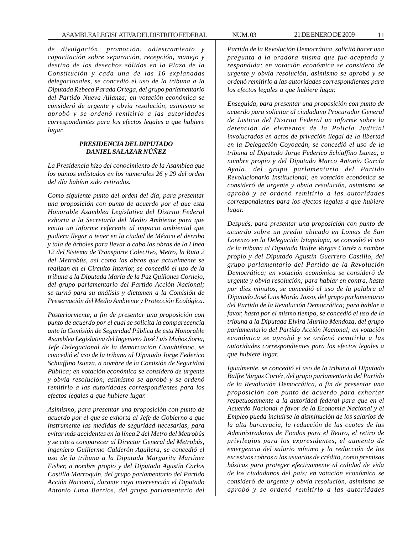*de divulgación, promoción, adiestramiento y capacitación sobre separación, recepción, manejo y destino de los desechos sólidos en la Plaza de la Constitución y cada una de las 16 explanadas delegacionales, se concedió el uso de la tribuna a la Diputada Rebeca Parada Ortega, del grupo parlamentario del Partido Nueva Alianza; en votación económica se consideró de urgente y obvia resolución, asimismo se aprobó y se ordenó remitirlo a las autoridades correspondientes para los efectos legales a que hubiere lugar.*

# *PRESIDENCIA DEL DIPUTADO DANIEL SALAZAR NÚÑEZ*

*La Presidencia hizo del conocimiento de la Asamblea que los puntos enlistados en los numerales 26 y 29 del orden del día habían sido retirados.*

*Como siguiente punto del orden del día, para presentar una proposición con punto de acuerdo por el que esta Honorable Asamblea Legislativa del Distrito Federal exhorta a la Secretaría del Medio Ambiente para que emita un informe referente al impacto ambiental que pudiera llegar a tener en la ciudad de México el derribo y tala de árboles para llevar a cabo las obras de la Línea 12 del Sistema de Transporte Colectivo, Metro, la Ruta 2 del Metrobús, así como las obras que actualmente se realizan en el Circuito Interior, se concedió el uso de la tribuna a la Diputada María de la Paz Quiñones Cornejo, del grupo parlamentario del Partido Acción Nacional; se turnó para su análisis y dictamen a la Comisión de Preservación del Medio Ambiente y Protección Ecológica.*

*Posteriormente, a fin de presentar una proposición con punto de acuerdo por el cual se solicita la comparecencia ante la Comisión de Seguridad Pública de esta Honorable Asamblea Legislativa del Ingeniero José Luis Muñoz Soria, Jefe Delegacional de la demarcación Cuauhtémoc, se concedió el uso de la tribuna al Diputado Jorge Federico Schiaffino Isunza, a nombre de la Comisión de Seguridad Pública; en votación económica se consideró de urgente y obvia resolución, asimismo se aprobó y se ordenó remitirlo a las autoridades correspondientes para los efectos legales a que hubiere lugar.*

*Asimismo, para presentar una proposición con punto de acuerdo por el que se exhorta al Jefe de Gobierno a que instrumente las medidas de seguridad necesarias, para evitar más accidentes en la línea 2 del Metro del Metrobús y se cite a comparecer al Director General del Metrobús, ingeniero Guillermo Calderón Aguilera, se concedió el uso de la tribuna a la Diputada Margarita Martínez Fisher, a nombre propio y del Diputado Agustín Carlos Castilla Marroquín, del grupo parlamentario del Partido Acción Nacional, durante cuya intervención el Diputado Antonio Lima Barrios, del grupo parlamentario del* *Partido de la Revolución Democrática, solicitó hacer una pregunta a la oradora misma que fue aceptada y respondida; en votación económica se consideró de urgente y obvia resolución, asimismo se aprobó y se ordenó remitirlo a las autoridades correspondientes para los efectos legales a que hubiere lugar.*

*Enseguida, para presentar una proposición con punto de acuerdo para solicitar al ciudadano Procurador General de Justicia del Distrito Federal un informe sobre la detención de elementos de la Policía Judicial involucrados en actos de privación ilegal de la libertad en la Delegación Coyoacán, se concedió el uso de la tribuna al Diputado Jorge Federico Schiaffino Isunza, a nombre propio y del Diputado Marco Antonio García Ayala, del grupo parlamentario del Partido Revolucionario Institucional; en votación económica se consideró de urgente y obvia resolución, asimismo se aprobó y se ordenó remitirlo a las autoridades correspondientes para los efectos legales a que hubiere lugar.*

*Después, para presentar una proposición con punto de acuerdo sobre un predio ubicado en Lomas de San Lorenzo en la Delegación Iztapalapa, se concedió el uso de la tribuna al Diputado Balfre Vargas Cortéz a nombre propio y del Diputado Agustín Guerrero Castillo, del grupo parlamentario del Partido de la Revolución Democrática; en votación económica se consideró de urgente y obvia resolución; para hablar en contra, hasta por diez minutos, se concedió el uso de la palabra al Diputado José Luis Morúa Jasso, del grupo parlamentario del Partido de la Revolución Democrática; para hablar a favor, hasta por el mismo tiempo, se concedió el uso de la tribuna a la Diputada Elvira Murillo Mendoza, del grupo parlamentario del Partido Acción Nacional; en votación económica se aprobó y se ordenó remitirla a las autoridades correspondientes para los efectos legales a que hubiere lugar.*

*Igualmente, se concedió el uso de la tribuna al Diputado Balfre Vargas Cortéz, del grupo parlamentario del Partido de la Revolución Democrática, a fin de presentar una proposición con punto de acuerdo para exhortar respetuosamente a la autoridad federal para que en el Acuerdo Nacional a favor de la Economía Nacional y el Empleo pueda incluirse la disminución de los salarios de la alta burocracia, la reducción de las cuotas de las Administradoras de Fondos para el Retiro, el retiro de privilegios para los expresidentes, el aumento de emergencia del salario mínimo y la reducción de los excesivos cobros a los usuarios de crédito, como premisas básicas para proteger efectivamente al calidad de vida de los ciudadanos del país; en votación económica se consideró de urgente y obvia resolución, asimismo se aprobó y se ordenó remitirlo a las autoridades*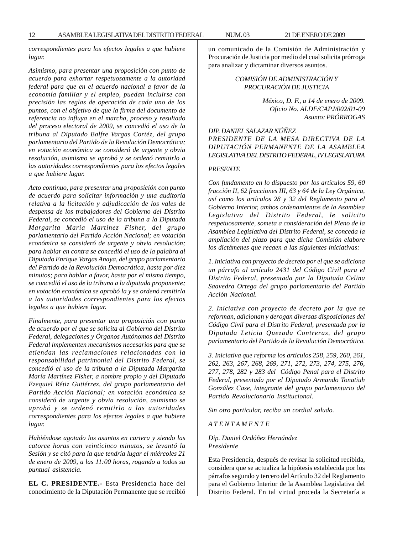*correspondientes para los efectos legales a que hubiere lugar.*

*Asimismo, para presentar una proposición con punto de acuerdo para exhortar respetuosamente a la autoridad federal para que en el acuerdo nacional a favor de la economía familiar y el empleo, puedan incluirse con precisión las reglas de operación de cada uno de los puntos, con el objetivo de que la firma del documento de referencia no influya en el marcha, proceso y resultado del proceso electoral de 2009, se concedió el uso de la tribuna al Diputado Balfre Vargas Cortéz, del grupo parlamentario del Partido de la Revolución Democrática; en votación económica se consideró de urgente y obvia resolución, asimismo se aprobó y se ordenó remitirlo a las autoridades correspondientes para los efectos legales a que hubiere lugar.*

*Acto continuo, para presentar una proposición con punto de acuerdo para solicitar información y una auditoria relativa a la licitación y adjudicación de los vales de despensa de los trabajadores del Gobierno del Distrito Federal, se concedió el uso de la tribuna a la Diputada Margarita María Martínez Fisher, del grupo parlamentario del Partido Acción Nacional; en votación económica se consideró de urgente y obvia resolución; para hablar en contra se concedió el uso de la palabra al Diputado Enrique Vargas Anaya, del grupo parlamentario del Partido de la Revolución Democrática, hasta por diez minutos; para hablar a favor, hasta por el mismo tiempo, se concedió el uso de la tribuna a la diputada proponente; en votación económica se aprobó la y se ordenó remitirla a las autoridades correspondientes para los efectos legales a que hubiere lugar.*

*Finalmente, para presentar una proposición con punto de acuerdo por el que se solicita al Gobierno del Distrito Federal, delegaciones y Órganos Autónomos del Distrito Federal implementen mecanismos necesarios para que se atiendan las reclamaciones relacionadas con la responsabilidad patrimonial del Distrito Federal, se concedió el uso de la tribuna a la Diputada Margarita María Martínez Fisher, a nombre propio y del Diputado Ezequiel Rétiz Gutiérrez, del grupo parlamentario del Partido Acción Nacional; en votación económica se consideró de urgente y obvia resolución, asimismo se aprobó y se ordenó remitirlo a las autoridades correspondientes para los efectos legales a que hubiere lugar.*

*Habiéndose agotado los asuntos en cartera y siendo las catorce horas con veinticinco minutos, se levantó la Sesión y se citó para la que tendría lugar el miércoles 21 de enero de 2009, a las 11:00 horas, rogando a todos su puntual asistencia.*

**EL C. PRESIDENTE.-** Esta Presidencia hace del conocimiento de la Diputación Permanente que se recibió un comunicado de la Comisión de Administración y Procuración de Justicia por medio del cual solicita prórroga para analizar y dictaminar diversos asuntos.

> *COMISIÓN DE ADMINISTRACIÓN Y PROCURACIÓN DE JUSTICIA*

> > *México, D. F., a 14 de enero de 2009. Oficio No. ALDF/CAPJ/002/01-09 Asunto: PRÓRROGAS*

*DIP. DANIEL SALAZAR NÚÑEZ PRESIDENTE DE LA MESA DIRECTIVA DE LA DIPUTACIÓN PERMANENTE DE LA ASAMBLEA LEGISLATIVA DEL DISTRITO FEDERAL, IV LEGISLATURA*

#### *PRESENTE*

*Con fundamento en lo dispuesto por los artículos 59, 60 fracción II, 62 fracciones III, 63 y 64 de la Ley Orgánica, así como los artículos 28 y 32 del Reglamento para el Gobierno Interior, ambos ordenamientos de la Asamblea Legislativa del Distrito Federal, le solicito respetuosamente, someta a consideración del Pleno de la Asamblea Legislativa del Distrito Federal, se conceda la ampliación del plazo para que dicha Comisión elabore los dictámenes que recaen a las siguientes iniciativas:*

*1. Iniciativa con proyecto de decreto por el que se adiciona un párrafo al artículo 2431 del Código Civil para el Distrito Federal, presentada por la Diputada Celina Saavedra Ortega del grupo parlamentario del Partido Acción Nacional.*

*2. Iniciativa con proyecto de decreto por la que se reforman, adicionan y derogan diversas disposiciones del Código Civil para el Distrito Federal, presentada por la Diputada Leticia Quezada Contreras, del grupo parlamentario del Partido de la Revolución Democrática.*

*3. Iniciativa que reforma los artículos 258, 259, 260, 261, 262, 263, 267, 268, 269, 271, 272, 273, 274, 275, 276, 277, 278, 282 y 283 del Código Penal para el Distrito Federal, presentada por el Diputado Armando Tonatiuh González Case, integrante del grupo parlamentario del Partido Revolucionario Institucional.*

*Sin otro particular, reciba un cordial saludo.*

*A T E N T A M E N T E*

*Dip. Daniel Ordóñez Hernández Presidente*

Esta Presidencia, después de revisar la solicitud recibida, considera que se actualiza la hipótesis establecida por los párrafos segundo y tercero del Artículo 32 del Reglamento para el Gobierno Interior de la Asamblea Legislativa del Distrito Federal. En tal virtud proceda la Secretaría a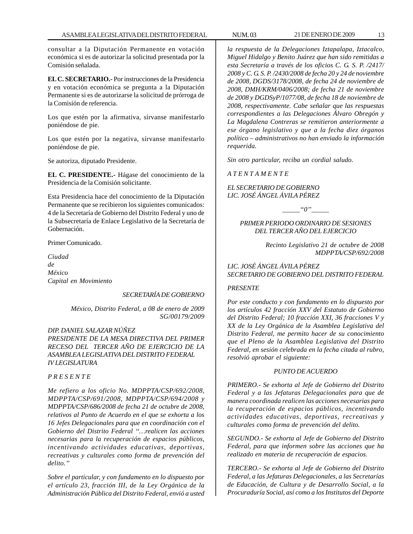consultar a la Diputación Permanente en votación económica si es de autorizar la solicitud presentada por la Comisión señalada.

**EL C. SECRETARIO.-** Por instrucciones de la Presidencia y en votación económica se pregunta a la Diputación Permanente si es de autorizarse la solicitud de prórroga de la Comisión de referencia.

Los que estén por la afirmativa, sírvanse manifestarlo poniéndose de pie.

Los que estén por la negativa, sírvanse manifestarlo poniéndose de pie.

Se autoriza, diputado Presidente.

**EL C. PRESIDENTE.-** Hágase del conocimiento de la Presidencia de la Comisión solicitante.

Esta Presidencia hace del conocimiento de la Diputación Permanente que se recibieron los siguientes comunicados: 4 de la Secretaría de Gobierno del Distrito Federal y uno de la Subsecretaría de Enlace Legislativo de la Secretaría de Gobernación.

Primer Comunicado.

*Ciudad de México Capital en Movimiento*

# *SECRETARÍA DE GOBIERNO*

*México, Distrito Federal, a 08 de enero de 2009 SG/00179/2009*

#### *DIP. DANIEL SALAZAR NÚÑEZ*

*PRESIDENTE DE LA MESA DIRECTIVA DEL PRIMER RECESO DEL TERCER AÑO DE EJERCICIO DE LA ASAMBLEA LEGISLATIVA DEL DISTRITO FEDERAL IV LEGISLATURA*

# *P R E S E N T E*

*Me refiero a los oficio No. MDPPTA/CSP/692/2008, MDPPTA/CSP/691/2008, MDPPTA/CSP/694/2008 y MDPPTA/CSP/686/2008 de fecha 21 de octubre de 2008, relativos al Punto de Acuerdo en el que se exhorta a los 16 Jefes Delegacionales para que en coordinación con el Gobierno del Distrito Federal ''…realicen las acciones necesarias para la recuperación de espacios públicos, incentivando actividades educativas, deportivas, recreativas y culturales como forma de prevención del delito.''*

*Sobre el particular, y con fundamento en lo dispuesto por el artículo 23, fracción III, de la Ley Orgánica de la Administración Pública del Distrito Federal, envió a usted*

*la respuesta de la Delegaciones Iztapalapa, Iztacalco, Miguel Hidalgo y Benito Juárez que han sido remitidas a esta Secretaría a través de los oficios C. G. S. P. /2417/ 2008 y C. G. S. P. /2430/2008 de fecha 20 y 24 de noviembre de 2008, DGDS/3178/2008, de fecha 24 de noviembre de 2008, DMH/KRM/0406/2008; de fecha 21 de noviembre de 2008 y DGDSyP/1077/08, de fecha 18 de noviembre de 2008, respectivamente. Cabe señalar que las respuestas correspondientes a las Delegaciones Álvaro Obregón y La Magdalena Contreras se remitieron anteriormente a ese órgano legislativo y que a la fecha diez órganos político – administrativos no han enviado la información requerida.*

*Sin otro particular, reciba un cordial saludo.*

*A T E N T A M E N T E*

*EL SECRETARIO DE GOBIERNO LIC. JOSÉ ÁNGEL ÁVILA PÉREZ*

*\_\_\_\_\_''0''\_\_\_\_\_*

# *PRIMER PERIODO ORDINARIO DE SESIONES DEL TERCER AÑO DEL EJERCICIO*

*Recinto Legislativo 21 de octubre de 2008 MDPPTA/CSP/692/2008*

*LIC. JOSÉ ÁNGEL ÁVILA PÉREZ SECRETARIO DE GOBIERNO DEL DISTRITO FEDERAL*

# *PRESENTE*

*Por este conducto y con fundamento en lo dispuesto por los artículos 42 fracción XXV del Estatuto de Gobierno del Distrito Federal; 10 fracción XXI, 36 fracciones V y XX de la Ley Orgánica de la Asamblea Legislativa del Distrito Federal, me permito hacer de su conocimiento que el Pleno de la Asamblea Legislativa del Distrito Federal, en sesión celebrada en la fecha citada al rubro, resolvió aprobar el siguiente:*

#### *PUNTO DE ACUERDO*

*PRIMERO.- Se exhorta al Jefe de Gobierno del Distrito Federal y a las Jefaturas Delegacionales para que de manera coordinada realicen las acciones necesarias para la recuperación de espacios públicos, incentivando actividades educativas, deportivas, recreativas y culturales como forma de prevención del delito.*

*SEGUNDO.- Se exhorta al Jefe de Gobierno del Distrito Federal, para que informen sobre las acciones que ha realizado en materia de recuperación de espacios.*

*TERCERO.- Se exhorta al Jefe de Gobierno del Distrito Federal, a las Jefaturas Delegacionales, a las Secretarías de Educación, de Cultura y de Desarrollo Social, a la Procuraduría Social, así como a los Institutos del Deporte*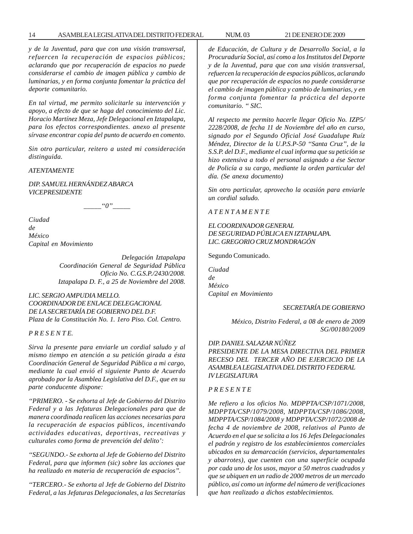#### 14 ASAMBLEA LEGISLATIVA DEL DISTRITO FEDERAL NUM. 03 21 DE ENERO DE 2009

*y de la Juventud, para que con una visión transversal, refuercen la recuperación de espacios públicos; aclarando que por recuperación de espacios no puede considerarse el cambio de imagen pública y cambio de luminarias, y en forma conjunta fomentar la práctica del deporte comunitario.*

*En tal virtud, me permito solicitarle su intervención y apoyo, a efecto de que se haga del conocimiento del Lic. Horacio Martínez Meza, Jefe Delegacional en Iztapalapa, para los efectos correspondientes. anexo al presente sírvase encontrar copia del punto de acuerdo en comento.*

*Sin otro particular, reitero a usted mi consideración distinguida.*

*ATENTAMENTE*

*DIP. SAMUEL HERNÁNDEZ ABARCA VICEPRESIDENTE*

 $"0"$ 

*Ciudad de México Capital en Movimiento*

> *Delegación Iztapalapa Coordinación General de Seguridad Pública Oficio No. C.G.S.P./2430/2008. Iztapalapa D. F., a 25 de Noviembre del 2008.*

*LIC. SERGIO AMPUDIA MELLO. COORDINADOR DE ENLACE DELEGACIONAL DE LA SECRETARÍA DE GOBIERNO DEL D.F. Plaza de la Constitución No. 1. 1ero Piso. Col. Centro.*

*P R E S E N T E.*

*Sirva la presente para enviarle un cordial saludo y al mismo tiempo en atención a su petición girada a ésta Coordinación General de Seguridad Pública a mi cargo, mediante la cual envió el siguiente Punto de Acuerdo aprobado por la Asamblea Legislativa del D.F., que en su parte conducente dispone:*

*''PRIMERO. - Se exhorta al Jefe de Gobierno del Distrito Federal y a las Jefaturas Delegacionales para que de manera coordinada realicen las acciones necesarias para la recuperación de espacios públicos, incentivando actividades educativas, deportivas, recreativas y culturales como forma de prevención del delito':*

*''SEGUNDO.- Se exhorta al Jefe de Gobierno del Distrito Federal, para que informen (sic) sobre las acciones que ha realizado en materia de recuperación de espacios''.*

*''TERCERO.- Se exhorta al Jefe de Gobierno del Distrito Federal, a las Jefaturas Delegacionales, a las Secretarías*

*de Educación, de Cultura y de Desarrollo Social, a la Procuraduría Social, así como a los Institutos del Deporte y de la Juventud, para que con una visión transversal, refuercen la recuperación de espacios públicos, aclarando que por recuperación de espacios no puede considerarse el cambio de imagen pública y cambio de luminarias, y en forma conjunta fomentar la práctica del deporte comunitario. '' SIC.*

*Al respecto me permito hacerle llegar Oficio No. IZP5/ 2228/2008, de fecha 11 de Noviembre del año en curso, signado por el Segundo Oficial José Guadalupe Ruíz Méndez, Director de la U.P.S.P-50 ''Santa Cruz'', de la S.S.P. del D.F., mediante el cual informa que su petición se hizo extensiva a todo el personal asignado a ése Sector de Policía a su cargo, mediante la orden particular del día. (Se anexa documento)*

*Sin otro particular, aprovecho la ocasión para enviarle un cordial saludo.*

*A T E N T A M E N T E*

# *EL COORDINADOR GENERAL DE SEGURIDAD PÚBLICA EN IZTAPALAPA. LIC. GREGORIO CRUZ MONDRAGÓN*

Segundo Comunicado.

*Ciudad de México Capital en Movimiento*

*SECRETARÍA DE GOBIERNO*

*México, Distrito Federal, a 08 de enero de 2009 SG/00180/2009*

# *DIP. DANIEL SALAZAR NÚÑEZ*

*PRESIDENTE DE LA MESA DIRECTIVA DEL PRIMER RECESO DEL TERCER AÑO DE EJERCICIO DE LA ASAMBLEA LEGISLATIVA DEL DISTRITO FEDERAL IV LEGISLATURA*

# *P R E S E N T E*

*Me refiero a los oficios No. MDPPTA/CSP/1071/2008, MDPPTA/CSP/1079/2008, MDPPTA/CSP/1086/2008, MDPPTA/CSP/1084/2008 y MDPPTA/CSP/1072/2008 de fecha 4 de noviembre de 2008, relativos al Punto de Acuerdo en el que se solicita a los 16 Jefes Delegacionales el padrón y registro de los establecimientos comerciales ubicados en su demarcación (servicios, departamentales y abarrotes), que cuenten con una superficie ocupada por cada uno de los usos, mayor a 50 metros cuadrados y que se ubiquen en un radio de 2000 metros de un mercado público, así como un informe del número de verificaciones que han realizado a dichos establecimientos.*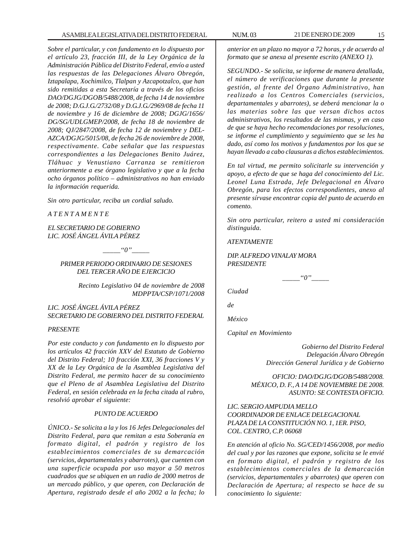*Sobre el particular, y con fundamento en lo dispuesto por el artículo 23, fracción III, de la Ley Orgánica de la Administración Pública del Distrito Federal, envío a usted las respuestas de las Delegaciones Álvaro Obregón, Iztapalapa, Xochimilco, Tlalpan y Azcapotzalco, que han sido remitidas a esta Secretaría a través de los oficios DAO/DGJG/DGOB/5488/2008, de fecha 14 de noviembre de 2008; D.G.J.G./2732/08 y D.G.J.G./2969/08 de fecha 11 de noviembre y 16 de diciembre de 2008; DGJG/1656/ DG/SG/UDLGMEP/2008, de fecha 18 de noviembre de 2008; QJ/2847/2008, de fecha 12 de noviembre y DEL-AZCA/DGJG/5015/08, de fecha 26 de noviembre de 2008, respectivamente. Cabe señalar que las respuestas correspondientes a las Delegaciones Benito Juárez, Tláhuac y Venustiano Carranza se remitieron anteriormente a ese órgano legislativo y que a la fecha ocho órganos político – administrativos no han enviado la información requerida.*

*Sin otro particular, reciba un cordial saludo.*

*A T E N T A M E N T E*

*EL SECRETARIO DE GOBIERNO LIC. JOSÉ ÁNGEL ÁVILA PÉREZ*

*\_\_\_\_\_''0''\_\_\_\_\_*

*PRIMER PERIODO ORDINARIO DE SESIONES DEL TERCER AÑO DE EJERCICIO*

> *Recinto Legislativo 04 de noviembre de 2008 MDPPTA/CSP/1071/2008*

*LIC. JOSÉ ÁNGEL ÁVILA PÉREZ SECRETARIO DE GOBIERNO DEL DISTRITO FEDERAL*

# *PRESENTE*

*Por este conducto y con fundamento en lo dispuesto por los artículos 42 fracción XXV del Estatuto de Gobierno del Distrito Federal; 10 fracción XXI, 36 fracciones V y XX de la Ley Orgánica de la Asamblea Legislativa del Distrito Federal, me permito hacer de su conocimiento que el Pleno de al Asamblea Legislativa del Distrito Federal, en sesión celebrada en la fecha citada al rubro, resolvió aprobar el siguiente:*

#### *PUNTO DE ACUERDO*

*ÚNICO.- Se solicita a la y los 16 Jefes Delegacionales del Distrito Federal, para que remitan a esta Soberanía en formato digital, el padrón y registro de los establecimientos comerciales de su demarcación (servicios, departamentales y abarrotes), que cuenten con una superficie ocupada por uso mayor a 50 metros cuadrados que se ubiquen en un radio de 2000 metros de un mercado público, y que operen, con Declaración de Apertura, registrado desde el año 2002 a la fecha; lo*

*anterior en un plazo no mayor a 72 horas, y de acuerdo al formato que se anexa al presente escrito (ANEXO 1).*

*SEGUNDO.- Se solicita, se informe de manera detallada, el número de verificaciones que durante la presente gestión, al frente del Órgano Administrativo, han realizado a los Centros Comerciales (servicios, departamentales y abarrotes), se deberá mencionar la o las materias sobre las que versan dichos actos administrativos, los resultados de las mismas, y en caso de que se haya hecho recomendaciones por resoluciones, se informe el cumplimiento y seguimiento que se les ha dado, así como los motivos y fundamentos por los que se hayan llevado a cabo clausuras a dichos establecimientos.*

*En tal virtud, me permito solicitarle su intervención y apoyo, a efecto de que se haga del conocimiento del Lic. Leonel Luna Estrada, Jefe Delegacional en Álvaro Obregón, para los efectos correspondientes, anexo al presente sírvase encontrar copia del punto de acuerdo en comento.*

*Sin otro particular, reitero a usted mi consideración distinguida.*

#### *ATENTAMENTE*

*DIP. ALFREDO VINALAY MORA PRESIDENTE*

*\_\_\_\_\_''0''\_\_\_\_\_*

*Ciudad*

*de*

*México*

*Capital en Movimiento*

 *Gobierno del Distrito Federal Delegación Álvaro Obregón Dirección General Jurídica y de Gobierno*

*OFICIO: DAO/DGJG/DGOB/5488/2008. MÉXICO, D. F., A 14 DE NOVIEMBRE DE 2008. ASUNTO: SE CONTESTA OFICIO.*

# *LIC. SERGIO AMPUDIA MELLO COORDINADOR DE ENLACE DELEGACIONAL PLAZA DE LA CONSTITUCIÓN NO. 1, 1ER. PISO, COL. CENTRO, C.P. 06068*

*En atención al oficio No. SG/CED/1456/2008, por medio del cual y por las razones que expone, solicita se le envié en formato digital, el padrón y registro de los establecimientos comerciales de la demarcación (servicios, departamentales y abarrotes) que operen con Declaración de Apertura; al respecto se hace de su conocimiento lo siguiente:*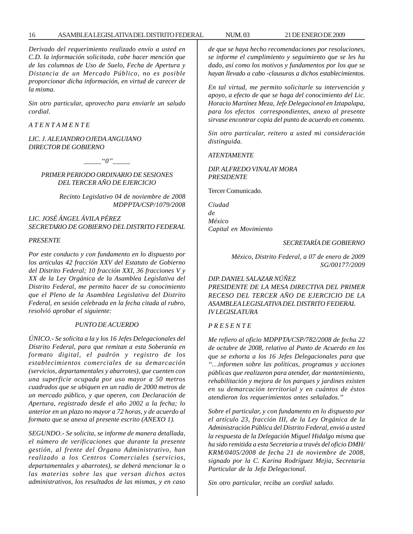*Derivado del requerimiento realizado envío a usted en C.D. la información solicitada, cabe hacer mención que de las columnas de Uso de Suelo, Fecha de Apertura y Distancia de un Mercado Público, no es posible proporcionar dicha información, en virtud de carecer de la misma.*

*Sin otro particular, aprovecho para enviarle un saludo cordial.*

*A T E N T A M E N T E*

*LIC. J. ALEJANDRO OJEDA ANGUIANO DIRECTOR DE GOBIERNO*

 $\lq o''$ 

*PRIMER PERIODO ORDINARIO DE SESIONES DEL TERCER AÑO DE EJERCICIO*

> *Recinto Legislativo 04 de noviembre de 2008 MDPPTA/CSP/1079/2008*

# *LIC. JOSÉ ÁNGEL ÁVILA PÉREZ SECRETARIO DE GOBIERNO DEL DISTRITO FEDERAL*

*PRESENTE*

*Por este conducto y con fundamento en lo dispuesto por los articulas 42 fracción XXV del Estatuto de Gobierno del Distrito Federal; 10 fracción XXI, 36 fracciones V y XX de la Ley Orgánica de la Asamblea Legislativa del Distrito Federal, me permito hacer de su conocimiento que el Pleno de la Asamblea Legislativa del Distrito Federal, en sesión celebrada en la fecha citada al rubro, resolvió aprobar el siguiente:*

#### *PUNTO DE ACUERDO*

*ÚNICO.- Se solicita a la y los 16 Jefes Delegacionales del Distrito Federal, para que remitan a esta Soberanía en formato digital, el padrón y registro de los establecimientos comerciales de su demarcación (servicios, departamentales y abarrotes), que cuenten con una superficie ocupada por uso mayor a 50 metros cuadrados que se ubiquen en un radio de 2000 metros de un mercado público, y que operen, con Declaración de Apertura, registrado desde el año 2002 a la fecha; lo anterior en un plazo no mayor a 72 horas, y de acuerdo al formato que se anexa al presente escrito (ANEXO 1).*

*SEGUNDO.- Se solicita, se informe de manera detallada, el número de verificaciones que durante la presente gestión, al frente del Órgano Administrativo, han realizado a los Centros Comerciales (servicios, departamentales y abarrotes), se deberá mencionar la o las materias sobre las que versan dichos actos administrativos, los resultados de las mismas, y en caso* *de que se haya hecho recomendaciones por resoluciones, se informe el cumplimiento y seguimiento que se les ha dado, así como los motivos y fundamentos por los que se hayan llevado a cabo -clausuras a dichos establecimientos.*

*En tal virtud, me permito solicitarle su intervención y apoyo, a efecto de que se haga del conocimiento del Lic. Horacio Martínez Meza, Jefe Delegacional en Iztapalapa, para los efectos correspondientes, anexo al presente sirvase encontrar copia del punto de acuerdo en comento.*

*Sin otro particular, reitero a usted mi consideración distinguida.*

*ATENTAMENTE*

*DIP. ALFREDO VINALAY MORA PRESIDENTE*

Tercer Comunicado.

*Ciudad de México Capital en Movimiento*

# *SECRETARÍA DE GOBIERNO*

*México, Distrito Federal, a 07 de enero de 2009 SG/00177/2009*

#### *DIP. DANIEL SALAZAR NÚÑEZ*

*PRESIDENTE DE LA MESA DIRECTIVA DEL PRIMER RECESO DEL TERCER AÑO DE EJERCICIO DE LA ASAMBLEA LEGISLATIVA DEL DISTRITO FEDERAL IV LEGISLATURA*

# *P R E S E N T E*

*Me refiero al oficio MDPPTA/CSP/782/2008 de fecha 22 de octubre de 2008, relativo al Punto de Acuerdo en los que se exhorta a los 16 Jefes Delegacionales para que ''…informen sobre las políticas, programas y acciones públicas que realizaron para atender, dar mantenimiento, rehabilitación y mejora de los parques y jardines existen en su demarcación territorial y en cuántos de éstos atendieron los requerimientos antes señalados.''*

*Sobre el particular, y con fundamento en lo dispuesto por el artículo 23, fracción III, de la Ley Orgánica de la Administración Pública del Distrito Federal, envió a usted la respuesta de la Delegación Miguel Hidalgo misma que ha sido remitida a esta Secretaria a través del oficio DMH/ KRM/0405/2008 de fecha 21 de noviembre de 2008, signado por la C. Karina Rodríguez Mejia, Secretaria Particular de la Jefa Delegacional.*

*Sin otro particular, reciba un cordial saludo.*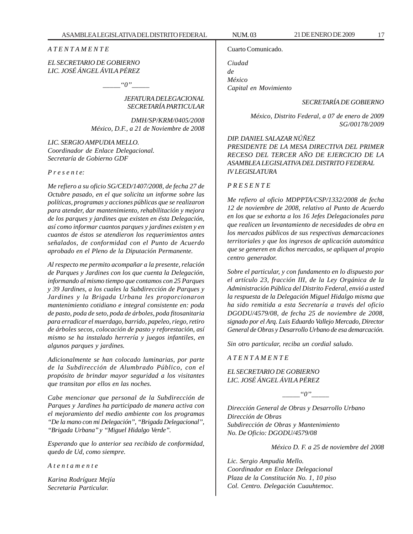#### *A T E N T A M E N T E*

# *EL SECRETARIO DE GOBIERNO LIC. JOSÉ ÁNGEL ÁVILA PÉREZ*

 $\lq\lq'0$ ''

# *JEFATURA DELEGACIONAL SECRETARÍA PARTICULAR*

*DMH/SP/KRM/0405/2008 México, D.F., a 21 de Noviembre de 2008*

*LIC. SERGIO AMPUDIA MELLO. Coordinador de Enlace Delegacional. Secretaría de Gobierno GDF*

#### *P r e s e n t e:*

*Me refiero a su oficio SG/CED/1407/2008, de fecha 27 de Octubre pasado, en el que solicita un informe sobre las políticas, programas y acciones públicas que se realizaron para atender, dar mantenimiento, rehabilitación y mejora de los parques y jardines que existen en ésta Delegación, así como informar cuantos parques y jardines existen y en cuantos de éstos se atendieron los requerimientos antes señalados, de conformidad con el Punto de Acuerdo aprobado en el Pleno de la Diputación Permanente.*

*Al respecto me permito acompañar a la presente, relación de Parques y Jardines con los que cuenta la Delegación, informando al mismo tiempo que contamos con 25 Parques y 39 Jardines, a los cuales la Subdirección de Parques y Jardines y la Brigada Urbana les proporcionaron mantenimiento cotidiano e integral consistente en: poda de pasto, poda de seto, poda de árboles, poda fitosanitaria para erradicar el muerdago, barrido, papeleo, riego, retiro de árboles secos, colocación de pasto y reforestación, así mismo se ha instalado herrería y juegos infantiles, en algunos parques y jardines.*

*Adicionalmente se han colocado luminarias, por parte de la Subdirección de Alumbrado Público, con el propósito de brindar mayor seguridad a los visitantes que transitan por ellos en las noches.*

*Cabe mencionar que personal de la Subdirección de Parques y Jardines ha participado de manera activa con el mejoramiento del medio ambiente con los programas ''De la mano con mi Delegación'', ''Brigada Delegacional'', ''Brigada Urbana'' y ''Miguel Hidalgo Verde''.*

*Esperando que lo anterior sea recibido de conformidad, quedo de Ud, como siempre.*

*A t e n t a m e n t e*

*Karina Rodríguez Mejía Secretaria Particular.*

Cuarto Comunicado.

*Ciudad de México Capital en Movimiento*

*SECRETARÍA DE GOBIERNO*

*México, Distrito Federal, a 07 de enero de 2009 SG/00178/2009*

*DIP. DANIEL SALAZAR NÚÑEZ PRESIDENTE DE LA MESA DIRECTIVA DEL PRIMER RECESO DEL TERCER AÑO DE EJERCICIO DE LA ASAMBLEA LEGISLATIVA DEL DISTRITO FEDERAL IV LEGISLATURA*

# *P R E S E N T E*

*Me refiero al oficio MDPPTA/CSP/1332/2008 de fecha 12 de noviembre de 2008, relativo al Punto de Acuerdo en los que se exhorta a los 16 Jefes Delegacionales para que realicen un levantamiento de necesidades de obra en los mercados públicos de sus respectivas demarcaciones territoriales y que los ingresos de aplicación automática que se generen en dichos mercados, se apliquen al propio centro generador.*

*Sobre el particular, y con fundamento en lo dispuesto por el artículo 23, fracción III, de la Ley Orgánica de la Administración Pública del Distrito Federal, envió a usted la respuesta de la Delegación Miguel Hidalgo misma que ha sido remitida a esta Secretaría a través del oficio DGODU/4579/08, de fecha 25 de noviembre de 2008, signado por el Arq. Luis Eduardo Vallejo Mercado, Director General de Obras y Desarrollo Urbano de esa demarcación.*

*Sin otro particular, reciba un cordial saludo.*

*A T E N T A M E N T E*

# *EL SECRETARIO DE GOBIERNO LIC. JOSÉ ÁNGEL ÁVILA PÉREZ*

*\_\_\_\_\_''0''\_\_\_\_\_*

*Dirección General de Obras y Desarrollo Urbano Dirección de Obras Subdirección de Obras y Mantenimiento No. De Oficio: DGODU/4579/08*

*México D. F. a 25 de noviembre del 2008*

*Lic. Sergio Ampudia Mello. Coordinador en Enlace Delegacional Plaza de la Constitución No. 1, 10 piso Col. Centro. Delegación Cuauhtemoc.*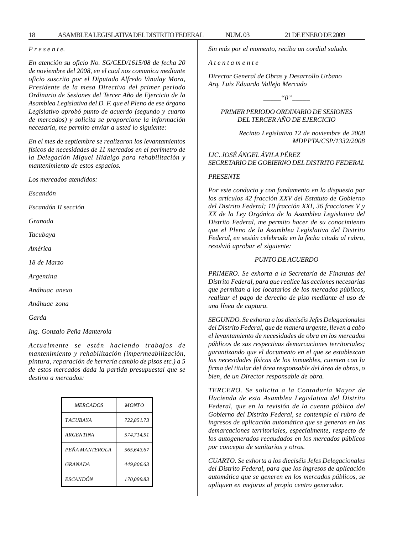18 ASAMBLEA LEGISLATIVA DEL DISTRITO FEDERAL NUM. 03 21 DE ENERO DE 2009

#### *P r e s e n t e.*

*En atención su oficio No. SG/CED/1615/08 de fecha 20 de noviembre del 2008, en el cual nos comunica mediante oficio suscrito por el Diputado Alfredo Vinalay Mora, Presidente de la mesa Directiva del primer periodo Ordinario de Sesiones del Tercer Año de Ejercicio de la Asamblea Legislativa del D. F. que el Pleno de ese órgano Legislativo aprobó punto de acuerdo (segundo y cuarto de mercados) y solicita se proporcione la información necesaria, me permito enviar a usted lo siguiente:*

*En el mes de septiembre se realizaron los levantamientos físicos de necesidades de 11 mercados en el perímetro de la Delegación Miguel Hidalgo para rehabilitación y mantenimiento de estos espacios.*

*Los mercados atendidos:*

*Escandón*

*Escandón II sección*

*Granada*

*Tacubaya*

*América*

*18 de Marzo*

*Argentina*

*Anáhuac anexo*

*Anáhuac zona*

*Garda*

*Ing. Gonzalo Peña Manterola*

*Actualmente se están haciendo trabajos de mantenimiento y rehabilitación (impermeabilización, pintura, reparación de herrería cambio de pisos etc.) a 5 de estos mercados dada la partida presupuestal que se destino a mercados:*

| <b>MERCADOS</b>  | <b>MONTO</b> |
|------------------|--------------|
| <b>TACUBAYA</b>  | 722.851.73   |
| <b>ARGENTINA</b> | 574.714.51   |
| PEÑA MANTEROLA   | 565.643.67   |
| GRANADA          | 449.806.63   |
| <b>ESCANDÓN</b>  | 170.099.83   |

*Sin más por el momento, reciba un cordial saludo.*

*A t e n t a m e n t e*

*Director General de Obras y Desarrollo Urbano Arq. Luis Eduardo Vallejo Mercado*

 $"0"$ 

*PRIMER PERIODO ORDINARIO DE SESIONES DEL TERCER AÑO DE EJERCICIO*

> *Recinto Legislativo 12 de noviembre de 2008 MDPPTA/CSP/1332/2008*

*LIC. JOSÉ ÁNGEL ÁVILA PÉREZ SECRETARIO DE GOBIERNO DEL DISTRITO FEDERAL*

# *PRESENTE*

*Por este conducto y con fundamento en lo dispuesto por los artículos 42 fracción XXV del Estatuto de Gobierno del Distrito Federal; 10 fracción XXI, 36 fracciones V y XX de la Ley Orgánica de la Asamblea Legislativa del Distrito Federal, me permito hacer de su conocimiento que el Pleno de la Asamblea Legislativa del Distrito Federal, en sesión celebrada en la fecha citada al rubro, resolvió aprobar el siguiente:*

# *PUNTO DE ACUERDO*

*PRIMERO. Se exhorta a la Secretaría de Finanzas del Distrito Federal, para que realice las acciones necesarias que permitan a los locatarios de los mercados públicos, realizar el pago de derecho de piso mediante el uso de una línea de captura.*

*SEGUNDO. Se exhorta a los dieciséis Jefes Delegacionales del Distrito Federal, que de manera urgente, lleven a cabo el levantamiento de necesidades de obra en los mercados públicos de sus respectivas demarcaciones territoriales; garantizando que el documento en el que se establezcan las necesidades físicas de los inmuebles, cuenten con la firma del titular del área responsable del área de obras, o bien, de un Director responsable de obra.*

*TERCERO. Se solicita a la Contaduría Mayor de Hacienda de esta Asamblea Legislativa del Distrito Federal, que en la revisión de la cuenta pública del Gobierno del Distrito Federal, se contemple el rubro de ingresos de aplicación automática que se generan en las demarcaciones territoriales, especialmente, respecto de los autogenerados recaudados en los mercados públicos por concepto de sanitarios y otros.*

*CUARTO. Se exhorta a los dieciséis Jefes Delegacionales del Distrito Federal, para que los ingresos de aplicación automática que se generen en los mercados públicos, se apliquen en mejoras al propio centro generador.*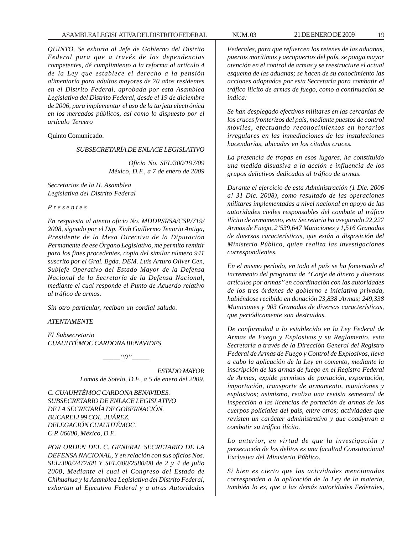*QUINTO. Se exhorta al Jefe de Gobierno del Distrito Federal para que a través de las dependencias competentes, dé cumplimiento a la reforma al artículo 4 de la Ley que establece el derecho a la pensión alimentaría para adultos mayores de 70 años residentes en el Distrito Federal, aprobada por esta Asamblea Legislativa del Distrito Federal, desde el 19 de diciembre de 2006, para implementar el uso de la tarjeta electrónica en los mercados públicos, así como lo dispuesto por el artículo Tercero*

Quinto Comunicado.

#### *SUBSECRETARÍA DE ENLACE LEGISLATIVO*

*Oficio No. SEL/300/197/09 México, D.F., a 7 de enero de 2009*

*Secretarios de la H. Asamblea Legislativa del Distrito Federal*

*P r e s e n t e s*

*En respuesta al atento oficio No. MDDPSRSA/CSP/719/ 2008, signado por el Dip. Xiuh Guillermo Tenorio Antiga, Presidente de la Mesa Directiva de la Diputación Permanente de ese Órgano Legislativo, me permito remitir para los fines procedentes, copia del similar número 941 suscrito por el Gral. Bgda. DEM. Luis Arturo Oliver Cen, Subjefe Operativo del Estado Mayor de la Defensa Nacional de la Secretaría de la Defensa Nacional, mediante el cual responde el Punto de Acuerdo relativo al tráfico de armas.*

*Sin otro particular, reciban un cordial saludo.*

#### *ATENTAMENTE*

*El Subsecretario CUAUHTÉMOC CARDONA BENAVIDES*

 $"0"$ 

*ESTADO MAYOR Lomas de Sotelo, D.F., a 5 de enero del 2009.*

*C. CUAUHTÉMOC CARDONA BENAVIDES. SUBSECRETARIO DE ENLACE LEGISLATIVO DE LA SECRETARÍA DE GOBERNACIÓN. BUCARELI 99 COL. JUÁREZ. DELEGACIÓN CUAUHTÉMOC. C.P. 06600, México, D.F.*

*POR ORDEN DEL C. GENERAL SECRETARIO DE LA DEFENSA NACIONAL, Y en relación con sus oficios Nos. SEL/300/2477/08 Y SEL/300/2580/08 de 2 y 4 de julio 2008, Mediante el cual el Congreso del Estado de Chihuahua y la Asamblea Legislativa del Distrito Federal, exhortan al Ejecutivo Federal y a otras Autoridades*

*Federales, para que refuercen los retenes de las aduanas, puertos marítimos y aeropuertos del país, se ponga mayor atención en el control de armas y se reestructure el actual esquema de las aduanas; se hacen de su conocimiento las acciones adoptadas por esta Secretaría para combatir el tráfico ilícito de armas de fuego, como a continuación se indica:*

*Se han desplegado efectivos militares en las cercanías de los cruces fronterizos del país, mediante puestos de control móviles, efectuando reconocimientos en horarios irregulares en las inmediaciones de las instalaciones hacendarías, ubicadas en los citados cruces.*

*La presencia de tropas en esos lugares, ha constituido una medida disuasiva a la acción e influencia de los grupos delictivos dedicados al tráfico de armas.*

*Durante el ejercicio de esta Administración (1 Dic. 2006 a! 31 Dic. 2008), como resultado de las operaciones militares implementadas a nivel nacional en apoyo de las autoridades civiles responsables del combate al tráfico ilícito de armamento, esta Secretaría ha asegurado 22,227 Armas de Fuego, 2'539,647 Municiones y 1,516 Granadas de diversas características, que están a disposición del Ministerio Público, quien realiza las investigaciones correspondientes.*

*En el mismo período, en todo el país se ha fomentado el incremento del programa de ''Canje de dinero y diversos artículos por armas'' en coordinación con las autoridades de los tres órdenes de gobierno e iniciativa privada, habiéndose recibido en donación 23,838 .Armas; 249,338 Municiones y 903 Granadas de diversas características, que periódicamente son destruidas.*

*De conformidad a lo establecido en la Ley Federal de Armas de Fuego y Explosivos y su Reglamento, esta Secretaría a través de la Dirección General del Registro Federal de Armas de Fuego y Control de Explosivos, lleva a cabo la aplicación de la Ley en comento, mediante la inscripción de las armas de fuego en el Registro Federal de Armas, expide permisos de portación, exportación, importación, transporte de armamento, municiones y explosivos; asimismo, realiza una revista semestral de inspección a las licencias de portación de armas de los cuerpos policiales del país, entre otros; actividades que revisten un carácter administrativo y que coadyuvan a combatir su tráfico ilícito.*

*Lo anterior, en virtud de que la investigación y persecución de los delitos es una facultad Constitucional Exclusiva del Ministerio Público.*

*Si bien es cierto que las actividades mencionadas corresponden a la aplicación de la Ley de la materia, también lo es, que a las demás autoridades Federales,*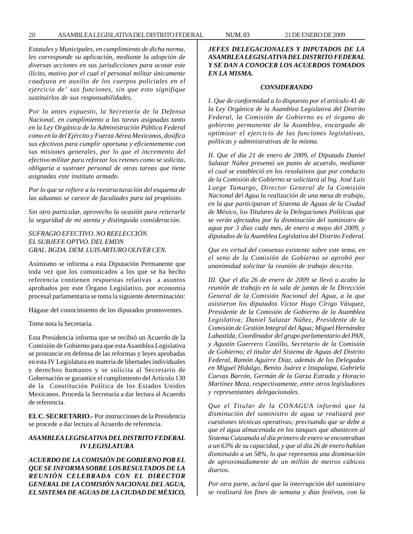#### 20 ASAMBLEA LEGISLATIVA DEL DISTRITO FEDERAL NUM. 03 21 DE ENERO DE 2009

*Estatales y Municipales, en cumplimiento de dicha norma, les corresponde su aplicación, mediante la adopción de diversas acciones en sus jurisdicciones para acotar este ilícito, motivo por el cual el personal militar únicamente coadyuva en auxilio de los cuerpos policiales en el ejercicio de' sus funciones, sin que esto signifique sustituirlos de sus responsabilidades.*

*Por lo antes expuesto, la Secretaría de la Defensa Nacional, en cumplimiento a las tareas asignadas tanto en la Ley Orgánica de la Administración Pública Federal como en la del Ejército y Fuerza Aérea Mexicanos, dosifica sus efectivos para cumplir oportuna y eficientemente con sus misiones generales, por lo que el incremento del efectivo militar para reforzar los retenes como se solicita, obligaría a sustraer personal de otras tareas que tiene asignadas este instituto armado.*

*Por lo que se refiere a la reestructuración del esquema de las aduanas se carece de facultades para tal propósito.*

*Sin otro particular, aprovecho la ocasión para reiterarle la seguridad de mi atenta y distinguida consideración.*

*SUFRAGIO EFECTIVO. NO REELECCIÓN. EL SUBJEFE OPTVO. DEL EMDN GRAL. BGDA. DEM. LUIS ARTURO OLIVER CEN.*

Asimismo se informa a esta Diputación Permanente que toda vez que los comunicados a los que se ha hecho referencia contienen respuestas relativas a asuntos aprobados por este Órgano Legislativo, por economía procesal parlamentaria se toma la siguiente determinación:

Hágase del conocimiento de los diputados promoventes.

Tome nota la Secretaría.

Esta Presidencia informa que se recibió un Acuerdo de la Comisión de Gobierno para que esta Asamblea Legislativa se pronuncie en defensa de las reformas y leyes aprobadas en esta IV Legislatura en materia de libertades individuales y derechos humanos y se solicita al Secretario de Gobernación se garantice el cumplimiento del Artículo 130 de la Constitución Política de los Estados Unidos Mexicanos. Proceda la Secretaría a dar lectura al Acuerdo de referencia.

**EL C. SECRETARIO.-** Por instrucciones de la Presidencia se procede a dar lectura al Acuerdo de referencia.

# *ASAMBLEA LEGISLATIVA DEL DISTRITO FEDERAL IV LEGISLATURA*

*ACUERDO DE LA COMISIÓN DE GOBIERNO POR EL QUE SE INFORMA SOBRE LOS RESULTADOS DE LA REUNIÓN CELEBRADA CON EL DIRECTOR GENERAL DE LA COMISIÓN NACIONAL DEL AGUA, EL SISTEMA DE AGUAS DE LA CIUDAD DE MÉXICO,*

*JEFES DELEGACIONALES Y DIPUTADOS DE LA ASAMBLEA LEGISLATIVA DEL DISTRITO FEDERAL Y SE DAN A CONOCER LOS ACUERDOS TOMADOS EN LA MISMA.*

#### *CONSIDERANDO*

*I. Que de conformidad a lo dispuesto por el artículo 41 de la Ley Orgánica de la Asamblea Legislativa del Distrito Federal, la Comisión de Gobierno es el órgano de gobierno permanente de la Asamblea, encargado de optimizar el ejercicio de las funciones legislativas, políticas y administrativas de la misma.*

*II. Que el día 21 de enero de 2009, el Diputado Daniel Salazar Núñez presentó un punto de acuerdo, mediante el cual se estableció en los resolutivos que por conducto de la Comisión de Gobierno se solicitará al lng. José Luis Luege Tamargo, Director General de la Comisión Nacional del Agua la realización de una mesa de trabajo, en la que participaran el Sistema de Aguas de la Ciudad de México, los Titulares de la Delegaciones Políticas que se verán afectados por la disminución del suministro de agua por 3 días cada mes, de enero a mayo del 2009, y diputados de la Asamblea Legislativa del Distrito Federal.*

*Que en virtud del consenso existente sobre este tema, en el seno de la Comisión de Gobierno se aprobó por unanimidad solicitar la reunión de trabajo descrita.*

*III. Que el día 26 de enero de 2009 se llevó a acabo la reunión de trabajo en la sala de juntas de la Dirección General de la Comisión Nacional del Agua, a la que asistieron los diputados Víctor Hugo Círigo Vásquez, Presidente de la Comisión de Gobierno de la Asamblea Legislativa; Daniel Salazar Núñez, Presidente de la Comisión de Gestión Integral del Agua; Miguel Hernández Labastida, Coordinador del grupo parlamentario del PAN, y Agustín Guerrero Castillo, Secretario de la Comisión de Gobierno; el titular del Sistema de Aguas del Distrito Federal, Ramón Aguirre Díaz, además de los Delegados en Miguel Hidalgo, Benito Juárez e lztapalapa, Gabriela Cuevas Barrón, Germán de la Garza Estrada y Horacio Martínez Meza, respectivamente, entre otros legisladores y representantes delegacionales.*

*Que el Titular de la CONAGUA informó que la disminución del suministro de agua se realizará por cuestiones técnicas operativas; precisando que se debe a que el agua almacenada en los tanques que abastecen al Sistema Cutzamala al día primero de enero se encontraban a un 63% de su capacidad, y que al día 26 de enero habían disminuido a un 58%, lo que representa una disminución de aproximadamente de un millón de metros cúbicos diarios.*

*Por otra parte, aclaró que la interrupción del suministro se realizará los fines de semana y días festivos, con la*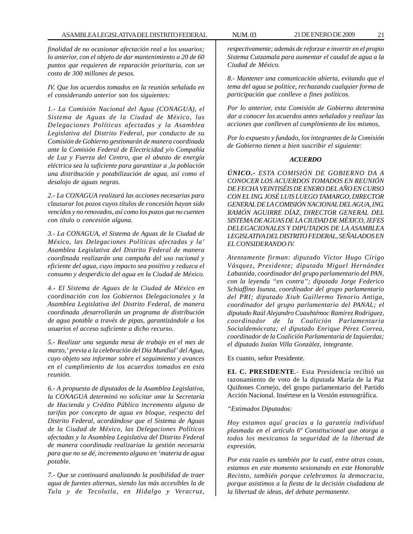*finalidad de no ocasionar afectación real a los usuarios; lo anterior, con el objeto de dar mantenimiento a 20 de 60 puntos que requieren de reparación prioritaria, con un costo de 300 millones de pesos.*

*IV. Que los acuerdos tomados en la reunión señalada en el considerando anterior son los siguientes:*

*1.- La Comisión Nacional del Agua (CONAGUA), el Sistema de Aguas de la Ciudad de México, las Delegaciones Políticas afectadas y la Asamblea Legislativa del Distrito Federal, por conducto de su Comisión de Gobierno gestionarán de manera coordinada ante la Comisión Federal de Electricidad y/o Compañía de Luz y Fuerza del Centro, que el abasto de energía eléctrica sea la suficiente para garantizar a ,la población una distribución y potabilización de agua, así como el desalojo de aguas negras.*

*2.- La CONAGUA realizará las acciones necesarias para clausurar los pozos cuyos títulos de concesión hayan sido vencidos y no renovados, así como los pozos que no cuenten con título o concesión alguna.*

*3.- La CONAGUA, el Sistema de Aguas de la Ciudad de México, las Delegaciones Políticas afectadas y la' Asamblea Legislativa del Distrito Federal de manera coordinada realizarán una campaña del uso racional y eficiente del agua, cuyo impacto sea positivo y reduzca el consumo y desperdicio del agua en la Ciudad de México.*

*4.- El Sistema de Aguas de la Ciudad de México en coordinación con los Gobiernos Delegacionales y la Asamblea Legislativa del Distrito Federal, de manera coordinada ,desarrollarán un programa de distribución de agua potable a través de pipas, garantizándole a los usuarios el acceso suficiente a dicho recurso.*

*5.- Realizar una segunda mesa de trabajo en el mes de marzo,' previa a la celebración del Día Mundial' del Agua, cuyo objeto sea informar sobre el seguimiento y avances en el cumplimiento de los acuerdos tomados en esta reunión.*

*6.- A propuesta de diputados de la Asamblea Legislativa, la CONAGUA determinó no solicitar ante la Secretaría de Hacienda y Crédito Público incremento alguno de tarifas por concepto de agua en bloque, respecto del Distrito Federal, acordándose que el Sistema de Aguas de la Ciudad de México, las Delegaciones Políticas afectadas y la Asamblea Legislativa del Distrito Federal de manera coordinada realizarían la gestión necesaria para que no se dé, incremento alguno en 'materia de agua potable.*

*7.- Que se continuará analizando la posibilidad de traer agua de fuentes alternas, siendo las más accesibles la de Tula y de Tecolutla, en Hidalgo y Veracruz,*

*respectivamente; además de reforzar e invertir en el propio Sistema Cutzamala para aumentar el caudal de agua a la Ciudad de México.*

*8.- Mantener una comunicación abierta, evitando que el tema del agua se politice, rechazando cualquier forma de participación que conlleve a fines políticos.*

*Por lo anterior, esta Comisión de Gobierno determina dar a conocer los acuerdos antes señalados y realizar las acciones que conlleven al cumplimiento de los mismos,*

*Por lo expuesto y fundado, los integrantes de la Comisión de Gobierno tienen a bien suscribir el siguiente:*

# *ACUERDO*

*ÚNICO.- ESTA COMISIÓN DE GOBIERNO DA A CONOCER LOS ACUERDOS TOMADOS EN REUNIÓN DE FECHA VEINTISÉIS DE ENERO DEL AÑO EN CURSO CON EL ING. JOSÉ LUIS LUEGO TAMARGO, DIRECTOR GENERAL DE LA COMISIÓN NACIONAL DEL AGUA, ING. RAMÓN AGUIRRE DÍAZ, DIRECTOR GENERAL DEL SISTEMA DE AGUAS DE LA CIUDAD DE MÉXICO, JEFES DELEGACIONALES Y DIPUTADOS DE LA ASAMBLEA LEGISLATIVA DEL DISTRITO FEDERAL, SEÑALADOS EN EL CONSIDERANDO IV.*

*Atentamente firman: diputado Víctor Hugo Círigo Vásquez, Presidente; diputado Miguel Hernández Labastida, coordinador del grupo parlamentario del PAN, con la leyenda ''en contra''; diputado Jorge Federico Schiaffino Isunza, coordinador del grupo parlamentario del PRI; diputado Xiuh Guillermo Tenorio Antiga, coordinador del grupo parlamentario del PANAL; el diputado Raúl Alejandro Cuauhtémoc Ramírez Rodríguez, coordinador de la Coalición Parlamentaria Socialdemócrata; el diputado Enrique Pérez Correa, coordinador de la Coalición Parlamentaria de Izquierdas; el diputado Isaías Villa González, integrante.*

Es cuanto, señor Presidente.

**EL C. PRESIDENTE**.- Esta Presidencia recibió un razonamiento de voto de la diputada María de la Paz Quiñones Cornejo, del grupo parlamentario del Partido Acción Nacional. Insértese en la Versión estenográfica.

*''Estimados Diputados:*

*Hoy estamos aquí gracias a la garantía individual plasmada en el artículo 6º Constitucional que otorga a todos los mexicanos la seguridad de la libertad de expresión.*

*Por esta razón es también por la cual, entre otras cosas, estamos en este momento sesionando en este Honorable Recinto, también porque celebramos la democracia, porque asistimos a la fiesta de la decisión ciudadana de la libertad de ideas, del debate permanente.*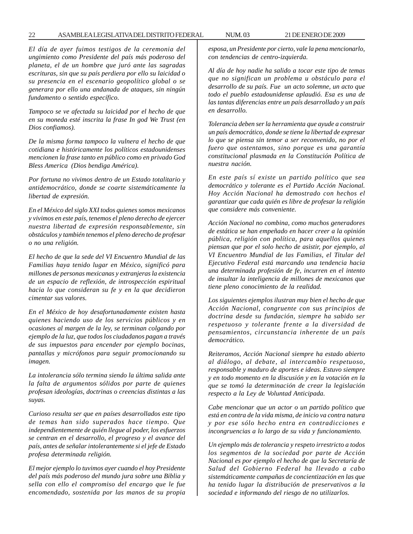#### 22 ASAMBLEA LEGISLATIVA DEL DISTRITO FEDERAL NUM. 03 21 DE ENERO DE 2009

*El día de ayer fuimos testigos de la ceremonia del ungimiento como Presidente del país más poderoso del planeta, el de un hombre que juró ante las sagradas escrituras, sin que su país perdiera por ello su laicidad o su presencia en el escenario geopolítico global o se generara por ello una andanada de ataques, sin ningún fundamento o sentido específico.*

*Tampoco se ve afectada su laicidad por el hecho de que en su moneda esté inscrita la frase In god We Trust (en Dios confiamos).*

*De la misma forma tampoco la vulnera el hecho de que cotidiana e históricamente los políticos estadounidenses mencionen la frase tanto en público como en privado God Bless America (Dios bendiga América).*

*Por fortuna no vivimos dentro de un Estado totalitario y antidemocrático, donde se coarte sistemáticamente la libertad de expresión.*

*En el México del siglo XXI todos quienes somos mexicanos y vivimos en este país, tenemos el pleno derecho de ejercer nuestra libertad de expresión responsablemente, sin obstáculos y también tenemos el pleno derecho de profesar o no una religión.*

*El hecho de que la sede del VI Encuentro Mundial de las Familias haya tenido lugar en México, significó para millones de personas mexicanas y extranjeras la existencia de un espacio de reflexión, de introspección espiritual hacia lo que consideran su fe y en la que decidieron cimentar sus valores.*

*En el México de hoy desafortunadamente existen hasta quienes haciendo uso de los servicios públicos y en ocasiones al margen de la ley, se terminan colgando por ejemplo de la luz, que todos los ciudadanos pagan a través de sus impuestos para encender por ejemplo bocinas, pantallas y micrófonos para seguir promocionando su imagen.*

*La intolerancia sólo termina siendo la última salida ante la falta de argumentos sólidos por parte de quienes profesan ideologías, doctrinas o creencias distintas a las suyas.*

*Curioso resulta ser que en países desarrollados este tipo de temas han sido superados hace tiempo. Que independientemente de quién llegue al poder, los esfuerzos se centran en el desarrollo, el progreso y el avance del país, antes de señalar intolerantemente si el jefe de Estado profesa determinada religión.*

*El mejor ejemplo lo tuvimos ayer cuando el hoy Presidente del país más poderoso del mundo jura sobre una Biblia y sella con ello el compromiso del encargo que le fue encomendado, sostenida por las manos de su propia* *esposa, un Presidente por cierto, vale la pena mencionarlo, con tendencias de centro-izquierda.*

*Al día de hoy nadie ha salido a tocar este tipo de temas que no significan un problema u obstáculo para el desarrollo de su país. Fue un acto solemne, un acto que todo el pueblo estadounidense aplaudió. Esa es una de las tantas diferencias entre un país desarrollado y un país en desarrollo.*

*Tolerancia deben ser la herramienta que ayude a construir un país democrático, donde se tiene la libertad de expresar lo que se piensa sin temor a ser reconvenido, no por el fuero que ostentamos, sino porque es una garantía constitucional plasmada en la Constitución Política de nuestra nación.*

*En este país sí existe un partido político que sea democrático y tolerante es el Partido Acción Nacional. Hoy Acción Nacional ha demostrado con hechos el garantizar que cada quién es libre de profesar la religión que considere más conveniente.*

*Acción Nacional no combina, como muchos generadores de estática se han empeñado en hacer creer a la opinión pública, religión con política, para aquellos quienes piensan que por el solo hecho de asistir, por ejemplo, al VI Encuentro Mundial de las Familias, el Titular del Ejecutivo Federal está marcando una tendencia hacia una determinada profesión de fe, incurren en el intento de insultar la inteligencia de millones de mexicanos que tiene pleno conocimiento de la realidad.*

*Los siguientes ejemplos ilustran muy bien el hecho de que Acción Nacional, congruente con sus principios de doctrina desde su fundación, siempre ha sabido ser respetuoso y tolerante frente a la diversidad de pensamientos, circunstancia inherente de un país democrático.*

*Reiteramos, Acción Nacional siempre ha estado abierto al diálogo, al debate, al intercambio respetuoso, responsable y maduro de aportes e ideas. Estuvo siempre y en todo momento en la discusión y en la votación en la que se tomó la determinación de crear la legislación respecto a la Ley de Voluntad Anticipada.*

*Cabe mencionar que un actor o un partido político que está en contra de la vida misma, de inicio va contra natura y por ese sólo hecho entra en contradicciones e incongruencias a lo largo de su vida y funcionamiento.*

*Un ejemplo más de tolerancia y respeto irrestricto a todos los segmentos de la sociedad por parte de Acción Nacional es por ejemplo el hecho de que la Secretaría de Salud del Gobierno Federal ha llevado a cabo sistemáticamente campañas de concientización en las que ha tenido lugar la distribución de preservativos a la sociedad e informando del riesgo de no utilizarlos.*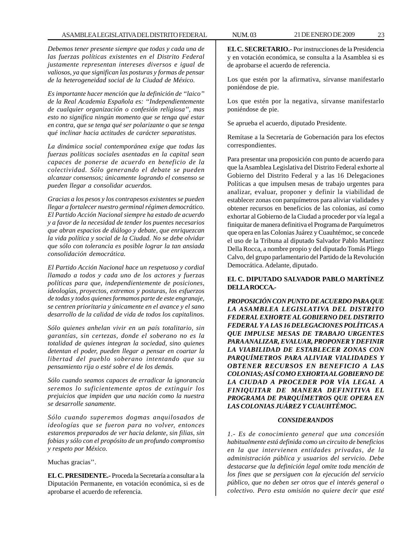*Debemos tener presente siempre que todas y cada una de las fuerzas políticas existentes en el Distrito Federal justamente representan intereses diversos e igual de valiosos, ya que significan las posturas y formas de pensar de la heterogeneidad social de la Ciudad de México.*

*Es importante hacer mención que la definición de ''laico'' de la Real Academia Española es: ''Independientemente de cualquier organización o confesión religiosa'', mas esto no significa ningún momento que se tenga qué estar en contra, que se tenga qué ser polarizante o que se tenga qué inclinar hacia actitudes de carácter separatistas.*

*La dinámica social contemporánea exige que todas las fuerzas políticas sociales asentadas en la capital sean capaces de ponerse de acuerdo en beneficio de la colectividad. Sólo generando el debate se pueden alcanzar consensos; únicamente logrando el consenso se pueden llegar a consolidar acuerdos.*

*Gracias a los pesos y los contrapesos existentes se pueden llegar a fortalecer nuestro germinal régimen democrático. El Partido Acción Nacional siempre ha estado de acuerdo y a favor de la necesidad de tender los puentes necesarios que abran espacios de diálogo y debate, que enriquezcan la vida política y social de la Ciudad. No se debe olvidar que sólo con tolerancia es posible lograr la tan ansiada consolidación democrática.*

*El Partido Acción Nacional hace un respetuoso y cordial llamado a todos y cada uno de los actores y fuerzas políticas para que, independientemente de posiciones, ideologías, proyectos, extremos y posturas, los esfuerzos de todas y todos quienes formamos parte de este engranaje, se centren prioritaria y únicamente en el avance y el sano desarrollo de la calidad de vida de todos los capitalinos.*

*Sólo quienes anhelan vivir en un país totalitario, sin garantías, sin certezas, donde el soberano no es la totalidad de quienes integran la sociedad, sino quienes detentan el poder, pueden llegar a pensar en coartar la libertad del pueblo soberano intentando que su pensamiento rija o esté sobre el de los demás.*

*Sólo cuando seamos capaces de erradicar la ignorancia seremos lo suficientemente aptos de extinguir los prejuicios que impiden que una nación como la nuestra se desarrolle sanamente.*

*Sólo cuando superemos dogmas anquilosados de ideologías que se fueron para no volver, entonces estaremos preparados de ver hacia delante, sin filias, sin fobias y sólo con el propósito de un profundo compromiso y respeto por México.*

Muchas gracias''.

**EL C. PRESIDENTE.-** Proceda la Secretaría a consultar a la Diputación Permanente, en votación económica, si es de aprobarse el acuerdo de referencia.

**EL C. SECRETARIO.-** Por instrucciones de la Presidencia y en votación económica, se consulta a la Asamblea si es de aprobarse el acuerdo de referencia.

Los que estén por la afirmativa, sírvanse manifestarlo poniéndose de pie.

Los que estén por la negativa, sírvanse manifestarlo poniéndose de pie.

Se aprueba el acuerdo, diputado Presidente.

Remítase a la Secretaría de Gobernación para los efectos correspondientes.

Para presentar una proposición con punto de acuerdo para que la Asamblea Legislativa del Distrito Federal exhorte al Gobierno del Distrito Federal y a las 16 Delegaciones Políticas a que impulsen mesas de trabajo urgentes para analizar, evaluar, proponer y definir la viabilidad de establecer zonas con parquímetros para aliviar vialidades y obtener recursos en beneficios de las colonias, así como exhortar al Gobierno de la Ciudad a proceder por vía legal a finiquitar de manera definitiva el Programa de Parquímetros que opera en las Colonias Juárez y Cuauhtémoc, se concede el uso de la Tribuna al diputado Salvador Pablo Martínez Della Rocca, a nombre propio y del diputado Tomás Pliego Calvo, del grupo parlamentario del Partido de la Revolución Democrática. Adelante, diputado.

# **EL C. DIPUTADO SALVADOR PABLO MARTÍNEZ DELLA ROCCA.-**

*PROPOSICIÓN CON PUNTO DE ACUERDO PARA QUE LA ASAMBLEA LEGISLATIVA DEL DISTRITO FEDERAL EXHORTE AL GOBIERNO DEL DISTRITO FEDERAL Y A LAS 16 DELEGACIONES POLÍTICAS A QUE IMPULSE MESAS DE TRABAJO URGENTES PARA ANALIZAR, EVALUAR, PROPONER Y DEFINIR LA VIABILIDAD DE ESTABLECER ZONAS CON PARQUÍMETROS PARA ALIVIAR VIALIDADES Y OBTENER RECURSOS EN BENEFICIO A LAS COLONIAS; ASÍ COMO EXHORTA AL GOBIERNO DE LA CIUDAD A PROCEDER POR VÍA LEGAL A FINIQUITAR DE MANERA DEFINITIVA EL PROGRAMA DE PARQUÍMETROS QUE OPERA EN LAS COLONIAS JUÁREZ Y CUAUHTÉMOC.*

# *CONSIDERANDOS*

*1.- Es de conocimiento general que una concesión habitualmente está definida como un circuito de beneficios en la que intervienen entidades privadas, de la administración pública y usuarios del servicio. Debe destacarse que la definición legal omite toda mención de los fines que se persiguen con la ejecución del servicio público, que no deben ser otros que el interés general o colectivo. Pero esta omisión no quiere decir que esté*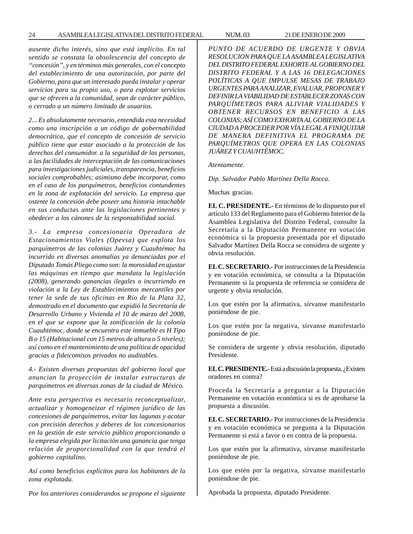#### 24 ASAMBLEA LEGISLATIVA DEL DISTRITO FEDERAL NUM. 03 21 DE ENERO DE 2009

*ausente dicho interés, sino que está implícito. En tal sentido se constata la obsolescencia del concepto de ''concesión'', y en términos más generales, con el concepto del establecimiento de una autorización, por parte del Gobierno, para que un interesado pueda instalar y operar servicios para su propio uso, o para explotar servicios que se ofrecen a la comunidad, sean de carácter público, o cerrado a un número limitado de usuarios.*

*2... Es absolutamente necesario, entendida esta necesidad como una inscripción a un código de gobernabilidad democrática, que el concepto de concesión de servicio público tiene que estar asociado a la protección de los derechos del consumidor. a la seguridad de las personas, a las facilidades de interceptación de las comunicaciones para investigaciones judiciales, transparencia, beneficios sociales comprobables; asimismo debe incorporar, como en el caso de los parquímetros, beneficios contundentes en la zona de explotación del servicio. La empresa que ostente la concesión debe poseer una historia intachable en sus conductas ante las legislaciones pertinentes y obedecer a los cánones de la responsabilidad social.*

*3.- La empresa concesionaria Operadora de Estacionamientos Viales (Opevsa) que explota los parquímetros de las colonias Juárez y Cuauhtémoc ha incurrido en diversas anomalías ya denunciadas por el Diputado Tomás Pliego como son: la morosidad en ajustar las máquinas en tiempo que mandata la legislación (2008), generando ganancias ilegales o incurriendo en violación a la Ley de Establecimientos mercantiles por tener la sede de sus oficinas en Río de la Plata 32, demostrado en el documento que expidió la Secretaría de Desarrollo Urbano y Vivienda el 10 de marzo del 2008, en el que se expone que la zonificación de la colonia Cuauhtémoc, donde se encuentra este inmueble es H Tipo B o 15 (Habitacional con 15 metros de altura o 5 niveles); así como en el mantenimiento de una política de opacidad gracias a fideicomisos privados no auditables.*

*4.- Existen diversas propuestas del gobierno local que anuncian la proyección de instalar estructuras de parquímetros en diversas zonas de la ciudad de México.*

*Ante esta perspectiva es necesario reconceptualizar, actualizar y homogeneizar el régimen jurídico de las concesiones de parquímetros, evitar las lagunas y acotar con precisión derechos y deberes de los concesionarios en la gestión de este servicio público proporcionando a la empresa elegida por licitación una ganancia que tenga relación de proporcionalidad con la que tendrá el gobierno capitalino.*

*Así como beneficios explícitos para los habitantes de la zona explotada.*

*Por los anteriores considerandos se propone el siguiente*

*PUNTO DE ACUERDO DE URGENTE Y OBVIA RESOLUCION PARA QUE LA ASAMBLEA LEGISLATIVA DEL DISTRITO FEDERAL EXHORTE AL GOBIERNO DEL DISTRITO FEDERAL Y A LAS 16 DELEGACIONES POLÍTICAS A QUE IMPULSE MESAS DE TRABAJO URGENTES PARA ANALIZAR, EVALUAR, PROPONER Y DEFINIR LA VIABILIDAD DE ESTABLECER ZONAS CON PARQUÍMETROS PARA ALIVIAR VIALIDADES Y OBTENER RECURSOS EN BENEFICIO A LAS COLONIAS; ASÍ COMO EXHORTA AL GOBIERNO DE LA CIUDAD A PROCEDER POR VÍA LEGAL A FINIQUITAR DE MANERA DEFINITIVA EL PROGRAMA DE PARQUÍMETROS QUE OPERA EN LAS COLONIAS JUÁREZ Y CUAUHTÉMOC.*

*Atentamente.*

*Dip. Salvador Pablo Martínez Della Rocca.*

Muchas gracias.

**EL C. PRESIDENTE.-** En términos de lo dispuesto por el artículo 133 del Reglamento para el Gobierno Interior de la Asamblea Legislativa del Distrito Federal, consulte la Secretaría a la Diputación Permanente en votación económica si la propuesta presentada por el diputado Salvador Martínez Della Rocca se considera de urgente y obvia resolución.

**EL C. SECRETARIO.-** Por instrucciones de la Presidencia y en votación económica, se consulta a la Diputación Permanente si la propuesta de referencia se considera de urgente y obvia resolución.

Los que estén por la afirmativa, sírvanse manifestarlo poniéndose de pie.

Los que estén por la negativa, sírvanse manifestarlo poniéndose de pie.

Se considera de urgente y obvia resolución, diputado Presidente.

**EL C. PRESIDENTE.-** Está a discusión la propuesta. ¿Existen oradores en contra?

Proceda la Secretaría a preguntar a la Diputación Permanente en votación económica si es de aprobarse la propuesta a discusión.

**EL C. SECRETARIO.-** Por instrucciones de la Presidencia y en votación económica se pregunta a la Diputación Permanente si está a favor o en contra de la propuesta.

Los que estén por la afirmativa, sírvanse manifestarlo poniéndose de pie.

Los que estén por la negativa, sírvanse manifestarlo poniéndose de pie.

Aprobada la propuesta, diputado Presidente.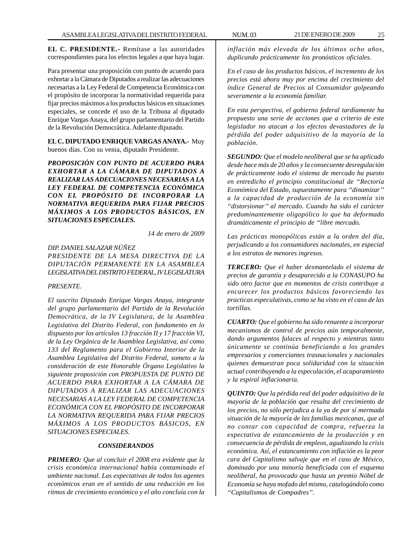**EL C. PRESIDENTE.-** Remítase a las autoridades correspondientes para los efectos legales a que haya lugar.

Para presentar una proposición con punto de acuerdo para exhortar a la Cámara de Diputados a realizar las adecuaciones necesarias a la Ley Federal de Competencia Económica con el propósito de incorporar la normatividad requerida para fijar precios máximos a los productos básicos en situaciones especiales, se concede el uso de la Tribuna al diputado Enrique Vargas Anaya, del grupo parlamentario del Partido de la Revolución Democrática. Adelante diputado.

**EL C. DIPUTADO ENRIQUE VARGAS ANAYA.-** Muy buenos días. Con su venia, diputado Presidente.

*PROPOSICIÓN CON PUNTO DE ACUERDO PARA EXHORTAR A LA CÁMARA DE DIPUTADOS A REALIZAR LAS ADECUACIONES NECESARIAS A LA LEY FEDERAL DE COMPETENCIA ECONÓMICA CON EL PROPÓSITO DE INCORPORAR LA NORMATIVA REQUERIDA PARA FIJAR PRECIOS MÁXIMOS A LOS PRODUCTOS BÁSICOS, EN SITUACIONES ESPECIALES.*

*14 de enero de 2009*

*DIP. DANIEL SALAZAR NÚÑEZ PRESIDENTE DE LA MESA DIRECTIVA DE LA DIPUTACIÓN PERMANENTE EN LA ASAMBLEA LEGISLATIVA DEL DISTRITO FEDERAL, IV LEGISLATURA*

#### *PRESENTE.*

*El suscrito Diputado Enrique Vargas Anaya, integrante del grupo parlamentario del Partido de la Revolución Democrática, de la IV Legislatura, de la Asamblea Legislativa del Distrito Federal, con fundamento en lo dispuesto por los artículos 13 fracción II y 17 fracción VI, de la Ley Orgánica de la Asamblea Legislativa, así como 133 del Reglamento para el Gobierno Interior de la Asamblea Legislativa del Distrito Federal, someto a la consideración de este Honorable Órgano Legislativo la siguiente proposición con PROPUESTA DE PUNTO DE ACUERDO PARA EXHORTAR A LA CÁMARA DE DIPUTADOS A REALIZAR LAS ADECUACIONES NECESARIAS A LA LEY FEDERAL DE COMPETENCIA ECONÓMICA CON EL PROPÓSITO DE INCORPORAR LA NORMATIVA REQUERIDA PARA FIJAR PRECIOS MÁXIMOS A LOS PRODUCTOS BÁSICOS, EN SITUACIONES ESPECIALES.*

# *CONSIDERANDOS*

*PRIMERO: Que al concluir el 2008 era evidente que la crisis económica internacional había contaminado el ambiente nacional. Las expectativas de todos los agentes económicos eran en el sentido de una reducción en los ritmos de crecimiento económico y el año concluía con la*

*inflación más elevada de los últimos ocho años, duplicando prácticamente los pronósticos oficiales.*

*En el caso de los productos básicos, el incremento de los precios está ahora muy por encima del crecimiento del índice General de Precios al Consumidor golpeando severamente a la economía familiar.*

*En esta perspectiva, el gobierno federal tardíamente ha propuesto una serie de acciones que a criterio de este legislador no atacan a los efectos devastadores de la pérdida del poder adquisitivo de la mayoría de la población.*

*SEGUNDO: Que el modelo neoliberal que se ha aplicado desde hace más de 20 años y la consecuente desregulación de prácticamente todo el sistema de mercado ha puesto en entredicho el principio constitucional de ''Rectoría Económica del Estado, supuestamente para ''dinamizar'' a la capacidad de producción de la economía sin ''distorsionar'' al mercado. Cuando ha sido el carácter predominantemente oligopólico lo que ha deformado dramáticamente el principio de ''libre mercado.*

*Las prácticas monopólicas están a la orden del día, perjudicando a los consumidores nacionales, en especial a los estratos de menores ingresos.*

*TERCERO: Que el haber desmantelado el sistema de precios de garantía y desaparecido a la CONASUPO ha sido otro factor que en momentos de crisis contribuye a encarecer los productos básicos favoreciendo las practicas especulativas, como se ha visto en el caso de las tortillas.*

*CUARTO: Que el gobierno ha sido renuente a incorporar mecanismos de control de precios aún temporalmente, dando argumentos falaces al respecto y mientras tanto únicamente se continúa beneficiando a los grandes empresarios y comerciantes trasnacionales y nacionales quienes demuestran poca solidaridad con la situación actual contribuyendo a la especulación, el acaparamiento y la espiral inflacionaria.*

*QUINTO: Que la pérdida real del poder adquisitivo de la mayoría de la población que resulta del crecimiento de los precios, no sólo perjudica a la ya de por sí mermada situación de la mayoría de las familias mexicanas, que al no contar con capacidad de compra, refuerza la expectativa de estancamiento de la producción y en consecuencia de pérdida de empleos, agudizando la crisis económica. Así, el estancamiento con inflación es la peor cara del Capitalismo salvaje que en el caso de México, dominado por una minoría beneficiada con el esquema neoliberal, ha provocado que hasta un premio Nóbel de Economía se haya mofado del mismo, catalogándolo como ''Capitalismos de Compadres''.*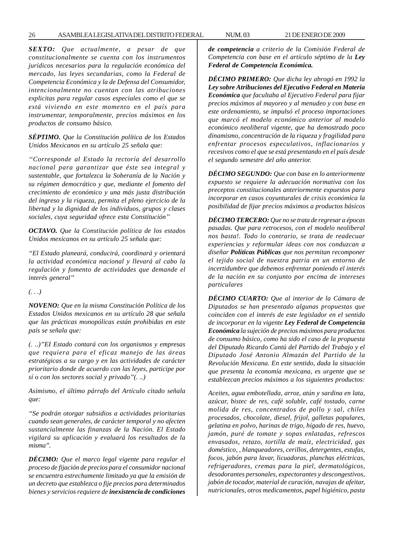26 ASAMBLEA LEGISLATIVA DEL DISTRITO FEDERAL NUM. 03 21 DE ENERO DE 2009

*SEXTO: Que actualmente, a pesar de que constitucionalmente se cuenta con los instrumentos jurídicos necesarios para la regulación económica del mercado, las leyes secundarias, como la Federal de Competencia Económica y la de Defensa del Consumidor, intencionalmente no cuentan con las atribuciones explicitas para regular casos especiales como el que se está viviendo en este momento en el país para instrumentar, temporalmente, precios máximos en los productos de consumo básico.*

*SÉPTIMO. Que la Constitución política de los Estados Unidos Mexicanos en su artículo 25 señala que:*

*''Corresponde al Estado la rectoría del desarrollo nacional para garantizar que éste sea integral y sustentable, que fortalezca la Soberanía de la Nación y su régimen democrático y que, mediante el fomento del crecimiento de económico y una más justa distribución del ingreso y la riqueza, permita el pleno ejercicio de la libertad y la dignidad de los individuos, grupos y clases sociales, cuya seguridad ofrece esta Constitución''*

*OCTAVO. Que la Constitución política de los estados Unidos mexicanos en su artículo 25 señala que:*

*''El Estado planeará, conducirá, coordinará y orientará la actividad económica nacional y llevará al cabo la regulación y fomento de actividades que demande el interés general''*

*(. . .)*

*NOVENO: Que en la misma Constitución Política de los Estados Unidos mexicanos en su artículo 28 que señala que las prácticas monopólicas están prohibidas en este país se señala que:*

*(. ..)''EI Estado contará con los organismos y empresas que requiera para el eficaz manejo de las áreas estratégicas a su cargo y en las actividades de carácter prioritario donde de acuerdo con las leyes, participe por sí o con los sectores social y privado''(. ..)*

*Asimismo, el último párrafo del Artículo citado señala que:*

*''Se podrán otorgar subsidios a actividades prioritarias cuando sean generales, de carácter temporal y no afecten sustancialmente las finanzas de la Nación. El Estado vigilará su aplicación y evaluará los resultados de la misma''.*

*DÉCIMO: Que el marco legal vigente para regular el proceso de fijación de precios para el consumidor nacional se encuentra estrechamente limitado ya que la emisión de un decreto que establezca o fije precios para determinados bienes y servicios requiere de inexistencia de condiciones*

*de competencia a criterio de la Comisión Federal de Competencia con base en el artículo séptimo de la Ley Federal de Competencia Económica.*

*DÉCIMO PRIMERO: Que dicha ley abrogó en 1992 la Ley sobre Atribuciones del Ejecutivo Federal en Materia Económica que facultaba al Ejecutivo Federal para fijar precios máximos al mayoreo y al menudeo y con base en este ordenamiento, se impulsó el proceso importaciones que marcó el modelo económico anterior al modelo económico neoliberal vigente, que ha demostrado poco dinamismo, concentración de la riqueza y fragilidad para enfrentar procesos especulativos, inflacionarios y recesivos como el que se está presentando en el país desde el segundo semestre del año anterior.*

*DÉCIMO SEGUNDO: Que con base en lo anteriormente expuesto se requiere la adecuación normativa con los preceptos constitucionales anteriormente expuestos para incorporar en casos coyunturales de crisis económica la posibilidad de fijar precios máximos a productos básicos*

*DÉCIMO TERCERO: Que no se trata de regresar a épocas pasadas. Que para retrocesos, con el modelo neoliberal nos basta!. Todo lo contrario, se trata de readecuar experiencias y reformular ideas con nos conduzcan a diseñar Políticas Públicas que nos permitan recomponer el tejido social de nuestra patria en un entorno de incertidumbre que debemos enfrentar poniendo el interés de la nación en su conjunto por encima de intereses particulares*

*DÉCIMO CUARTO: Que al interior de la Cámara de Diputados se han presentado algunas propuestas que coinciden con el interés de este legislador en el sentido de incorporar en la vigente Ley Federal de Competencia Económica la sujeción de precios máximos para productos de consumo básico, como ha sido el caso de la propuesta del Diputado Ricardo Cantú del Partido del Trabajo y el Diputado José Antonio Almazán del Partido de la Revolución Mexicana. En este sentido, dada la situación que presenta la economía mexicana, es urgente que se establezcan precios máximos a los siguientes productos:*

*Aceites, agua embotellada, arroz, atún y sardina en lata, azúcar, bistec de res, café soluble, café tostado, carne molida de res, concentrados de pollo y sal, chiles procesados, chocolate, diesel, frijol, galletas populares, gelatina en polvo, harinas de trigo, hígado de res, huevo, jamón, puré de tomate y sopas enlatadas, refrescos envasados, retazo, tortilla de maíz, electricidad, gas doméstico, , blanqueadores, cerillos, detergentes, estufas, focos, jabón para lavar, licuadoras, planchas eléctricas, refrigeradores, cremas para la piel, dermatológicos, desodorantes personales, expectorantes y descongestivos, jabón de tocador, material de curación, navajas de afeitar, nutricionales, otros medicamentos, papel higiénico, pasta*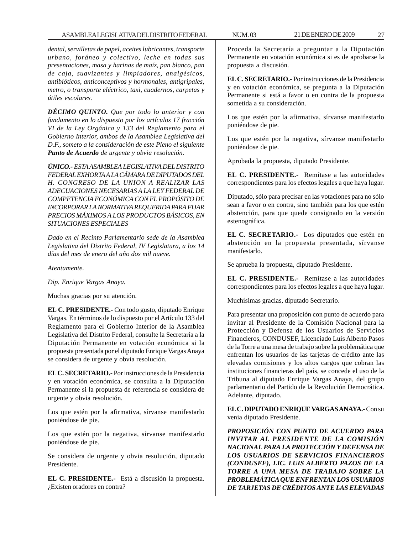*dental, servilletas de papel, aceites lubricantes, transporte urbano, foráneo y colectivo, leche en todas sus presentaciones, masa y harinas de maíz, pan blanco, pan de caja, suavizantes y limpiadores, analgésicos, antibióticos, anticonceptivos y hormonales, antigripales, metro, o transporte eléctrico, taxi, cuadernos, carpetas y útiles escolares.*

*DÉCIMO QUINTO. Que por todo lo anterior y con fundamento en lo dispuesto por los artículos 17 fracción VI de la Ley Orgánica y 133 del Reglamento para el Gobierno Interior, ambos de la Asamblea Legislativa del D.F., someto a la consideración de este Pleno el siguiente Punto de Acuerdo de urgente y obvia resolución.*

*ÚNICO.- ESTA ASAMBLEA LEGISLATIVA DEL DISTRITO FEDERAL EXHORTA A LA CÁMARA DE DIPUTADOS DEL H. CONGRESO DE LA UNION A REALIZAR LAS ADECUACIONES NECESARIAS A LA LEY FEDERAL DE COMPETENCIA ECONÓMICA CON EL PROPÓSITO DE INCORPORAR LA NORMATIVA REQUERIDA PARA FIJAR PRECIOS MÁXIMOS A LOS PRODUCTOS BÁSICOS, EN SITUACIONES ESPECIALES*

*Dado en el Recinto Parlamentario sede de la Asamblea Legislativa del Distrito Federal, IV Legislatura, a los 14 días del mes de enero del año dos mil nueve.*

*Atentamente.*

*Dip. Enrique Vargas Anaya.*

Muchas gracias por su atención.

**EL C. PRESIDENTE.-** Con todo gusto, diputado Enrique Vargas. En términos de lo dispuesto por el Artículo 133 del Reglamento para el Gobierno Interior de la Asamblea Legislativa del Distrito Federal, consulte la Secretaría a la Diputación Permanente en votación económica si la propuesta presentada por el diputado Enrique Vargas Anaya se considera de urgente y obvia resolución.

**EL C. SECRETARIO.-** Por instrucciones de la Presidencia y en votación económica, se consulta a la Diputación Permanente si la propuesta de referencia se considera de urgente y obvia resolución.

Los que estén por la afirmativa, sírvanse manifestarlo poniéndose de pie.

Los que estén por la negativa, sírvanse manifestarlo poniéndose de pie.

Se considera de urgente y obvia resolución, diputado Presidente.

**EL C. PRESIDENTE.-** Está a discusión la propuesta. ¿Existen oradores en contra?

Proceda la Secretaría a preguntar a la Diputación Permanente en votación económica si es de aprobarse la propuesta a discusión.

**EL C. SECRETARIO.-** Por instrucciones de la Presidencia y en votación económica, se pregunta a la Diputación Permanente si está a favor o en contra de la propuesta sometida a su consideración.

Los que estén por la afirmativa, sírvanse manifestarlo poniéndose de pie.

Los que estén por la negativa, sírvanse manifestarlo poniéndose de pie.

Aprobada la propuesta, diputado Presidente.

**EL C. PRESIDENTE.-** Remítase a las autoridades correspondientes para los efectos legales a que haya lugar.

Diputado, sólo para precisar en las votaciones para no sólo sean a favor o en contra, sino también para los que estén abstención, para que quede consignado en la versión estenográfica.

**EL C. SECRETARIO.-** Los diputados que estén en abstención en la propuesta presentada, sírvanse manifestarlo.

Se aprueba la propuesta, diputado Presidente.

**EL C. PRESIDENTE.-** Remítase a las autoridades correspondientes para los efectos legales a que haya lugar.

Muchísimas gracias, diputado Secretario.

Para presentar una proposición con punto de acuerdo para invitar al Presidente de la Comisión Nacional para la Protección y Defensa de los Usuarios de Servicios Financieros, CONDUSEF, Licenciado Luis Alberto Pasos de la Torre a una mesa de trabajo sobre la problemática que enfrentan los usuarios de las tarjetas de crédito ante las elevadas comisiones y los altos cargos que cobran las instituciones financieras del país, se concede el uso de la Tribuna al diputado Enrique Vargas Anaya, del grupo parlamentario del Partido de la Revolución Democrática. Adelante, diputado.

**EL C. DIPUTADO ENRIQUE VARGAS ANAYA.-** Con su venia diputado Presidente.

*PROPOSICIÓN CON PUNTO DE ACUERDO PARA INVITAR AL PRESIDENTE DE LA COMISIÓN NACIONAL PARA LA PROTECCIÓN Y DEFENSA DE LOS USUARIOS DE SERVICIOS FINANCIEROS (CONDUSEF), LIC. LUIS ALBERTO PAZOS DE LA TORRE A UNA MESA DE TRABAJO SOBRE LA PROBLEMÁTICA QUE ENFRENTAN LOS USUARIOS DE TARJETAS DE CRÉDITOS ANTE LAS ELEVADAS*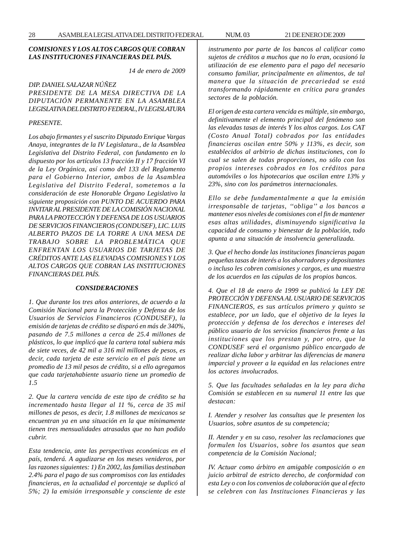# *COMISIONES Y LOS ALTOS CARGOS QUE COBRAN LAS INSTITUCIONES FINANCIERAS DEL PAÍS.*

*14 de enero de 2009*

*DIP. DANIEL SALAZAR NÚÑEZ PRESIDENTE DE LA MESA DIRECTIVA DE LA DIPUTACIÓN PERMANENTE EN LA ASAMBLEA LEGISLATIVA DEL DISTRITO FEDERAL, IV LEGISLATURA*

# *PRESENTE.*

*Los abajo firmantes y el suscrito Diputado Enrique Vargas Anaya, integrantes de la IV Legislatura., de la Asamblea Legislativa del Distrito Federal, con fundamento en lo dispuesto por los artículos 13 fracción II y 17 fracción VI de la Ley Orgánica, así como del 133 del Reglamento para el Gobierno Interior, ambos de la Asamblea Legislativa del Distrito Federal, sometemos a la consideración de este Honorable Órgano Legislativo la siguiente proposición con PUNTO DE ACUERDO PARA INVITAR AL PRESIDENTE DE LA COMISIÓN NACIONAL PARA LA PROTECCIÓN Y DEFENSA DE LOS USUARIOS DE SERVICIOS FINANCIEROS (CONDUSEF), LIC. LUIS ALBERTO PAZOS DE LA TORRE A UNA MESA DE TRABAJO SOBRE LA PROBLEMÁTICA QUE ENFRENTAN LOS USUARIOS DE TARJETAS DE CRÉDITOS ANTE LAS ELEVADAS COMISIONES Y LOS ALTOS CARGOS QUE COBRAN LAS INSTITUCIONES FINANCIERAS DEL PAÍS.*

#### *CONSIDERACIONES*

*1. Que durante los tres años anteriores, de acuerdo a la Comisión Nacional para la Protección y Defensa de los Usuarios de Servicios Financieros (CONDUSEF), la emisión de tarjetas de crédito se disparó en más de 340%, pasando de 7.5 millones a cerca de 25.4 millones de plásticos, lo que implicó que la cartera total subiera más de siete veces, de 42 mil a 316 mil millones de pesos, es decir, cada tarjeta de este servicio en el país tiene un promedio de 13 mil pesos de crédito, si a ello agregamos que cada tarjetahabiente usuario tiene un promedio de 1.5*

*2. Que la cartera vencida de este tipo de crédito se ha incrementado hasta llegar al 11 %, cerca de 35 mil millones de pesos, es decir, 1.8 millones de mexicanos se encuentran ya en una situación en la que mínimamente tienen tres mensualidades atrasadas que no han podido cubrir.*

*Esta tendencia, ante las perspectivas económicas en el país, tenderá. A agudizarse en los meses venideros, por las razones siguientes: 1) En 2002, las familias destinaban 2.4% para el pago de sus compromisos con las entidades financieras, en la actualidad el porcentaje se duplicó al 5%; 2) la emisión irresponsable y consciente de este* *instrumento por parte de los bancos al calificar como sujetos de créditos a muchos que no lo eran, ocasionó la utilización de ese elemento para el pago del necesario consumo familiar, principalmente en alimentos, de tal manera que la situación de precariedad se está transformando rápidamente en crítica para grandes sectores de la población.*

*El origen de esta cartera vencida es múltiple, sin embargo, definitivamente el elemento principal del fenómeno son las elevadas tasas de interés Y los altos cargos. Los CAT (Costo Anual Total) cobrados por las entidades financieras oscilan entre 50% y 113%, es decir, son establecidos al arbitrio de dichas instituciones, con lo cual se salen de todas proporciones, no sólo con los propios intereses cobrados en los créditos para automóviles o los hipotecarios que oscilan entre 13% y 23%, sino con los parámetros internacionales.*

*Ello se debe fundamentalmente a que la emisión irresponsable de tarjetas, ''obliga'' a los bancos a mantener esos niveles de comisiones con el fin de mantener esas altas utilidades, disminuyendo significativa la capacidad de consumo y bienestar de la población, todo apunta a una situación de insolvencia generalizada.*

*3. Que el hecho donde las instituciones financieras pagan pequeñas tasas de interés a los ahorradores y depositantes o incluso les cobren comisiones y cargos, es una muestra de los acuerdos en las cúpulas de los propios bancos.*

*4. Que el 18 de enero de 1999 se publicó la LEY DE PROTECCIÓN Y DEFENSA AL USUARIO DE SERVICIOS FINANCIEROS, es sus artículos primero y quinto se establece, por un lado, que el objetivo de la leyes la protección y defensa de los derechos e intereses del público usuario de los servicios financieros frente a las instituciones que los prestan y, por otro, que la CONDUSEF será el organismo público encargado de realizar dicha labor y arbitrar las diferencias de manera imparcial y proveer a la equidad en las relaciones entre los actores involucrados.*

*5. Que las facultades señaladas en la ley para dicha Comisión se establecen en su numeral 11 entre las que destacan:*

*I. Atender y resolver las consultas que le presenten los Usuarios, sobre asuntos de su competencia;*

*II. Atender y en su caso, resolver las reclamaciones que formulen los Usuarios, sobre los asuntos que sean competencia de la Comisión Nacional;*

*IV. Actuar como árbitro en amigable composición o en juicio arbitral de estricto derecho, de conformidad con esta Ley o con los convenios de colaboración que al efecto se celebren con las Instituciones Financieras y las*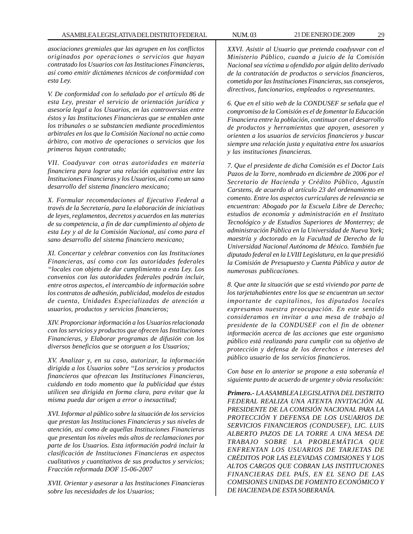*asociaciones gremiales que las agrupen en los conflictos originados por operaciones o servicios que hayan contratado los Usuarios con las Instituciones Financieras, así como emitir dictámenes técnicos de conformidad con esta Ley.*

*V. De conformidad con lo señalado por el artículo 86 de esta Ley, prestar el servicio de orientación jurídica y asesoría legal a los Usuarios, en las controversias entre éstos y las Instituciones Financieras que se entablen ante los tribunales o se substancien mediante procedimientos arbitrales en los que la Comisión Nacional no actúe como árbitro, con motivo de operaciones o servicios que los primeros hayan contratado;*

*VII. Coadyuvar con otras autoridades en materia financiera para lograr una relación equitativa entre las Instituciones Financieras y los Usuarios, así como un sano desarrollo del sistema financiero mexicano;*

*X. Formular recomendaciones al Ejecutivo Federal a través de la Secretaría, para la elaboración de iniciativas de leyes, reglamentos, decretos y acuerdos en las materias de su competencia, a fin de dar cumplimiento al objeto de esta Ley y al de la Comisión Nacional, así como para el sano desarrollo del sistema financiero mexicano;*

*XI. Concertar y celebrar convenios con las Instituciones Financieras, así como con las autoridades federales ''locales con objeto de dar cumplimiento a esta Ley. Los convenios con las autoridades federales podrán incluir, entre otros aspectos, el intercambio de información sobre los contratos de adhesión, publicidad, modelos de estados de cuenta, Unidades Especializadas de atención a usuarios, productos y servicios financieros;*

*XIV. Proporcionar información a los Usuarios relacionada con los servicios y productos que ofrecen las Instituciones Financieras, y Elaborar programas de difusión con los diversos beneficios que se otorguen a los Usuarios;*

*XV. Analizar y, en su caso, autorizar, la información dirigida a los Usuarios sobre ''Los servicios y productos financieros que ofrezcan las Instituciones Financieras, cuidando en todo momento que la publicidad que éstas utilicen sea dirigida en forma clara, para evitar que la misma pueda dar origen a error o inexactitud;*

*XVI. Informar al público sobre la situación de los servicios que prestan las Instituciones Financieras y sus niveles de atención, así como de aquellas Instituciones Financieras que presentan los niveles más altos de reclamaciones por parte de los Usuarios. Esta información podrá incluir la clasificación de Instituciones Financieras en aspectos cualitativos y cuantitativos de sus productos y servicios; Fracción reformada DOF 15-06-2007*

*XVII. Orientar y asesorar a las Instituciones Financieras sobre las necesidades de los Usuarios;*

*XXVI. Asistir al Usuario que pretenda coadyuvar con el Ministerio Público, cuando a juicio de la Comisión Nacional sea víctima u ofendido por algún delito derivado de la contratación de productos o servicios financieros, cometido por las Instituciones Financieras, sus consejeros, directivos, funcionarios, empleados o representantes.*

*6. Que en el sitio web de la CONDUSEF se señala que el compromiso de la Comisión es el de fomentar la Educación Financiera entre la población, continuar con el desarrollo de productos y herramientas que apoyen, asesoren y orienten a los usuarios de servicios financieros y buscar siempre una relación justa y equitativa entre los usuarios y las instituciones financieras.*

*7. Que el presidente de dicha Comisión es el Doctor Luis Pazos de la Torre, nombrado en diciembre de 2006 por el Secretario de Hacienda y Crédito Público, Agustín Carstens, de acuerdo al artículo 23 del ordenamiento en comento. Entre los aspectos curriculares de relevancia se encuentran: Abogado por la Escuela Libre de Derecho; estudios de economía y administración en el Instituto Tecnológico y de Estudios Superiores de Monterrey; de administración Pública en la Universidad de Nueva York; maestría y doctorado en la Facultad de Derecho de la Universidad Nacional Autónoma de México. También fue diputado federal en la LVIII Legislatura, en la que presidió la Comisión de Presupuesto y Cuenta Pública y autor de numerosas publicaciones.*

*8. Que ante la situación que se está viviendo por parte de los tarjetahabientes entre los que se encuentran un sector importante de capitalinos, los diputados locales expresamos nuestra preocupación. En este sentido consideramos en invitar a una mesa de trabajo al presidente de la CONDUSEF con el fin de obtener información acerca de las acciones que este organismo público está realizando para cumplir con su objetivo de protección y defensa de los derechos e intereses del público usuario de los servicios financieros.*

*Con base en lo anterior se propone a esta soberanía el siguiente punto de acuerdo de urgente y obvia resolución:*

*Primero.- LA ASAMBLEA LEGISLATIVA DEL DISTRITO FEDERAL REALIZA UNA ATENTA INVITACIÓN AL PRESIDENTE DE LA COMISIÓN NACIONAL PARA LA PROTECCIÓN Y DEFENSA DE LOS USUARIOS DE SERVICIOS FINANCIEROS (CONDUSEF), LIC. LUIS ALBERTO PAZOS DE LA TORRE A UNA MESA DE TRABAJO SOBRE LA PROBLEMÁTICA QUE ENFRENTAN LOS USUARIOS DE TARJETAS DE CRÉDITOS POR LAS ELEVADAS COMISIONES Y LOS ALTOS CARGOS QUE COBRAN LAS INSTITUCIONES FINANCIERAS DEL PAÍS, EN EL SENO DE LAS COMISIONES UNIDAS DE FOMENTO ECONÓMICO Y DE HACIENDA DE ESTA SOBERANÍA.*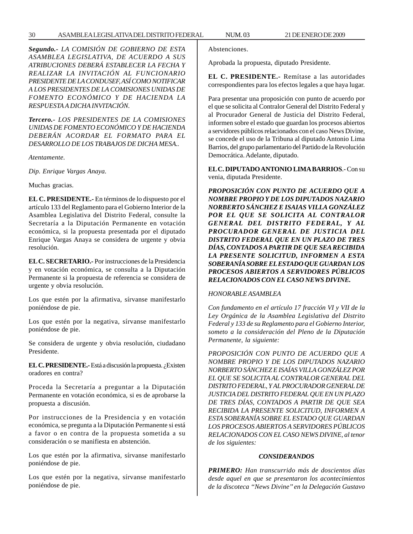*Segundo.- LA COMISIÓN DE GOBIERNO DE ESTA ASAMBLEA LEGISLATIVA, DE ACUERDO A SUS ATRIBUCIONES DEBERÁ ESTABLECER LA FECHA Y REALIZAR LA INVITACIÓN AL FUNCIONARIO PRESIDENTE DE LA CONDUSEF, ASÍ COMO NOTIFICAR A LOS PRESIDENTES DE LA COMISIONES UNIDAS DE FOMENTO ECONÓMICO Y DE HACIENDA LA RESPUESTA A DICHA INVITACIÓN.*

*Tercero.- LOS PRESIDENTES DE LA COMISIONES UNIDAS DE FOMENTO ECONÓMICO Y DE HACIENDA DEBERÁN ACORDAR EL FORMATO PARA EL DESARROLLO DE LOS TRABAJOS DE DICHA MESA..*

*Atentamente.*

*Dip. Enrique Vargas Anaya.*

Muchas gracias.

**EL C. PRESIDENTE.-** En términos de lo dispuesto por el artículo 133 del Reglamento para el Gobierno Interior de la Asamblea Legislativa del Distrito Federal, consulte la Secretaría a la Diputación Permanente en votación económica, si la propuesta presentada por el diputado Enrique Vargas Anaya se considera de urgente y obvia resolución.

**EL C. SECRETARIO.-** Por instrucciones de la Presidencia y en votación económica, se consulta a la Diputación Permanente si la propuesta de referencia se considera de urgente y obvia resolución.

Los que estén por la afirmativa, sírvanse manifestarlo poniéndose de pie.

Los que estén por la negativa, sírvanse manifestarlo poniéndose de pie.

Se considera de urgente y obvia resolución, ciudadano Presidente.

**EL C. PRESIDENTE.-** Está a discusión la propuesta. ¿Existen oradores en contra?

Proceda la Secretaría a preguntar a la Diputación Permanente en votación económica, si es de aprobarse la propuesta a discusión.

Por instrucciones de la Presidencia y en votación económica, se pregunta a la Diputación Permanente si está a favor o en contra de la propuesta sometida a su consideración o se manifiesta en abstención.

Los que estén por la afirmativa, sírvanse manifestarlo poniéndose de pie.

Los que estén por la negativa, sírvanse manifestarlo poniéndose de pie.

Abstenciones.

Aprobada la propuesta, diputado Presidente.

**EL C. PRESIDENTE.-** Remítase a las autoridades correspondientes para los efectos legales a que haya lugar.

Para presentar una proposición con punto de acuerdo por el que se solicita al Contralor General del Distrito Federal y al Procurador General de Justicia del Distrito Federal, informen sobre el estado que guardan los procesos abiertos a servidores públicos relacionados con el caso News Divine, se concede el uso de la Tribuna al diputado Antonio Lima Barrios, del grupo parlamentario del Partido de la Revolución Democrática. Adelante, diputado.

**EL C. DIPUTADO ANTONIO LIMA BARRIOS**.- Con su venia, diputada Presidente.

*PROPOSICIÓN CON PUNTO DE ACUERDO QUE A NOMBRE PROPIO Y DE LOS DIPUTADOS NAZARIO NORBERTO SÁNCHEZ E ISAIAS VILLA GONZÁLEZ POR EL QUE SE SOLICITA AL CONTRALOR GENERAL DEL DISTRITO FEDERAL, Y AL PROCURADOR GENERAL DE JUSTICIA DEL DISTRITO FEDERAL QUE EN UN PLAZO DE TRES DÍAS, CONTADOS A PARTIR DE QUE SEA RECIBIDA LA PRESENTE SOLICITUD, INFORMEN A ESTA SOBERANÍA SOBRE EL ESTADO QUE GUARDAN LOS PROCESOS ABIERTOS A SERVIDORES PÚBLICOS RELACIONADOS CON EL CASO NEWS DIVINE.*

#### *HONORABLE ASAMBLEA*

*Con fundamento en el artículo 17 fracción VI y VII de la Ley Orgánica de la Asamblea Legislativa del Distrito Federal y 133 de su Reglamento para el Gobierno Interior, someto a la consideración del Pleno de la Diputación Permanente, la siguiente:*

*PROPOSICIÓN CON PUNTO DE ACUERDO QUE A NOMBRE PROPIO Y DE LOS DIPUTADOS NAZARIO NORBERTO SÁNCHEZ E ISAÍAS VILLA GONZÁLEZ POR EL QUE SE SOLICITA AL CONTRALOR GENERAL DEL DISTRITO FEDERAL, Y AL PROCURADOR GENERAL DE JUSTICIA DEL DISTRITO FEDERAL QUE EN UN PLAZO DE TRES DÍAS, CONTADOS A PARTIR DE QUE SEA RECIBIDA LA PRESENTE SOLICITUD, INFORMEN A ESTA SOBERANÍA SOBRE EL ESTADO QUE GUARDAN LOS PROCESOS ABIERTOS A SERVIDORES PÚBLICOS RELACIONADOS CON EL CASO NEWS DIVINE, al tenor de los siguientes:*

# *CONSIDERANDOS*

*PRIMERO: Han transcurrido más de doscientos días desde aquel en que se presentaron los acontecimientos de la discoteca ''News Divine'' en la Delegación Gustavo*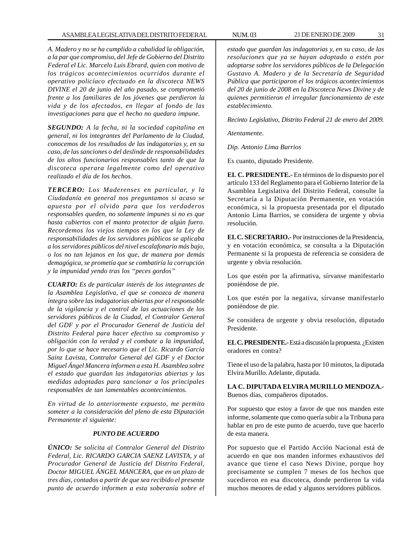*A. Madero y no se ha cumplido a cabalidad la obligación, a la par que compromiso, del Jefe de Gobierno del Distrito Federal el Lic. Marcelo Luis Ebrard, quien con motivo de los trágicos acontecimientos ocurridos durante el operativo policíaco efectuado en la discoteca NEWS DIVINE el 20 de junio del año pasado, se comprometió frente a los familiares de los jóvenes que perdieron la vida y de los afectados, en llegar al fondo de las investigaciones para que el hecho no quedara impune.*

*SEGUNDO: A la fecha, ni la sociedad capitalina en general, ni los integrantes del Parlamento de la Ciudad, conocemos de los resultados de las indagatorias y, en su caso, de las sanciones o del deslinde de responsabilidades de los altos funcionarios responsables tanto de que la discoteca operara legalmente como del operativo realizado el día de los hechos.*

*TERCERO: Los Maderenses en particular, y la Ciudadanía en general nos preguntamos si acaso se apuesta por el olvido para que los verdaderos responsables queden, no solamente impunes si no es que hasta cubiertos con el manto protector de algún fuero. Recordemos los viejos tiempos en los que la Ley de responsabilidades de los servidores públicos se aplicaba a los servidores públicos del nivel escalafonario más bajo, o los no tan lejanos en los que, de manera por demás demagógica, se prometía que se combatiría la corrupción y la impunidad yendo tras los ''peces gordos''*

*CUARTO: Es de particular interés de los integrantes de la Asamblea Legislativa, el que se conozca de manera íntegra sobre las indagatorias abiertas por el responsable de la vigilancia y el control de las actuaciones de los servidores públicos de la Ciudad, el Contralor General del GDF y por el Procurador General de Justicia del Distrito Federal para hacer efectivo su compromiso y obligación con la verdad y el combate a la impunidad, por lo que se hace necesario que el Lic. Ricardo García Sainz Lavista, Contralor General del GDF y el Doctor Miguel Ángel Mancera informen a esta H. Asamblea sobre el estado que guardan las indagatorias abiertas y las medidas adoptadas para sancionar a los principales responsables de tan lamentables acontecimientos.*

*En virtud de lo anteriormente expuesto, me permito someter a la consideración del pleno de esta Diputación Permanente el siguiente:*

# *PUNTO DE ACUERDO*

*ÚNICO: Se solicita al Contralor General del Distrito Federal, Lic. RICARDO GARCIA SAENZ LAVISTA, y al Procurador General de Justicia del Distrito Federal, Doctor MIGUEL ÁNGEL MANCERA, que en un plazo de tres días, contados a partir de que sea recibido el presente punto de acuerdo informen a esta soberanía sobre el*

*estado que guardan las indagatorias y, en su caso, de las resoluciones que ya se hayan adoptado o estén por adoptarse sobre los servidores públicos de la Delegación Gustavo A. Madero y de la Secretaría de Seguridad Pública que participaron el los trágicos acontecimientos del 20 de junio de 2008 en la Discoteca News Divine y de quienes permitieron el irregular funcionamiento de este establecimiento.*

*Recinto Legislativo, Distrito Federal 21 de enero del 2009.*

*Atentamente.*

*Dip. Antonio Lima Barrios*

Es cuanto, diputado Presidente.

**EL C. PRESIDENTE.-** En términos de lo dispuesto por el artículo 133 del Reglamento para el Gobierno Interior de la Asamblea Legislativa del Distrito Federal, consulte la Secretaría a la Diputación Permanente, en votación económica, si la propuesta presentada por el diputado Antonio Lima Barrios, se considera de urgente y obvia resolución.

**EL C. SECRETARIO.-** Por instrucciones de la Presidencia, y en votación económica, se consulta a la Diputación Permanente si la propuesta de referencia se considera de urgente y obvia resolución.

Los que estén por la afirmativa, sírvanse manifestarlo poniéndose de pie.

Los que estén por la negativa, sírvanse manifestarlo poniéndose de pie.

Se considera de urgente y obvia resolución, diputado Presidente.

**EL C. PRESIDENTE.-** Está a discusión la propuesta. ¿Existen oradores en contra?

Tiene el uso de la palabra, hasta por 10 minutos, la diputada Elvira Murillo. Adelante, diputada.

**LA C. DIPUTADA ELVIRA MURILLO MENDOZA.-** Buenos días, compañeros diputados.

Por supuesto que estoy a favor de que nos manden este informe, solamente que como quería subir a la Tribuna para hablar en pro de este punto de acuerdo, tuve que hacerlo de esta manera.

Por supuesto que el Partido Acción Nacional está de acuerdo en que nos manden informes exhaustivos del avance que tiene el caso News Divine, porque hoy precisamente se cumplen 7 meses de los hechos que sucedieron en esa discoteca, donde perdieron la vida muchos menores de edad y algunos servidores públicos.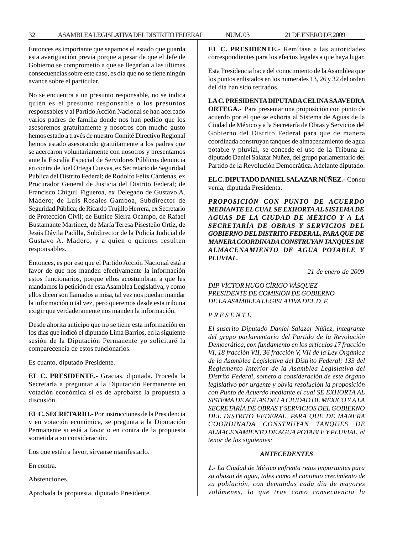Entonces es importante que sepamos el estado que guarda esta averiguación previa porque a pesar de que el Jefe de Gobierno se comprometió a que se llegarían a las últimas consecuencias sobre este caso, es día que no se tiene ningún avance sobre el particular.

No se encuentra a un presunto responsable, no se indica quién es el presunto responsable o los presuntos responsables y al Partido Acción Nacional se han acercado varios padres de familia donde nos han pedido que los asesoremos gratuitamente y nosotros con mucho gusto hemos estado a través de nuestro Comité Directivo Regional hemos estado asesorando gratuitamente a los padres que se acercaron voluntariamente con nosotros y presentamos ante la Fiscalía Especial de Servidores Públicos denuncia en contra de Joel Ortega Cuevas, ex Secretario de Seguridad Pública del Distrito Federal; de Rodolfo Félix Cárdenas, ex Procurador General de Justicia del Distrito Federal; de Francisco Chiguil Figueroa, ex Delegado de Gustavo A. Madero; de Luis Rosales Gamboa, Subdirector de Seguridad Pública; de Ricardo Trujillo Herrera, ex Secretario de Protección Civil; de Eunice Sierra Ocampo, de Rafael Bustamante Martínez, de María Teresa Pisesteño Ortiz, de Jesús Dávila Padilla, Subdirector de la Policía Judicial de Gustavo A. Madero, y a quien o quienes resulten responsables.

Entonces, es por eso que el Partido Acción Nacional está a favor de que nos manden efectivamente la información estos funcionarios, porque ellos acostumbran a que les mandamos la petición de esta Asamblea Legislativa, y como ellos dicen son llamados a misa, tal vez nos puedan mandar la información o tal vez, pero queremos desde esta tribuna exigir que verdaderamente nos manden la información.

Desde ahorita anticipo que no se tiene esta información en los días que indicó el diputado Lima Barrios, en la siguiente sesión de la Diputación Permanente yo solicitaré la comparecencia de estos funcionarios.

Es cuanto, diputado Presidente.

**EL C. PRESIDENTE.-** Gracias, diputada. Proceda la Secretaría a preguntar a la Diputación Permanente en votación económica si es de aprobarse la propuesta a discusión.

**EL C. SECRETARIO.-** Por instrucciones de la Presidencia y en votación económica, se pregunta a la Diputación Permanente si está a favor o en contra de la propuesta sometida a su consideración.

Los que estén a favor, sírvanse manifestarlo.

En contra.

Abstenciones.

Aprobada la propuesta, diputado Presidente.

**EL C. PRESIDENTE.-** Remítase a las autoridades correspondientes para los efectos legales a que haya lugar.

Esta Presidencia hace del conocimiento de la Asamblea que los puntos enlistados en los numerales 13, 26 y 32 del orden del día han sido retirados.

**LA C. PRESIDENTA DIPUTADA CELINA SAAVEDRA ORTEGA.-** Para presentar una proposición con punto de acuerdo por el que se exhorta al Sistema de Aguas de la Ciudad de México y a la Secretaría de Obras y Servicios del Gobierno del Distrito Federal para que de manera coordinada construyan tanques de almacenamiento de agua potable y pluvial, se concede el uso de la Tribuna al diputado Daniel Salazar Núñez, del grupo parlamentario del Partido de la Revolución Democrática. Adelante diputado.

**EL C. DIPUTADO DANIEL SALAZAR NÚÑEZ.-** Con su venia, diputada Presidenta.

*PROPOSICIÓN CON PUNTO DE ACUERDO MEDIANTE EL CUAL SE EXHORTA AL SISTEMA DE AGUAS DE LA CIUDAD DE MÉXICO Y A LA SECRETARÍA DE OBRAS Y SERVICIOS DEL GOBIERNO DEL DISTRITO FEDERAL, PARA QUE DE MANERA COORDINADA CONSTRUYAN TANQUES DE ALMACENAMIENTO DE AGUA POTABLE Y PLUVIAL.*

*21 de enero de 2009*

*DIP. VÍCTOR HUGO CÍRIGO VÁSQUEZ PRESIDENTE DE COMISIÓN DE GOBIERNO DE LA ASAMBLEA LEGISLATIVA DEL D. F.*

# *P R E S E N T E*

*El suscrito Diputado Daniel Salazar Núñez, integrante del grupo parlamentario del Partido de la Revolución Democrática, con fundamento en los artículos 17 fracción VI, 18 fracción VII, 36 fracción V, VII de la Ley Orgánica de la Asamblea Legislativa del Distrito Federal; 133 del Reglamento Interior de la Asamblea Legislativa del Distrito Federal, someto a consideración de este órgano legislativo por urgente y obvia resolución la proposición con Punto de Acuerdo mediante el cual SE EXHORTA AL SISTEMA DE AGUAS DE LA CIUDAD DE MÉXICO Y A LA SECRETARÍA DE OBRAS Y SERVICIOS DEL GOBIERNO DEL DISTRITO FEDERAL, PARA QUE DE MANERA COORDINADA CONSTRUYAN TANQUES DE ALMACENAMIENTO DE AGUA POTABLE Y PLUVIAL, al tenor de los siguientes:*

#### *ANTECEDENTES*

*1.- La Ciudad de México enfrenta retos importantes para su abasto de agua, tales como el continuo crecimiento de su población, con demandas cada día de mayores volúmenes, lo que trae como consecuencia la*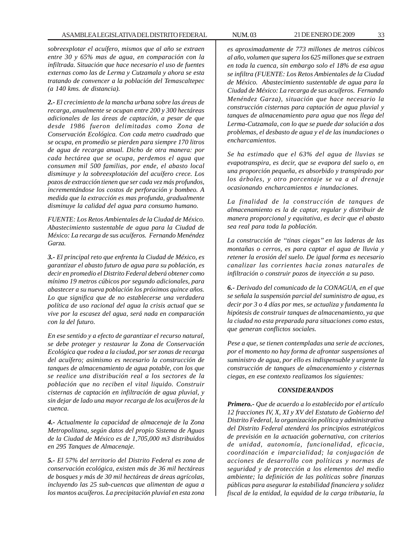*sobreexplotar el acuífero, mismos que al año se extraen entre 30 y 65% mas de agua, en comparación con la infiltrada. Situación que hace necesario el uso de fuentes externas como las de Lerma y Cutzamala y ahora se esta tratando de convencer a la población del Temascaltepec (a 140 kms. de distancia).*

*2.- El crecimiento de la mancha urbana sobre las áreas de recarga, anualmente se ocupan entre 200 y 300 hectáreas adicionales de las áreas de captación, a pesar de que desde 1986 fueron delimitadas como Zona de Conservación Ecológica. Con cada metro cuadrado que se ocupa, en promedio se pierden para siempre 170 litros de agua de recarga anual. Dicho de otra manera: por cada hectárea que se ocupa, perdemos el agua que consumen mil 500 familias, por ende, el abasto local disminuye y la sobreexplotación del acuífero crece. Los pozos de extracción tienen que ser cada vez más profundos, incrementándose los costos de perforación y bombeo. A medida que la extracción es mas profunda, gradualmente disminuye la calidad del agua para consumo humano.*

*FUENTE: Los Retos Ambientales de la Ciudad de México. Abastecimiento sustentable de agua para la Ciudad de México: La recarga de sus acuíferos. Fernando Menéndez Garza.*

*3.- El principal reto que enfrenta la Ciudad de México, es garantizar el abasto futuro de agua para su población, es decir en promedio el Distrito Federal deberá obtener como mínimo 19 metros cúbicos por segundo adicionales, para abastecer a su nueva población los próximos quince años. Lo que significa que de no establecerse una verdadera política de uso racional del agua la crisis actual que se vive por la escasez del agua, será nada en comparación con la del futuro.*

*En ese sentido y a efecto de garantizar el recurso natural, se debe proteger y restaurar la Zona de Conservación Ecológica que rodea a la ciudad, por ser zonas de recarga del acuífero; asimismo es necesario la construcción de tanques de almacenamiento de agua potable, con los que se realice una distribución real a los sectores de la población que no reciben el vital liquido. Construir cisternas de captación en infiltración de agua pluvial, y sin dejar de lado una mayor recarga de los acuíferos de la cuenca.*

*4.- Actualmente la capacidad de almacenaje de la Zona Metropolitana, según datos del propio Sistema de Aguas de la Ciudad de México es de 1,705,000 m3 distribuidos en 295 Tanques de Almacenaje.*

*5.- El 57% del territorio del Distrito Federal es zona de conservación ecológica, existen más de 36 mil hectáreas de bosques y más de 30 mil hectáreas de áreas agrícolas, incluyendo las 25 sub-cuencas que alimentan de agua a los mantos acuíferos. La precipitación pluvial en esta zona*

*es aproximadamente de 773 millones de metros cúbicos al año, volumen que supera los 625 millones que se extraen en toda la cuenca, sin embargo solo el 18% de esa agua se infiltra (FUENTE: Los Retos Ambientales de la Ciudad de México. Abastecimiento sustentable de agua para la Ciudad de México: La recarga de sus acuíferos. Fernando Menéndez Garza), situación que hace necesario la construcción cisternas para captación de agua pluvial y tanques de almacenamiento para agua que nos llega del Lerma-Cutzamala, con lo que se puede dar solución a dos problemas, el desbasto de agua y el de las inundaciones o encharcamientos.*

*Se ha estimado que el 63% del agua de lluvias se evapotranspira, es decir, que se evapora del suelo o, en una proporción pequeña, es absorbido y transpirado por los árboles, y otro porcentaje se va a al drenaje ocasionando encharcamientos e inundaciones.*

*La finalidad de la construcción de tanques de almacenamiento es la de captar, regular y distribuir de manera proporcional y equitativa, es decir que el abasto sea real para toda la población.*

*La construcción de ''tinas ciegas'' en las laderas de las montañas o cerros, es para captar el agua de lluvia y retener la erosión del suelo. De igual forma es necesario canalizar las corrientes hacia zonas naturales de infiltración o construir pozos de inyección a su paso.*

*6.- Derivado del comunicado de la CONAGUA, en el que se señala la suspensión parcial del suministro de agua, es decir por 3 o 4 días por mes, se actualiza y fundamenta la hipótesis de construir tanques de almacenamiento, ya que la ciudad no esta preparada para situaciones como estas, que generan conflictos sociales.*

*Pese a que, se tienen contempladas una serie de acciones, por el momento no hay forma de afrontar suspensiones al suministro de agua, por ello es indispensable y urgente la construcción de tanques de almacenamiento y cisternas ciegas, en ese contexto realizamos los siguientes:*

# *CONSIDERANDOS*

*Primero.- Que de acuerdo a lo establecido por el artículo 12 fracciones IV, X, XI y XV del Estatuto de Gobierno del Distrito Federal, la organización política y administrativa del Distrito Federal atenderá los principios estratégicos de previsión en la actuación gobernativa, con criterios de unidad, autonomía, funcionalidad, eficacia, coordinación e imparcialidad; la conjugación de acciones de desarrollo con políticas y normas de seguridad y de protección a los elementos del medio ambiente; la definición de las políticas sobre finanzas públicas para asegurar la estabilidad financiera y solidez fiscal de la entidad, la equidad de la carga tributaria, la*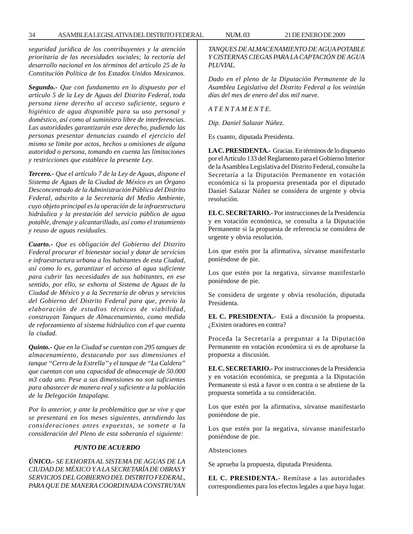*seguridad jurídica de los contribuyentes y la atención prioritaria de las necesidades sociales; la rectoría del desarrollo nacional en los términos del artículo 25 de la Constitución Política de los Estados Unidos Mexicanos.*

*Segundo.- Que con fundamento en lo dispuesto por el artículo 5 de la Ley de Aguas del Distrito Federal, toda persona tiene derecho al acceso suficiente, seguro e higiénico de agua disponible para su uso personal y doméstico, así como al suministro libre de interferencias. Las autoridades garantizarán este derecho, pudiendo las personas presentar denuncias cuando el ejercicio del mismo se limite por actos, hechos u omisiones de alguna autoridad o persona, tomando en cuenta las limitaciones y restricciones que establece la presente Ley.*

*Tercero.- Que el artículo 7 de la Ley de Aguas, dispone el Sistema de Aguas de la Ciudad de México es un Órgano Desconcentrado de la Administración Pública del Distrito Federal, adscrito a la Secretaría del Medio Ambiente, cuyo objeto principal es la operación de la infraestructura hidráulica y la prestación del servicio público de agua potable, drenaje y alcantarillado, así como el tratamiento y reuso de aguas residuales.*

*Cuarto.- Que es obligación del Gobierno del Distrito Federal procurar el bienestar social y dotar de servicios e infraestructura urbana a los habitantes de esta Ciudad, así como lo es, garantizar el acceso al agua suficiente para cubrir las necesidades de sus habitantes, en ese sentido, por ello, se exhorta al Sistema de Aguas de la Ciudad de México y a la Secretaría de obras y servicios del Gobierno del Distrito Federal para que, previo la elaboración de estudios técnicos de viabilidad, construyan Tanques de Almacenamiento, como medida de reforzamiento al sistema hidráulico con el que cuenta la ciudad.*

*Quinto.- Que en la Ciudad se cuentan con 295 tanques de almacenamiento, destacando por sus dimensiones el tanque ''Cerro de la Estrella'' y el tanque de ''La Caldera'' que cuentan con una capacidad de almacenaje de 50.000 m3 cada uno. Pese a sus dimensiones no son suficientes para abastecer de manera real y suficiente a la población de la Delegación Iztapalapa.*

*Por lo anterior, y ante la problemática que se vive y que se presentará en los meses siguientes, atendiendo las consideraciones antes expuestas, se somete a la consideración del Pleno de esta soberanía el siguiente:*

# *PUNTO DE ACUERDO*

*ÚNICO.- SE EXHORTA AL SISTEMA DE AGUAS DE LA CIUDAD DE MÉXICO Y A LA SECRETARÍA DE OBRAS Y SERVICIOS DEL GOBIERNO DEL DISTRITO FEDERAL, PARA QUE DE MANERA COORDINADA CONSTRUYAN* *TANQUES DE ALMACENAMIENTO DE AGUA POTABLE Y CISTERNAS CIEGAS PARA LA CAPTACIÓN DE AGUA PLUVIAL.*

*Dado en el pleno de la Diputación Permanente de la Asamblea Legislativa del Distrito Federal a los veintiún días del mes de enero del dos mil nueve.*

*A T E N T A M E N T E.*

*Dip. Daniel Salazar Núñez.*

Es cuanto, diputada Presidenta.

**LA C. PRESIDENTA.-** Gracias. En términos de lo dispuesto por el Artículo 133 del Reglamento para el Gobierno Interior de la Asamblea Legislativa del Distrito Federal, consulte la Secretaría a la Diputación Permanente en votación económica si la propuesta presentada por el diputado Daniel Salazar Núñez se considera de urgente y obvia resolución.

**EL C. SECRETARIO.-** Por instrucciones de la Presidencia y en votación económica, se consulta a la Diputación Permanente si la propuesta de referencia se considera de urgente y obvia resolución.

Los que estén por la afirmativa, sírvanse manifestarlo poniéndose de pie.

Los que estén por la negativa, sírvanse manifestarlo poniéndose de pie.

Se considera de urgente y obvia resolución, diputada Presidenta.

**EL C. PRESIDENTA.-** Está a discusión la propuesta. ¿Existen oradores en contra?

Proceda la Secretaría a preguntar a la Diputación Permanente en votación económica si es de aprobarse la propuesta a discusión.

**EL C. SECRETARIO.-** Por instrucciones de la Presidencia y en votación económica, se pregunta a la Diputación Permanente si está a favor o en contra o se abstiene de la propuesta sometida a su consideración.

Los que estén por la afirmativa, sírvanse manifestarlo poniéndose de pie.

Los que estén por la negativa, sírvanse manifestarlo poniéndose de pie.

Abstenciones

Se aprueba la propuesta, diputada Presidenta.

**EL C. PRESIDENTA.-** Remítase a las autoridades correspondientes para los efectos legales a que haya lugar.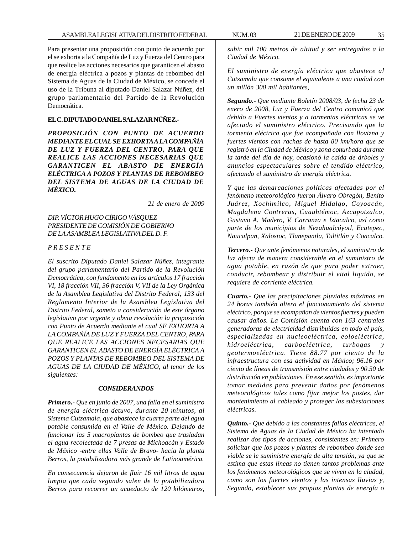Para presentar una proposición con punto de acuerdo por el se exhorta a la Compañía de Luz y Fuerza del Centro para que realice las acciones necesarios que garanticen el abasto de energía eléctrica a pozos y plantas de rebombeo del Sistema de Aguas de la Ciudad de México, se concede el uso de la Tribuna al diputado Daniel Salazar Núñez, del grupo parlamentario del Partido de la Revolución Democrática.

# **EL C. DIPUTADO DANIEL SALAZAR NÚÑEZ.-**

*PROPOSICIÓN CON PUNTO DE ACUERDO MEDIANTE EL CUAL SE EXHORTA A LA COMPAÑÍA DE LUZ Y FUERZA DEL CENTRO, PARA QUE REALICE LAS ACCIONES NECESARIAS QUE GARANTICEN EL ABASTO DE ENERGÍA ELÉCTRICA A POZOS Y PLANTAS DE REBOMBEO DEL SISTEMA DE AGUAS DE LA CIUDAD DE MÉXICO.*

*21 de enero de 2009*

*DIP. VÍCTOR HUGO CÍRIGO VÁSQUEZ PRESIDENTE DE COMISIÓN DE GOBIERNO DE LA ASAMBLEA LEGISLATIVA DEL D. F.*

#### *P R E S E N T E*

*El suscrito Diputado Daniel Salazar Núñez, integrante del grupo parlamentario del Partido de la Revolución Democrática, con fundamento en los artículos 17 fracción VI, 18 fracción VII, 36 fracción V, VII de la Ley Orgánica de la Asamblea Legislativa del Distrito Federal; 133 del Reglamento Interior de la Asamblea Legislativa del Distrito Federal, someto a consideración de este órgano legislativo por urgente y obvia resolución la proposición con Punto de Acuerdo mediante el cual SE EXHORTA A LA COMPAÑÍA DE LUZ Y FUERZA DEL CENTRO, PARA QUE REALICE LAS ACCIONES NECESARIAS QUE GARANTICEN EL ABASTO DE ENERGÍA ELÉCTRICA A POZOS Y PLANTAS DE REBOMBEO DEL SISTEMA DE AGUAS DE LA CIUDAD DE MÉXICO, al tenor de los siguientes:*

#### *CONSIDERANDOS*

*Primero.- Que en junio de 2007, una falla en el suministro de energía eléctrica detuvo, durante 20 minutos, al Sistema Cutzamala, que abastece la cuarta parte del agua potable consumida en el Valle de México. Dejando de funcionar las 5 macroplantas de bombeo que trasladan el agua recolectada de 7 presas de Michoacán y Estado de México -entre ellas Valle de Bravo- hacia la planta Berros, la potabilizadora más grande de Latinoamérica.*

*En consecuencia dejaron de fluir 16 mil litros de agua limpia que cada segundo salen de la potabilizadora Berros para recorrer un acueducto de 120 kilómetros,* *subir mil 100 metros de altitud y ser entregados a la Ciudad de México.*

*El suministro de energía eléctrica que abastece al Cutzamala que consume el equivalente a una ciudad con un millón 300 mil habitantes,*

*Segundo.- Que mediante Boletín 2008/03, de fecha 23 de enero de 2008, Luz y Fuerza del Centro comunicó que debido a Fuertes vientos y a tormentas eléctricas se ve afectado el suministro eléctrico. Precisando que la tormenta eléctrica que fue acompañada con llovizna y fuertes vientos con rachas de hasta 80 km/hora que se registró en la Ciudad de México y zona conurbada durante la tarde del día de hoy, ocasionó la caída de árboles y anuncios espectaculares sobre el tendido eléctrico, afectando el suministro de energía eléctrica.*

*Y que las demarcaciones políticas afectadas por el fenómeno meteorológico fueron Álvaro Obregón, Benito Juárez, Xochimilco, Miguel Hidalgo, Coyoacán, Magdalena Contreras, Cuauhtémoc, Azcapotzalco, Gustavo A. Madero, V. Carranza e Iztacalco, así como parte de los municipios de Nezahualcóyotl, Ecatepec, Naucalpan, Xalostoc, Tlanepantla, Tultitlán y Coacalco.*

*Tercero.- Que ante fenómenos naturales, el suministro de luz afecta de manera considerable en el suministro de agua potable, en razón de que para poder extraer, conducir, rebombear y distribuir el vital liquido, se requiere de corriente eléctrica.*

*Cuarto.- Que las precipitaciones pluviales máximas en 24 horas también altera el funcionamiento del sistema eléctrico, porque se acompañan de vientos fuertes y pueden causar daños. La Comisión cuenta con 163 centrales generadoras de electricidad distribuidas en todo el país, especializadas en nucleoeléctrica, eoloeléctrica, hidroeléctrica, carboeléctrica, turbogas y geotermoeléctrica. Tiene 88.77 por ciento de la infraestructura con esa actividad en México; 96.16 por ciento de líneas de transmisión entre ciudades y 90.50 de distribución en poblaciones. En ese sentido, es importante tomar medidas para prevenir daños por fenómenos meteorológicos tales como fijar mejor los postes, dar mantenimiento al cableado y proteger las subestaciones eléctricas.*

*Quinto.- Que debido a las constantes fallas eléctricas, el Sistema de Aguas de la Ciudad de México ha intentado realizar dos tipos de acciones, consistentes en: Primero solicitar que los pozos y plantas de rebombeo donde sea viable se le suministre energía de alta tensión, ya que se estima que estas líneas no tienen tantos problemas ante los fenómenos meteorológicos que se viven en la ciudad, como son los fuertes vientos y las intensas lluvias y, Segundo, establecer sus propias plantas de energía o*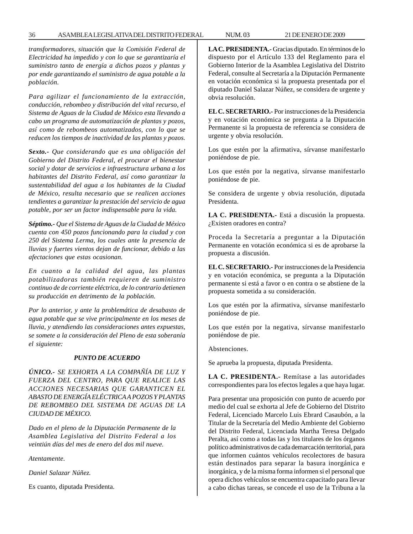*transformadores, situación que la Comisión Federal de Electricidad ha impedido y con lo que se garantizaría el suministro tanto de energía a dichos pozos y plantas y por ende garantizando el suministro de agua potable a la población.*

*Para agilizar el funcionamiento de la extracción, conducción, rebombeo y distribución del vital recurso, el Sistema de Aguas de la Ciudad de México esta llevando a cabo un programa de automatización de plantas y pozos, así como de rebombeos automatizados, con lo que se reducen los tiempos de inactividad de las plantas y pozos.*

*Sexto.- Que considerando que es una obligación del Gobierno del Distrito Federal, el procurar el bienestar social y dotar de servicios e infraestructura urbana a los habitantes del Distrito Federal, así como garantizar la sustentabilidad del agua a los habitantes de la Ciudad de México, resulta necesario que se realicen acciones tendientes a garantizar la prestación del servicio de agua potable, por ser un factor indispensable para la vida.*

*Séptimo.- Que el Sistema de Aguas de la Ciudad de México cuenta con 450 pozos funcionando para la ciudad y con 250 del Sistema Lerma, los cuales ante la presencia de lluvias y fuertes vientos dejan de funcionar, debido a las afectaciones que estas ocasionan.*

*En cuanto a la calidad del agua, las plantas potabilizadoras también requieren de suministro continuo de de corriente eléctrica, de lo contrario detienen su producción en detrimento de la población.*

*Por lo anterior, y ante la problemática de desabasto de agua potable que se vive principalmente en los meses de lluvia, y atendiendo las consideraciones antes expuestas, se somete a la consideración del Pleno de esta soberanía el siguiente:*

#### *PUNTO DE ACUERDO*

*ÚNICO.- SE EXHORTA A LA COMPAÑÍA DE LUZ Y FUERZA DEL CENTRO, PARA QUE REALICE LAS ACCIONES NECESARIAS QUE GARANTICEN EL ABASTO DE ENERGÍA ELÉCTRICA A POZOS Y PLANTAS DE REBOMBEO DEL SISTEMA DE AGUAS DE LA CIUDAD DE MÉXICO.*

*Dado en el pleno de la Diputación Permanente de la Asamblea Legislativa del Distrito Federal a los veintiún días del mes de enero del dos mil nueve.*

*Atentamente.*

*Daniel Salazar Núñez.*

Es cuanto, diputada Presidenta.

**LA C. PRESIDENTA.-** Gracias diputado. En términos de lo dispuesto por el Artículo 133 del Reglamento para el Gobierno Interior de la Asamblea Legislativa del Distrito Federal, consulte al Secretaría a la Diputación Permanente en votación económica si la propuesta presentada por el diputado Daniel Salazar Núñez, se considera de urgente y obvia resolución.

**EL C. SECRETARIO.-** Por instrucciones de la Presidencia y en votación económica se pregunta a la Diputación Permanente si la propuesta de referencia se considera de urgente y obvia resolución.

Los que estén por la afirmativa, sírvanse manifestarlo poniéndose de pie.

Los que estén por la negativa, sírvanse manifestarlo poniéndose de pie.

Se considera de urgente y obvia resolución, diputada Presidenta.

**LA C. PRESIDENTA.-** Está a discusión la propuesta. ¿Existen oradores en contra?

Proceda la Secretaría a preguntar a la Diputación Permanente en votación económica si es de aprobarse la propuesta a discusión.

**EL C. SECRETARIO.-** Por instrucciones de la Presidencia y en votación económica, se pregunta a la Diputación permanente si está a favor o en contra o se abstiene de la propuesta sometida a su consideración.

Los que estén por la afirmativa, sírvanse manifestarlo poniéndose de pie.

Los que estén por la negativa, sírvanse manifestarlo poniéndose de pie.

Abstenciones.

Se aprueba la propuesta, diputada Presidenta.

**LA C. PRESIDENTA.-** Remítase a las autoridades correspondientes para los efectos legales a que haya lugar.

Para presentar una proposición con punto de acuerdo por medio del cual se exhorta al Jefe de Gobierno del Distrito Federal, Licenciado Marcelo Luis Ebrard Casaubón, a la Titular de la Secretaría del Medio Ambiente del Gobierno del Distrito Federal, Licenciada Martha Teresa Delgado Peralta, así como a todas las y los titulares de los órganos político administrativos de cada demarcación territorial, para que informen cuántos vehículos recolectores de basura están destinados para separar la basura inorgánica e inorgánica, y de la misma forma informen si el personal que opera dichos vehículos se encuentra capacitado para llevar a cabo dichas tareas, se concede el uso de la Tribuna a la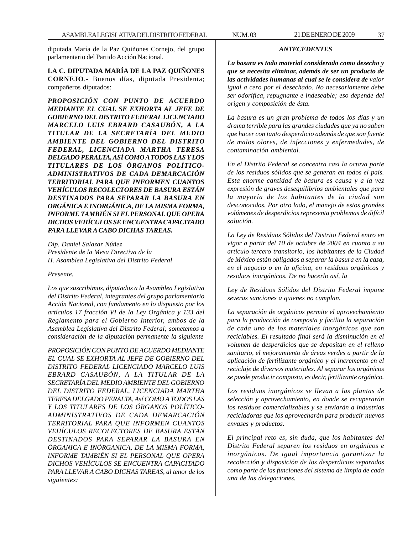diputada María de la Paz Quiñones Cornejo, del grupo parlamentario del Partido Acción Nacional.

**LA C. DIPUTADA MARÍA DE LA PAZ QUIÑONES CORNEJO**.- Buenos días, diputada Presidenta; compañeros diputados:

*PROPOSICIÓN CON PUNTO DE ACUERDO MEDIANTE EL CUAL SE EXHORTA AL JEFE DE GOBIERNO DEL DISTRITO FEDERAL LICENCIADO MARCELO LUIS EBRARD CASAUBÓN, A LA TITULAR DE LA SECRETARÍA DEL MEDIO AMBIENTE DEL GOBIERNO DEL DISTRITO FEDERAL, LICENCIADA MARTHA TERESA DELGADO PERALTA, ASÍ COMO A TODOS LAS Y LOS TITULARES DE LOS ÓRGANOS POLÍTICO-ADMINISTRATIVOS DE CADA DEMARCACIÓN TERRITORIAL PARA QUE INFORMEN CUANTOS VEHÍCULOS RECOLECTORES DE BASURA ESTÁN DESTINADOS PARA SEPARAR LA BASURA EN ORGÁNICA E INORGÁNICA, DE LA MISMA FORMA, INFORME TAMBIÉN SI EL PERSONAL QUE OPERA DICHOS VEHÍCULOS SE ENCUENTRA CAPACITADO PARA LLEVAR A CABO DICHAS TAREAS.*

*Dip. Daniel Salazar Núñez Presidente de la Mesa Directiva de la H. Asamblea Legislativa del Distrito Federal*

### *Presente.*

*Los que suscribimos, diputados a la Asamblea Legislativa del Distrito Federal, integrantes del grupo parlamentario Acción Nacional, con fundamento en lo dispuesto por los artículos 17 fracción VI de la Ley Orgánica y 133 del Reglamento para el Gobierno Interior, ambos de la Asamblea Legislativa del Distrito Federal; sometemos a consideración de la diputación permanente la siguiente*

*PROPOSICIÓN CON PUNTO DE ACUERDO MEDIANTE EL CUAL SE EXHORTA AL JEFE DE GOBIERNO DEL DISTRITO FEDERAL LICENCIADO MARCELO LUIS EBRARD CASAUBÓN, A LA TITULAR DE LA SECRETARÍA DEL MEDIO AMBIENTE DEL GOBIERNO DEL DISTRITO FEDERAL, LICENCIADA MARTHA TERESA DELGADO PERALTA, Así COMO A TODOS LAS Y LOS TITULARES DE LOS ÓRGANOS POLÍTICO-ADMINISTRATIVOS DE CADA DEMARCACIÓN TERRITORIAL PARA QUE INFORMEN CUANTOS VEHÍCULOS RECOLECTORES DE BASURA ESTÁN DESTINADOS PARA SEPARAR LA BASURA EN ÓRGANICA E INÓRGANICA, DE LA MISMA FORMA, INFORME TAMBIÉN SI EL PERSONAL QUE OPERA DICHOS VEHÍCULOS SE ENCUENTRA CAPACITADO PARA LLEVAR A CABO DICHAS TAREAS, al tenor de los siguientes:*

## *ANTECEDENTES*

*La basura es todo material considerado como desecho y que se necesita eliminar, además de ser un producto de las actividades humanas al cual se le considera de valor igual a cero por el desechado. No necesariamente debe ser odorífica, repugnante e indeseable; eso depende del origen y composición de ésta.*

*La basura es un gran problema de todos los días y un drama terrible para las grandes ciudades que ya no saben que hacer con tanto desperdicio además de que son fuente de malos olores, de infecciones y enfermedades, de contaminación ambiental.*

*En el Distrito Federal se concentra casi la octava parte de los residuos sólidos que se generan en todos el país. Esta enorme cantidad de basura es causa y a la vez expresión de graves desequilibrios ambientales que para la mayoría de los habitantes de la ciudad son desconocidos. Por otro lado, el manejo de estos grandes volúmenes de desperdicios representa problemas de difícil solución.*

*La Ley de Residuos Sólidos del Distrito Federal entro en vigor a partir del 10 de octubre de 2004 en cuanto a su artículo tercero transitorio, los habitantes de la Ciudad de México están obligados a separar la basura en la casa, en el negocio o en la oficina, en residuos orgánicos y residuos inorgánicos. De no hacerlo así, la*

*Ley de Residuos Sólidos del Distrito Federal impone severas sanciones a quienes no cumplan.*

*La separación de orgánicos permite el aprovechamiento para la producción de composta y facilita la separación de cada uno de los materiales inorgánicos que son reciclables. El resultado final será la disminución en el volumen de desperdicios que se depositan en el relleno sanitario, el mejoramiento de áreas verdes a partir de la aplicación de fertilizante orgánico y el incremento en el reciclaje de diversos materiales. Al separar los orgánicos se puede producir composta, es decir, fertilizante orgánico.*

*Los residuos inorgánicos se llevan a las plantas de selección y aprovechamiento, en donde se recuperarán los residuos comercializables y se enviarán a industrias recicladoras que los aprovecharán para producir nuevos envases y productos.*

*El principal reto es, sin duda, que los habitantes del Distrito Federal separen los residuos en orgánicos e inorgánicos. De igual importancia garantizar la recolección y disposición de los desperdicios separados como parte de las funciones del sistema de limpia de cada una de las delegaciones.*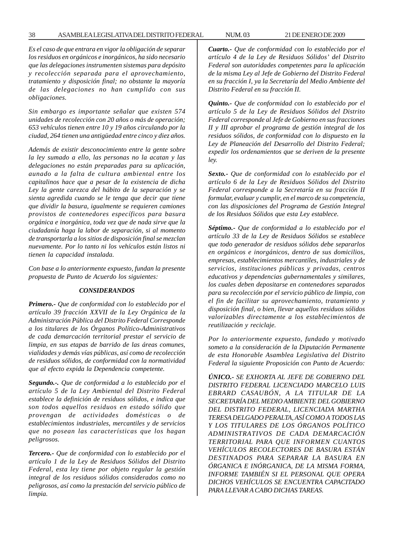*Es el caso de que entrara en vigor la obligación de separar los residuos en orgánicos e inorgánicos, ha sido necesario que las delegaciones instrumenten sistemas para depósito y recolección separada para el aprovechamiento, tratamiento y disposición final; no obstante la mayoría de las delegaciones no han cumplido con sus obligaciones.*

*Sin embargo es importante señalar que existen 574 unidades de recolección con 20 años o más de operación; 653 vehículos tienen entre 10 y 19 años circulando por la ciudad, 264 tienen una antigüedad entre cinco y diez años.*

*Además de existir desconocimiento entre la gente sobre la ley sumado a ello, las personas no la acatan y las delegaciones no están preparadas para su aplicación, aunado a la falta de cultura ambiental entre los capitalinos hace que a pesar de la existencia de dicha Ley la gente carezca del hábito de la separación y se sienta agredida cuando se le tenga que decir que tiene que dividir la basura, igualmente se requieren camiones provistos de contenedores específicos para basura orgánica e inorgánica, toda vez que de nada sirve que la ciudadanía haga la labor de separación, si al momento de transportarla a los sitios de disposición final se mezclan nuevamente. Por lo tanto ni los vehículos están listos ni tienen la capacidad instalada.*

*Con base a lo anteriormente expuesto, fundan la presente propuesta de Punto de Acuerdo los siguientes:*

#### *CONSIDERANDOS*

*Primero.- Que de conformidad con lo establecido por el artículo 39 fracción XXVII de la Ley Orgánica de la Administración Pública del Distrito Federal Corresponde a los titulares de los Órganos Político-Administrativos de cada demarcación territorial prestar el servicio de limpia, en sus etapas de barrido de las áreas comunes, vialidades y demás vías públicas, así como de recolección de residuos sólidos, de conformidad con la normatividad que al efecto expida la Dependencia competente.*

*Segundo.-. Que de conformidad a lo establecido por el artículo 5 de la Ley Ambiental del Distrito Federal establece la definición de residuos sólidos, e indica que son todos aquellos residuos en estado sólido que provengan de actividades domésticas o de establecimientos industriales, mercantiles y de servicios que no posean las características que los hagan peligrosos.*

*Tercero.- Que de conformidad con lo establecido por el artículo 1 de la Ley de Residuos Sólidos del Distrito Federal, esta ley tiene por objeto regular la gestión integral de los residuos sólidos considerados como no peligrosos, así como la prestación del servicio público de limpia.*

*Cuarto.- Que de conformidad con lo establecido por el artículo 4 de la Ley de Residuos Sólidos' del Distrito Federal son autoridades competentes para la aplicación de la misma Ley al Jefe de Gobierno del Distrito Federal en su fracción I, ya la Secretaría del Medio Ambiente del Distrito Federal en su fracción II.*

*Quinto.- Que de conformidad con lo establecido por el artículo 5 de la Ley de Residuos Sólidos del Distrito Federal corresponde al Jefe de Gobierno en sus fracciones II y III aprobar el programa de gestión integral de los residuos sólidos, de conformidad con lo dispuesto en la Ley de Planeación del Desarrollo del Distrito Federal; expedir los ordenamientos que se deriven de la presente ley.*

*Sexto.- Que de conformidad con lo establecido por el artículo 6 de la Ley de Residuos Sólidos del Distrito Federal corresponde a la Secretaría en su fracción II formular, evaluar y cumplir, en el marco de su competencia, con las disposiciones del Programa de Gestión Integral de los Residuos Sólidos que esta Ley establece.*

*Séptimo.- Que de conformidad a lo establecido por el artículo 33 de la Ley de Residuos Sólidos se establece que todo generador de residuos sólidos debe separarlos en orgánicos e inorgánicos, dentro de sus domicilios, empresas, establecimientos mercantiles, industriales y de servicios, instituciones públicas y privadas, centros educativos y dependencias gubernamentales y similares, los cuales deben depositarse en contenedores separados para su recolección por el servicio público de limpia, con el fin de facilitar su aprovechamiento, tratamiento y disposición final, o bien, llevar aquellos residuos sólidos valorizables directamente a los establecimientos de reutilización y reciclaje.*

*Por lo anteriormente expuesto, fundado y motivado someto a la consideración de la Diputación Permanente de esta Honorable Asamblea Legislativa del Distrito Federal la siguiente Proposición con Punto de Acuerdo:*

*ÚNICO.- SE EXHORTA AL JEFE DE GOBIERNO DEL DISTRITO FEDERAL LICENCIADO MARCELO LUIS EBRARD CASAUBÓN, A LA TITULAR DE LA SECRETARÍA DEL MEDIO AMBIENTE DEL GOBIERNO DEL DISTRITO FEDERAL, LICENCIADA MARTHA TERESA DELGADO PERALTA, ASÍ COMO A TODOS LAS Y LOS TITULARES DE LOS ÓRGANOS POLÍTICO ADMINISTRATIVOS DE CADA DEMARCACIÓN TERRITORIAL PARA QUE INFORMEN CUANTOS VEHÍCULOS RECOLECTORES DE BASURA ESTÁN DESTINADOS PARA SEPARAR LA BASURA EN ÓRGANICA E INÓRGANICA, DE LA MISMA FORMA, INFORME TAMBIÉN SI EL PERSONAL QUE OPERA DICHOS VEHÍCULOS SE ENCUENTRA CAPACITADO PARA LLEVAR A CABO DICHAS TAREAS.*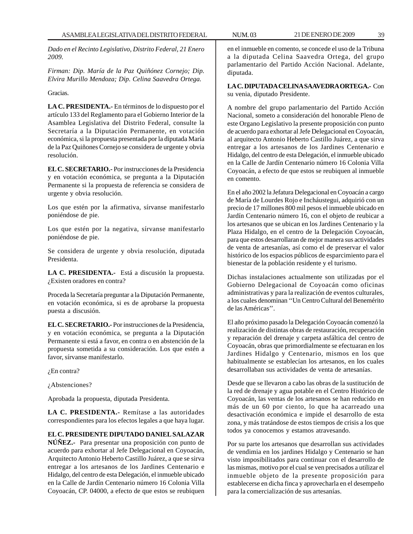*Dado en el Recinto Legislativo, Distrito Federal, 21 Enero 2009.*

*Firman: Dip. María de la Paz Quiñónez Cornejo; Dip. Elvira Murillo Mendoza; Dip. Celina Saavedra Ortega.*

Gracias.

**LA C. PRESIDENTA.-** En términos de lo dispuesto por el artículo 133 del Reglamento para el Gobierno Interior de la Asamblea Legislativa del Distrito Federal, consulte la Secretaría a la Diputación Permanente, en votación económica, si la propuesta presentada por la diputada María de la Paz Quiñones Cornejo se considera de urgente y obvia resolución.

**EL C. SECRETARIO.-** Por instrucciones de la Presidencia y en votación económica, se pregunta a la Diputación Permanente si la propuesta de referencia se considera de urgente y obvia resolución.

Los que estén por la afirmativa, sírvanse manifestarlo poniéndose de pie.

Los que estén por la negativa, sírvanse manifestarlo poniéndose de pie.

Se considera de urgente y obvia resolución, diputada Presidenta.

**LA C. PRESIDENTA.-** Está a discusión la propuesta. ¿Existen oradores en contra?

Proceda la Secretaría preguntar a la Diputación Permanente, en votación económica, si es de aprobarse la propuesta puesta a discusión.

**EL C. SECRETARIO.-** Por instrucciones de la Presidencia, y en votación económica, se pregunta a la Diputación Permanente si está a favor, en contra o en abstención de la propuesta sometida a su consideración. Los que estén a favor, sírvanse manifestarlo.

¿En contra?

¿Abstenciones?

Aprobada la propuesta, diputada Presidenta.

**LA C. PRESIDENTA.-** Remítase a las autoridades correspondientes para los efectos legales a que haya lugar.

**EL C. PRESIDENTE DIPUTADO DANIEL SALAZAR NÚÑEZ.-** Para presentar una proposición con punto de acuerdo para exhortar al Jefe Delegacional en Coyoacán, Arquitecto Antonio Heberto Castillo Juárez, a que se sirva entregar a los artesanos de los Jardines Centenario e Hidalgo, del centro de esta Delegación, el inmueble ubicado en la Calle de Jardín Centenario número 16 Colonia Villa Coyoacán, CP. 04000, a efecto de que estos se reubiquen

en el inmueble en comento, se concede el uso de la Tribuna a la diputada Celina Saavedra Ortega, del grupo parlamentario del Partido Acción Nacional. Adelante, diputada.

**LA C. DIPUTADA CELINA SAAVEDRA ORTEGA.-** Con su venia, diputado Presidente.

A nombre del grupo parlamentario del Partido Acción Nacional, someto a consideración del honorable Pleno de este Organo Legislativo la presente proposición con punto de acuerdo para exhortar al Jefe Delegacional en Coyoacán, al arquitecto Antonio Heberto Castillo Juárez, a que sirva entregar a los artesanos de los Jardines Centenario e Hidalgo, del centro de esta Delegación, el inmueble ubicado en la Calle de Jardín Centenario número 16 Colonia Villa Coyoacán, a efecto de que estos se reubiquen al inmueble en comento.

En el año 2002 la Jefatura Delegacional en Coyoacán a cargo de María de Lourdes Rojo e Incháustegui, adquirió con un precio de 17 millones 800 mil pesos el inmueble ubicado en Jardín Centenario número 16, con el objeto de reubicar a los artesanos que se ubican en los Jardines Centenario y la Plaza Hidalgo, en el centro de la Delegación Coyoacán, para que estos desarrollaran de mejor manera sus actividades de venta de artesanías, así como el de preservar el valor histórico de los espacios públicos de esparcimiento para el bienestar de la población residente y el turismo.

Dichas instalaciones actualmente son utilizadas por el Gobierno Delegacional de Coyoacán como oficinas administrativas y para la realización de eventos culturales, a los cuales denominan ''Un Centro Cultural del Benemérito de las Américas''.

El año próximo pasado la Delegación Coyoacán comenzó la realización de distintas obras de restauración, recuperación y reparación del drenaje y carpeta asfáltica del centro de Coyoacán, obras que primordialmente se efectuaran en los Jardines Hidalgo y Centenario, mismos en los que habitualmente se establecían los artesanos, en los cuales desarrollaban sus actividades de venta de artesanías.

Desde que se llevaron a cabo las obras de la sustitución de la red de drenaje y agua potable en el Centro Histórico de Coyoacán, las ventas de los artesanos se han reducido en más de un 60 por ciento, lo que ha acarreado una desactivación económica e impide el desarrollo de esta zona, y más tratándose de estos tiempos de crisis a los que todos ya conocemos y estamos atravesando.

Por su parte los artesanos que desarrollan sus actividades de vendimia en los jardines Hidalgo y Centenario se han visto imposibilitados para continuar con el desarrollo de las mismas, motivo por el cual se ven precisados a utilizar el inmueble objeto de la presente proposición para establecerse en dicha finca y aprovecharla en el desempeño para la comercialización de sus artesanías.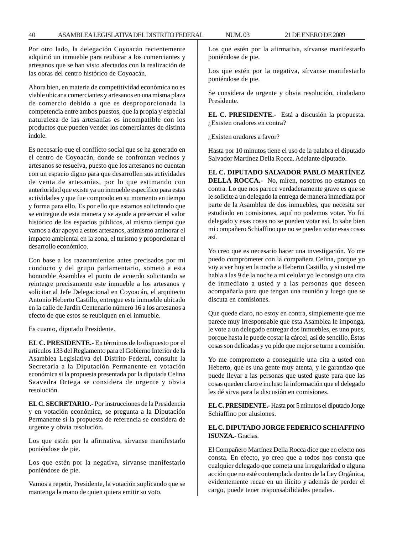Por otro lado, la delegación Coyoacán recientemente adquirió un inmueble para reubicar a los comerciantes y artesanos que se han visto afectados con la realización de las obras del centro histórico de Coyoacán.

Ahora bien, en materia de competitividad económica no es viable ubicar a comerciantes y artesanos en una misma plaza de comercio debido a que es desproporcionada la competencia entre ambos puestos, que la propia y especial naturaleza de las artesanías es incompatible con los productos que pueden vender los comerciantes de distinta índole.

Es necesario que el conflicto social que se ha generado en el centro de Coyoacán, donde se confrontan vecinos y artesanos se resuelva, puesto que los artesanos no cuentan con un espacio digno para que desarrollen sus actividades de venta de artesanías, por lo que estimando con anterioridad que existe ya un inmueble específico para estas actividades y que fue comprado en su momento en tiempo y forma para ello. Es por ello que estamos solicitando que se entregue de esta manera y se ayude a preservar el valor histórico de los espacios públicos, al mismo tiempo que vamos a dar apoyo a estos artesanos, asimismo aminorar el impacto ambiental en la zona, el turismo y proporcionar el desarrollo económico.

Con base a los razonamientos antes precisados por mi conducto y del grupo parlamentario, someto a esta honorable Asamblea el punto de acuerdo solicitando se reintegre precisamente este inmueble a los artesanos y solicitar al Jefe Delegacional en Coyoacán, el arquitecto Antonio Heberto Castillo, entregue este inmueble ubicado en la calle de Jardín Centenario número 16 a los artesanos a efecto de que estos se reubiquen en el inmueble.

Es cuanto, diputado Presidente.

**EL C. PRESIDENTE.-** En términos de lo dispuesto por el artículos 133 del Reglamento para el Gobierno Interior de la Asamblea Legislativa del Distrito Federal, consulte la Secretaría a la Diputación Permanente en votación económica si la propuesta presentada por la diputada Celina Saavedra Ortega se considera de urgente y obvia resolución.

**EL C. SECRETARIO.-** Por instrucciones de la Presidencia y en votación económica, se pregunta a la Diputación Permanente si la propuesta de referencia se considera de urgente y obvia resolución.

Los que estén por la afirmativa, sírvanse manifestarlo poniéndose de pie.

Los que estén por la negativa, sírvanse manifestarlo poniéndose de pie.

Vamos a repetir, Presidente, la votación suplicando que se mantenga la mano de quien quiera emitir su voto.

Los que estén por la afirmativa, sírvanse manifestarlo poniéndose de pie.

Los que estén por la negativa, sírvanse manifestarlo poniéndose de pie.

Se considera de urgente y obvia resolución, ciudadano Presidente.

**EL C. PRESIDENTE.-** Está a discusión la propuesta. ¿Existen oradores en contra?

¿Existen oradores a favor?

Hasta por 10 minutos tiene el uso de la palabra el diputado Salvador Martínez Della Rocca. Adelante diputado.

**EL C. DIPUTADO SALVADOR PABLO MARTÍNEZ DELLA ROCCA.-** No, miren, nosotros no estamos en contra. Lo que nos parece verdaderamente grave es que se le solicite a un delegado la entrega de manera inmediata por parte de la Asamblea de dos inmuebles, que necesita ser estudiado en comisiones, aquí no podemos votar. Yo fui delegado y esas cosas no se pueden votar así, lo sabe bien mi compañero Schiaffino que no se pueden votar esas cosas así.

Yo creo que es necesario hacer una investigación. Yo me puedo comprometer con la compañera Celina, porque yo voy a ver hoy en la noche a Heberto Castillo, y si usted me habla a las 9 de la noche a mi celular yo le consigo una cita de inmediato a usted y a las personas que deseen acompañarla para que tengan una reunión y luego que se discuta en comisiones.

Que quede claro, no estoy en contra, simplemente que me parece muy irresponsable que esta Asamblea le imponga, le vote a un delegado entregar dos inmuebles, es uno pues, porque hasta le puede costar la cárcel, así de sencillo. Éstas cosas son delicadas y yo pido que mejor se turne a comisión.

Yo me comprometo a conseguirle una cita a usted con Heberto, que es una gente muy atenta, y le garantizo que puede llevar a las personas que usted guste para que las cosas queden claro e incluso la información que el delegado les dé sirva para la discusión en comisiones.

**EL C. PRESIDENTE.-** Hasta por 5 minutos el diputado Jorge Schiaffino por alusiones.

# **EL C. DIPUTADO JORGE FEDERICO SCHIAFFINO ISUNZA.-** Gracias.

El Compañero Martínez Della Rocca dice que en efecto nos consta. En efecto, yo creo que a todos nos consta que cualquier delegado que cometa una irregularidad o alguna acción que no esté contemplada dentro de la Ley Orgánica, evidentemente recae en un ilícito y además de perder el cargo, puede tener responsabilidades penales.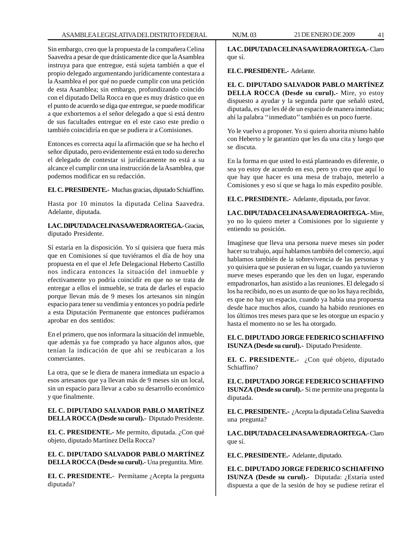Sin embargo, creo que la propuesta de la compañera Celina Saavedra a pesar de que drásticamente dice que la Asamblea instruya para que entregue, está sujeta también a que el propio delegado argumentando jurídicamente contestara a la Asamblea el por qué no puede cumplir con una petición de esta Asamblea; sin embargo, profundizando coincido con el diputado Della Rocca en que es muy drástico que en el punto de acuerdo se diga que entregue, se puede modificar a que exhortemos a el señor delegado a que si está dentro de sus facultades entregue en el este caso este predio o también coincidiría en que se pudiera ir a Comisiones.

Entonces es correcta aquí la afirmación que se ha hecho el señor diputado, pero evidentemente está en todo su derecho el delegado de contestar si jurídicamente no está a su alcance el cumplir con una instrucción de la Asamblea, que podemos modificar en su redacción.

**EL C. PRESIDENTE.-** Muchas gracias, diputado Schiaffino.

Hasta por 10 minutos la diputada Celina Saavedra. Adelante, diputada.

**LA C. DIPUTADA CELINA SAAVEDRA ORTEGA.-** Gracias, diputado Presidente.

Sí estaría en la disposición. Yo sí quisiera que fuera más que en Comisiones sí que tuviéramos el día de hoy una propuesta en el que el Jefe Delegacional Heberto Castillo nos indicara entonces la situación del inmueble y efectivamente yo podría coincidir en que no se trata de entregar a ellos el inmueble, se trata de darles el espacio porque llevan más de 9 meses los artesanos sin ningún espacio para tener su vendimia y entonces yo podría pedirle a esta Diputación Permanente que entonces pudiéramos aprobar en dos sentidos:

En el primero, que nos informara la situación del inmueble, que además ya fue comprado ya hace algunos años, que tenían la indicación de que ahí se reubicaran a los comerciantes.

La otra, que se le diera de manera inmediata un espacio a esos artesanos que ya llevan más de 9 meses sin un local, sin un espacio para llevar a cabo su desarrollo económico y que finalmente.

**EL C. DIPUTADO SALVADOR PABLO MARTÍNEZ DELLA ROCCA (Desde su curul).-** Diputado Presidente.

**EL C. PRESIDENTE.-** Me permito, diputada. ¿Con qué objeto, diputado Martínez Della Rocca?

**EL C. DIPUTADO SALVADOR PABLO MARTÍNEZ DELLA ROCCA (Desde su curul).-** Una preguntita. Mire.

**EL C. PRESIDENTE.-** Permítame ¿Acepta la pregunta diputada?

**LA C. DIPUTADA CELINA SAAVEDRA ORTEGA.-** Claro que sí.

**EL C. PRESIDENTE.-** Adelante.

**EL C. DIPUTADO SALVADOR PABLO MARTÍNEZ DELLA ROCCA (Desde su curul).-** Mire, yo estoy dispuesto a ayudar y la segunda parte que señaló usted, diputada, es que les dé de un espacio de manera inmediata; ahí la palabra ''inmediato'' también es un poco fuerte.

Yo le vuelvo a proponer. Yo si quiero ahorita mismo hablo con Heberto y le garantizo que les da una cita y luego que se discuta.

En la forma en que usted lo está planteando es diferente, o sea yo estoy de acuerdo en eso, pero yo creo que aquí lo que hay que hacer es una mesa de trabajo, meterlo a Comisiones y eso sí que se haga lo más expedito posible.

**EL C. PRESIDENTE.-** Adelante, diputada, por favor.

**LA C. DIPUTADA CELINA SAAVEDRA ORTEGA.-** Mire, yo no lo quiero meter a Comisiones por lo siguiente y entiendo su posición.

Imagínese que lleva una persona nueve meses sin poder hacer su trabajo, aquí hablamos también del comercio, aquí hablamos también de la sobrevivencia de las personas y yo quisiera que se pusieran en su lugar, cuando ya tuvieron nueve meses esperando que les den un lugar, esperando empadronarlos, han asistido a las reuniones. El delegado sí los ha recibido, no es un asunto de que no los haya recibido, es que no hay un espacio, cuando ya había una propuesta desde hace muchos años, cuando ha habido reuniones en los últimos tres meses para que se les otorgue un espacio y hasta el momento no se les ha otorgado.

**EL C. DIPUTADO JORGE FEDERICO SCHIAFFINO ISUNZA (Desde su curul).-** Diputado Presidente.

**EL C. PRESIDENTE.-** ¿Con qué objeto, diputado Schiaffino?

**EL C. DIPUTADO JORGE FEDERICO SCHIAFFINO ISUNZA (Desde su curul).-** Si me permite una pregunta la diputada.

**EL C. PRESIDENTE.-** ¿Acepta la diputada Celina Saavedra una pregunta?

**LA C. DIPUTADA CELINA SAAVEDRA ORTEGA.-** Claro que sí.

**EL C. PRESIDENTE.-** Adelante, diputado.

**EL C. DIPUTADO JORGE FEDERICO SCHIAFFINO ISUNZA (Desde su curul).-** Diputada: ¿Estaría usted dispuesta a que de la sesión de hoy se pudiese retirar el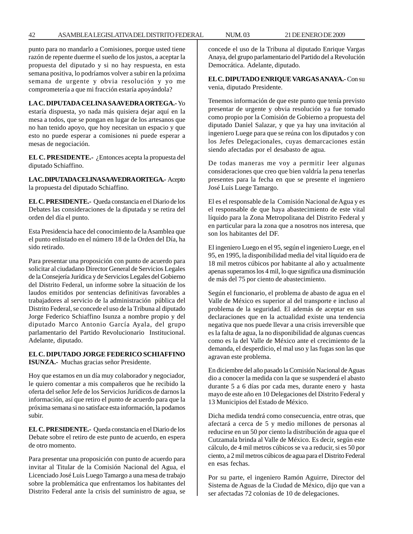punto para no mandarlo a Comisiones, porque usted tiene razón de repente duerme el sueño de los justos, a aceptar la propuesta del diputado y si no hay respuesta, en esta semana positiva, lo podríamos volver a subir en la próxima semana de urgente y obvia resolución y yo me comprometería a que mi fracción estaría apoyándola?

**LA C. DIPUTADA CELINA SAAVEDRA ORTEGA.-** Yo estaría dispuesta, yo nada más quisiera dejar aquí en la mesa a todos, que se pongan en lugar de los artesanos que no han tenido apoyo, que hoy necesitan un espacio y que esto no puede esperar a comisiones ni puede esperar a mesas de negociación.

**EL C. PRESIDENTE.-** ¿Entonces acepta la propuesta del diputado Schiaffino.

**LA C. DIPUTADA CELINA SAAVEDRA ORTEGA.-** Acepto la propuesta del diputado Schiaffino.

**EL C. PRESIDENTE.-** Queda constancia en el Diario de los Debates las consideraciones de la diputada y se retira del orden del día el punto.

Esta Presidencia hace del conocimiento de la Asamblea que el punto enlistado en el número 18 de la Orden del Día, ha sido retirado.

Para presentar una proposición con punto de acuerdo para solicitar al ciudadano Director General de Servicios Legales de la Consejería Jurídica y de Servicios Legales del Gobierno del Distrito Federal, un informe sobre la situación de los laudos emitidos por sentencias definitivas favorables a trabajadores al servicio de la administración pública del Distrito Federal, se concede el uso de la Tribuna al diputado Jorge Federico Schiaffino Isunza a nombre propio y del diputado Marco Antonio García Ayala, del grupo parlamentario del Partido Revolucionario Institucional. Adelante, diputado.

### **EL C. DIPUTADO JORGE FEDERICO SCHIAFFINO ISUNZA.-** Muchas gracias señor Presidente.

Hoy que estamos en un día muy colaborador y negociador, le quiero comentar a mis compañeros que he recibido la oferta del señor Jefe de los Servicios Jurídicos de darnos la información, así que retiro el punto de acuerdo para que la próxima semana si no satisface esta información, la podamos subir.

**EL C. PRESIDENTE.-** Queda constancia en el Diario de los Debate sobre el retiro de este punto de acuerdo, en espera de otro momento.

Para presentar una proposición con punto de acuerdo para invitar al Titular de la Comisión Nacional del Agua, el Licenciado José Luis Luego Tamargo a una mesa de trabajo sobre la problemática que enfrentamos los habitantes del Distrito Federal ante la crisis del suministro de agua, se concede el uso de la Tribuna al diputado Enrique Vargas Anaya, del grupo parlamentario del Partido del a Revolución Democrática. Adelante, diputado.

**EL C. DIPUTADO ENRIQUE VARGAS ANAYA.-** Con su venia, diputado Presidente.

Tenemos información de que este punto que tenía previsto presentar de urgente y obvia resolución ya fue tomado como propio por la Comisión de Gobierno a propuesta del diputado Daniel Salazar, y que ya hay una invitación al ingeniero Luege para que se reúna con los diputados y con los Jefes Delegacionales, cuyas demarcaciones están siendo afectadas por el desabasto de agua.

De todas maneras me voy a permitir leer algunas consideraciones que creo que bien valdría la pena tenerlas presentes para la fecha en que se presente el ingeniero José Luis Luege Tamargo.

El es el responsable de la Comisión Nacional de Agua y es el responsable de que haya abastecimiento de este vital líquido para la Zona Metropolitana del Distrito Federal y en particular para la zona que a nosotros nos interesa, que son los habitantes del DF.

El ingeniero Luego en el 95, según el ingeniero Luege, en el 95, en 1995, la disponibilidad media del vital líquido era de 18 mil metros cúbicos por habitante al año y actualmente apenas superamos los 4 mil, lo que significa una disminución de más del 75 por ciento de abastecimiento.

Según el funcionario, el problema de abasto de agua en el Valle de México es superior al del transporte e incluso al problema de la seguridad. El además de aceptar en sus declaraciones que en la actualidad existe una tendencia negativa que nos puede llevar a una crisis irreversible que es la falta de agua, la no disponibilidad de algunas cuencas como es la del Valle de México ante el crecimiento de la demanda, el desperdicio, el mal uso y las fugas son las que agravan este problema.

En diciembre del año pasado la Comisión Nacional de Aguas dio a conocer la medida con la que se suspenderá el abasto durante 5 a 6 días por cada mes, durante enero y hasta mayo de este año en 10 Delegaciones del Distrito Federal y 13 Municipios del Estado de México.

Dicha medida tendrá como consecuencia, entre otras, que afectará a cerca de 5 y medio millones de personas al reducirse en un 50 por ciento la distribución de agua que el Cutzamala brinda al Valle de México. Es decir, según este cálculo, de 4 mil metros cúbicos se va a reducir, si es 50 por ciento, a 2 mil metros cúbicos de agua para el Distrito Federal en esas fechas.

Por su parte, el ingeniero Ramón Aguirre, Director del Sistema de Aguas de la Ciudad de México, dijo que van a ser afectadas 72 colonias de 10 de delegaciones.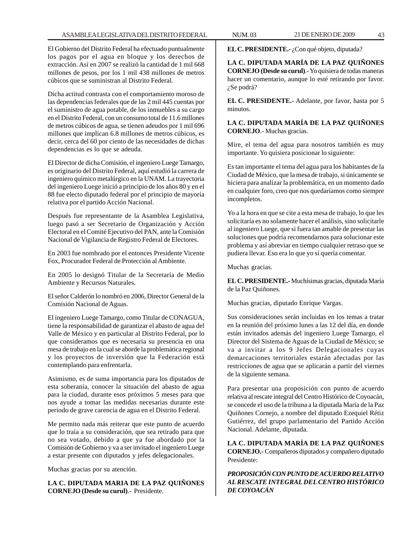El Gobierno del Distrito Federal ha efectuado puntualmente los pagos por el agua en bloque y los derechos de extracción. Así en 2007 se realizó la cantidad de 1 mil 668 millones de pesos, por los 1 mil 438 millones de metros cúbicos que se suministran al Distrito Federal.

Dicha actitud contrasta con el comportamiento moroso de las dependencias federales que de las 2 mil 445 cuentas por el suministro de agua potable, de los inmuebles a su cargo en el Distrito Federal, con un consumo total de 11.6 millones de metros cúbicos de agua, se tienen adeudos por 1 mil 696 millones que implican 6.8 millones de metros cúbicos, es decir, cerca del 60 por ciento de las necesidades de dichas dependencias es lo que se adeuda.

El Director de dicha Comisión, el ingeniero Luege Tamargo, es originario del Distrito Federal, aquí estudió la carrera de ingeniero químico metalúrgico en la UNAM. La trayectoria del ingeniero Luege inició a principio de los años 80 y en el 88 fue electo diputado federal por el principio de mayoría relativa por el partido Acción Nacional.

Después fue representante de la Asamblea Legislativa, luego pasó a ser Secretario de Organización y Acción Electoral en el Comité Ejecutivo del PAN, ante la Comisión Nacional de Vigilancia de Registro Federal de Electores.

En 2003 fue nombrado por el entonces Presidente Vicente Fox, Procurador Federal de Protección al Ambiente.

En 2005 lo designó Titular de la Secretaría de Medio Ambiente y Recursos Naturales.

El señor Calderón lo nombró en 2006, Director General de la Comisión Nacional de Aguas.

El ingeniero Luege Tamargo, como Titular de CONAGUA, tiene la responsabilidad de garantizar el abasto de agua del Valle de México y en particular al Distrito Federal, por lo que consideramos que es necesaria su presencia en una mesa de trabajo en la cual se aborde la problemática regional y los proyectos de inversión que la Federación está contemplando para enfrentarla.

Asimismo, es de suma importancia para los diputados de esta soberanía, conocer la situación del abasto de agua para la ciudad, durante esos próximos 5 meses para que nos ayude a tomar las medidas necesarias durante este periodo de grave carencia de agua en el Distrito Federal.

Me permito nada más reiterar que este punto de acuerdo que lo traía a su consideración, que sea retirado para que no sea votado, debido a que ya fue abordado por la Comisión de Gobierno y va a ser invitado el ingeniero Luege a estar presente con diputados y jefes delegacionales.

Muchas gracias por su atención.

**LA C. DIPUTADA MARIA DE LA PAZ QUIÑONES CORNEJO (Desde su curul)**.- Presidente.

**EL C. PRESIDENTE.-** ¿Con qué objeto, diputada?

**LA C. DIPUTADA MARÍA DE LA PAZ QUIÑONES CORNEJO (Desde su curul)**.- Yo quisiera de todas maneras hacer un comentario, aunque lo esté retirando por favor. ¿Se podrá?

**EL C. PRESIDENTE.-** Adelante, por favor, hasta por 5 minutos.

**LA C. DIPUTADA MARÍA DE LA PAZ QUIÑONES CORNEJO**.- Muchas gracias.

Mire, el tema del agua para nosotros también es muy importante. Yo quisiera posicionar lo siguiente:

Es tan importante el tema del agua para los habitantes de la Ciudad de México, que la mesa de trabajo, si únicamente se hiciera para analizar la problemática, en un momento dado en cualquier foro, creo que nos quedaríamos como siempre incompletos.

Yo a la hora en que se cite a esta mesa de trabajo, lo que les solicitaría es no solamente hacer el análisis, sino solicitarle al ingeniero Luege, que si fuera tan amable de presentar las soluciones que podría recomendarnos para solucionar este problema y así abreviar en tiempo cualquier retraso que se pudiera llevar. Eso era lo que yo sí quería comentar.

Muchas gracias.

**EL C. PRESIDENTE.-** Muchísimas gracias, diputada María de la Paz Quiñones.

Muchas gracias, diputado Enrique Vargas.

Sus consideraciones serán incluidas en los temas a tratar en la reunión del próximo lunes a las 12 del día, en donde están invitados además del ingeniero Luege Tamargo, el Director del Sistema de Aguas de la Ciudad de México; se va a invitar a los 9 Jefes Delegacionales cuyas demarcaciones territoriales estarán afectadas por las restricciones de agua que se aplicarán a partir del viernes de la siguiente semana.

Para presentar una proposición con punto de acuerdo relativa al rescate integral del Centro Histórico de Coyoacán, se concede el uso de la tribuna a la diputada María de la Paz Quiñones Cornejo, a nombre del diputado Ezequiel Rétiz Gutiérrez, del grupo parlamentario del Partido Acción Nacional. Adelante, diputada.

**LA C. DIPUTADA MARÍA DE LA PAZ QUIÑONES CORNEJO.-** Compañeros diputados y compañero diputado Presidente:

*PROPOSICIÓN CON PUNTO DE ACUERDO RELATIVO AL RESCATE INTEGRAL DEL CENTRO HISTÓRICO DE COYOACÁN*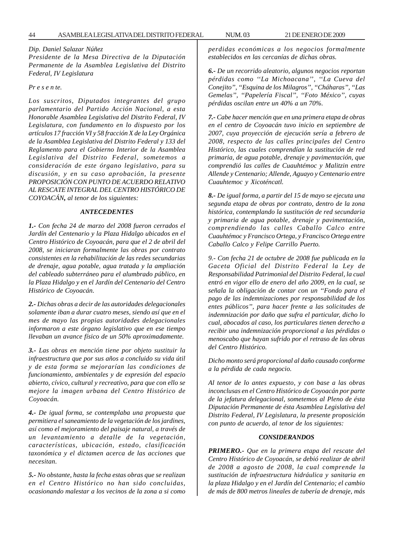# *Dip. Daniel Salazar Núñez*

*Presidente de la Mesa Directiva de la Diputación Permanente de la Asamblea Legislativa del Distrito Federal, IV Legislatura*

### *Pr e s e n te.*

*Los suscritos, Diputados integrantes del grupo parlamentario del Partido Acción Nacional, a esta Honorable Asamblea Legislativa del Distrito Federal, IV Legislatura, con fundamento en lo dispuesto por los artículos 17 fracción VI y 58 fracción X de la Ley Orgánica de la Asamblea Legislativa del Distrito Federal y 133 del Reglamento para el Gobierno Interior de la Asamblea Legislativa del Distrito Federal, sometemos a consideración de este órgano legislativo, para su discusión, y en su caso aprobación, la presente PROPOSICIÓN CON PUNTO DE ACUERDO RELATIVO AL RESCATE INTEGRAL DEL CENTRO HISTÓRICO DE COYOACÁN, al tenor de los siguientes:*

### *ANTECEDENTES*

*1.- Con fecha 24 de marzo del 2008 fueron cerrados el Jardín del Centenario y la Plaza Hidalgo ubicados en el Centro Histórico de Coyoacán, para que el 2 de abril del 2008, se iniciaran formalmente las obras por contrato consistentes en la rehabilitación de las redes secundarias de drenaje, agua potable, agua tratada y la ampliación del cableado subterráneo para el alumbrado público, en la Plaza Hidalgo y en el Jardín del Centenario del Centro Histórico de Coyoacán.*

*2.- Dichas obras a decir de las autoridades delegacionales solamente iban a durar cuatro meses, siendo así que en el mes de mayo las propias autoridades delegacionales informaron a este órgano legislativo que en ese tiempo llevaban un avance físico de un 50% aproximadamente.*

*3.- Las obras en mención tiene por objeto sustituir la infraestructura que por sus años a concluido su vida útil y de esta forma se mejorarían las condiciones de funcionamiento, ambientales y de expresión del espacio abierto, cívico, cultural y recreativo, para que con ello se mejore la imagen urbana del Centro Histórico de Coyoacán.*

*4.- De igual forma, se contemplaba una propuesta que permitiera el saneamiento de la vegetación de los jardines, así como el mejoramiento del paisaje natural, a través de un levantamiento a detalle de la vegetación, características, ubicación, estado, clasificación taxonómica y el dictamen acerca de las acciones que necesitan.*

*5.- No obstante, hasta la fecha estas obras que se realizan en el Centro Histórico no han sido concluidas, ocasionando malestar a los vecinos de la zona a si como* *perdidas económicas a los negocios formalmente establecidos en las cercanías de dichas obras.*

*6.- De un recorrido aleatorio, algunos negocios reportan pérdidas como ''La Michoacana'', ''La Cueva del Conejito'', ''Esquina de los Milagros'', ''Cháharas'', ''Las Gemelas'', ''Papelería Fiscal'', ''Foto México'', cuyas pérdidas oscilan entre un 40% a un 70%.*

*7.- Cabe hacer mención que en una primera etapa de obras en el centro de Coyoacán tuvo inicio en septiembre de 2007, cuya proyección de ejecución sería a febrero de 2008, respecto de las calles principales del Centro Histórico, las cuales comprendían la sustitución de red primaria, de agua potable, drenaje y pavimentación, que comprendió las calles de Cuauhtémoc y Malitzin entre Allende y Centenario; Allende, Aguayo y Centenario entre Cuauhtemoc y Xicoténcatl.*

*8.- De igual forma, a partir del 15 de mayo se ejecuta una segunda etapa de obras por contrato, dentro de la zona histórica, contemplando la sustitución de red secundaria y primaria de agua potable, drenaje y pavimentación, comprendiendo las calles Caballo Calco entre Cuauhtémoc y Francisco Ortega, y Francisco Ortega entre Caballo Calco y Felipe Carrillo Puerto.*

*9.- Con fecha 21 de octubre de 2008 fue publicada en la Gaceta Oficial del Distrito Federal la Ley de Responsabilidad Patrimonial del Distrito Federal, la cual entró en vigor ello de enero del año 2009, en la cual, se señala la obligación de contar con un ''Fondo para el pago de las indemnizaciones por responsabilidad de los entes públicos'', para hacer frente a las solicitudes de indemnización por daño que sufra el particular, dicho lo cual, abocados al caso, los particulares tienen derecho a recibir una indemnización proporcional a las pérdidas o menoscabo que hayan sufrido por el retraso de las obras del Centro Histórico.*

*Dicho monto será proporcional al daño causado conforme a la pérdida de cada negocio.*

*Al tenor de lo antes expuesto, y con base a las obras inconclusas en el Centro Histórico de Coyoacán por parte de la jefatura delegacional, sometemos al Pleno de ésta Diputación Permanente de ésta Asamblea Legislativa del Distrito Federal, IV Legislatura, la presente proposición con punto de acuerdo, al tenor de los siguientes:*

### *CONSIDERANDOS*

*PRIMERO.- Que en la primera etapa del rescate del Centro Histórico de Coyoacán, se debió realizar de abril de 2008 a agosto de 2008, la cual comprende la sustitución de infraestructura hidráulica y sanitaria en la plaza Hidalgo y en el Jardín del Centenario; el cambio de más de 800 metros lineales de tubería de drenaje, más*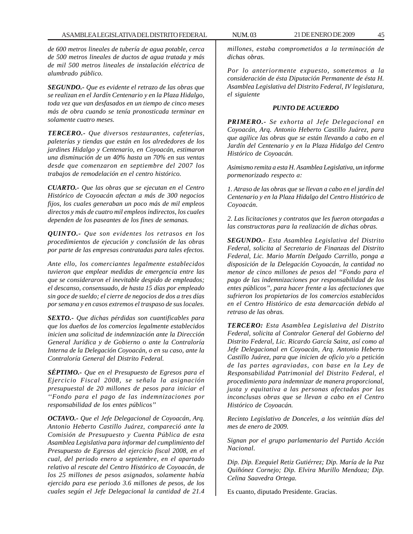*de 600 metros lineales de tubería de agua potable, cerca de 500 metros lineales de ductos de agua tratada y más de mil 500 metros lineales de instalación eléctrica de alumbrado público.*

*SEGUNDO.- Que es evidente el retrazo de las obras que se realizan en el Jardín Centenario y en la Plaza Hidalgo, toda vez que van desfasados en un tiempo de cinco meses más de obra cuando se tenía pronosticada terminar en solamente cuatro meses.*

*TERCERO.- Que diversos restaurantes, cafeterías, paleterías y tiendas que están en los alrededores de los jardines Hidalgo y Centenario, en Coyoacán, estimaron una disminución de un 40% hasta un 70% en sus ventas desde que comenzaron en septiembre del 2007 los trabajos de remodelación en el centro histórico.*

*CUARTO.- Que las obras que se ejecutan en el Centro Histórico de Coyoacán afectan a más de 300 negocios fijos, los cuales generaban un poco más de mil empleos directos y más de cuatro mil empleos indirectos, los cuales dependen de los paseantes de los fines de semanas.*

*QUINTO.- Que son evidentes los retrasos en los procedimientos de ejecución y conclusión de las obras por parte de las empresas contratadas para tales efectos.*

*Ante ello, los comerciantes legalmente establecidos tuvieron que emplear medidas de emergencia entre las que se consideraron el inevitable despido de empleados; el descanso, consensuado, de hasta 15 días por empleado sin goce de sueldo; el cierre de negocios de dos a tres días por semana y en casos extremos el traspaso de sus locales.*

*SEXTO.- Que dichas pérdidas son cuantificables para que los dueños de los comercios legalmente establecidos inicien una solicitud de indemnización ante la Dirección General Jurídica y de Gobierno o ante la Contraloría Interna de la Delegación Coyoacán, o en su caso, ante la Contraloría General del Distrito Federal.*

*SÉPTIMO.- Que en el Presupuesto de Egresos para el Ejercicio Fiscal 2008, se señala la asignación presupuestal de 20 millones de pesos para iniciar el ''Fondo para el pago de las indemnizaciones por responsabilidad de los entes públicos''*

*OCTAVO.- Que el Jefe Delegacional de Coyoacán, Arq. Antonio Heberto Castillo Juárez, compareció ante la Comisión de Presupuesto y Cuenta Pública de esta Asamblea Legislativa para informar del cumplimiento del Presupuesto de Egresos del ejercicio fiscal 2008, en el cual, del periodo enero a septiembre, en el apartado relativo al rescate del Centro Histórico de Coyoacán, de los 25 millones de pesos asignados, solamente había ejercido para ese periodo 3.6 millones de pesos, de los cuales según el Jefe Delegacional la cantidad de 21.4*

*millones, estaba comprometidos a la terminación de dichas obras.*

*Por lo anteriormente expuesto, sometemos a la consideración de ésta Diputación Permanente de ésta H. Asamblea Legislativa del Distrito Federal, IV legislatura, el siguiente*

### *PUNTO DE ACUERDO*

*PRIMERO.- Se exhorta al Jefe Delegacional en Coyoacán, Arq. Antonio Heberto Castillo Juárez, para que agilice las obras que se están llevando a cabo en el Jardín del Centenario y en la Plaza Hidalgo del Centro Histórico de Coyoacán.*

*Asimismo remita a esta H. Asamblea Legislativa, un informe pormenorizado respecto a:*

*1. Atraso de las obras que se llevan a cabo en el jardín del Centenario y en la Plaza Hidalgo del Centro Histórico de Coyoacán.*

*2. Las licitaciones y contratos que les fueron otorgadas a las constructoras para la realización de dichas obras.*

*SEGUNDO.- Esta Asamblea Legislativa del Distrito Federal, solicita al Secretario de Finanzas del Distrito Federal, Lic. Mario Martín Delgado Carrillo, ponga a disposición de la Delegación Coyoacán, la cantidad no menor de cinco millones de pesos del ''Fondo para el pago de las indemnizaciones por responsabilidad de los entes públicos'', para hacer frente a las afectaciones que sufrieron los propietarios de los comercios establecidos en el Centro Histórico de esta demarcación debido al retraso de las obras.*

*TERCERO: Esta Asamblea Legislativa del Distrito Federal, solicita al Contralor General del Gobierno del Distrito Federal, Lic. Ricardo García Sainz, así como al Jefe Delegacional en Coyoacán, Arq. Antonio Heberto Castillo Juárez, para que inicien de oficio y/o a petición de las partes agraviadas, con base en la Ley de Responsabilidad Patrimonial del Distrito Federal, el procedimiento para indemnizar de manera proporcional, justa y equitativa a las personas afectadas por las inconclusas obras que se llevan a cabo en el Centro Histórico de Coyoacán.*

*Recinto Legislativo de Donceles, a los veintiún días del mes de enero de 2009.*

*Signan por el grupo parlamentario del Partido Acción Nacional.*

*Dip. Dip. Ezequiel Retiz Gutiérrez; Dip. María de la Paz Quiñónez Cornejo; Dip. Elvira Murillo Mendoza; Dip. Celina Saavedra Ortega.*

Es cuanto, diputado Presidente. Gracias.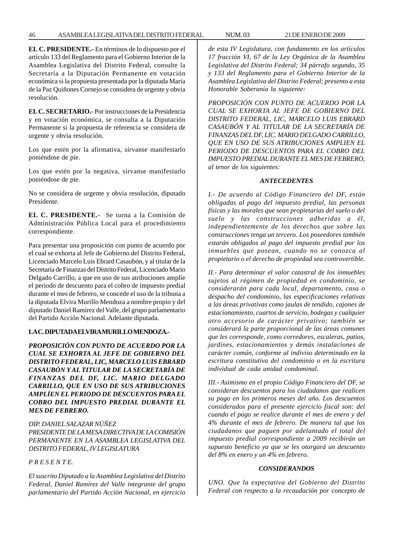46 ASAMBLEA LEGISLATIVA DEL DISTRITO FEDERAL NUM. 03 21 DE ENERO DE 2009

**EL C. PRESIDENTE.-** En términos de lo dispuesto por el artículo 133 del Reglamento para el Gobierno Interior de la Asamblea Legislativa del Distrito Federal, consulte la Secretaría a la Diputación Permanente en votación económica si la propuesta presentada por la diputada María de la Paz Quiñones Cornejo se considera de urgente y obvia resolución.

**EL C. SECRETARIO.-** Por instrucciones de la Presidencia y en votación económica, se consulta a la Diputación Permanente si la propuesta de referencia se considera de urgente y obvia resolución.

Los que estén por la afirmativa, sírvanse manifestarlo poniéndose de pie.

Los que estén por la negativa, sírvanse manifestarlo poniéndose de pie.

No se considera de urgente y obvia resolución, diputado Presidente.

**EL C. PRESIDENTE.-** Se turna a la Comisión de Administración Pública Local para el procedimiento correspondiente.

Para presentar una proposición con punto de acuerdo por el cual se exhorta al Jefe de Gobierno del Distrito Federal, Licenciado Marcelo Luis Ebrard Casaubón, y al titular de la Secretaría de Finanzas del Distrito Federal, Licenciado Mario Delgado Carrillo, a que en uso de sus atribuciones amplíe el periodo de descuento para el cobro de impuesto predial durante el mes de febrero, se concede el uso de la tribuna a la diputada Elvira Murillo Mendoza a nombre propio y del diputado Daniel Ramírez del Valle, del grupo parlamentario del Partido Acción Nacional. Adelante diputada.

# **LA C. DIPUTADA ELVIRA MURILLO MENDOZA.-**

*PROPOSICIÓN CON PUNTO DE ACUERDO POR LA CUAL SE EXHORTA AL JEFE DE GOBIERNO DEL DISTRITO FEDERAL, LIC, MARCELO LUIS EBRARD CASAUBÓN Y AL TITULAR DE LA SECRETARÍA DE FINANZAS DEL DF, LIC. MARIO DELGADO CARRILLO, QUE EN USO DE SUS ATRIBUCIONES AMPLÍEN EL PERIODO DE DESCUENTOS PARA EL COBRO DEL IMPUESTO PREDIAL DURANTE EL MES DE FEBRERO.*

*DIP. DANIEL SALAZAR NÚÑEZ PRESIDENTE DE LA MESA DIRECTIVA DE LA COMISIÓN PERMANENTE EN LA ASAMBLEA LEGISLATIVA DEL DISTRITO FEDERAL, IV LEGISLATURA*

### *P R E S E N T E.*

*El suscrito Diputado a la Asamblea Legislativa del Distrito Federal, Daniel Ramírez del Valle integrante del grupo parlamentario del Partido Acción Nacional, en ejercicio* *de esta IV Legislatura, con fundamento en los artículos 17 fracción VI, 67 de la Ley Orgánica de la Asamblea Legislativa del Distrito Federal; 34 párrafo segundo, 35 y 133 del Reglamento para el Gobierno Interior de la Asamblea Legislativa del Distrito Federal; presento a esta Honorable Soberanía la siguiente:*

*PROPOSICIÓN CON PUNTO DE ACUERDO POR LA CUAL SE EXHORTA AL JEFE DE GOBIERNO DEL DISTRITO FEDERAL, LIC, MARCELO LUIS EBRARD CASAUBÓN Y AL TITULAR DE LA SECRETARÍA DE FINANZAS DEL DF, LIC. MARIO DELGADO CARRILLO, QUE EN USO DE SUS ATRIBUCIONES AMPLIEN EL PERIODO DE DESCUENTOS PARA EL COBRO DEL IMPUESTO PREDIAL DURANTE EL MES DE FEBRERO, al tenor de los siguientes:*

### *ANTECEDENTES*

*I.- De acuerdo al Código Financiero del DF, están obligadas al pago del impuesto predial, las personas físicas y las morales que sean propietarias del suelo o del suelo y las construcciones adheridas a él, independientemente de los derechos que sobre las construcciones tenga un tercero. Los poseedores también estarán obligados al pago del impuesto predial por los inmuebles que posean, cuando no se conozca al propietario o el derecho de propiedad sea controvertible.*

*II.- Para determinar el valor catastral de los inmuebles sujetos al régimen de propiedad en condominio, se considerarán para cada local, departamento, casa o despacho del condominio, las especificaciones relativas a las áreas privativas como jaulas de tendido, cajones de estacionamiento, cuartos de servicio, bodegas y cualquier otro accesorio de carácter privativo; también se considerará la parte proporcional de las áreas comunes que les corresponde, como corredores, escaleras, patios, jardines, estacionamientos y demás instalaciones de carácter común, conforme al indiviso determinado en la escritura constitutiva del condominio o en la escritura individual de cada unidad condominal.*

*III.- Asimismo en el propio Código Financiero del DF, se consideran descuentos para los ciudadanos que realicen su pago en los primeros meses del año. Los descuentos considerados para el presente ejercicio fiscal son: del cuando el pago se realice durante el mes de enero y del 4% durante el mes de febrero. De manera tal que los ciudadanos que paguen por adelantado el total del impuesto predial correspondiente a 2009 recibirán un supuesto beneficio ya que se les otorgará un descuento del 8% en enero y un 4% en febrero.*

### *CONSIDERANDOS*

*UNO. Que la expectativa del Gobierno del Distrito Federal con respecto a la recaudación por concepto de*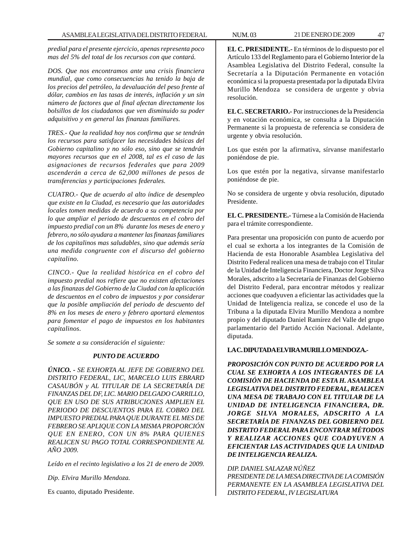*predial para el presente ejercicio, apenas representa poco mas del 5% del total de los recursos con que contará.*

*DOS. Que nos encontramos ante una crisis financiera mundial, que como consecuencias ha tenido la baja de los precios del petróleo, la devaluación del peso frente al dólar, cambios en las tasas de interés, inflación y un sin número de factores que al final afectan directamente los bolsillos de los ciudadanos que ven disminuido su poder adquisitivo y en general las finanzas familiares.*

*TRES.- Que la realidad hoy nos confirma que se tendrán los recursos para satisfacer las necesidades básicas del Gobierno capitalino y no sólo eso, sino que se tendrán mayores recursos que en el 2008, tal es el caso de las asignaciones de recursos federales que para 2009 ascenderán a cerca de 62,000 millones de pesos de transferencias y participaciones federales.*

*CUATRO.- Que de acuerdo al alto índice de desempleo que existe en la Ciudad, es necesario que las autoridades locales tomen medidas de acuerdo a su competencia por lo que ampliar el periodo de descuentos en el cobro del impuesto predial con un 8% durante los meses de enero y febrero, no sólo ayudara a mantener las finanzas familiares de los capitalinos mas saludables, sino que además sería una medida congruente con el discurso del gobierno capitalino.*

*CINCO.- Que la realidad histórica en el cobro del impuesto predial nos refiere que no existen afectaciones a las finanzas del Gobierno de la Ciudad con la aplicación de descuentos en el cobro de impuestos y por considerar que la posible ampliación del periodo de descuento del 8% en los meses de enero y febrero aportará elementos para fomentar el pago de impuestos en los habitantes capitalinos.*

*Se somete a su consideración el siguiente:*

## *PUNTO DE ACUERDO*

*ÚNICO. - SE EXHORTA AL JEFE DE GOBIERNO DEL DISTRITO FEDERAL, LIC, MARCELO LUIS EBRARD CASAUBÓN y AL TITULAR DE LA SECRETARÍA DE FINANZAS DEL DF, LIC. MARIO DELGADO CARRILLO, QUE EN USO DE SUS ATRIBUCIONES AMPLIEN EL PERIODO DE DESCUENTOS PARA EL COBRO DEL IMPUESTO PREDIAL PARA QUE DURANTE EL MES DE FEBRERO SE APLIQUE CON LA MISMA PROPORCIÓN QUE EN ENERO, CON UN 8% PARA QUIENES REALICEN SU PAGO TOTAL CORRESPONDIENTE AL AÑO 2009.*

*Leído en el recinto legislativo a los 21 de enero de 2009.*

*Dip. Elvira Murillo Mendoza.*

Es cuanto, diputado Presidente.

**EL C. PRESIDENTE.-** En términos de lo dispuesto por el Artículo 133 del Reglamento para el Gobierno Interior de la Asamblea Legislativa del Distrito Federal, consulte la Secretaría a la Diputación Permanente en votación económica si la propuesta presentada por la diputada Elvira Murillo Mendoza se considera de urgente y obvia resolución.

**EL C. SECRETARIO.-** Por instrucciones de la Presidencia y en votación económica, se consulta a la Diputación Permanente si la propuesta de referencia se considera de urgente y obvia resolución.

Los que estén por la afirmativa, sírvanse manifestarlo poniéndose de pie.

Los que estén por la negativa, sírvanse manifestarlo poniéndose de pie.

No se considera de urgente y obvia resolución, diputado Presidente.

**EL C. PRESIDENTE.-** Túrnese a la Comisión de Hacienda para el trámite correspondiente.

Para presentar una proposición con punto de acuerdo por el cual se exhorta a los integrantes de la Comisión de Hacienda de esta Honorable Asamblea Legislativa del Distrito Federal realicen una mesa de trabajo con el Titular de la Unidad de Inteligencia Financiera, Doctor Jorge Silva Morales, adscrito a la Secretaría de Finanzas del Gobierno del Distrito Federal, para encontrar métodos y realizar acciones que coadyuven a eficientar las actividades que la Unidad de Inteligencia realiza, se concede el uso de la Tribuna a la diputada Elvira Murillo Mendoza a nombre propio y del diputado Daniel Ramírez del Valle del grupo parlamentario del Partido Acción Nacional. Adelante, diputada.

### **LA C. DIPUTADA ELVIRA MURILLO MENDOZA.-**

*PROPOSICIÓN CON PUNTO DE ACUERDO POR LA CUAL SE EXHORTA A LOS INTEGRANTES DE LA COMISIÓN DE HACIENDA DE ESTA H. ASAMBLEA LEGISLATIVA DEL DISTRITO FEDERAL, REALICEN UNA MESA DE TRABAJO CON EL TITULAR DE LA UNIDAD DE INTELIGENCIA FINANCIERA, DR. JORGE SILVA MORALES, ADSCRITO A LA SECRETARÍA DE FINANZAS DEL GOBIERNO DEL DISTRITO FEDERAL PARA ENCONTRAR MÉTODOS Y REALIZAR ACCIONES QUE COADYUVEN A EFICIENTAR LAS ACTIVIDADES QUE LA UNIDAD DE INTELIGENCIA REALIZA.*

*DIP. DANIEL SALAZAR NÚÑEZ PRESIDENTE DE LA MESA DIRECTIVA DE LA COMISIÓN PERMANENTE EN LA ASAMBLEA LEGISLATIVA DEL DISTRITO FEDERAL, IV LEGISLATURA*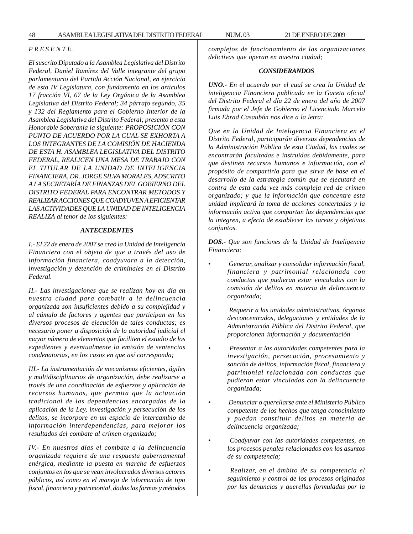### *P R E S E N T E.*

*El suscrito Diputado a la Asamblea Legislativa del Distrito Federal, Daniel Ramírez del Valle integrante del grupo parlamentario del Partido Acción Nacional, en ejercicio de esta IV Legislatura, con fundamento en los artículos 17 fracción VI, 67 de la Ley Orgánica de la Asamblea Legislativa del Distrito Federal; 34 párrafo segundo, 35 y 132 del Reglamento para el Gobierno Interior de la Asamblea Legislativa del Distrito Federal; presento a esta Honorable Soberanía la siguiente: PROPOSICIÓN CON PUNTO DE ACUERDO POR LA CUAL SE EXHORTA A LOS INTEGRANTES DE LA COMISIÓN DE HACIENDA DE ESTA H. ASAMBLEA LEGISLATIVA DEL DISTRITO FEDERAL, REALICEN UNA MESA DE TRABAJO CON EL TITULAR DE LA UNIDAD DE INTELIGENCIA FINANCIERA, DR. JORGE SILVA MORALES, ADSCRITO A LA SECRETARÍA DE FINANZAS DEL GOBIERNO DEL DISTRITO FEDERAL PARA ENCONTRAR METODOS Y REALIZAR ACCIONES QUE COADYUVEN A EFICIENTAR LAS ACTIVIDADES QUE LA UNIDAD DE INTELIGENCIA REALIZA al tenor de los siguientes:*

#### *ANTECEDENTES*

*I.- El 22 de enero de 2007 se creó la Unidad de Inteligencia Financiera con el objeto de que a través del uso de información financiera, coadyuvara a la detección, investigación y detención de criminales en el Distrito Federal.*

*II.- Las investigaciones que se realizan hoy en día en nuestra ciudad para combatir a la delincuencia organizada son insuficientes debido a su complejidad y al cúmulo de factores y agentes que participan en los diversos procesos de ejecución de tales conductas; es necesario poner a disposición de la autoridad judicial el mayor número de elementos que faciliten el estudio de los expedientes y eventualmente la emisión de sentencias condenatorias, en los casos en que así corresponda;*

*III.- La instrumentación de mecanismos eficientes, ágiles y multidisciplinarios de organización, debe realizarse a través de una coordinación de esfuerzos y aplicación de recursos humanos, que permita que la actuación tradicional de las dependencias encargadas de la aplicación de la Ley, investigación y persecución de los delitos, se incorpore en un espacio de intercambio de información interdependencias, para mejorar los resultados del combate al crimen organizado;*

*IV.- En nuestros días el combate a la delincuencia organizada requiere de una respuesta gubernamental enérgica, mediante la puesta en marcha de esfuerzos conjuntos en los que se vean involucrados diversos actores públicos, así como en el manejo de información de tipo fiscal, financiera y patrimonial, dadas las formas y métodos*

*complejos de funcionamiento de las organizaciones delictivas que operan en nuestra ciudad;*

#### *CONSIDERANDOS*

*UNO.- En el acuerdo por el cual se crea la Unidad de inteligencia Financiera publicada en la Gaceta oficial del Distrito Federal el día 22 de enero del año de 2007 firmada por el Jefe de Gobierno el Licenciado Marcelo Luis Ebrad Casaubón nos dice a la letra:*

*Que en la Unidad de Inteligencia Financiera en el Distrito Federal, participarán diversas dependencias de la Administración Pública de esta Ciudad, las cuales se encontrarán facultadas e instruidas debidamente, para que destinen recursos humanos e información, con el propósito de compartirla para que sirva de base en el desarrollo de la estrategia común que se ejecutará en contra de esta cada vez más compleja red de crimen organizado; y que la información que concentre esta unidad implicará la toma de acciones concertadas y la información activa que compartan las dependencias que la integren, a efecto de establecer las tareas y objetivos conjuntos.*

*DOS.- Que son funciones de la Unidad de Inteligencia Financiera:*

- • *Generar, analizar y consolidar información fiscal, financiera y patrimonial relacionada con conductas que pudieran estar vinculadas con la comisión de delitos en materia de delincuencia organizada;*
- • *Requerir a las unidades administrativas, órganos desconcentrados, delegaciones y entidades de la Administración Pública del Distrito Federal, que proporcionen información y documentación*
- • *Presentar a las autoridades competentes para la investigación, persecución, procesamiento y sanción de delitos, información fiscal, financiera y patrimonial relacionada con conductas que pudieran estar vinculadas con la delincuencia organizada;*
- • *Denunciar o querellarse ante el Ministerio Público competente de los hechos que tenga conocimiento y puedan constituir delitos en materia de delincuencia organizada;*
- • *Coadyuvar con las autoridades competentes, en los procesos penales relacionados con los asuntos de su competencia;*
- • *Realizar, en el ámbito de su competencia el seguimiento y control de los procesos originados por las denuncias y querellas formuladas por la*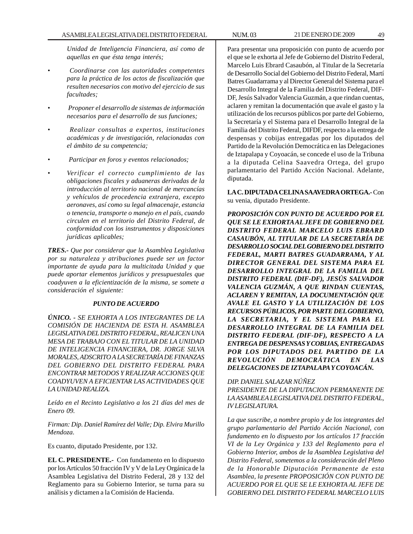*Unidad de Inteligencia Financiera, así como de aquellas en que ésta tenga interés;*

- • *Coordinarse con las autoridades competentes para la práctica de los actos de fiscalización que resulten necesarios con motivo del ejercicio de sus facultades;*
- • *Proponer el desarrollo de sistemas de información necesarios para el desarrollo de sus funciones;*
- • *Realizar consultas a expertos, instituciones académicas y de investigación, relacionadas con el ámbito de su competencia;*
- • *Participar en foros y eventos relacionados;*
- *Verificar el correcto cumplimiento de las obligaciones fiscales y aduaneras derivadas de la introducción al territorio nacional de mercancías y vehículos de procedencia extranjera, excepto aeronaves, así como su legal almacenaje, estancia o tenencia, transporte o manejo en el país, cuando circulen en el territorio del Distrito Federal, de conformidad con los instrumentos y disposiciones jurídicas aplicables;*

*TRES.- Que por considerar que la Asamblea Legislativa por su naturaleza y atribuciones puede ser un factor importante de ayuda para la multicitada Unidad y que puede aportar elementos jurídicos y presupuestales que coadyuven a la eficientización de la misma, se somete a consideración el siguiente:*

# *PUNTO DE ACUERDO*

*ÚNICO. - SE EXHORTA A LOS INTEGRANTES DE LA COMISIÓN DE HACIENDA DE ESTA H. ASAMBLEA LEGISLATIVA DEL DISTRITO FEDERAL, REALICEN UNA MESA DE TRABAJO CON EL TITULAR DE LA UNIDAD DE INTELIGENCIA FINANCIERA, DR. JORGE SILVA MORALES, ADSCRITO A LA SECRETARÍA DE FINANZAS DEL GOBIERNO DEL DISTRITO FEDERAL PARA ENCONTRAR METODOS Y REALIZAR ACCIONES QUE COADYUVEN A EFICIENTAR LAS ACTIVIDADES QUE LA UNIDAD REALIZA.*

*Leído en el Recinto Legislativo a los 21 días del mes de Enero 09.*

*Firman: Dip. Daniel Ramírez del Valle; Dip. Elvira Murillo Mendoza.*

Es cuanto, diputado Presidente, por 132.

**EL C. PRESIDENTE.-** Con fundamento en lo dispuesto por los Artículos 50 fracción IV y V de la Ley Orgánica de la Asamblea Legislativa del Distrito Federal, 28 y 132 del Reglamento para su Gobierno Interior, se turna para su análisis y dictamen a la Comisión de Hacienda.

Para presentar una proposición con punto de acuerdo por el que se le exhorta al Jefe de Gobierno del Distrito Federal, Marcelo Luis Ebrard Casaubón, al Titular de la Secretaría de Desarrollo Social del Gobierno del Distrito Federal, Martí Batres Guadarrama y al Director General del Sistema para el Desarrollo Integral de la Familia del Distrito Federal, DIF-DF, Jesús Salvador Valencia Guzmán, a que rindan cuentas, aclaren y remitan la documentación que avale el gasto y la utilización de los recursos públicos por parte del Gobierno, la Secretaría y el Sistema para el Desarrollo Integral de la Familia del Distrito Federal, DIFDF, respecto a la entrega de despensas y cobijas entregadas por los diputados del Partido de la Revolución Democrática en las Delegaciones de Iztapalapa y Coyoacán, se concede el uso de la Tribuna a la diputada Celina Saavedra Ortega, del grupo parlamentario del Partido Acción Nacional. Adelante, diputada.

**LA C. DIPUTADA CELINA SAAVEDRA ORTEGA.-** Con su venia, diputado Presidente.

*PROPOSICIÓN CON PUNTO DE ACUERDO POR EL QUE SE LE EXHORTA AL JEFE DE GOBIERNO DEL DISTRITO FEDERAL MARCELO LUIS EBRARD CASAUBÓN, AL TITULAR DE LA SECRETARÍA DE DESARROLLO SOCIAL DEL GOBIERNODEL DISTRITO FEDERAL, MARTI BATRES GUADARRAMA, Y AL DIRECTOR GENERAL DEL SISTEMA PARA EL DESARROLLO INTEGRAL DE LA FAMILIA DEL DISTRITO FEDERAL (DIF-DF), JESÚS SALVADOR VALENCIA GUZMÁN, A QUE RINDAN CUENTAS, ACLAREN Y REMITAN, LA DOCUMENTACIÓN QUE AVALE EL GASTO Y LA UTILIZACIÓN DE LOS RECURSOS PÚBLICOS, PORPARTE DEL GOBIERNO, LA SECRETARIA, Y EL SISTEMA PARA EL DESARROLLO INTEGRAL DE LA FAMILIA DEL DISTRITO FEDERAL (DIF-DF), RESPECTO A LA ENTREGA DE DESPENSAS Y COBIJAS, ENTREGADAS POR LOS DIPUTADOS DEL PARTIDO DE LA REVOLUCIÓN DEMOCRÁTICA EN LAS DELEGACIONES DE IZTAPALAPA Y COYOACÁN.*

# *DIP. DANIEL SALAZAR NÚÑEZ*

*PRESIDENTE DE LA DIPUTACION PERMANENTE DE LA ASAMBLEA LEGISLATIVA DEL DISTRITO FEDERAL, IV LEGISLATURA.*

*La que suscribe, a nombre propio y de los integrantes del grupo parlamentario del Partido Acción Nacional, con fundamento en lo dispuesto por los artículos 17 fracción VI de la Ley Orgánica y 133 del Reglamento para el Gobierno Interior, ambos de la Asamblea Legislativa del Distrito Federal, sometemos a la consideración del Pleno de la Honorable Diputación Permanente de esta Asamblea, la presente PROPOSICIÓN CON PUNTO DE ACUERDO POR EL QUE SE LE EXHORTA AL JEFE DE GOBIERNO DEL DISTRITO FEDERAL MARCELO LUIS*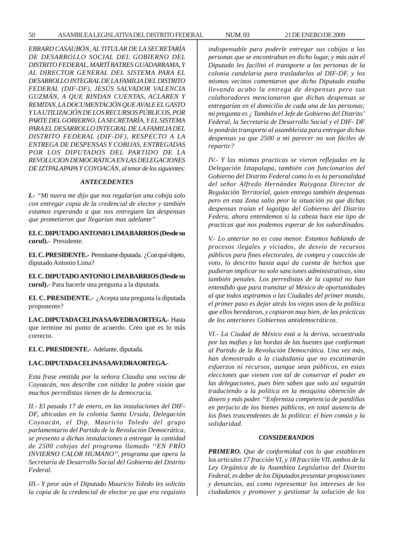50 ASAMBLEA LEGISLATIVA DEL DISTRITO FEDERAL NUM. 03 21 DE ENERO DE 2009

*EBRARD CASAUBÓN, AL TITULAR DE LA SECRETARÍA DE DESARROLLO SOCIAL DEL GOBIERNO DEL DISTRITO FEDERAL, MARTÍ BATRES GUADARRAMA, Y AL DIRECTOR GENERAL DEL SISTEMA PARA EL DESARROLLO INTEGRAL DE LA FAMILIA DEL DISTRITO FEDERAL (DIF-DF), JESÚS SALVADOR VALENCIA GUZMÁN, A QUE RINDAN CUENTAS, ACLAREN Y REMITAN, LA DOCUMENTACIÓN QUE AVALE EL GASTO Y LA UTILIZACIÓN DE LOS RECURSOS PÚBLICOS, POR PARTE DEL GOBIERNO, LA SECRETARÍA, Y EL SISTEMA PARA EL DESARROLLO INTEGRAL DE LA FAMILIA DEL DISTRITO FEDERAL (DIF-DF), RESPECTO A LA ENTREGA DE DESPENSAS Y COBIJAS, ENTREGADAS POR LOS DIPUTADOS DEL PARTIDO DE LA REVOLUCION DEMOCRÁTICA EN LAS DELEGACIONES DE IZTPALAPAPA Y COYOACÁN, al tenor de los siguientes:*

## *ANTECEDENTES*

*I.- ''Mi nuera me dijo que nos regalarían una cobija solo con entregar copia de la credencial de elector y también estamos esperando a que nos entreguen las despensas que prometieron que llegarían mas adelante''*

**EL C. DIPUTADO ANTONIO LIMA BARRIOS (Desde su curul).-** Presidente.

**EL C. PRESIDENTE.-** Permítame diputada. ¿Con qué objeto, diputado Antonio Lima?

**EL C. DIPUTADO ANTONIO LIMA BARRIOS (Desde su curul).-** Para hacerle una pregunta a la diputada.

**EL C. PRESIDENTE.-** ¿Acepta una pregunta la diputada proponente?

**LA C. DIPUTADA CELINA SAAVEDRA ORTEGA.-** Hasta que termine mi punto de acuerdo. Creo que es lo más correcto.

**EL C. PRESIDENTE.-** Adelante, diputada.

## **LA C. DIPUTADA CELINA SAAVEDRA ORTEGA.-**

*Esta frase emitida por la señora Claudia una vecina de Coyoacán, nos describe con nitidez la pobre visión que muchos perredistas tienen de la democracia.*

*II.- El pasado 17 de enero, en las instalaciones del DIF-DF, ubicadas en la colonia Santa Ursula, Delegación Coyoacán, el Dip. Mauricio Toledo del grupo parlamentario del Partido de la Revolución Democrática, se presento a dichas instalaciones a entregar la cantidad de 2500 cobijas del programa llamado ''EN FRÍO INVIERNO CALOR HUMANO'', programa que opera la Secretaría de Desarrollo Social del Gobierno del Distrito Federal.*

*III.- Y peor aún el Diputado Mauricio Toledo les solicito la copia de la credencial de elector ya que era requisito* *indispensable para poderle entregar sus cobijas a las personas que se encontraban en dicho lugar, y más aún el Diputado les facilitó el transporte a las personas de la colonia candelaria para trasladarlas al DIF-DF, y los mismos vecinos comentaron que dicho Diputado estaba llevando acabo la entrega de despensas pero sus colaboradores mencionaron que dichas despensas se entregarían en el domicilio de cada una de las personas; mi pregunta es ¿ También el Jefe de Gobierno del Distrito' Federal, la Secretaría de Desarrollo Social y el DIF- DF le pondrán transporte al asambleísta para entregar dichas despensas ya que 2500 a mi parecer no son fáciles de repartir?*

*IV.- Y las mismas practicas se vieron reflejadas en la Delegación Iztapalapa, también con funcionarios del Gobierno del Distrito Federal como lo es la personalidad del señor Alfredo Hernández Raiygoza Director de Regulación Territorial, quien entrego también despensas pero en esta Zona salio peor la situación ya que dichas despensas traían el logotipo del Gobierno del Distrito Federa, ahora entendemos si la cabeza hace ese tipo de practicas que nos podemos esperar de los subordinados.*

*V.- Lo anterior no es cosa menor. Estamos hablando de procesos ilegales y viciados, de desvío de recursos públicos para fines electorales, de compra y coacción de voto, lo descrito hasta aquí da cuenta de hechos que pudieran implicar no solo sanciones administrativas, sino también penales. Los perredistas de la capital no han entendido que para transitar al México de oportunidades al que todos aspiramos o las Ciudades del primer mundo, el primer paso es dejar atrás los viejos usos de la política que ellos heredaron, y copiaron muy bien, de las prácticas de los anteriores Gobiernos antidemocráticos.*

*VI.- La Ciudad de México está a la deriva, secuestrada por las mafias y las hordas de las huestes que conforman al Partido de la Revolución Democrática. Una vez más, han demostrado a la ciudadanía que no escatimarán esfuerzos ni recursos, aunque sean públicos, en estas elecciones que vienen con tal de conservar el poder en las delegaciones, pues bien saben que solo así seguirán traduciendo a la política en la mezquina obtención de dinero y más poder. ''Enfermiza competencia de pandillas en perjucio de los bienes públicos, en total ausencia de los fines trascendentes de la política: el bien común y la solidaridad.*

#### *CONSIDERANDOS*

*PRIMERO. Que de conformidad con lo que establecen los artículos 17 fracción VI, y 18 fracción VII, ambos de la Ley Orgánica de la Asamblea Legislativa del Distrito Federal, es deber de los Diputados presentar proposiciones y denuncias, así como representar los intereses de los ciudadanos y promover y gestionar la solución de los*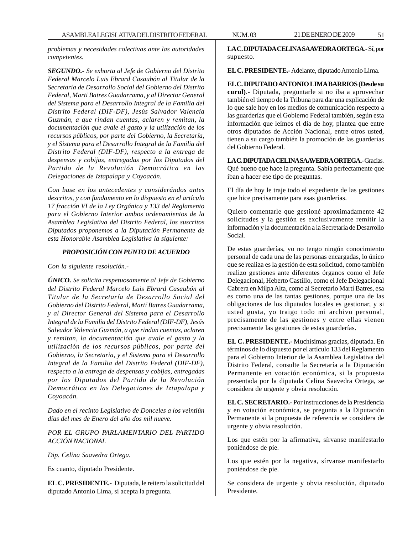*problemas y necesidades colectivas ante las autoridades competentes.*

*SEGUNDO.- Se exhorta al Jefe de Gobierno del Distrito Federal Marcelo Luis Ebrard Casaubón al Titular de la Secretaría de Desarrollo Social del Gobierno del Distrito Federal, Marti Batres Guadarrama, y al Director General del Sistema para el Desarrollo Integral de la Familia del Distrito Federal (DIF-DF), Jesús Salvador Valencia Guzmán, a que rindan cuentas, aclaren y remitan, la documentación que avale el gasto y la utilización de los recursos públicos, por parte del Gobierno, la Secretaría, y el Sistema para el Desarrollo Integral de la Familia del Distrito Federal (DIF-DF), respecto a la entrega de despensas y cobijas, entregadas por los Diputados del Partido de la Revolución Democrática en las Delegaciones de Iztapalapa y Coyoacán.*

*Con base en los antecedentes y considerándos antes descritos, y con fundamento en lo dispuesto en el artículo 17 fracción VI de la Ley Orgánica y 133 del Reglamento para el Gobierno Interior ambos ordenamientos de la Asamblea Legislativa del Distrito Federal, los suscritos Diputados proponemos a la Diputación Permanente de esta Honorable Asamblea Legislativa la siguiente:*

# *PROPOSICIÓN CON PUNTO DE ACUERDO*

*Con la siguiente resolución.-*

*ÚNICO. Se solicita respetuosamente al Jefe de Gobierno del Distrito Federal Marcelo Luis Ebrard Casaubón al Titular de la Secretaría de Desarrollo Social del Gobierno del Distrito Federal, Martí Batres Guadarrama, y al Director General del Sistema para el Desarrollo Integral de la Familia del Distrito Federal (DIF-DF), Jesús Salvador Valencia Guzmán, a que rindan cuentas, aclaren y remitan, la documentación que avale el gasto y la utilización de los recursos públicos, por parte del Gobierno, la Secretaria, y el Sistema para el Desarrollo Integral de la Familia del Distrito Federal (DIF-DF), respecto a la entrega de despensas y cobijas, entregadas por los Diputados del Partido de la Revolución Democrática en las Delegaciones de Iztapalapa y Coyoacán.*

*Dado en el recinto Legislativo de Donceles a los veintiún días del mes de Enero del año dos mil nueve.*

*POR EL GRUPO PARLAMENTARIO DEL PARTIDO ACCIÓN NACIONAL*

*Dip. Celina Saavedra Ortega.*

Es cuanto, diputado Presidente.

**EL C. PRESIDENTE.-** Diputada, le reitero la solicitud del diputado Antonio Lima, si acepta la pregunta.

**LA C. DIPUTADA CELINA SAAVEDRA ORTEGA**.- Sí, por supuesto.

**EL C. PRESIDENTE.-** Adelante, diputado Antonio Lima.

**EL C. DIPUTADO ANTONIO LIMA BARRIOS (Desde su curul)**.- Diputada, preguntarle si no iba a aprovechar también el tiempo de la Tribuna para dar una explicación de lo que sale hoy en los medios de comunicación respecto a las guarderías que el Gobierno Federal también, según esta información que leímos el día de hoy, plantea que entre otros diputados de Acción Nacional, entre otros usted, tienen a su cargo también la promoción de las guarderías del Gobierno Federal.

**LA C. DIPUTADA CELINA SAAVEDRA ORTEGA**.- Gracias. Qué bueno que hace la pregunta. Sabía perfectamente que iban a hacer ese tipo de preguntas.

El día de hoy le traje todo el expediente de las gestiones que hice precisamente para esas guarderías.

Quiero comentarle que gestioné aproximadamente 42 solicitudes y la gestión es exclusivamente remitir la información y la documentación a la Secretaría de Desarrollo Social.

De estas guarderías, yo no tengo ningún conocimiento personal de cada una de las personas encargadas, lo único que se realiza es la gestión de esta solicitud, como también realizo gestiones ante diferentes órganos como el Jefe Delegacional, Heberto Castillo, como el Jefe Delegacional Cabrera en Milpa Alta, como al Secretario Martí Batres, esa es como una de las tantas gestiones, porque una de las obligaciones de los diputados locales es gestionar, y si usted gusta, yo traigo todo mi archivo personal, precisamente de las gestiones y entre ellas vienen precisamente las gestiones de estas guarderías.

**EL C. PRESIDENTE.-** Muchísimas gracias, diputada. En términos de lo dispuesto por el artículo 133 del Reglamento para el Gobierno Interior de la Asamblea Legislativa del Distrito Federal, consulte la Secretaría a la Diputación Permanente en votación económica, si la propuesta presentada por la diputada Celina Saavedra Ortega, se considera de urgente y obvia resolución.

**EL C. SECRETARIO.-** Por instrucciones de la Presidencia y en votación económica, se pregunta a la Diputación Permanente si la propuesta de referencia se considera de urgente y obvia resolución.

Los que estén por la afirmativa, sírvanse manifestarlo poniéndose de pie.

Los que estén por la negativa, sírvanse manifestarlo poniéndose de pie.

Se considera de urgente y obvia resolución, diputado Presidente.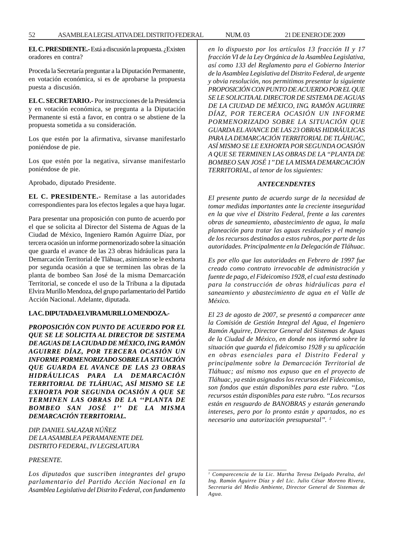**EL C. PRESDIENTE.-** Está a discusión la propuesta. ¿Existen oradores en contra?

Proceda la Secretaría preguntar a la Diputación Permanente, en votación económica, si es de aprobarse la propuesta puesta a discusión.

**EL C. SECRETARIO.-** Por instrucciones de la Presidencia y en votación económica, se pregunta a la Diputación Permanente si está a favor, en contra o se abstiene de la propuesta sometida a su consideración.

Los que estén por la afirmativa, sírvanse manifestarlo poniéndose de pie.

Los que estén por la negativa, sírvanse manifestarlo poniéndose de pie.

Aprobado, diputado Presidente.

**EL C. PRESIDENTE.-** Remítase a las autoridades correspondientes para los efectos legales a que haya lugar.

Para presentar una proposición con punto de acuerdo por el que se solicita al Director del Sistema de Aguas de la Ciudad de México, Ingeniero Ramón Aguirre Díaz, por tercera ocasión un informe pormenorizado sobre la situación que guarda el avance de las 23 obras hidráulicas para la Demarcación Territorial de Tláhuac, asimismo se le exhorta por segunda ocasión a que se terminen las obras de la planta de bombeo San José de la misma Demarcación Territorial, se concede el uso de la Tribuna a la diputada Elvira Murillo Mendoza, del grupo parlamentario del Partido Acción Nacional. Adelante, diputada.

### **LA C. DIPUTADA ELVIRA MURILLO MENDOZA.-**

*PROPOSICIÓN CON PUNTO DE ACUERDO POR EL QUE SE LE SOLICITA AL DIRECTOR DE SISTEMA DE AGUAS DE LA CIUDAD DE MÉXICO, ING. RAMÓN AGUIRRE DÍAZ, POR TERCERA OCASIÓN UN INFORME PORMENORIZADO SOBRE LA SITUACIÓN QUE GUARDA EL AVANCE DE LAS 23 OBRAS HIDRÁULICAS PARA LA DEMARCACIÓN TERRITORIAL DE TLÁHUAC, ASÍ MISMO SE LE EXHORTA POR SEGUNDA OCASIÓN A QUE SE TERMINEN LAS OBRAS DE LA ''PLANTA DE BOMBEO SAN JOSÉ 1'' DE LA MISMA DEMARCACIÓN TERRITORIAL.*

*DIP. DANIEL SALAZAR NÚÑEZ DE LA ASAMBLEA PERAMANENTE DEL DISTRITO FEDERAL, IV LEGISLATURA*

## *PRESENTE.*

*Los diputados que suscriben integrantes del grupo parlamentario del Partido Acción Nacional en la Asamblea Legislativa del Distrito Federal, con fundamento* *en lo dispuesto por los artículos 13 fracción II y 17 fracción VI de la Ley Orgánica de la Asamblea Legislativa, así como 133 del Reglamento para el Gobierno Interior de la Asamblea Legislativa del Distrito Federal, de urgente y obvia resolución, nos permitimos presentar la siguiente PROPOSICIÓN CON PUNTO DE ACUERDO POR EL QUE SE LE SOLICITA AL DIRECTOR DE SISTEMA DE AGUAS DE LA CIUDAD DE MÉXICO, ING. RAMÓN AGUIRRE DÍAZ, POR TERCERA OCASIÓN UN INFORME PORMENORIZADO SOBRE LA SITUACIÓN QUE GUARDA EL AVANCE DE LAS 23 OBRAS HIDRÁULICAS PARA LA DEMARCACIÓN TERRITORIAL DE TLÁHUAC, ASÍ MISMO SE LE EXHORTA POR SEGUNDA OCASIÓN A QUE SE TERMINEN LAS OBRAS DE LA ''PLANTA DE BOMBEO SAN JOSÉ 1'' DE LA MISMA DEMARCACIÓN TERRITORIAL, al tenor de los siguientes:*

#### *ANTECENDENTES*

*El presente punto de acuerdo surge de la necesidad de tomar medidas importantes ante la creciente inseguridad en la que vive el Distrito Federal, frente a las carentes obras de saneamiento, abastecimiento de agua, la mala planeación para tratar las aguas residuales y el manejo de los recursos destinados a estos rubros, por parte de las autoridades. Principalmente en la Delegación de Tláhuac.*

*Es por ello que las autoridades en Febrero de 1997 fue creado como contrato irrevocable de administración y fuente de pago, el Fideicomiso 1928, el cual esta destinado para la construcción de obras hidráulicas para el saneamiento y abastecimiento de agua en el Valle de México.*

*El 23 de agosto de 2007, se presentó a comparecer ante la Comisión de Gestión Integral del Agua, el Ingeniero Ramón Aguirre, Director General del Sistemas de Aguas de la Ciudad de México, en donde nos informó sobre la situación que guarda el fideicomiso 1928 y su aplicación en obras esenciales para el Distrito Federal y principalmente sobre la Demarcación Territorial de Tláhuac; así mismo nos expuso que en el proyecto de Tláhuac, ya están asignados los recursos del Fideicomiso, son fondos que están disponibles para este rubro. ''Los recursos están disponibles para este rubro. ''Los recursos están en resguardo de BANOBRAS y estarán generando intereses, pero por lo pronto están y apartados, no es necesario una autorización presupuestal''. 1*

*<sup>1</sup> Comparecencia de la Lic. Martha Teresa Delgado Peralta, del Ing. Ramón Aguirre Díaz y del Lic. Julio César Moreno Rivera, Secretaria del Medio Ambiente, Director General de Sistemas de Agua.*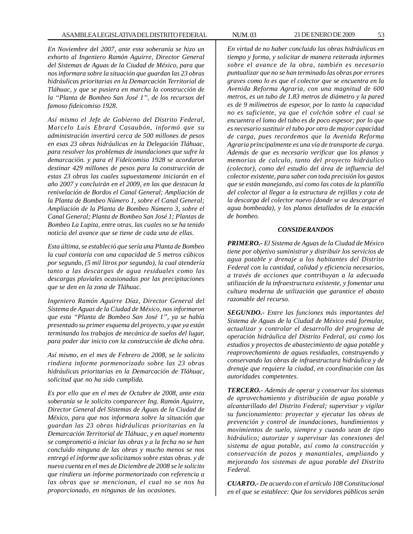*En Noviembre del 2007, ante esta soberanía se hizo un exhorto al Ingeniero Ramón Aguirre, Director General del Sistemas de Aguas de la Ciudad de México, para que nos informara sobre la situación que guardan las 23 obras hidráulicas prioritarias en la Demarcación Territorial de Tláhuac, y que se pusiera en marcha la construcción de la ''Planta de Bombeo San José 1'', de los recursos del famoso fideicomiso 1928.*

*Así mismo el Jefe de Gobierno del Distrito Federal, Marcelo Luis Ebrard Casaubón, informó que su administración invertirá cerca de 500 millones de pesos en esas 23 obras hidráulicas en la Delegación Tláhuac, para resolver los problemas de inundaciones que sufre la demarcación. y para el Fideicomiso 1928 se acordaron destinar 429 millones de pesos para la construcción de estas 23 obras las cuales supuestamente iniciarán en el año 2007 y concluirán en el 2009, en las que destacan la renivelación de Bordos el Canal General; Ampliación de la Planta de Bombeo Número 1, sobre el Canal General; Ampliación de la Planta de Bombeo Número 3, sobre el Canal General; Planta de Bombeo San José 1; Plantas de Bombeo La Lupita, entre otras, las cuales no se ha tenido noticia del avance que se tiene de cada una de ellas.*

*Esta última, se estableció que sería una Planta de Bombeo la cual contaría con una capacidad de 5 metros cúbicos por segundo, (5 mil litros por segundo), la cual atendería tanto a las descargas de agua residuales como las descargas pluviales ocasionadas por las precipitaciones que se den en la zona de Tláhuac.*

*Ingeniero Ramón Aguirre Díaz, Director General del Sistema de Aguas de la Ciudad de México, nos informaron que esta ''Planta de Bombeo San José 1'', ya se había presentado su primer esquema del proyecto, y que ya están terminando los trabajos de mecánica de suelos del lugar, para poder dar inicio con la construcción de dicha obra.*

*Así mismo, en el mes de Febrero de 2008, se le solicito rindiera informe pormenorizado sobre las 23 obras hidráulicas prioritarias en la Demarcación de Tláhuac, solicitud que no ha sido cumplida.*

*Es por ello que en el mes de Octubre de 2008, ante esta soberanía se le solicito comparecer Ing. Ramón Aguirre, Director General del Sistemas de Aguas de la Ciudad de México, para que nos informara sobre la situación que guardan las 23 obras hidráulicas prioritarias en la Demarcación Territorial de Tláhuac, y en aquel momento se comprometió a iniciar las obras y a la fecha no se han concluido ninguna de las obras y mucho menos se nos entregó el informe que solicitamos sobre estas obras. y de nueva cuenta en el mes de Diciembre de 2008 se le solicito que rindiera un informe pormenorizado con referencia a las obras que se mencionan, el cual no se nos ha proporcionado, en ningunas de las ocasiones.*

*En virtud de no haber concluido las obras hidráulicas en tiempo y forma, y solicitar de manera reiterada informes sobre el avance de la obra, también es necesario puntualizar que no se han terminado las obras por errores graves como lo es que el colector que se encuentra en la Avenida Reforma Agraria, con una magnitud de 600 metros, es un tubo de 1.83 metros de diámetro y la pared es de 9 milímetros de espesor, por lo tanto la capacidad no es suficiente, ya que el colchón sobre el cual se encuentra el lomo del tubo es de poco espesor; por lo que es necesario sustituir el tubo por otro de mayor capacidad de carga, pues recordemos que la Avenida Reforma Agraria principalmente es una vía de transporte de carga. Además de que es necesario verificar que los planos y memorias de calculo, tanto del proyecto hidráulico (colector), como del estudio del área de influencia del colector existente, para saber con toda precisión los gastos que se están manejando, así como las cotas de la plantilla del colector al llegar a la estructura de rejillas y cota de la descarga del colector nuevo (donde se va descargar el agua bombeada), y los planos detallados de la estación de bombeo.*

## *CONSIDERANDOS*

*PRIMERO.- El Sistema de Aguas de la Ciudad de México tiene por objetivo suministrar y distribuir los servicios de agua potable y drenaje a los habitantes del Distrito Federal con la cantidad, calidad y eficiencia necesarios, a través de acciones que contribuyan a la adecuada utilización de la infraestructura existente, y fomentar una cultura moderna de utilización que garantice el abasto razonable del recurso.*

*SEGUNDO.- Entre las funciones más importantes del Sistema de Aguas de la Ciudad de México está formular, actualizar y controlar el desarrollo del programa de operación hidráulica del Distrito Federal, así como los estudios y proyectos de abastecimiento de agua potable y reaprovechamiento de aguas residuales, construyendo y conservando las obras de infraestructura hidráulica y de drenaje que requiere la ciudad, en coordinación con las autoridades competentes.*

*TERCERO.- Además de operar y conservar los sistemas de aprovechamiento y distribución de agua potable y alcantarillado del Distrito Federal; supervisar y vigilar su funcionamiento: proyectar y ejecutar las obras de prevención y control de inundaciones, hundimientos y movimientos de suelo, siempre y cuando sean de tipo hidráulico; autorizar y supervisar las conexiones del sistema de agua potable, así como la construcción y conservación de pozos y manantiales, ampliando y mejorando los sistemas de agua potable del Distrito Federal.*

*CUARTO.- De acuerdo con el artículo 108 Constitucional en el que se establece: Que los servidores públicos serán*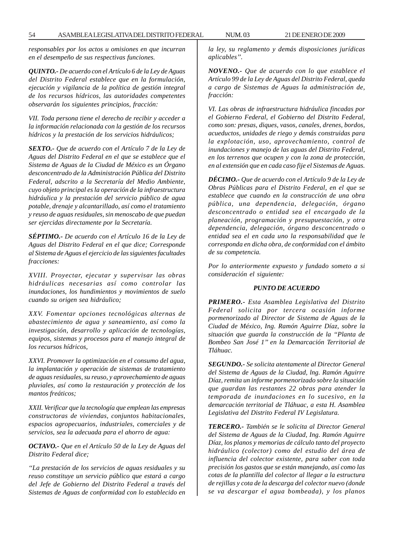*responsables por los actos u omisiones en que incurran en el desempeño de sus respectivas funciones.*

*QUINTO.- De acuerdo con el Artículo 6 de la Ley de Aguas del Distrito Federal establece que en la formulación, ejecución y vigilancia de la política de gestión integral de los recursos hídricos, las autoridades competentes observarán los siguientes principios, fracción:*

*VII. Toda persona tiene el derecho de recibir y acceder a la información relacionada con la gestión de los recursos hídricos y la prestación de los servicios hidráulicos;*

*SEXTO.- Que de acuerdo con el Artículo 7 de la Ley de Aguas del Distrito Federal en el que se establece que el Sistema de Aguas de la Ciudad de México es un Órgano desconcentrado de la Administración Pública del Distrito Federal, adscrito a la Secretaría del Medio Ambiente, cuyo objeto principal es la operación de la infraestructura hidráulica y la prestación del servicio público de agua potable, drenaje y alcantarillado, así como el tratamiento y reuso de aguas residuales, sin menoscabo de que puedan ser ejercidas directamente por la Secretaría.*

*SÉPTIMO.- De acuerdo con el Artículo 16 de la Ley de Aguas del Distrito Federal en el que dice; Corresponde al Sistema de Aguas el ejercicio de las siguientes facultades fracciones:*

*XVIII. Proyectar, ejecutar y supervisar las obras hidráulicas necesarias así como controlar las inundaciones, los hundimientos y movimientos de suelo cuando su origen sea hidráulico;*

*XXV. Fomentar opciones tecnológicas alternas de abastecimiento de agua y saneamiento, así como la investigación, desarrollo y aplicación de tecnologías, equipos, sistemas y procesos para el manejo integral de los recursos hídricos,*

*XXVI. Promover la optimización en el consumo del agua, la implantación y operación de sistemas de tratamiento de aguas residuales, su reuso, y aprovechamiento de aguas pluviales, así como la restauración y protección de los mantos freáticos;*

*XXII. Verificar que la tecnología que emplean las empresas constructoras de viviendas, conjuntos habitacionales, espacios agropecuarios, industriales, comerciales y de servicios, sea la adecuada para el ahorro de agua:*

*OCTAVO.- Que en el Artículo 50 de la Ley de Aguas del Distrito Federal dice;*

*''La prestación de los servicios de aguas residuales y su reuso constituye un servicio público que estará a cargo del Jefe de Gobierno del Distrito Federal a través del Sistemas de Aguas de conformidad con lo establecido en* *la ley, su reglamento y demás disposiciones jurídicas aplicables''.*

*NOVENO.- Que de acuerdo con lo que establece el Artículo 99 de la Ley de Aguas del Distrito Federal, queda a cargo de Sistemas de Aguas la administración de, fracción:*

*VI. Las obras de infraestructura hidráulica fincadas por el Gobierno Federal, el Gobierno del Distrito Federal, como son: presas, diques, vasos, canales, drenes, bordos, acueductos, unidades de riego y demás construidas para la explotación, uso, aprovechamiento, control de inundaciones y manejo de las aguas del Distrito Federal, en los terrenos que ocupen y con la zona de protección, en al extensión que en cada caso fije el Sistemas de Aguas.*

*DÉCIMO.- Que de acuerdo con el Artículo 9 de la Ley de Obras Públicas para el Distrito Federal, en el que se establece que cuando en la construcción de una obra pública, una dependencia, delegación, órgano desconcentrado o entidad sea el encargado de la planeación, programación y presupuestación, y otra dependencia, delegación, órgano desconcentrado o entidad sea el en cada uno la responsabilidad que le corresponda en dicha obra, de conformidad con el ámbito de su competencia.*

*Por lo anteriormente expuesto y fundado someto a si consideración el siguiente:*

### *PUNTO DE ACUERDO*

*PRIMERO.- Esta Asamblea Legislativa del Distrito Federal solicita por tercera ocasión informe pormenorizado al Director de Sistema de Aguas de la Ciudad de México, Ing. Ramón Aguirre Díaz, sobre la situación que guarda la construcción de la ''Planta de Bombeo San José 1'' en la Demarcación Territorial de Tláhuac.*

*SEGUNDO.- Se solicita atentamente al Director General del Sistema de Aguas de la Ciudad, lng. Ramón Aguirre Díaz, remita un informe pormenorizado sobre la situación que guardan las restantes 22 obras para atender la temporada de inundaciones en lo sucesivo, en la demarcación territorial de Tláhuac, a esta H. Asamblea Legislativa del Distrito Federal IV Legislatura.*

*TERCERO.- También se le solicita al Director General del Sistema de Aguas de la Ciudad, Ing. Ramón Aguirre Díaz, los planos y memorias de cálculo tanto del proyecto hidráulico (colector) como del estudio del área de influencia del colector existente, para saber con toda precisión los gastos que se están manejando, así como las cotas de la plantilla del colector al llegar a la estructura de rejillas y cota de la descarga del colector nuevo (donde se va descargar el agua bombeada), y los planos*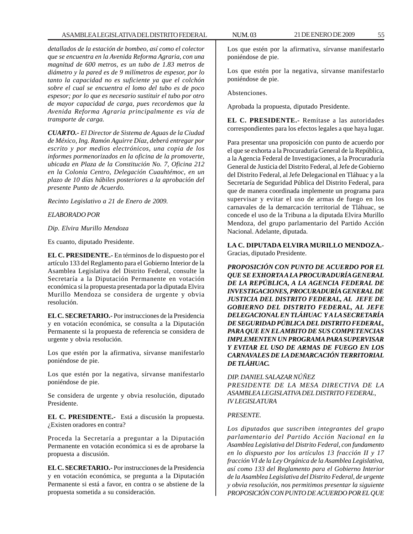*detallados de la estación de bombeo, así como el colector que se encuentra en la Avenida Reforma Agraria, con una magnitud de 600 metros, es un tubo de 1.83 metros de diámetro y la pared es de 9 milímetros de espesor, por lo tanto la capacidad no es suficiente ya que el colchón sobre el cual se encuentra el lomo del tubo es de poco espesor; por lo que es necesario sustituir el tubo por otro de mayor capacidad de carga, pues recordemos que la Avenida Reforma Agraria principalmente es vía de transporte de carga.*

*CUARTO.- El Director de Sistema de Aguas de la Ciudad de México, Ing. Ramón Aguirre Díaz, deberá entregar por escrito y por medios electrónicos, una copia de los informes pormenorizados en la oficina de la promoverte, ubicada en Plaza de la Constitución No. 7, Oficina 212 en la Colonia Centro, Delegación Cuauhtémoc, en un plazo de 10 días hábiles posteriores a la aprobación del presente Punto de Acuerdo.*

*Recinto Legislativo a 21 de Enero de 2009.*

*ELABORADO POR*

## *Dip. Elvira Murillo Mendoza*

Es cuanto, diputado Presidente.

**EL C. PRESIDENTE.-** En términos de lo dispuesto por el artículo 133 del Reglamento para el Gobierno Interior de la Asamblea Legislativa del Distrito Federal, consulte la Secretaría a la Diputación Permanente en votación económica si la propuesta presentada por la diputada Elvira Murillo Mendoza se considera de urgente y obvia resolución.

**EL C. SECRETARIO.-** Por instrucciones de la Presidencia y en votación económica, se consulta a la Diputación Permanente si la propuesta de referencia se considera de urgente y obvia resolución.

Los que estén por la afirmativa, sírvanse manifestarlo poniéndose de pie.

Los que estén por la negativa, sírvanse manifestarlo poniéndose de pie.

Se considera de urgente y obvia resolución, diputado Presidente.

**EL C. PRESIDENTE.-** Está a discusión la propuesta. ¿Existen oradores en contra?

Proceda la Secretaría a preguntar a la Diputación Permanente en votación económica si es de aprobarse la propuesta a discusión.

**EL C. SECRETARIO.-** Por instrucciones de la Presidencia y en votación económica, se pregunta a la Diputación Permanente si está a favor, en contra o se abstiene de la propuesta sometida a su consideración.

Los que estén por la afirmativa, sírvanse manifestarlo poniéndose de pie.

Los que estén por la negativa, sírvanse manifestarlo poniéndose de pie.

Abstenciones.

Aprobada la propuesta, diputado Presidente.

**EL C. PRESIDENTE.-** Remítase a las autoridades correspondientes para los efectos legales a que haya lugar.

Para presentar una proposición con punto de acuerdo por el que se exhorta a la Procuraduría General de la República, a la Agencia Federal de Investigaciones, a la Procuraduría General de Justicia del Distrito Federal, al Jefe de Gobierno del Distrito Federal, al Jefe Delegacional en Tláhuac y a la Secretaría de Seguridad Pública del Distrito Federal, para que de manera coordinada implemente un programa para supervisar y evitar el uso de armas de fuego en los carnavales de la demarcación territorial de Tláhuac, se concede el uso de la Tribuna a la diputada Elvira Murillo Mendoza, del grupo parlamentario del Partido Acción Nacional. Adelante, diputada.

**LA C. DIPUTADA ELVIRA MURILLO MENDOZA.-** Gracias, diputado Presidente.

*PROPOSICIÓN CON PUNTO DE ACUERDO POR EL QUE SE EXHORTA A LA PROCURADURÍA GENERAL DE LA REPÚBLICA, A LA AGENCIA FEDERAL DE INVESTIGACIONES, PROCURADURÍA GENERAL DE JUSTICIA DEL DISTRITO FEDERAL, AL JEFE DE GOBIERNO DEL DISTRITO FEDERAL, AL JEFE DELEGACIONAL EN TLÁHUAC Y A LA SECRETARÍA DE SEGURIDAD PÚBLICA DEL DISTRITO FEDERAL, PARA QUE EN EL AMBITO DE SUS COMPETENCIAS IMPLEMENTEN UN PROGRAMA PARA SUPERVISAR Y EVITAR EL USO DE ARMAS DE FUEGO EN LOS CARNAVALES DE LA DEMARCACIÓN TERRITORIAL DE TLÁHUAC.*

*DIP. DANIEL SALAZAR NÚÑEZ PRESIDENTE DE LA MESA DIRECTIVA DE LA ASAMBLEA LEGISLATIVA DEL DISTRITO FEDERAL, IV LEGISLATURA*

### *PRESENTE.*

*Los diputados que suscriben integrantes del grupo parlamentario del Partido Acción Nacional en la Asamblea Legislativa del Distrito Federal, con fundamento en lo dispuesto por los artículos 13 fracción II y 17 fracción VI de la Ley Orgánica de la Asamblea Legislativa, así como 133 del Reglamento para el Gobierno Interior de la Asamblea Legislativa del Distrito Federal, de urgente y obvia resolución, nos permitimos presentar la siguiente PROPOSICIÓN CON PUNTO DE ACUERDO POR EL QUE*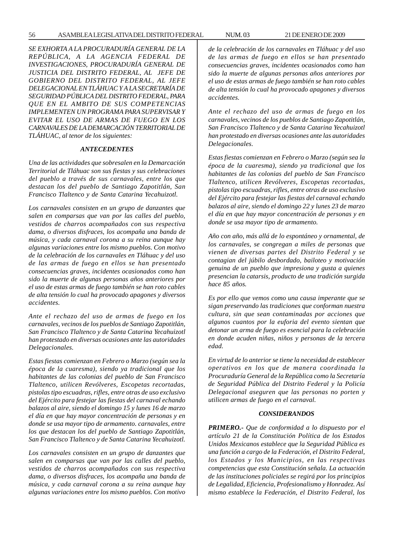*SE EXHORTA A LA PROCURADURÍA GENERAL DE LA REPÚBLICA, A LA AGENCIA FEDERAL DE INVESTIGACIONES, PROCURADURÍA GENERAL DE JUSTICIA DEL DISTRITO FEDERAL, AL JEFE DE GOBIERNO DEL DISTRITO FEDERAL, AL JEFE DELEGACIONAL EN TLÁHUAC Y A LA SECRETARÍA DE SEGURIDAD PÚBLICA DEL DISTRITO FEDERAL, PARA QUE EN EL AMBITO DE SUS COMPETENCIAS IMPLEMENTEN UN PROGRAMA PARA SUPERVISAR Y EVITAR EL USO DE ARMAS DE FUEGO EN LOS CARNAVALES DE LA DEMARCACIÓN TERRITORIAL DE TLÁHUAC, al tenor de los siguientes:*

### *ANTECEDENTES*

*Una de las actividades que sobresalen en la Demarcación Territorial de Tláhuac son sus fiestas y sus celebraciones del pueblo a través de sus carnavales, entre los que destacan los del pueblo de Santiago Zapotitlán, San Francisco Tlaltenco y de Santa Catarina Yecahuizotl.*

*Los carnavales consisten en un grupo de danzantes que salen en comparsas que van por las calles del pueblo, vestidos de charros acompañados con sus respectiva dama, o diversos disfraces, los acompaña una banda de música, y cada carnaval corona a su reina aunque hay algunas variaciones entre los mismo pueblos. Con motivo de la celebración de los carnavales en Tláhuac y del uso de las armas de fuego en ellos se han presentado consecuencias graves, incidentes ocasionados como han sido la muerte de algunas personas años anteriores por el uso de estas armas de fuego también se han roto cables de alta tensión lo cual ha provocado apagones y diversos accidentes.*

*Ante el rechazo del uso de armas de fuego en los carnavales, vecinos de los pueblos de Santiago Zapotitlán, San Francisco Tlaltenco y de Santa Catarina Yecahuizotl han protestado en diversas ocasiones ante las autoridades Delegacionales.*

*Estas fiestas comienzan en Febrero o Marzo (según sea la época de la cuaresma), siendo ya tradicional que los habitantes de las colonias del pueblo de San Francisco Tlaltenco, utilicen Revólveres, Escopetas recortadas, pistolas tipo escuadras, rifles, entre otras de uso exclusivo del Ejército para festejar las fiestas del carnaval echando balazos al aire, siendo el domingo 15 y lunes 16 de marzo el día en que hay mayor concentración de personas y en donde se usa mayor tipo de armamento. carnavales, entre los que destacan los del pueblo de Santiago Zapotitlán, San Francisco Tlaltenco y de Santa Catarina Yecahuizotl.*

*Los carnavales consisten en un grupo de danzantes que salen en comparsas que van por las calles del pueblo, vestidos de charros acompañados con sus respectiva dama, o diversos disfraces, los acompaña una banda de música, y cada carnaval corona a su reina aunque hay algunas variaciones entre los mismo pueblos. Con motivo* *de la celebración de los carnavales en Tláhuac y del uso de las armas de fuego en ellos se han presentado consecuencias graves, incidentes ocasionados como han sido la muerte de algunas personas años anteriores por el uso de estas armas de fuego también se han roto cables de alta tensión lo cual ha provocado apagones y diversos accidentes.*

*Ante el rechazo del uso de armas de fuego en los carnavales, vecinos de los pueblos de Santiago Zapotitlán, San Francisco Tlaltenco y de Santa Catarina Yecahuizotl han protestado en diversas ocasiones ante las autoridades Delegacionales.*

*Estas fiestas comienzan en Febrero o Marzo (según sea la época de la cuaresma), siendo ya tradicional que los habitantes de las colonias del pueblo de San Francisco Tlaltenco, utilicen Revólveres, Escopetas recortadas, pistolas tipo escuadras, rifles, entre otras de uso exclusivo del Ejército para festejar las fiestas del carnaval echando balazos al aire, siendo el domingo 22 y lunes 23 de marzo el día en que hay mayor concentración de personas y en donde se usa mayor tipo de armamento.*

*Año con año, más allá de lo espontáneo y ornamental, de los carnavales, se congregan a miles de personas que vienen de diversas partes del Distrito Federal y se contagian del júbilo desbordado, bailoteo y motivación genuina de un pueblo que impresiona y gusta a quienes presencian la catarsis, producto de una tradición surgida hace 85 años.*

*Es por ello que vemos como una causa imperante que se sigan preservando las tradiciones que conforman nuestra cultura, sin que sean contaminadas por acciones que algunos cuantos por la euforia del evento sientan que detonar un arma de fuego es esencial para la celebración en donde acuden niñas, niños y personas de la tercera edad.*

*En virtud de lo anterior se tiene la necesidad de establecer operativos en los que de manera coordinada la Procuraduría General de la República como la Secretaría de Seguridad Pública del Distrito Federal y la Policía Delegacional aseguren que las personas no porten y utilicen armas de fuego en el carnaval.*

#### *CONSIDERANDOS*

*PRIMERO.- Que de conformidad a lo dispuesto por el artículo 21 de la Constitución Política de los Estados Unidos Mexicanos establece que la Seguridad Pública es una función a cargo de la Federación, el Distrito Federal, los Estados y los Municipios, en las respectivas competencias que esta Constitución señala. La actuación de las instituciones policiales se regirá por los principios de Legalidad, Eficiencia, Profesionalismo y Honradez. Así mismo establece la Federación, el Distrito Federal, los*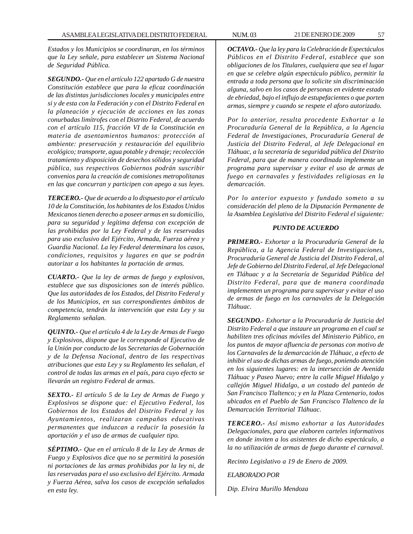*Estados y los Municipios se coordinaran, en los términos que la Ley señale, para establecer un Sistema Nacional de Seguridad Pública.*

*SEGUNDO.- Que en el artículo 122 apartado G de nuestra Constitución establece que para la eficaz coordinación de las distintas jurisdicciones locales y municipales entre si y de esta con la Federación y con el Distrito Federal en la planeación y ejecución de acciones en las zonas conurbadas limítrofes con el Distrito Federal, de acuerdo con el artículo 115, fracción VI de la Constitución en materia de asentamientos humanos: protección al ambiente: preservación y restauración del equilibrio ecológico; transporte, agua potable y drenaje; recolección tratamiento y disposición de desechos sólidos y seguridad pública, sus respectivos Gobiernos podrán suscribir convenios para la creación de comisiones metropolitanas en las que concurran y participen con apego a sus leyes.*

*TERCERO.- Que de acuerdo a lo dispuesto por el artículo 10 de la Constitución, los habitantes de los Estados Unidos Mexicanos tienen derecho a poseer armas en su domicilio, para su seguridad y legítima defensa con excepción de las prohibidas por la Ley Federal y de las reservadas para uso exclusivo del Ejército, Armada, Fuerza aérea y Guardia Nacional. La ley Federal determinara los casos, condiciones, requisitos y lugares en que se podrán autorizar a los habitantes la portación de armas.*

*CUARTO.- Que la ley de armas de fuego y explosivos, establece que sus disposiciones son de interés público. Que las autoridades de los Estados, del Distrito Federal y de los Municipios, en sus correspondientes ámbitos de competencia, tendrán la intervención que esta Ley y su Reglamento señalan.*

*QUINTO.- Que el artículo 4 de la Ley de Armas de Fuego y Explosivos, dispone que le corresponde al Ejecutivo de la Unión por conducto de las Secretarias de Gobernación y de la Defensa Nacional, dentro de las respectivas atribuciones que esta Ley y su Reglamento les señalan, el control de todas las armas en el país, para cuyo efecto se llevarán un registro Federal de armas.*

*SEXTO.- El artículo 5 de la Ley de Armas de Fuego y Explosivos se dispone que: el Ejecutivo Federal, los Gobiernos de los Estados del Distrito Federal y los Ayuntamientos, realizaran campañas educativas permanentes que induzcan a reducir la posesión la aportación y el uso de armas de cualquier tipo.*

*SÉPTIMO.- Que en el artículo 8 de la Ley de Armas de Fuego y Explosivos dice que no se permitirá la posesión ni portaciones de las armas prohibidas por la ley ni, de las reservadas para el uso exclusivo del Ejército. Armada y Fuerza Aérea, salva los casos de excepción señalados en esta ley.*

*OCTAVO.- Que la ley para la Celebración de Espectáculos Públicos en el Distrito Federal, establece que son obligaciones de los Titulares, cualquiera que sea el lugar en que se celebre algún espectáculo público, permitir la entrada a toda persona que lo solicite sin discriminación alguna, salvo en los casos de personas en evidente estado de ebriedad, bajo el influjo de estupefacientes o que porten armas, siempre y cuando se respete el aforo autorizado.*

*Por lo anterior, resulta procedente Exhortar a la Procuraduría General de la República, a la Agencia Federal de Investigaciones, Procuraduría General de Justicia del Distrito Federal, al Jefe Delegacional en Tláhuac, a la secretaría de seguridad pública del Distrito Federal, para que de manera coordinada implemente un programa para supervisar y evitar el uso de armas de fuego en carnavales y festividades religiosas en la demarcación.*

*Por lo anterior expuesto y fundado someto a su consideración del pleno de la Diputación Permanente de la Asamblea Legislativa del Distrito Federal el siguiente:*

### *PUNTO DE ACUERDO*

*PRIMERO.- Exhortar a la Procuraduría General de la República, a la Agencia Federal de Investigaciones, Procuraduría General de Justicia del Distrito Federal, al Jefe de Gobierno del Distrito Federal, al Jefe Delegacional en Tláhuac y a la Secretaría de Seguridad Pública del Distrito Federal, para que de manera coordinada implementen un programa para supervisar y evitar el uso de armas de fuego en los carnavales de la Delegación Tláhuac.*

*SEGUNDO.- Exhortar a la Procuraduría de Justicia del Distrito Federal a que instaure un programa en el cual se habiliten tres oficinas móviles del Ministerio Público, en los puntos de mayor afluencia de personas con motivo de los Carnavales de la demarcación de Tláhuac, a efecto de inhibir el uso de dichas armas de fuego, poniendo atención en los siguientes lugares: en la intersección de Avenida Tláhuac y Paseo Nuevo; entre la calle Miguel Hidalgo y callejón Miguel Hidalgo, a un costado del panteón de San Francisco Tlaltenco; y en la Plaza Centenario, todos ubicados en el Pueblo de San Francisco Tlaltenco de la Demarcación Territorial Tláhuac.*

*TERCERO.- Así mismo exhortar a las Autoridades Delegacionales, para que elaboren carteles informativos en donde inviten a los asistentes de dicho espectáculo, a la no utilización de armas de fuego durante el carnaval.*

*Recinto Legislativo a 19 de Enero de 2009.*

### *ELABORADO POR*

*Dip. Elvira Murillo Mendoza*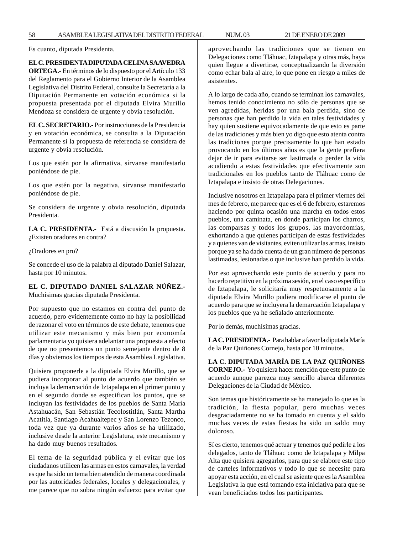Es cuanto, diputada Presidenta.

# **EL C. PRESIDENTA DIPUTADA CELINA SAAVEDRA**

**ORTEGA.-** En términos de lo dispuesto por el Artículo 133 del Reglamento para el Gobierno Interior de la Asamblea Legislativa del Distrito Federal, consulte la Secretaría a la Diputación Permanente en votación económica si la propuesta presentada por el diputada Elvira Murillo Mendoza se considera de urgente y obvia resolución.

**EL C. SECRETARIO.-** Por instrucciones de la Presidencia y en votación económica, se consulta a la Diputación Permanente si la propuesta de referencia se considera de urgente y obvia resolución.

Los que estén por la afirmativa, sírvanse manifestarlo poniéndose de pie.

Los que estén por la negativa, sírvanse manifestarlo poniéndose de pie.

Se considera de urgente y obvia resolución, diputada Presidenta.

**LA C. PRESIDENTA.-** Está a discusión la propuesta. ¿Existen oradores en contra?

¿Oradores en pro?

Se concede el uso de la palabra al diputado Daniel Salazar, hasta por 10 minutos.

**EL C. DIPUTADO DANIEL SALAZAR NÚÑEZ.-** Muchísimas gracias diputada Presidenta.

Por supuesto que no estamos en contra del punto de acuerdo, pero evidentemente como no hay la posibilidad de razonar el voto en términos de este debate, tenemos que utilizar este mecanismo y más bien por economía parlamentaria yo quisiera adelantar una propuesta a efecto de que no presentemos un punto semejante dentro de 8 días y obviemos los tiempos de esta Asamblea Legislativa.

Quisiera proponerle a la diputada Elvira Murillo, que se pudiera incorporar al punto de acuerdo que también se incluya la demarcación de Iztapalapa en el primer punto y en el segundo donde se especifican los puntos, que se incluyan las festividades de los pueblos de Santa María Astahuacán, San Sebastián Tecolostitlán, Santa Martha Acatitla, Santiago Acahualtepec y San Lorenzo Tezonco, toda vez que ya durante varios años se ha utilizado, inclusive desde la anterior Legislatura, este mecanismo y ha dado muy buenos resultados.

El tema de la seguridad pública y el evitar que los ciudadanos utilicen las armas en estos carnavales, la verdad es que ha sido un tema bien atendido de manera coordinada por las autoridades federales, locales y delegacionales, y me parece que no sobra ningún esfuerzo para evitar que aprovechando las tradiciones que se tienen en Delegaciones como Tláhuac, Iztapalapa y otras más, haya quien llegue a divertirse, conceptualizando la diversión como echar bala al aire, lo que pone en riesgo a miles de asistentes.

A lo largo de cada año, cuando se terminan los carnavales, hemos tenido conocimiento no sólo de personas que se ven agredidas, heridas por una bala perdida, sino de personas que han perdido la vida en tales festividades y hay quien sostiene equivocadamente de que esto es parte de las tradiciones y más bien yo digo que esto atenta contra las tradiciones porque precisamente lo que han estado provocando en los últimos años es que la gente prefiera dejar de ir para evitarse ser lastimada o perder la vida acudiendo a estas festividades que efectivamente son tradicionales en los pueblos tanto de Tláhuac como de Iztapalapa e insisto de otras Delegaciones.

Inclusive nosotros en Iztapalapa para el primer viernes del mes de febrero, me parece que es el 6 de febrero, estaremos haciendo por quinta ocasión una marcha en todos estos pueblos, una caminata, en donde participan los charros, las comparsas y todos los grupos, las mayordomías, exhortando a que quienes participan de estas festividades y a quienes van de visitantes, eviten utilizar las armas, insisto porque ya se ha dado cuenta de un gran número de personas lastimadas, lesionadas o que inclusive han perdido la vida.

Por eso aprovechando este punto de acuerdo y para no hacerlo repetitivo en la próxima sesión, en el caso específico de Iztapalapa, le solicitaría muy respetuosamente a la diputada Elvira Murillo pudiera modificarse el punto de acuerdo para que se incluyera la demarcación Iztapalapa y los pueblos que ya he señalado anteriormente.

Por lo demás, muchísimas gracias.

**LA C. PRESIDENTA.-** Para hablar a favor la diputada María de la Paz Quiñones Cornejo, hasta por 10 minutos.

**LA C. DIPUTADA MARÍA DE LA PAZ QUIÑONES CORNEJO.-** Yo quisiera hacer mención que este punto de acuerdo aunque parezca muy sencillo abarca diferentes Delegaciones de la Ciudad de México.

Son temas que históricamente se ha manejado lo que es la tradición, la fiesta popular, pero muchas veces desgraciadamente no se ha tomado en cuenta y el saldo muchas veces de estas fiestas ha sido un saldo muy doloroso.

Sí es cierto, tenemos qué actuar y tenemos qué pedirle a los delegados, tanto de Tláhuac como de Iztapalapa y Milpa Alta que quisiera agregarlos, para que se elabore este tipo de carteles informativos y todo lo que se necesite para apoyar esta acción, en el cual se asiente que es la Asamblea Legislativa la que está tomando esta iniciativa para que se vean beneficiados todos los participantes.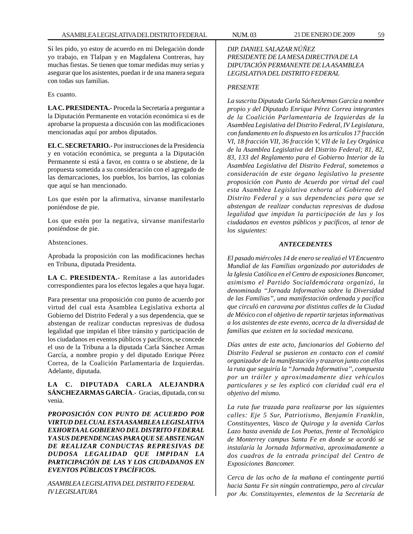Sí les pido, yo estoy de acuerdo en mi Delegación donde yo trabajo, en Tlalpan y en Magdalena Contreras, hay muchas fiestas. Se tienen que tomar medidas muy serias y asegurar que los asistentes, puedan ir de una manera segura con todas sus familias.

Es cuanto.

**LA C. PRESIDENTA.-** Proceda la Secretaría a preguntar a la Diputación Permanente en votación económica si es de aprobarse la propuesta a discusión con las modificaciones mencionadas aquí por ambos diputados.

**EL C. SECRETARIO.-** Por instrucciones de la Presidencia y en votación económica, se pregunta a la Diputación Permanente si está a favor, en contra o se abstiene, de la propuesta sometida a su consideración con el agregado de las demarcaciones, los pueblos, los barrios, las colonias que aquí se han mencionado.

Los que estén por la afirmativa, sírvanse manifestarlo poniéndose de pie.

Los que estén por la negativa, sírvanse manifestarlo poniéndose de pie.

Abstenciones.

Aprobada la proposición con las modificaciones hechas en Tribuna, diputada Presidenta.

**LA C. PRESIDENTA.-** Remítase a las autoridades correspondientes para los efectos legales a que haya lugar.

Para presentar una proposición con punto de acuerdo por virtud del cual esta Asamblea Legislativa exhorta al Gobierno del Distrito Federal y a sus dependencia, que se abstengan de realizar conductas represivas de dudosa legalidad que impidan el libre tránsito y participación de los ciudadanos en eventos públicos y pacíficos, se concede el uso de la Tribuna a la diputada Carla Sánchez Armas García, a nombre propio y del diputado Enrique Pérez Correa, de la Coalición Parlamentaria de Izquierdas. Adelante, diputada.

**LA C. DIPUTADA CARLA ALEJANDRA SÁNCHEZARMAS GARCÍA**.- Gracias, diputada, con su venia.

*PROPOSICIÓN CON PUNTO DE ACUERDO POR VIRTUD DEL CUAL ESTA ASAMBLEA LEGISLATIVA EXHORTA AL GOBIERNO DEL DISTRITO FEDERAL Y A SUS DEPENDENCIAS PARA QUE SE ABSTENGAN DE REALIZAR CONDUCTAS REPRESIVAS DE DUDOSA LEGALIDAD QUE IMPIDAN LA PARTICIPACIÓN DE LAS Y LOS CIUDADANOS EN EVENTOS PÚBLICOS Y PACÍFICOS.*

*ASAMBLEA LEGISLATIVA DEL DISTRITO FEDERAL IV LEGISLATURA*

# *DIP. DANIEL SALAZAR NÚÑEZ PRESIDENTE DE LA MESA DIRECTIVA DE LA DIPUTACIÓN PERMANENTE DE LA ASAMBLEA LEGISLATIVA DEL DISTRITO FEDERAL*

### *PRESENTE*

*La suscrita Diputada Carla SáchezArmas García a nombre propio y del Diputado Enrique Pérez Correa integrantes de la Coalición Parlamentaria de Izquierdas de la Asamblea Legislativa del Distrito Federal, IV Legislatura, con fundamento en lo dispuesto en los artículos 17 fracción VI, 18 fracción VII, 36 fracción V, VII de la Ley Orgánica de la Asamblea Legislativa del Distrito Federal; 81, 82, 83, 133 del Reglamento para el Gobierno Interior de la Asamblea Legislativa del Distrito Federal, sometemos a consideración de este órgano legislativo la presente proposición con Punto de Acuerdo por virtud del cual esta Asamblea Legislativa exhorta al Gobierno del Distrito Federal y a sus dependencias para que se abstengan de realizar conductas represivas de dudosa legalidad que impidan la participación de las y los ciudadanos en eventos públicos y pacíficos, al tenor de los siguientes:*

## *ANTECEDENTES*

*El pasado miércoles 14 de enero se realizó el VI Encuentro Mundial de las Familias organizado por autoridades de la Iglesia Católica en el Centro de exposiciones Bancomer, asimismo el Partido Socialdemócrata organizó, la denominada ''Jornada Informativa sobre la Diversidad de las Familias'', una manifestación ordenada y pacífica que circuló en caravana por distintas calles de la Ciudad de México con el objetivo de repartir tarjetas informativas a los asistentes de este evento, acerca de la diversidad de familias que existen en la sociedad mexicana.*

*Días antes de este acto, funcionarios del Gobierno del Distrito Federal se pusieron en contacto con el comité organizador de la manifestación y trazaron junto con ellos la ruta que seguiría la ''Jornada Informativa'', compuesta por un tráiler y aproximadamente diez vehículos particulares y se les explicó con claridad cuál era el objetivo del mismo.*

*La ruta fue trazada para realizarse por las siguientes calles: Eje 5 Sur, Patriotismo, Benjamín Franklin, Constituyentes, Vasco de Quiroga y la avenida Carlos Lazo hasta avenida de Los Poetas, frente al Tecnológico de Monterrey campus Santa Fe en donde se acordó se instalaría la Jornada Informativa, aproximadamente a dos cuadras de la entrada principal del Centro de Exposiciones Bancomer.*

*Cerca de las ocho de la mañana el contingente partió hacia Santa Fe sin ningún contratiempo, pero al circular por Av. Constituyentes, elementos de la Secretaría de*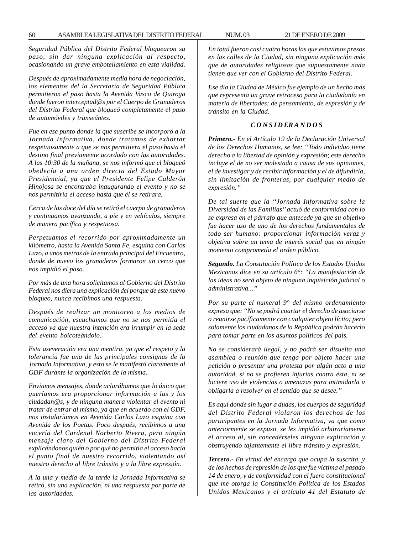*Seguridad Pública del Distrito Federal bloquearon su paso, sin dar ninguna explicación al respecto, ocasionando un grave embotellamiento en esta vialidad.*

*Después de aproximadamente media hora de negociación, los elementos del la Secretaría de Seguridad Pública permitieron el paso hasta la Avenida Vasco de Quiroga donde fueron interceptad@s por el Cuerpo de Granaderos del Distrito Federal que bloqueó completamente el paso de automóviles y transeúntes.*

*Fue en ese punto donde la que suscribe se incorporó a la Jornada Informativa, donde tratamos de exhortar respetuosamente a que se nos permitiera el paso hasta el destino final previamente acordado con las autoridades. A las 10:30 de la mañana, se nos informó que el bloqueó obedecía a una orden directa del Estado Mayor Presidencial, ya que el Presidente Felipe Calderón Hinojosa se encontraba inaugurando el evento y no se nos permitiría el acceso hasta que él se retirara.*

*Cerca de las doce del día se retiró el cuerpo de granaderos y continuamos avanzando, a pie y en vehículos, siempre de manera pacífica y respetuosa.*

*Perpetuamos el recorrido por aproximadamente un kilómetro, hasta la Avenida Santa Fe, esquina con Carlos Lazo, a unos metros de la entrada principal del Encuentro, donde de nuevo los granaderos formaron un cerco que nos impidió el paso.*

*Por más de una hora solicitamos al Gobierno del Distrito Federal nos diera una explicación del porque de este nuevo bloqueo, nunca recibimos una respuesta.*

*Después de realizar un monitoreo a los medios de comunicación, escuchamos que no se nos permitía el acceso ya que nuestra intención era irrumpir en la sede del evento boicoteándolo.*

*Esta aseveración era una mentira, ya que el respeto y la tolerancia fue una de las principales consignas de la Jornada Informativa, y esto se le manifestó claramente al GDF durante la organización de la misma.*

*Enviamos mensajes, donde aclarábamos que lo único que queríamos era proporcionar información a las y los ciudadan@s, y de ninguna manera violentar el evento ni tratar de entrar al mismo, ya que en acuerdo con el GDF, nos instalaríamos en Avenida Carlos Lazo esquina con Avenida de los Poetas. Poco después, recibimos a una vocería del Cardenal Norberto Rivera, pero ningún mensaje claro del Gobierno del Distrito Federal explicándonos quién o por qué no permitía el acceso hacia el punto final de nuestro recorrido, violentando así nuestro derecho al libre tránsito y a la libre expresión.*

*A la una y media de la tarde la Jornada Informativa se retiró, sin una explicación, ni una respuesta por parte de las autoridades.*

*En total fueron casi cuatro horas las que estuvimos presos en las calles de la Ciudad, sin ninguna explicación más que de autoridades religiosas que supuestamente nada tienen que ver con el Gobierno del Distrito Federal.*

*Ese día la Ciudad de México fue ejemplo de un hecho más que representa un grave retroceso para la ciudadanía en materia de libertades: de pensamiento, de expresión y de tránsito en la Ciudad.*

#### *C O N S I D ER A N D O S*

*Primero.- En el Artículo 19 de la Declaración Universal de los Derechos Humanos, se lee: ''Todo individuo tiene derecho a la libertad de opinión y expresión; este derecho incluye el de no ser molestado a causa de sus opiniones, el de investigar y de recibir información y el de difundirla, sin limitación de fronteras, por cualquier medio de expresión.''*

*De tal suerte que la ''Jornada Informativa sobre la Diversidad de las Familias'' actuó de conformidad con lo se expresa en el párrafo que antecede ya que su objetivo fue hacer uso de uno de los derechos fundamentales de todo ser humano: proporcionar información veraz y objetiva sobre un tema de interés social que en ningún momento comprometía el orden público.*

*Segundo. La Constitución Política de los Estados Unidos Mexicanos dice en su artículo 6°: ''La manifestación de las ideas no será objeto de ninguna inquisición judicial o administrativa...''*

*Por su parte el numeral 9° del mismo ordenamiento expresa que: ''No se podrá coartar el derecho de asociarse o reunirse pacíficamente con cualquier objeto lícito; pero solamente los ciudadanos de la República podrán hacerlo para tomar parte en los asuntos políticos del país.*

*No se considerará ilegal, y no podrá ser disuelta una asamblea o reunión que tenga por objeto hacer una petición o presentar una protesta por algún acto a una autoridad, si no se profieren injurias contra ésta, ni se hiciere uso de violencias o amenazas para intimidarla u obligarla a resolver en el sentido que se desee.''*

*Es aquí donde sin lugar a dudas, los cuerpos de seguridad del Distrito Federal violaron los derechos de los participantes en la Jornada Informativa, ya que como anteriormente se expuso, se les impidió arbitrariamente el acceso al, sin concedérseles ninguna explicación y obstruyendo tajantemente el libre tránsito y expresión.*

*Tercero.- En virtud del encargo que ocupa la suscrita, y de los hechos de represión de los que fue víctima el pasado 14 de enero, y de conformidad con el fuero constitucional que me otorga la Constitución Política de los Estados Unidos Mexicanos y el artículo 41 del Estatuto de*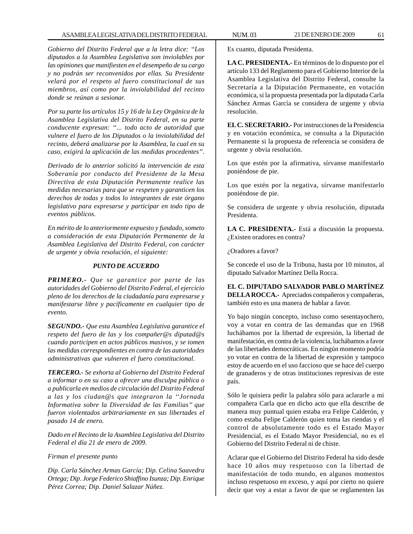## ASAMBLEA LEGISLATIVA DEL DISTRITO FEDERAL NUM. 03 21 DE ENERO DE 2009 61

*Gobierno del Distrito Federal que a la letra dice: ''Los diputados a la Asamblea Legislativa son inviolables por las opiniones que manifiesten en el desempeño de su cargo y no podrán ser reconvenidos por ellas. Su Presidente velará por el respeto al fuero constitucional de sus miembros, así como por la inviolabilidad del recinto donde se reúnan a sesionar.*

*Por su parte los artículos 15 y 16 de la Ley Orgánica de la Asamblea Legislativa del Distrito Federal, en su parte conducente expresan: ''... todo acto de autoridad que vulnere el fuero de los Diputados o la inviolabilidad del recinto, deberá analizarse por la Asamblea, la cual en su caso, exigirá la aplicación de las medidas procedentes''.*

*Derivado de lo anterior solicitó la intervención de esta Soberanía por conducto del Presidente de la Mesa Directiva de esta Diputación Permanente realice las medidas necesarias para que se respeten y garanticen los derechos de todas y todos lo integrantes de este órgano legislativo para expresarse y participar en todo tipo de eventos públicos.*

*En mérito de lo anteriormente expuesto y fundado, someto a consideración de esta Diputación Permanente de la Asamblea Legislativa del Distrito Federal, con carácter de urgente y obvia resolución, el siguiente:*

# *PUNTO DE ACUERDO*

*PRIMERO.- Que se garantice por parte de las autoridades del Gobierno del Distrito Federal, el ejercicio pleno de los derechos de la ciudadanía para expresarse y manifestarse libre y pacíficamente en cualquier tipo de evento.*

*SEGUNDO.- Que esta Asamblea Legislativa garantice el respeto del fuero de las y los compañer@s diputad@s cuando participen en actos públicos masivos, y se tomen las medidas correspondientes en contra de las autoridades administrativas que vulneren el fuero constitucional.*

*TERCERO.- Se exhorta al Gobierno del Distrito Federal a informar o en su caso a ofrecer una disculpa pública o a publicarla en medios de circulación del Distrito Federal a las y los ciudan@s que integraron la ''Jornada Informativa sobre la Diversidad de las Familias'' que fueron violentados arbitrariamente en sus libertades el pasado 14 de enero.*

*Dado en el Recinto de la Asamblea Legislativa del Distrito Federal el día 21 de enero de 2009.*

# *Firman el presente punto*

*Dip. Carla Sánchez Armas García; Dip. Celina Saavedra Ortega; Dip. Jorge Federico Shiaffino Isunza; Dip. Enrique Pérez Correa; Dip. Daniel Salazar Núñez.*

**LA C. PRESIDENTA.-** En términos de lo dispuesto por el artículo 133 del Reglamento para el Gobierno Interior de la Asamblea Legislativa del Distrito Federal, consulte la Secretaría a la Diputación Permanente, en votación económica, si la propuesta presentada por la diputada Carla Sánchez Armas García se considera de urgente y obvia resolución.

**EL C. SECRETARIO.-** Por instrucciones de la Presidencia y en votación económica, se consulta a la Diputación Permanente si la propuesta de referencia se considera de urgente y obvia resolución.

Los que estén por la afirmativa, sírvanse manifestarlo poniéndose de pie.

Los que estén por la negativa, sírvanse manifestarlo poniéndose de pie.

Se considera de urgente y obvia resolución, diputada Presidenta.

**LA C. PRESIDENTA.-** Está a discusión la propuesta. ¿Existen oradores en contra?

¿Oradores a favor?

Se concede el uso de la Tribuna, hasta por 10 minutos, al diputado Salvador Martínez Della Rocca.

**EL C. DIPUTADO SALVADOR PABLO MARTÍNEZ DELLA ROCCA.-** Apreciados compañeros y compañeras, también esto es una manera de hablar a favor.

Yo bajo ningún concepto, incluso como sesentayochero, voy a votar en contra de las demandas que en 1968 luchábamos por la libertad de expresión, la libertad de manifestación, en contra de la violencia, luchábamos a favor de las libertades democráticas. En ningún momento podría yo votar en contra de la libertad de expresión y tampoco estoy de acuerdo en el uso faccioso que se hace del cuerpo de granaderos y de otras instituciones represivas de este país.

Sólo le quisiera pedir la palabra sólo para aclararle a mi compañera Carla que en dicho acto que ella describe de manera muy puntual quien estaba era Felipe Calderón, y como estaba Felipe Calderón quien toma las riendas y el control de absolutamente todo es el Estado Mayor Presidencial, es el Estado Mayor Presidencial, no es el Gobierno del Distrito Federal ni de chiste.

Aclarar que el Gobierno del Distrito Federal ha sido desde hace 10 años muy respetuoso con la libertad de manifestación de todo mundo, en algunos momentos incluso respetuoso en exceso, y aquí por cierto no quiere decir que voy a estar a favor de que se reglamenten las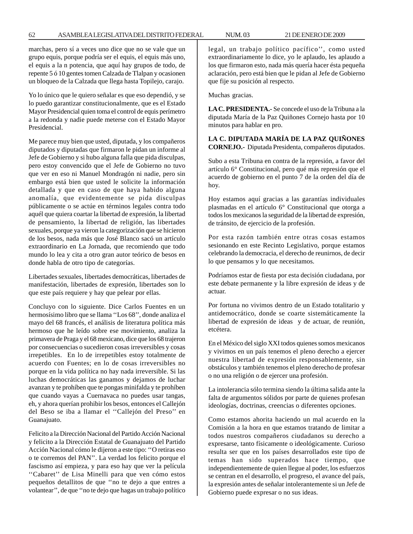marchas, pero sí a veces uno dice que no se vale que un grupo equis, porque podría ser el equis, el equis más uno, el equis a la n potencia, que aquí hay grupos de todo, de repente 5 ó 10 gentes tomen Calzada de Tlalpan y ocasionen un bloqueo de la Calzada que llega hasta Topilejo, carajo.

Yo lo único que le quiero señalar es que eso dependió, y se lo puedo garantizar constitucionalmente, que es el Estado Mayor Presidencial quien toma el control de equis perímetro a la redonda y nadie puede meterse con el Estado Mayor Presidencial.

Me parece muy bien que usted, diputada, y los compañeros diputados y diputadas que firmaron le pidan un informe al Jefe de Gobierno y si hubo alguna falla que pida disculpas, pero estoy convencido que el Jefe de Gobierno no tuvo que ver en eso ni Manuel Mondragón ni nadie, pero sin embargo está bien que usted le solicite la información detallada y que en caso de que haya habido alguna anomalía, que evidentemente se pida disculpas públicamente o se actúe en términos legales contra todo aquél que quiera coartar la libertad de expresión, la libertad de pensamiento, la libertad de religión, las libertades sexuales, porque ya vieron la categorización que se hicieron de los besos, nada más que José Blanco sacó un artículo extraordinario en La Jornada, que recomiendo que todo mundo lo lea y cita a otro gran autor teórico de besos en donde habla de otro tipo de categorías.

Libertades sexuales, libertades democráticas, libertades de manifestación, libertades de expresión, libertades son lo que este país requiere y hay que pelear por ellas.

Concluyo con lo siguiente. Dice Carlos Fuentes en un hermosísimo libro que se llama ''Los 68'', donde analiza el mayo del 68 francés, el análisis de literatura política más hermoso que he leído sobre ese movimiento, analiza la primavera de Praga y el 68 mexicano, dice que los 68 trajeron por consecuencias o sucedieron cosas irreversibles y cosas irrepetibles. En lo de irrepetibles estoy totalmente de acuerdo con Fuentes; en lo de cosas irreversibles no porque en la vida política no hay nada irreversible. Si las luchas democráticas las ganamos y dejamos de luchar avanzan y te prohíben que te pongas minifalda y te prohíben que cuando vayas a Cuernavaca no puedes usar tangas, eh, y ahora querían prohibir los besos, entonces el Callejón del Beso se iba a llamar el ''Callejón del Preso'' en Guanajuato.

Felicito a la Dirección Nacional del Partido Acción Nacional y felicito a la Dirección Estatal de Guanajuato del Partido Acción Nacional cómo le dijeron a este tipo: ''O retiras eso o te corremos del PAN''. La verdad los felicito porque el fascismo así empieza, y para eso hay que ver la película "Cabaret" de Lisa Minelli para que ven cómo estos pequeños detallitos de que ''no te dejo a que entres a volantear'', de que ''no te dejo que hagas un trabajo político legal, un trabajo político pacífico'', como usted extraordinariamente lo dice, yo le aplaudo, les aplaudo a los que firmaron esto, nada más quería hacer ésta pequeña aclaración, pero está bien que le pidan al Jefe de Gobierno que fije su posición al respecto.

Muchas gracias.

**LA C. PRESIDENTA.-** Se concede el uso de la Tribuna a la diputada María de la Paz Quiñones Cornejo hasta por 10 minutos para hablar en pro.

**LA C. DIPUTADA MARÍA DE LA PAZ QUIÑONES CORNEJO.-** Diputada Presidenta, compañeros diputados.

Subo a esta Tribuna en contra de la represión, a favor del artículo 6° Constitucional, pero qué más represión que el acuerdo de gobierno en el punto 7 de la orden del día de hoy.

Hoy estamos aquí gracias a las garantías individuales plasmadas en el artículo 6° Constitucional que otorga a todos los mexicanos la seguridad de la libertad de expresión, de tránsito, de ejercicio de la profesión.

Por esta razón también entre otras cosas estamos sesionando en este Recinto Legislativo, porque estamos celebrando la democracia, el derecho de reunirnos, de decir lo que pensamos y lo que necesitamos.

Podríamos estar de fiesta por esta decisión ciudadana, por este debate permanente y la libre expresión de ideas y de actuar.

Por fortuna no vivimos dentro de un Estado totalitario y antidemocrático, donde se coarte sistemáticamente la libertad de expresión de ideas y de actuar, de reunión, etcétera.

En el México del siglo XXI todos quienes somos mexicanos y vivimos en un país tenemos el pleno derecho a ejercer nuestra libertad de expresión responsablemente, sin obstáculos y también tenemos el pleno derecho de profesar o no una religión o de ejercer una profesión.

La intolerancia sólo termina siendo la última salida ante la falta de argumentos sólidos por parte de quienes profesan ideologías, doctrinas, creencias o diferentes opciones.

Como estamos ahorita haciendo un mal acuerdo en la Comisión a la hora en que estamos tratando de limitar a todos nuestros compañeros ciudadanos su derecho a expresarse, tanto físicamente o ideológicamente. Curioso resulta ser que en los países desarrollados este tipo de temas han sido superados hace tiempo, que independientemente de quien llegue al poder, los esfuerzos se centran en el desarrollo, el progreso, el avance del país, la expresión antes de señalar intolerantemente si un Jefe de Gobierno puede expresar o no sus ideas.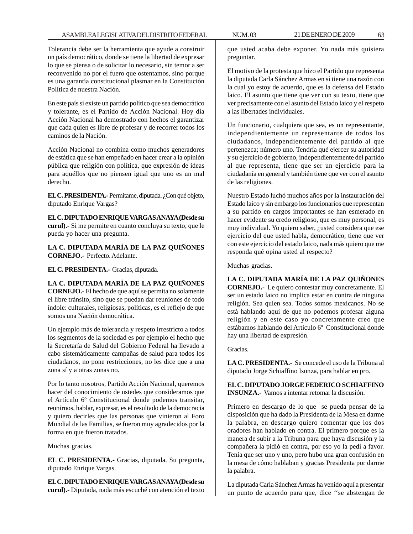Tolerancia debe ser la herramienta que ayude a construir un país democrático, donde se tiene la libertad de expresar lo que se piensa o de solicitar lo necesario, sin temor a ser reconvenido no por el fuero que ostentamos, sino porque es una garantía constitucional plasmar en la Constitución Política de nuestra Nación.

En este país si existe un partido político que sea democrático y tolerante, es el Partido de Acción Nacional. Hoy día Acción Nacional ha demostrado con hechos el garantizar que cada quien es libre de profesar y de recorrer todos los caminos de la Nación.

Acción Nacional no combina como muchos generadores de estática que se han empeñado en hacer crear a la opinión pública que religión con política, que expresión de ideas para aquéllos que no piensen igual que uno es un mal derecho.

**EL C. PRESIDENTA.-** Permítame, diputada. ¿Con qué objeto, diputado Enrique Vargas?

**EL C. DIPUTADO ENRIQUE VARGAS ANAYA (Desde su curul).-** Si me permite en cuanto concluya su texto, que le pueda yo hacer una pregunta.

**LA C. DIPUTADA MARÍA DE LA PAZ QUIÑONES CORNEJO.-** Perfecto. Adelante.

**EL C. PRESIDENTA.-** Gracias, diputada.

**LA C. DIPUTADA MARÍA DE LA PAZ QUIÑONES CORNEJO.-** El hecho de que aquí se permita no solamente el libre tránsito, sino que se puedan dar reuniones de todo índole: culturales, religiosas, políticas, es el reflejo de que somos una Nación democrática.

Un ejemplo más de tolerancia y respeto irrestricto a todos los segmentos de la sociedad es por ejemplo el hecho que la Secretaría de Salud del Gobierno Federal ha llevado a cabo sistemáticamente campañas de salud para todos los ciudadanos, no pone restricciones, no les dice que a una zona sí y a otras zonas no.

Por lo tanto nosotros, Partido Acción Nacional, queremos hacer del conocimiento de ustedes que consideramos que el Artículo 6º Constitucional donde podemos transitar, reunirnos, hablar, expresar, es el resultado de la democracia y quiero decirles que las personas que vinieron al Foro Mundial de las Familias, se fueron muy agradecidos por la forma en que fueron tratados.

Muchas gracias.

**EL C. PRESIDENTA.-** Gracias, diputada. Su pregunta, diputado Enrique Vargas.

**EL C. DIPUTADO ENRIQUE VARGAS ANAYA (Desde su curul).-** Diputada, nada más escuché con atención el texto que usted acaba debe exponer. Yo nada más quisiera preguntar.

El motivo de la protesta que hizo el Partido que representa la diputada Carla Sánchez Armas en sí tiene una razón con la cual yo estoy de acuerdo, que es la defensa del Estado laico. El asunto que tiene que ver con su texto, tiene que ver precisamente con el asunto del Estado laico y el respeto a las libertades individuales.

Un funcionario, cualquiera que sea, es un representante, independientemente un representante de todos los ciudadanos, independientemente del partido al que pertenezca; número uno. Tendría qué ejercer su autoridad y su ejercicio de gobierno, independientemente del partido al que representa, tiene que ser un ejercicio para la ciudadanía en general y también tiene que ver con el asunto de las religiones.

Nuestro Estado luchó muchos años por la instauración del Estado laico y sin embargo los funcionarios que representan a su partido en cargos importantes se han esmerado en hacer evidente su credo religioso, que es muy personal, es muy individual. Yo quiero saber, ¿usted considera que ese ejercicio del que usted habla, democrático, tiene que ver con este ejercicio del estado laico, nada más quiero que me responda qué opina usted al respecto?

Muchas gracias.

**LA C. DIPUTADA MARÍA DE LA PAZ QUIÑONES CORNEJO.-** Le quiero contestar muy concretamente. El ser un estado laico no implica estar en contra de ninguna religión. Sea quien sea. Todos somos mexicanos. No se está hablando aquí de que no podemos profesar alguna religión y en este caso yo concretamente creo que estábamos hablando del Artículo 6º Constitucional donde hay una libertad de expresión.

Gracias.

**LA C. PRESIDENTA.-** Se concede el uso de la Tribuna al diputado Jorge Schiaffino Isunza, para hablar en pro.

**EL C. DIPUTADO JORGE FEDERICO SCHIAFFINO INSUNZA.-** Vamos a intentar retomar la discusión.

Primero en descargo de lo que se pueda pensar de la disposición que ha dado la Presidenta de la Mesa en darme la palabra, en descargo quiero comentar que los dos oradores han hablado en contra. El primero porque es la manera de subir a la Tribuna para que haya discusión y la compañera la pidió en contra, por eso yo la pedí a favor. Tenía que ser uno y uno, pero hubo una gran confusión en la mesa de cómo hablaban y gracias Presidenta por darme la palabra.

La diputada Carla Sánchez Armas ha venido aquí a presentar un punto de acuerdo para que, dice ''se abstengan de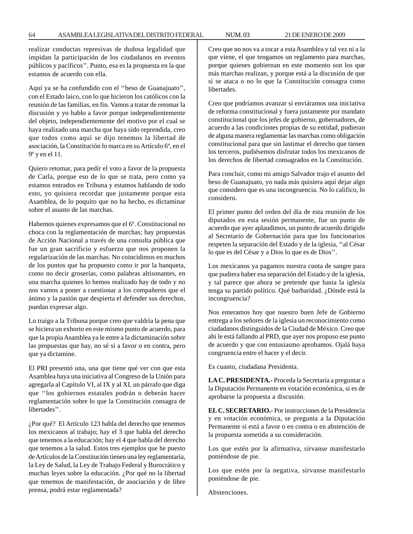realizar conductas represivas de dudosa legalidad que impidan la participación de los ciudadanos en eventos públicos y pacíficos''. Punto, esa es la propuesta en la que estamos de acuerdo con ella.

Aquí ya se ha confundido con el ''beso de Guanajuato'', con el Estado laico, con lo que hicieron los católicos con la reunión de las familias, en fin. Vamos a tratar de retomar la discusión y yo hablo a favor porque independientemente del objeto, independientemente del motivo por el cual se haya realizado una marcha que haya sido reprendida, creo que todos como aquí se dijo tenemos la libertad de asociación, la Constitución lo marca en su Artículo 6º, en el 9º y en el 11.

Quiero retomar, para pedir el voto a favor de la propuesta de Carla, porque eso de lo que se trata, pero como ya estamos entrados en Tribuna y estamos hablando de todo esto, yo quisiera recordar que justamente porque esta Asamblea, de lo poquito que no ha hecho, es dictaminar sobre el asunto de las marchas.

Habemos quienes expresamos que el 6º. Constitucional no choca con la reglamentación de marchas; hay propuestas de Acción Nacional a través de una consulta pública que fue un gran sacrificio y esfuerzo que nos proponen la regularización de las marchas. No coincidimos en muchos de los puntos que ha propuesto como ir por la banqueta, como no decir groserías, como palabras altisonantes, en una marcha quienes lo hemos realizado hay de todo y no nos vamos a poner a cuestionar a los compañeros que el ánimo y la pasión que despierta el defender sus derechos, puedan expresar algo.

Lo traigo a la Tribuna porque creo que valdría la pena que se hiciera un exhorto en este mismo punto de acuerdo, para que la propia Asamblea ya le entre a la dictaminación sobre las propuestas que hay, no sé si a favor o en contra, pero que ya dictamine.

El PRI presentó una, una que tiene qué ver con que esta Asamblea haya una iniciativa al Congreso de la Unión para agregarla al Capítulo VI, al IX y al XI, un párrafo que diga que ''los gobiernos estatales podrán o deberán hacer reglamentación sobre lo que la Constitución consagra de libertades''.

¿Por qué? El Artículo 123 habla del derecho que tenemos los mexicanos al trabajo; hay el 3 que habla del derecho que tenemos a la educación; hay el 4 que habla del derecho que tenemos a la salud. Estos tres ejemplos que he puesto de Artículos de la Constitución tienen una ley reglamentaria, la Ley de Salud, la Ley de Trabajo Federal y Burocrático y muchas leyes sobre la educación. ¿Por qué no la libertad que tenemos de manifestación, de asociación y de libre prensa, podrá estar reglamentada?

Creo que no nos va a tocar a esta Asamblea y tal vez ni a la que viene, el que tengamos un reglamento para marchas, porque quienes gobiernan en este momento son los que más marchas realizan, y porque está a la discusión de que si se ataca o no lo que la Constitución consagra como libertades.

Creo que podríamos avanzar si enviáramos una iniciativa de reforma constitucional y fuera justamente por mandato constitucional que los jefes de gobierno, gobernadores, de acuerdo a las condiciones propias de su entidad, pudieran de alguna manera reglamentar las marchas como obligación constitucional para que sin lastimar el derecho que tienen los terceros, pudiésemos disfrutar todos los mexicanos de los derechos de libertad consagrados en la Constitución.

Para concluir, como mi amigo Salvador trajo el asunto del beso de Guanajuato, yo nada más quisiera aquí dejar algo que considero que es una incongruencia. No lo califico, lo considero.

El primer punto del orden del día de esta reunión de los diputados en esta sesión permanente, fue un punto de acuerdo que ayer aplaudimos, un punto de acuerdo dirigido al Secretario de Gobernación para que los funcionarios respeten la separación del Estado y de la iglesia, ''al César lo que es del César y a Dios lo que es de Dios''.

Los mexicanos ya pagamos nuestra cuota de sangre para que pudiera haber esa separación del Estado y de la iglesia, y tal parece que ahora se pretende que hasta la iglesia tenga su partido político. Qué barbaridad. ¿Dónde está la incongruencia?

Nos enteramos hoy que nuestro buen Jefe de Gobierno entrega a los señores de la iglesia un reconocimiento como ciudadanos distinguidos de la Ciudad de México. Creo que ahí le está fallando al PRD, que ayer nos propuso ese punto de acuerdo y que con entusiasmo aprobamos. Ojalá haya congruencia entre el hacer y el decir.

Es cuanto, ciudadana Presidenta.

**LA C. PRESIDENTA.-** Proceda la Secretaría a preguntar a la Diputación Permanente en votación económica, si es de aprobarse la propuesta a discusión.

**EL C. SECRETARIO.-** Por instrucciones de la Presidencia y en votación económica, se pregunta a la Diputación Permanente si está a favor o en contra o en abstención de la propuesta sometida a su consideración.

Los que estén por la afirmativa, sírvanse manifestarlo poniéndose de pie.

Los que estén por la negativa, sírvanse manifestarlo poniéndose de pie.

Abstenciones.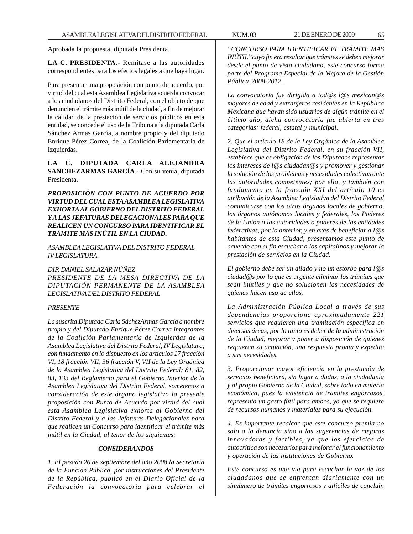Aprobada la propuesta, diputada Presidenta.

**LA C. PRESIDENTA.-** Remítase a las autoridades correspondientes para los efectos legales a que haya lugar.

Para presentar una proposición con punto de acuerdo, por virtud del cual esta Asamblea Legislativa acuerda convocar a los ciudadanos del Distrito Federal, con el objeto de que denuncien el trámite más inútil de la ciudad, a fin de mejorar la calidad de la prestación de servicios públicos en esta entidad, se concede el uso de la Tribuna a la diputada Carla Sánchez Armas García, a nombre propio y del diputado Enrique Pérez Correa, de la Coalición Parlamentaria de Izquierdas.

**LA C. DIPUTADA CARLA ALEJANDRA SANCHEZARMAS GARCÍA**.- Con su venia, diputada Presidenta.

*PROPOSICIÓN CON PUNTO DE ACUERDO POR VIRTUD DEL CUAL ESTA ASAMBLEA LEGISLATIVA EXHORTA AL GOBIERNO DEL DISTRITO FEDERAL Y A LAS JEFATURAS DELEGACIONALES PARA QUE REALICEN UN CONCURSO PARA IDENTIFICAR EL TRÁMITE MÁS INÚTIL EN LA CIUDAD.*

*ASAMBLEA LEGISLATIVA DEL DISTRITO FEDERAL IV LEGISLATURA*

*DIP. DANIEL SALAZAR NÚÑEZ*

*PRESIDENTE DE LA MESA DIRECTIVA DE LA DIPUTACIÓN PERMANENTE DE LA ASAMBLEA LEGISLATIVA DEL DISTRITO FEDERAL*

#### *PRESENTE*

*La suscrita Diputada Carla SáchezArmas García a nombre propio y del Diputado Enrique Pérez Correa integrantes de la Coalición Parlamentaria de Izquierdas de la Asamblea Legislativa del Distrito Federal, IV Legislatura, con fundamento en lo dispuesto en los artículos 17 fracción VI, 18 fracción VII, 36 fracción V, VII de la Ley Orgánica de la Asamblea Legislativa del Distrito Federal; 81, 82, 83, 133 del Reglamento para el Gobierno Interior de la Asamblea Legislativa del Distrito Federal, sometemos a consideración de este órgano legislativo la presente proposición con Punto de Acuerdo por virtud del cual esta Asamblea Legislativa exhorta al Gobierno del Distrito Federal y a las Jefaturas Delegacionales para que realicen un Concurso para identificar el trámite más inútil en la Ciudad, al tenor de los siguientes:*

### *CONSIDERANDOS*

*1. El pasado 26 de septiembre del año 2008 la Secretaría de la Función Pública, por instrucciones del Presidente de la República, publicó en el Diario Oficial de la Federación la convocatoria para celebrar el*

*''CONCURSO PARA IDENTIFICAR EL TRÁMITE MÁS INÚTIL'' cuyo fin era resaltar que trámites se deben mejorar desde el punto de vista ciudadano, este concurso forma parte del Programa Especial de la Mejora de la Gestión Pública 2008-2012.*

*La convocatoria fue dirigida a tod@s l@s mexican@s mayores de edad y extranjeros residentes en la República Mexicana que hayan sido usuarios de algún trámite en el último año, dicha convocatoria fue abierta en tres categorías: federal, estatal y municipal.*

*2. Que el artículo 18 de la Ley Orgánica de la Asamblea Legislativa del Distrito Federal, en su fracción VII, establece que es obligación de los Diputados representar los intereses de l@s ciudadan@s y promover y gestionar la solución de los problemas y necesidades colectivas ante las autoridades competentes; por ello, y también con fundamento en la fracción XXI del artículo 10 es atribución de la Asamblea Legislativa del Distrito Federal comunicarse con los otros órganos locales de gobierno, los órganos autónomos locales y federales, los Poderes de la Unión o las autoridades o poderes de las entidades federativas, por lo anterior, y en aras de beneficiar a I@s habitantes de esta Ciudad, presentamos este punto de acuerdo con el fin escuchar a los capitalinos y mejorar la prestación de servicios en la Ciudad.*

*El gobierno debe ser un aliado y no un estorbo para l@s ciudad@s por lo que es urgente eliminar los trámites que sean inútiles y que no solucionen las necesidades de quienes hacen uso de ellos.*

*La Administración Pública Local a través de sus dependencias proporciona aproximadamente 221 servicios que requieren una tramitación específica en diversas áreas, por lo tanto es deber de la administración de la Ciudad, mejorar y poner a disposición de quienes requieran su actuación, una respuesta pronta y expedita a sus necesidades.*

*3. Proporcionar mayor eficiencia en la prestación de servicios beneficiará, sin lugar a dudas, a la ciudadanía y al propio Gobierno de la Ciudad, sobre todo en materia económica, pues la existencia de trámites engorrosos, representa un gasto fútil para ambos, ya que se requiere de recursos humanos y materiales para su ejecución.*

*4. Es importante recalcar que este concurso premia no solo a la denuncia sino a las sugerencias de mejoras innovadoras y factibles, ya que los ejercicios de autocrítica son necesarios para mejorar el funcionamiento y operación de las instituciones de Gobierno.*

*Este concurso es una vía para escuchar la voz de los ciudadanos que se enfrentan diariamente con un sinnúmero de trámites engorrosos y difíciles de concluir.*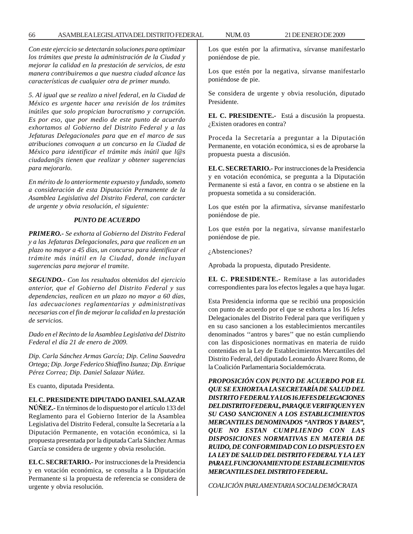*Con este ejercicio se detectarán soluciones para optimizar los trámites que presta la administración de la Ciudad y mejorar la calidad en la prestación de servicios, de esta manera contribuiremos a que nuestra ciudad alcance las características de cualquier otra de primer mundo.*

*5. Al igual que se realizo a nivel federal, en la Ciudad de México es urgente hacer una revisión de los trámites inútiles que solo propician burocratismo y corrupción. Es por eso, que por medio de este punto de acuerdo exhortamos al Gobierno del Distrito Federal y a las Jefaturas Delegacionales para que en el marco de sus atribuciones convoquen a un concurso en la Ciudad de México para identificar el trámite más inútil que l@s ciudadan@s tienen que realizar y obtener sugerencias para mejorarlo.*

*En mérito de lo anteriormente expuesto y fundado, someto a consideración de esta Diputación Permanente de la Asamblea Legislativa del Distrito Federal, con carácter de urgente y obvia resolución, el siguiente:*

# *PUNTO DE ACUERDO*

*PRIMERO.- Se exhorta al Gobierno del Distrito Federal y a las Jefaturas Delegacionales, para que realicen en un plazo no mayor a 45 días, un concurso para identificar el trámite más inútil en la Ciudad, donde incluyan sugerencias para mejorar el tramite.*

*SEGUNDO.- Con los resultados obtenidos del ejercicio anterior, que el Gobierno del Distrito Federal y sus dependencias, realicen en un plazo no mayor a 60 días, las adecuaciones reglamentarias y administrativas necesarias con el fin de mejorar la calidad en la prestación de servicios.*

*Dado en el Recinto de la Asamblea Legislativa del Distrito Federal el día 21 de enero de 2009.*

*Dip. Carla Sánchez Armas García; Dip. Celina Saavedra Ortega; Dip. Jorge Federico Shiaffino Isunza; Dip. Enrique Pérez Correa; Dip. Daniel Salazar Núñez.*

Es cuanto, diputada Presidenta.

## **EL C. PRESIDENTE DIPUTADO DANIEL SALAZAR**

**NÚÑEZ.-** En términos de lo dispuesto por el artículo 133 del Reglamento para el Gobierno Interior de la Asamblea Legislativa del Distrito Federal, consulte la Secretaría a la Diputación Permanente, en votación económica, si la propuesta presentada por la diputada Carla Sánchez Armas García se considera de urgente y obvia resolución.

**EL C. SECRETARIO.-** Por instrucciones de la Presidencia y en votación económica, se consulta a la Diputación Permanente si la propuesta de referencia se considera de urgente y obvia resolución.

Los que estén por la afirmativa, sírvanse manifestarlo poniéndose de pie.

Los que estén por la negativa, sírvanse manifestarlo poniéndose de pie.

Se considera de urgente y obvia resolución, diputado Presidente.

**EL C. PRESIDENTE.-** Está a discusión la propuesta. ¿Existen oradores en contra?

Proceda la Secretaría a preguntar a la Diputación Permanente, en votación económica, si es de aprobarse la propuesta puesta a discusión.

**EL C. SECRETARIO.-** Por instrucciones de la Presidencia y en votación económica, se pregunta a la Diputación Permanente si está a favor, en contra o se abstiene en la propuesta sometida a su consideración.

Los que estén por la afirmativa, sírvanse manifestarlo poniéndose de pie.

Los que estén por la negativa, sírvanse manifestarlo poniéndose de pie.

¿Abstenciones?

Aprobada la propuesta, diputado Presidente.

**EL C. PRESIDENTE.-** Remítase a las autoridades correspondientes para los efectos legales a que haya lugar.

Esta Presidencia informa que se recibió una proposición con punto de acuerdo por el que se exhorta a los 16 Jefes Delegacionales del Distrito Federal para que verifiquen y en su caso sancionen a los establecimientos mercantiles denominados ''antros y bares'' que no están cumpliendo con las disposiciones normativas en materia de ruido contenidas en la Ley de Establecimientos Mercantiles del Distrito Federal, del diputado Leonardo Álvarez Romo, de la Coalición Parlamentaria Socialdemócrata.

*PROPOSICIÓN CON PUNTO DE ACUERDO POR EL QUE SE EXHORTA A LA SECRETARÍA DE SALUD DEL DISTRITO FEDERAL Y A LOS 16 JEFES DELEGACIONES DEL DISTRITO FEDERAL, PARA QUE VERIFIQUEN Y EN SU CASO SANCIONEN A LOS ESTABLECIMIENTOS MERCANTILES DENOMINADOS ''ANTROS Y BARES'', QUE NO ESTAN CUMPLIENDO CON LAS DISPOSICIONES NORMATIVAS EN MATERIA DE RUIDO, DE CONFORMIDAD CON LO DISPUESTO EN LA LEY DE SALUD DEL DISTRITO FEDERAL Y LA LEY PARA EL FUNCIONAMIENTO DE ESTABLECIMIENTOS MERCANTILES DEL DISTRITO FEDERAL.*

*COALICIÓN PARLAMENTARIA SOCIALDEMÓCRATA*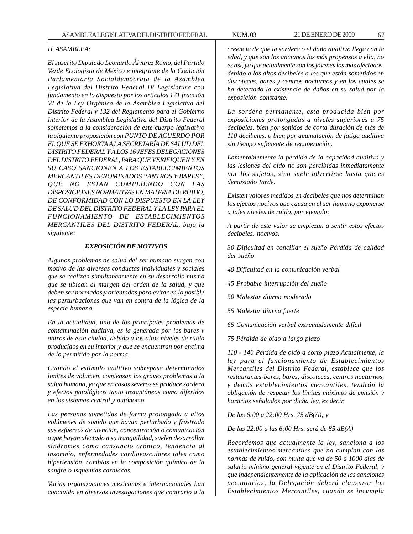#### *H. ASAMBLEA:*

*El suscrito Diputado Leonardo Álvarez Romo, del Partido Verde Ecologista de México e integrante de la Coalición Parlamentaria Socialdemócrata de la Asamblea Legislativa del Distrito Federal IV Legislatura con fundamento en lo dispuesto por los artículos 171 fracción VI de la Ley Orgánica de la Asamblea Legislativa del Distrito Federal y 132 del Reglamento para el Gobierno Interior de la Asamblea Legislativa del Distrito Federal sometemos a la consideración de este cuerpo legislativo la siguiente proposición con PUNTO DE ACUERDO POR EL QUE SE EXHORTA A LA SECRETARÍA DE SALUD DEL DISTRITO FEDERAL Y A LOS 16 JEFES DELEGACIONES DEL DISTRITO FEDERAL, PARA QUE VERIFIQUEN Y EN SU CASO SANCIONEN A LOS ESTABLECIMIENTOS MERCANTILES DENOMINADOS ''ANTROS Y BARES'', QUE NO ESTAN CUMPLIENDO CON LAS DISPOSICIONES NORMATIVAS EN MATERIA DE RUIDO, DE CONFORMIDAD CON LO DISPUESTO EN LA LEY DE SALUD DEL DISTRITO FEDERAL Y LA LEY PARA EL FUNCIONAMIENTO DE ESTABLECIMIENTOS MERCANTILES DEL DISTRITO FEDERAL, bajo la siguiente:*

### *EXPOSICIÓN DE MOTIVOS*

*Algunos problemas de salud del ser humano surgen con motivo de las diversas conductas individuales y sociales que se realizan simultáneamente en su desarrollo mismo que se ubican al margen del orden de la salud, y que deben ser normadas y orientadas para evitar en lo posible las perturbaciones que van en contra de la lógica de la especie humana.*

*En la actualidad, uno de los principales problemas de contaminación auditiva, es la generada por los bares y antros de esta ciudad, debido a los altos niveles de ruido producidos en su interior y que se encuentran por encima de lo permitido por la norma.*

*Cuando el estímulo auditivo sobrepasa determinados limites de volumen, comienzan los graves problemas a la salud humana, ya que en casos severos se produce sordera y efectos patológicos tanto instantáneos como diferidos en los sistemas central y autónomo.*

*Las personas sometidas de forma prolongada a altos volúmenes de sonido que hayan perturbado y frustrado sus esfuerzos de atención, concentración o comunicación o que hayan afectado a su tranquilidad, suelen desarrollar síndromes como cansancio crónico, tendencia al insomnio, enfermedades cardiovasculares tales como hipertensión, cambios en la composición química de la sangre o isquemias cardiacas.*

*Varias organizaciones mexicanas e internacionales han concluido en diversas investigaciones que contrario a la*

*creencia de que la sordera o el daño auditivo llega con la edad, y que son los ancianos los más propensos a ella, no es así, ya que actualmente son los jóvenes los más afectados, debido a los altos decibeles a los que están sometidos en discotecas, bares y centros nocturnos y en los cuales se ha detectado la existencia de daños en su salud por la exposición constante.*

*La sordera permanente, está producida bien por exposiciones prolongadas a niveles superiores a 75 decibeles, bien por sonidos de corta duración de más de 110 decibeles, o bien por acumulación de fatiga auditiva sin tiempo suficiente de recuperación.*

*Lamentablemente la perdida de la capacidad auditiva y las lesiones del oído no son percibidas inmediatamente por los sujetos, sino suele advertirse hasta que es demasiado tarde.*

*Existen valores medidos en decibeles que nos determinan los efectos nocivos que causa en el ser humano exponerse a tales niveles de ruido, por ejemplo:*

*A partir de este valor se empiezan a sentir estos efectos decibeles. nocivos.*

*30 Dificultad en conciliar el sueño Pérdida de calidad del sueño*

*40 Dificultad en la comunicación verbal*

*45 Probable interrupción del sueño*

*50 Malestar diurno moderado*

*55 Malestar diurno fuerte*

*65 Comunicación verbal extremadamente difícil*

*75 Pérdida de oído a largo plazo*

*110 - 140 Pérdida de oído a corto plazo Actualmente, la ley para el funcionamiento de Establecimientos Mercantiles del Distrito Federal, establece que los restaurantes-bares, bares, discotecas, centros nocturnos, y demás establecimientos mercantiles, tendrán la obligación de respetar los límites máximos de emisión y horarios señalados por dicha ley, es decir,*

*De las 6:00 a 22:00 Hrs. 75 dB(A); y*

*De las 22:00 a las 6:00 Hrs. será de 85 dB(A)*

*Recordemos que actualmente la ley, sanciona a los establecimientos mercantiles que no cumplan con las normas de ruido, con multa que va de 50 a 1000 días de salario mínimo general vigente en el Distrito Federal, y que independientemente de la aplicación de las sanciones pecuniarias, la Delegación deberá clausurar los Establecimientos Mercantiles, cuando se incumpla*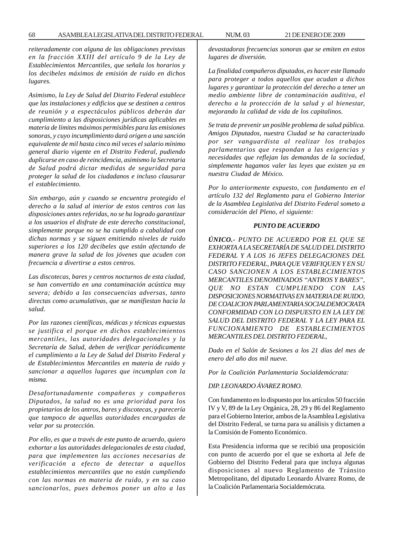*reiteradamente con alguna de las obligaciones previstas en la fracción XXIII del artículo 9 de la Ley de Establecimientos Mercantiles, que señala los horarios y los decibeles máximos de emisión de ruido en dichos lugares.*

*Asimismo, la Ley de Salud del Distrito Federal establece que las instalaciones y edificios que se destinen a centros de reunión y a espectáculos públicos deberán dar cumplimiento a las disposiciones jurídicas aplicables en materia de límites máximos permisibles para las emisiones sonoras, y cuyo incumplimiento dará origen a una sanción equivalente de mil hasta cinco mil veces el salario mínimo general diario vigente en el Distrito Federal, pudiendo duplicarse en caso de reincidencia, asimismo la Secretaria de Salud podrá dictar medidas de seguridad para proteger la salud de los ciudadanos e incluso clausurar el establecimiento.*

*Sin embargo, aún y cuando se encuentra protegido el derecho a la salud al interior de estos centros con las disposiciones antes referidas, no se ha logrado garantizar a los usuarios el disfrute de este derecho constitucional, simplemente porque no se ha cumplido a cabalidad con dichas normas y se siguen emitiendo niveles de ruido superiores a los 120 decibeles que están afectando de manera grave la salud de los jóvenes que acuden con frecuencia a divertirse a estos centros.*

*Las discotecas, bares y centros nocturnos de esta ciudad, se han convertido en una contaminación acústica muy severa; debido a las consecuencias adversas, tanto directas como acumulativas, que se manifiestan hacia la salud.*

*Por las razones científicas, médicas y técnicas expuestas se justifica el porque en dichos establecimientos mercantiles, las autoridades delegacionales y la Secretaría de Salud, deben de verificar periódicamente el cumplimiento a la Ley de Salud del Distrito Federal y de Establecimientos Mercantiles en materia de ruido y sancionar a aquellos lugares que incumplan con la misma.*

*Desafortunadamente compañeras y compañeros Diputados, la salud no es una prioridad para los propietarios de los antros, bares y discotecas, y parecería que tampoco de aquellas autoridades encargadas de velar por su protección.*

*Por ello, es que a través de este punto de acuerdo, quiero exhortar a las autoridades delegacionales de esta ciudad, para que implementen las acciones necesarias de verificación a efecto de detectar a aquellos establecimientos mercantiles que no están cumpliendo con las normas en materia de ruido, y en su caso sancionarlos, pues debemos poner un alto a las* *devastadoras frecuencias sonoras que se emiten en estos lugares de diversión.*

*La finalidad compañeros diputados, es hacer este llamado para proteger a todos aquellos que acudan a dichos lugares y garantizar la protección del derecho a tener un medio ambiente libre de contaminación auditiva, el derecho a la protección de la salud y al bienestar, mejorando la calidad de vida de los capitalinos.*

*Se trata de prevenir un posible problema de salud pública. Amigos Diputados, nuestra Ciudad se ha caracterizado por ser vanguardista al realizar los trabajos parlamentarios que respondan a las exigencias y necesidades que reflejan las demandas de la sociedad, simplemente hagamos valer las leyes que existen ya en nuestra Ciudad de México.*

*Por lo anteriormente expuesto, con fundamento en el artículo 132 del Reglamento para el Gobierno Interior de la Asamblea Legislativa del Distrito Federal someto a consideración del Pleno, el siguiente:*

## *PUNTO DE ACUERDO*

*ÚNICO.- PUNTO DE ACUERDO POR EL QUE SE EXHORTA A LA SECRETARÍA DE SALUD DEL DISTRITO FEDERAL Y A LOS 16 JEFES DELEGACIONES DEL DISTRITO FEDERAL, PARA QUE VERIFIQUEN Y EN SU CASO SANCIONEN A LOS ESTABLECIMIENTOS MERCANTILES DENOMINADOS ''ANTROS Y BARES'', QUE NO ESTAN CUMPLIENDO CON LAS DISPOSICIONES NORMATIVAS EN MATERIA DE RUIDO, DE COALICION PARLAMENTARIA SOCIALDEMOCRATA CONFORMIDAD CON LO DISPUESTO EN LA LEY DE SALUD DEL DISTRITO FEDERAL Y LA LEY PARA EL FUNCIONAMIENTO DE ESTABLECIMIENTOS MERCANTILES DEL DISTRITO FEDERAL,*

*Dado en el Salón de Sesiones a los 21 días del mes de enero del año dos mil nueve.*

*Por la Coalición Parlamentaria Socialdemócrata:*

### *DIP. LEONARDO ÁVAREZ ROMO.*

Con fundamento en lo dispuesto por los artículos 50 fracción IV y V, 89 de la Ley Orgánica, 28, 29 y 86 del Reglamento para el Gobierno Interior, ambos de la Asamblea Legislativa del Distrito Federal, se turna para su análisis y dictamen a la Comisión de Fomento Económico.

Esta Presidencia informa que se recibió una proposición con punto de acuerdo por el que se exhorta al Jefe de Gobierno del Distrito Federal para que incluya algunas disposiciones al nuevo Reglamento de Tránsito Metropolitano, del diputado Leonardo Álvarez Romo, de la Coalición Parlamentaria Socialdemócrata.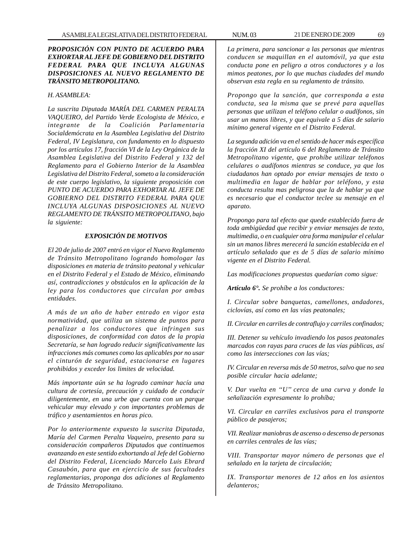# *PROPOSICIÓN CON PUNTO DE ACUERDO PARA EXHORTAR AL JEFE DE GOBIERNO DEL DISTRITO FEDERAL PARA QUE INCLUYA ALGUNAS DISPOSICIONES AL NUEVO REGLAMENTO DE TRÁNSITO METROPOLITANO.*

### *H. ASAMBLEA:*

*La suscrita Diputada MARÍA DEL CARMEN PERALTA VAQUEIRO, del Partido Verde Ecologista de México, e integrante de la Coalición Parlamentaria Socialdemócrata en la Asamblea Legislativa del Distrito Federal, IV Legislatura, con fundamento en lo dispuesto por los artículos 17, fracción VI de la Ley Orgánica de la Asamblea Legislativa del Distrito Federal y 132 del Reglamento para el Gobierno Interior de la Asamblea Legislativa del Distrito Federal, someto a la consideración de este cuerpo legislativo, la siguiente proposición con PUNTO DE ACUERDO PARA EXHORTAR AL JEFE DE GOBIERNO DEL DISTRITO FEDERAL PARA QUE INCLUYA ALGUNAS DISPOSICIONES AL NUEVO REGLAMENTO DE TRÁNSITO METROPOLITANO, bajo la siguiente:*

### *EXPOSICIÓN DE MOTIVOS*

*El 20 de julio de 2007 entró en vigor el Nuevo Reglamento de Tránsito Metropolitano logrando homologar las disposiciones en materia de tránsito peatonal y vehicular en el Distrito Federal y el Estado de México, eliminando así, contradicciones y obstáculos en la aplicación de la ley para los conductores que circulan por ambas entidades.*

*A más de un año de haber entrado en vigor esta normatividad, que utiliza un sistema de puntos para penalizar a los conductores que infringen sus disposiciones, de conformidad con datos de la propia Secretaría, se han logrado reducir significativamente las infracciones más comunes como las aplicables por no usar el cinturón de seguridad, estacionarse en lugares prohibidos y exceder los limites de velocidad.*

*Más importante aún se ha logrado caminar hacía una cultura de cortesía, precaución y cuidado de conducir diligentemente, en una urbe que cuenta con un parque vehicular muy elevado y con importantes problemas de tráfico y asentamientos en horas pico.*

*Por lo anteriormente expuesto la suscrita Diputada, María del Carmen Peralta Vaqueiro, presento para su consideración compañeros Diputados que continuemos avanzando en este sentido exhortando al Jefe del Gobierno del Distrito Federal, Licenciado Marcelo Luis Ebrard Casaubón, para que en ejercicio de sus facultades reglamentarias, proponga dos adiciones al Reglamento de Tránsito Metropolitano.*

*La primera, para sancionar a las personas que mientras conducen se maquillan en el automóvil, ya que esta conducta pone en peligro a otros conductores y a los mimos peatones, por lo que muchas ciudades del mundo observan esta regla en su reglamento de tránsito.*

*Propongo que la sanción, que corresponda a esta conducta, sea la misma que se prevé para aquellas personas que utilizan el teléfono celular o audífonos, sin usar un manos libres, y que equivale a 5 días de salario mínimo general vigente en el Distrito Federal.*

*La segunda adición va en el sentido de hacer más específica la fracción XI del artículo 6 del Reglamento de Tránsito Metropolitano vigente, que prohíbe utilizar teléfonos celulares o audífonos mientras se conduce, ya que los ciudadanos han optado por enviar mensajes de texto o multimedia en lugar de hablar por teléfono, y esta conducta resulta mas peligrosa que la de hablar ya que es necesario que el conductor teclee su mensaje en el aparato.*

*Propongo para tal efecto que quede establecido fuera de toda ambigüedad que recibir y enviar mensajes de texto, multimedia, o en cualquier otra forma manipular el celular sin un manos libres merecerá la sanción establecida en el artículo señalado que es de 5 días de salario mínimo vigente en el Distrito Federal.*

*Las modificaciones propuestas quedarían como sigue:*

*Artículo 6°. Se prohíbe a los conductores:*

*I. Circular sobre banquetas, camellones, andadores, ciclovías, así como en las vías peatonales;*

*II. Circular en carriles de contraflujo y carriles confinados;*

*III. Detener su vehículo invadiendo los pasos peatonales marcados con rayas para cruces de las vías públicas, así como las intersecciones con las vías;*

*IV. Circular en reversa más de 50 metros, salvo que no sea posible circular hacia adelante;*

*V. Dar vuelta en ''U'' cerca de una curva y donde la señalización expresamente lo prohíba;*

*VI. Circular en carriles exclusivos para el transporte público de pasajeros;*

*VII. Realizar maniobras de ascenso o descenso de personas en carriles centrales de las vías;*

*VIII. Transportar mayor número de personas que el señalado en la tarjeta de circulación;*

*IX. Transportar menores de 12 años en los asientos delanteros;*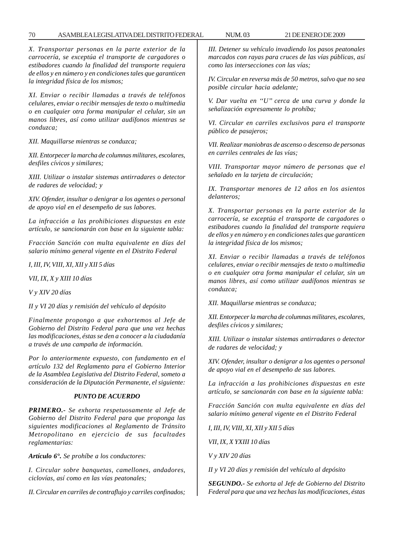*X. Transportar personas en la parte exterior de la carrocería, se exceptúa el transporte de cargadores o estibadores cuando la finalidad del transporte requiera de ellos y en número y en condiciones tales que garanticen la integridad física de los mismos;*

*XI. Enviar o recibir llamadas a través de teléfonos celulares, enviar o recibir mensajes de texto o multimedia o en cualquier otra forma manipular el celular, sin un manos libres, así como utilizar audífonos mientras se conduzca;*

*XII. Maquillarse mientras se conduzca;*

*XII. Entorpecer la marcha de columnas militares, escolares, desfiles cívicos y similares;*

*XIII. Utilizar o instalar sistemas antirradares o detector de radares de velocidad; y*

*XIV. Ofender, insultar o denigrar a los agentes o personal de apoyo vial en el desempeño de sus labores.*

*La infracción a las prohibiciones dispuestas en este artículo, se sancionarán con base en la siguiente tabla:*

*Fracción Sanción con multa equivalente en días del salario mínimo general vigente en el Distrito Federal*

*I, III, IV, VIII, XI, XII y XII 5 días*

*VII, IX, X y XIII 10 días*

*V y XIV 20 días*

*II y VI 20 días y remisión del vehículo al depósito*

*Finalmente propongo a que exhortemos al Jefe de Gobierno del Distrito Federal para que una vez hechas las modificaciones, éstas se den a conocer a la ciudadanía a través de una campaña de información.*

*Por lo anteriormente expuesto, con fundamento en el artículo 132 del Reglamento para el Gobierno Interior de la Asamblea Legislativa del Distrito Federal, someto a consideración de la Diputación Permanente, el siguiente:*

### *PUNTO DE ACUERDO*

*PRIMERO.- Se exhorta respetuosamente al Jefe de Gobierno del Distrito Federal para que proponga las siguientes modificaciones al Reglamento de Tránsito Metropolitano en ejercicio de sus facultades reglamentarias:*

*Artículo 6°. Se prohíbe a los conductores:*

*I. Circular sobre banquetas, camellones, andadores, ciclovías, así como en las vías peatonales;*

*II. Circular en carriles de contraflujo y carriles confinados;*

*III. Detener su vehículo invadiendo los pasos peatonales marcados con rayas para cruces de las vías públicas, así como las intersecciones con las vías;*

*IV. Circular en reversa más de 50 metros, salvo que no sea posible circular hacia adelante;*

*V. Dar vuelta en ''U'' cerca de una curva y donde la señalización expresamente lo prohíba;*

*VI. Circular en carriles exclusivos para el transporte público de pasajeros;*

*VII. Realizar maniobras de ascenso o descenso de personas en carriles centrales de las vías;*

*VIII. Transportar mayor número de personas que el señalado en la tarjeta de circulación;*

*IX. Transportar menores de 12 años en los asientos delanteros;*

*X. Transportar personas en la parte exterior de la carrocería, se exceptúa el transporte de cargadores o estibadores cuando la finalidad del transporte requiera de ellos y en número y en condiciones tales que garanticen la integridad física de los mismos;*

*XI. Enviar o recibir llamadas a través de teléfonos celulares, enviar o recibir mensajes de texto o multimedia o en cualquier otra forma manipular el celular, sin un manos libres, así como utilizar audífonos mientras se conduzca;*

*XII. Maquillarse mientras se conduzca;*

*XII. Entorpecer la marcha de columnas militares, escolares, desfiles cívicos y similares;*

*XIII. Utilizar o instalar sistemas antirradares o detector de radares de velocidad; y*

*XIV. Ofender, insultar o denigrar a los agentes o personal de apoyo vial en el desempeño de sus labores.*

*La infracción a las prohibiciones dispuestas en este artículo, se sancionarán con base en la siguiente tabla:*

*Fracción Sanción con multa equivalente en días del salario mínimo general vigente en el Distrito Federal*

*I, III, IV, VIII, XI, XII y XII 5 días*

*VII, IX, X YXIII 10 días*

*V y XIV 20 días*

*II y VI 20 días y remisión del vehículo al depósito*

*SEGUNDO.- Se exhorta al Jefe de Gobierno del Distrito Federal para que una vez hechas las modificaciones, éstas*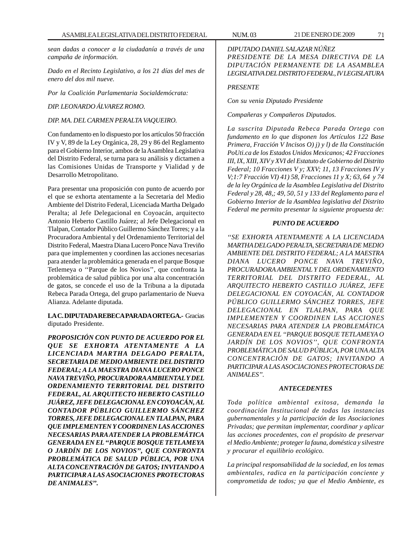*sean dadas a conocer a la ciudadanía a través de una campaña de información.*

*Dado en el Recinto Legislativo, a los 21 días del mes de enero del dos mil nueve.*

*Por la Coalición Parlamentaria Socialdemócrata:*

*DIP. LEONARDO ÁLVAREZ ROMO.*

*DIP. MA. DEL CARMEN PERALTA VAQUEIRO.*

Con fundamento en lo dispuesto por los artículos 50 fracción IV y V, 89 de la Ley Orgánica, 28, 29 y 86 del Reglamento para el Gobierno Interior, ambos de la Asamblea Legislativa del Distrito Federal, se turna para su análisis y dictamen a las Comisiones Unidas de Transporte y Vialidad y de Desarrollo Metropolitano.

Para presentar una proposición con punto de acuerdo por el que se exhorta atentamente a la Secretaria del Medio Ambiente del Distrito Federal, Licenciada Martha Delgado Peralta; al Jefe Delegacional en Coyoacán, arquitecto Antonio Heberto Castillo Juárez; al Jefe Delegacional en Tlalpan, Contador Público Guillermo Sánchez Torres; y a la Procuradora Ambiental y del Ordenamiento Territorial del Distrito Federal, Maestra Diana Lucero Ponce Nava Treviño para que implementen y coordinen las acciones necesarias para atender la problemática generada en el parque Bosque Tetlemeya o ''Parque de los Novios'', que confronta la problemática de salud pública por una alta concentración de gatos, se concede el uso de la Tribuna a la diputada Rebeca Parada Ortega, del grupo parlamentario de Nueva Alianza. Adelante diputada.

## **LA C. DIPUTADA REBECA PARADA ORTEGA.-** Gracias diputado Presidente.

*PROPOSICIÓN CON PUNTO DE ACUERDO POR EL QUE SE EXHORTA ATENTAMENTE A LA LICENCIADA MARTHA DELGADO PERALTA, SECRETARIA DE MEDIO AMBIENTE DEL DISTRITO FEDERAL; A LA MAESTRA DIANA LUCERO PONCE NAVA TREVIÑO, PROCURADORA AMBIENTAL Y DEL ORDENAMIENTO TERRITORIAL DEL DISTRITO FEDERAL, AL ARQUITECTO HEBERTO CASTILLO JUÁREZ, JEFE DELEGACIONAL EN COYOACÁN, AL CONTADOR PÚBLICO GUILLERMO SÁNCHEZ TORRES, JEFE DELEGACIONAL EN TLALPAN, PARA QUE IMPLEMENTEN Y COORDINEN LAS ACCIONES NECESARIAS PARA ATENDER LA PROBLEMÁTICA GENERADA EN EL ''PARQUE BOSQUE TETLAMEYA O JARDÍN DE LOS NOVIOS'', QUE CONFRONTA PROBLEMÁTICA DE SALUD PÚBLICA, POR UNA ALTA CONCENTRACIÓN DE GATOS; INVITANDO A PARTICIPAR A LAS ASOCIACIONES PROTECTORAS DE ANIMALES''.*

*DIPUTADO DANIEL SALAZAR NÚÑEZ PRESIDENTE DE LA MESA DIRECTIVA DE LA DIPUTACIÓN PERMANENTE DE LA ASAMBLEA LEGISLATIVA DEL DISTRITO FEDERAL, IV LEGISLATURA*

### *PRESENTE*

*Con su venia Diputado Presidente*

*Compañeras y Compañeros Diputados.*

*La suscrita Diputada Rebeca Parada Ortega con fundamento en lo que disponen los Artículos 122 Base Primera, Fracción V Incisos O) j) y l) de Ila Constitución PoUti.ca de los Estados Unidos Mexicanos; 42 Fracciones III, IX, XIII, XIV y XVI del Estatuto de Gobierno del Distrito Federal; 10 Fracciones V y; XXV; 11, 13 Fracciones IV y V;1:7 Fracción VI) 41) 58, Fracciones 11 y X; 63, 64 y 74 de la ley Orgánica de la Asamblea Legislativa del Distrito Federal y 28, 48,; 49, 50, 51 y 133 del Reglamento para el Gobierno Interior de la Asamblea legislativa del Distrito Federal me permito presentar la siguiente propuesta de:*

## *PUNTO DE ACUERDO*

*''SE EXHORTA ATENTAMENTE A LA LICENCIADA MARTHA DELGADO PERALTA, SECRETARIA DE MEDIO AMBIENTE DEL DISTRITO FEDERAL; A LA MAESTRA DIANA LUCERO PONCE NAVA TREVIÑO, PROCURADORA AMBIENTAL Y DEL ORDENAMIENTO TERRITORIAL DEL DISTRITO FEDERAL, AL ARQUITECTO HEBERTO CASTILLO JUÁREZ, JEFE DELEGACIONAL EN COYOACÁN, AL CONTADOR PÚBLICO GUILLERMO SÁNCHEZ TORRES, JEFE DELEGACIONAL EN TLALPAN, PARA QUE IMPLEMENTEN Y COORDINEN LAS ACCIONES NECESARIAS PARA ATENDER LA PROBLEMÁTICA GENERADA EN EL ''PARQUE BOSQUE TETLAMEYA O JARDÍN DE LOS NOVIOS'', QUE CONFRONTA PROBLEMÁTICA DE SALUD PÚBLICA, POR UNA ALTA CONCENTRACIÓN DE GATOS; INVITANDO A PARTICIPAR A LAS ASOCIACIONES PROTECTORAS DE ANIMALES''.*

### *ANTECEDENTES*

*Toda política ambiental exitosa, demanda la coordinación Institucional de todas las instancias gubernamentales y la participación de las Asociaciones Privadas; que permitan implementar, coordinar y aplicar las acciones procedentes, con el propósito de preservar el Medio Ambiente; proteger la fauna, doméstica y silvestre y procurar el equilibrio ecológico.*

*La principal responsabilidad de la sociedad, en los temas ambientales, radica en la participación conciente y comprometida de todos; ya que el Medio Ambiente, es*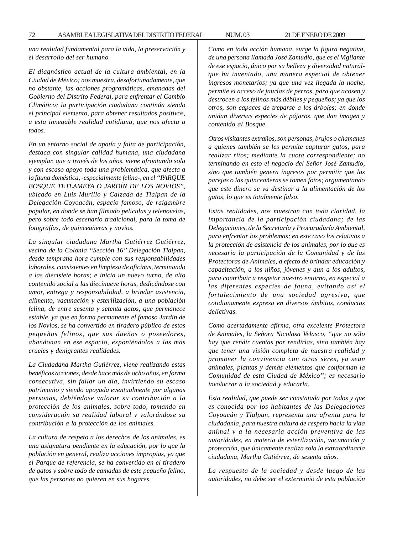*una realidad fundamental para la vida, la preservación y el desarrollo del ser humano.*

*El diagnóstico actual de la cultura ambiental, en la Ciudad de México; nos muestra, desafortunadamente, que no obstante, las acciones programáticas, emanadas del Gobierno del Distrito Federal, para enfrentar el Cambio Climático; la participación ciudadana continúa siendo el principal elemento, para obtener resultados positivos, a esta innegable realidad cotidiana, que nos afecta a todos.*

*En un entorno social de apatía y falta de participación, destaca con singular calidad humana, una ciudadana ejemplar, que a través de los años, viene afrontando sola y con escaso apoyo toda una problemática, que afecta a la fauna doméstica, -especialmente felina-, en el ''PARQUE BOSQUE TETLAMEYA O JARDÍN DE LOS NOVIOS'', ubicado en Luis Murillo y Calzada de Tlalpan de la Delegación Coyoacán, espacio famoso, de raigambre popular, en donde se han filmado películas y telenovelas, pero sobre todo escenario tradicional, para la toma de fotografías, de quinceañeras y novios.*

*La singular ciudadana Martha Gutiérrez Gutiérrez, vecina de la Colonia ''Sección 16'' Delegación Tlalpan, desde temprana hora cumple con sus responsabilidades laborales, consistentes en limpieza de oficinas, terminando a las diecisiete horas; e inicia un nuevo turno, de alto contenido social a las diecinueve horas, dedicándose con amor, entrega y responsabilidad, a brindar asistencia, alimento, vacunación y esterilización, a una población felina, de entre sesenta y setenta gatos, que permanece estable, ya que en forma permanente el famoso Jardín de los Novios, se ha convertido en tiradero público de estos pequeños felinos, que sus dueños o poseedores, abandonan en ese espacio, exponiéndolos a las más crueles y denigrantes realidades.*

*La Ciudadana Martha Gutiérrez, viene realizando estas benéficas acciones, desde hace más de ocho años, en forma consecutiva, sin fallar un día, invirtiendo su escaso patrimonio y siendo apoyada eventualmente por algunas personas, debiéndose valorar su contribución a la protección de los animales, sobre todo, tomando en consideración su realidad laboral y valorándose su contribución a la protección de los animales.*

*La cultura de respeto a los derechos de los animales, es una asignatura pendiente en la educación, por lo que la población en general, realiza acciones impropias, ya que el Parque de referencia, se ha convertido en el tiradero de gatos y sobre todo de camadas de este pequeño felino, que las personas no quieren en sus hogares.*

*Como en toda acción humana, surge la figura negativa, de una persona llamada José Zamudio, que es el Vigilante de ese espacio, único por su belleza y diversidad naturalque ha inventado, una manera especial de obtener ingresos monetarios; ya que una vez llegada la noche, permite el acceso de jaurías de perros, para que acosen y destrocen a los felinos más débiles y pequeños; ya que los otros, son capaces de treparse a los árboles; en donde anidan diversas especies de pájaros, que dan imagen y contenido al Bosque.*

*Otros visitantes extraños, son personas, brujos o chamanes a quienes también se les permite capturar gatos, para realizar ritos; mediante la cuota correspondiente; no terminando en esto el negocio del Señor José Zamudio, sino que también genera ingresos por permitir que las parejas o las quinceañeras se tomen fotos; argumentando que este dinero se va destinar a la alimentación de los gatos, lo que es totalmente falso.*

*Estas realidades, nos muestran con toda claridad, la importancia de la participación ciudadana; de las Delegaciones, de la Secretaría y Procuraduría Ambiental, para enfrentar los problemas; en este caso los relativos a la protección de asistencia de los animales, por lo que es necesaria la participación de la Comunidad y de las Protectoras de Animales, a efecto de brindar educación y capacitación, a los niños, jóvenes y aun a los adultos, para contribuir a respetar nuestro entorno, en especial a las diferentes especies de fauna, evitando así el fortalecimiento de una sociedad agresiva, que cotidianamente expresa en diversos ámbitos, conductas delictivas.*

*Como acertadamente afirma, otra excelente Protectora de Animales, la Señora Nicolasa Velasco, ''que no sólo hay que rendir cuentas por rendirlas, sino también hay que tener una visión completa de nuestra realidad y promover la convivencia con otros seres, ya sean animales, plantas y demás elementos que conforman la Comunidad de esta Ciudad de México''; es necesario involucrar a la sociedad y educarla.*

*Esta realidad, que puede ser constatada por todos y que es conocida por los habitantes de las Delegaciones Coyoacán y Tlalpan, representa una afrenta para la ciudadanía, para nuestra cultura de respeto hacia la vida animal y a la necesaria acción preventiva de las autoridades, en materia de esterilización, vacunación y protección, que únicamente realiza sola la extraordinaria ciudadana, Martha Gutiérrez, de sesenta años.*

*La respuesta de la sociedad y desde luego de las autoridades, no debe ser el exterminio de esta población*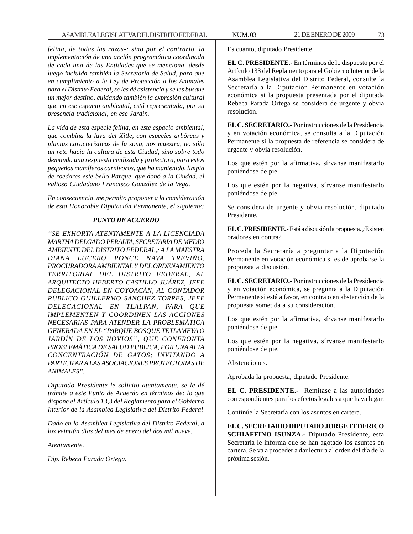*felina, de todas las razas-; sino por el contrario, la implementación de una acción programática coordinada de cada una de las Entidades que se menciona, desde luego incluida también la Secretaría de Salud, para que en cumplimiento a la Ley de Protección a los Animales para el Distrito Federal, se les dé asistencia y se les busque un mejor destino, cuidando también la expresión cultural que en ese espacio ambiental, está representada, por su presencia tradicional, en ese Jardín.*

*La vida de esta especie felina, en este espacio ambiental, que combina la lava del Xitle, con especies arbóreas y plantas características de la zona, nos muestra, no sólo un reto hacia la cultura de esta Ciudad, sino sobre todo demanda una respuesta civilizada y protectora, para estos pequeños mamíferos carnívoros, que ha mantenido, limpia de roedores este bello Parque, que donó a la Ciudad, el valioso Ciudadano Francisco González de la Vega.*

*En consecuencia, me permito proponer a la consideración de esta Honorable Diputación Permanente, el siguiente:*

## *PUNTO DE ACUERDO*

*''SE EXHORTA ATENTAMENTE A LA LICENCIADA MARTHA DELGADO PERALTA, SECRETARIA DE MEDIO AMBIENTE DEL DISTRITO FEDERAL,; A LA MAESTRA DIANA LUCERO PONCE NAVA TREVIÑO, PROCURADORA AMBIENTAL Y DEL ORDENAMIENTO TERRITORIAL DEL DISTRITO FEDERAL, AL ARQUITECTO HEBERTO CASTILLO JUÁREZ, JEFE DELEGACIONAL EN COYOACÁN, AL CONTADOR PÚBLICO GUILLERMO SÁNCHEZ TORRES, JEFE DELEGACIONAL EN TLALPAN, PARA QUE IMPLEMENTEN Y COORDINEN LAS ACCIONES NECESARIAS PARA ATENDER LA PROBLEMÁTICA GENERADA EN EL ''PARQUE BOSQUE TETLAMEYA O JARDÍN DE LOS NOVIOS'', QUE CONFRONTA PROBLEMÁTICA DE SALUD PÚBLICA, POR UNA ALTA CONCENTRACIÓN DE GATOS; INVITANDO A PARTICIPAR A LAS ASOCIACIONES PROTECTORAS DE ANIMALES''.*

*Diputado Presidente le solicito atentamente, se le dé trámite a este Punto de Acuerdo en términos de: lo que dispone el Artículo 13,3 del Reglamento para el Gobierno Interior de la Asamblea Legislativa del Distrito Federal*

*Dado en la Asamblea Legislativa del Distrito Federal, a los veintiún días del mes de enero del dos mil nueve.*

*Atentamente.*

*Dip. Rebeca Parada Ortega.*

Es cuanto, diputado Presidente.

**EL C. PRESIDENTE.-** En términos de lo dispuesto por el Artículo 133 del Reglamento para el Gobierno Interior de la Asamblea Legislativa del Distrito Federal, consulte la Secretaría a la Diputación Permanente en votación económica si la propuesta presentada por el diputada Rebeca Parada Ortega se considera de urgente y obvia resolución.

**EL C. SECRETARIO.-** Por instrucciones de la Presidencia y en votación económica, se consulta a la Diputación Permanente si la propuesta de referencia se considera de urgente y obvia resolución.

Los que estén por la afirmativa, sírvanse manifestarlo poniéndose de pie.

Los que estén por la negativa, sírvanse manifestarlo poniéndose de pie.

Se considera de urgente y obvia resolución, diputado Presidente.

**EL C. PRESIDENTE.-** Está a discusión la propuesta. ¿Existen oradores en contra?

Proceda la Secretaría a preguntar a la Diputación Permanente en votación económica si es de aprobarse la propuesta a discusión.

**EL C. SECRETARIO.-** Por instrucciones de la Presidencia y en votación económica, se pregunta a la Diputación Permanente si está a favor, en contra o en abstención de la propuesta sometida a su consideración.

Los que estén por la afirmativa, sírvanse manifestarlo poniéndose de pie.

Los que estén por la negativa, sírvanse manifestarlo poniéndose de pie.

Abstenciones.

Aprobada la propuesta, diputado Presidente.

**EL C. PRESIDENTE.-** Remítase a las autoridades correspondientes para los efectos legales a que haya lugar.

Continúe la Secretaría con los asuntos en cartera.

**EL C. SECRETARIO DIPUTADO JORGE FEDERICO SCHIAFFINO ISUNZA.-** Diputado Presidente, esta Secretaría le informa que se han agotado los asuntos en cartera. Se va a proceder a dar lectura al orden del día de la próxima sesión.